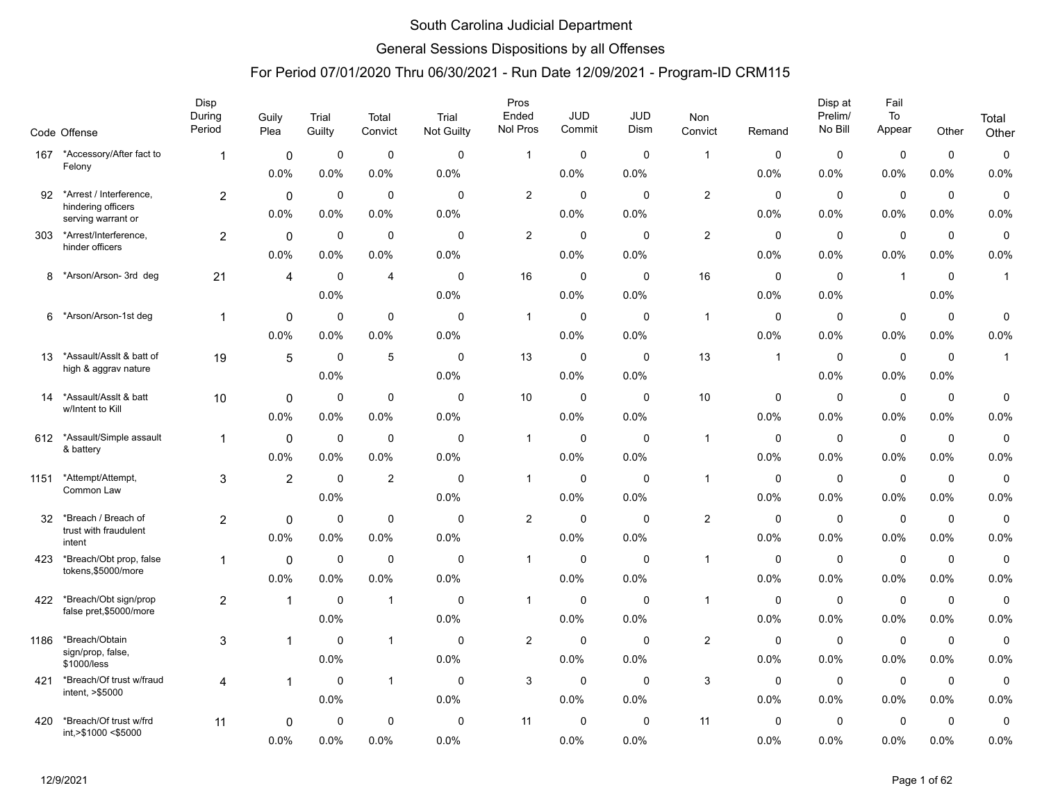### General Sessions Dispositions by all Offenses

|      | Code Offense                                     | Disp<br>During<br>Period | Guily<br>Plea  | Trial<br>Guilty | Total<br>Convict | Trial<br><b>Not Guilty</b> | Pros<br>Ended<br>Nol Pros | <b>JUD</b><br>Commit | JUD<br>Dism | Non<br>Convict | Remand       | Disp at<br>Prelim/<br>No Bill | Fail<br>To<br>Appear | Other       | Total<br>Other |
|------|--------------------------------------------------|--------------------------|----------------|-----------------|------------------|----------------------------|---------------------------|----------------------|-------------|----------------|--------------|-------------------------------|----------------------|-------------|----------------|
| 167  | *Accessory/After fact to                         | -1                       | $\mathbf 0$    | $\mathbf 0$     | 0                | $\mathbf 0$                | $\mathbf{1}$              | 0                    | $\mathbf 0$ | $\overline{1}$ | 0            | $\mathbf 0$                   | $\mathbf 0$          | $\mathbf 0$ | 0              |
|      | Felony                                           |                          | 0.0%           | 0.0%            | 0.0%             | 0.0%                       |                           | 0.0%                 | 0.0%        |                | 0.0%         | 0.0%                          | 0.0%                 | $0.0\%$     | 0.0%           |
| 92   | *Arrest / Interference,                          | $\overline{a}$           | $\mathbf 0$    | $\mathbf 0$     | 0                | $\Omega$                   | $\overline{2}$            | 0                    | $\Omega$    | $\overline{2}$ | $\mathbf 0$  | $\mathbf 0$                   | $\pmb{0}$            | $\mathbf 0$ | 0              |
|      | hindering officers<br>serving warrant or         |                          | 0.0%           | 0.0%            | 0.0%             | 0.0%                       |                           | 0.0%                 | 0.0%        |                | 0.0%         | 0.0%                          | 0.0%                 | 0.0%        | 0.0%           |
| 303  | *Arrest/Interference,                            | 2                        | 0              | $\mathbf 0$     | $\mathbf 0$      | $\mathbf 0$                | $\overline{2}$            | $\mathbf 0$          | $\mathbf 0$ | $\overline{2}$ | $\mathbf 0$  | $\mathbf 0$                   | $\mathbf 0$          | $\mathbf 0$ | $\pmb{0}$      |
|      | hinder officers                                  |                          | 0.0%           | 0.0%            | 0.0%             | 0.0%                       |                           | 0.0%                 | 0.0%        |                | 0.0%         | 0.0%                          | 0.0%                 | 0.0%        | 0.0%           |
| 8    | *Arson/Arson-3rd deg                             | 21                       | $\overline{4}$ | $\mathbf 0$     | 4                | $\mathbf 0$                | 16                        | 0                    | $\mathbf 0$ | 16             | $\mathbf 0$  | $\mathbf 0$                   | $\overline{1}$       | $\mathbf 0$ | $\mathbf{1}$   |
|      |                                                  |                          |                | 0.0%            |                  | 0.0%                       |                           | 0.0%                 | 0.0%        |                | 0.0%         | 0.0%                          |                      | 0.0%        |                |
| 6    | *Arson/Arson-1st deg                             | $\mathbf 1$              | 0              | $\mathbf 0$     | $\mathbf 0$      | $\Omega$                   | $\mathbf{1}$              | $\mathbf 0$          | $\Omega$    | $\mathbf{1}$   | $\mathbf 0$  | $\mathbf 0$                   | $\mathbf 0$          | $\mathbf 0$ | 0              |
|      |                                                  |                          | 0.0%           | 0.0%            | 0.0%             | 0.0%                       |                           | 0.0%                 | 0.0%        |                | 0.0%         | 0.0%                          | 0.0%                 | $0.0\%$     | 0.0%           |
| 13   | *Assault/Asslt & batt of                         | 19                       | 5              | $\mathbf 0$     | 5                | $\mathbf 0$                | 13                        | $\mathbf 0$          | $\mathbf 0$ | 13             | $\mathbf{1}$ | $\mathbf 0$                   | $\mathbf 0$          | $\mathbf 0$ | $\mathbf{1}$   |
|      | high & aggrav nature                             |                          |                | 0.0%            |                  | 0.0%                       |                           | 0.0%                 | 0.0%        |                |              | 0.0%                          | 0.0%                 | 0.0%        |                |
| 14   | *Assault/Asslt & batt<br>w/Intent to Kill        | 10                       | 0              | $\mathbf 0$     | 0                | $\mathbf 0$                | 10 <sup>°</sup>           | 0                    | 0           | 10             | 0            | $\mathbf 0$                   | $\pmb{0}$            | $\mathbf 0$ | 0              |
|      |                                                  |                          | 0.0%           | 0.0%            | 0.0%             | 0.0%                       |                           | 0.0%                 | 0.0%        |                | 0.0%         | 0.0%                          | 0.0%                 | $0.0\%$     | 0.0%           |
| 612  | *Assault/Simple assault<br>& battery             | $\mathbf 1$              | $\mathbf{0}$   | $\mathbf 0$     | 0                | $\Omega$                   | $\mathbf{1}$              | $\mathbf 0$          | $\mathbf 0$ | $\mathbf{1}$   | $\mathbf 0$  | $\mathbf 0$                   | $\mathbf 0$          | $\mathbf 0$ | 0              |
|      |                                                  |                          | 0.0%           | 0.0%            | 0.0%             | 0.0%                       |                           | 0.0%                 | 0.0%        |                | 0.0%         | 0.0%                          | 0.0%                 | 0.0%        | 0.0%           |
| 1151 | *Attempt/Attempt,<br>Common Law                  | 3                        | $\overline{2}$ | $\mathbf 0$     | $\boldsymbol{2}$ | $\mathbf 0$                | $\mathbf{1}$              | $\mathbf 0$          | $\mathbf 0$ | $\overline{1}$ | 0            | $\mathbf 0$                   | $\mathbf 0$          | $\mathbf 0$ | $\pmb{0}$      |
|      |                                                  |                          |                | 0.0%            |                  | 0.0%                       |                           | 0.0%                 | 0.0%        |                | 0.0%         | 0.0%                          | 0.0%                 | 0.0%        | 0.0%           |
| 32   | *Breach / Breach of<br>trust with fraudulent     | $\overline{a}$           | 0              | 0               | $\mathbf 0$      | $\Omega$                   | $\overline{c}$            | 0                    | $\Omega$    | $\overline{2}$ | 0            | $\mathbf 0$                   | $\pmb{0}$            | $\mathbf 0$ | $\mathbf 0$    |
|      | intent                                           |                          | 0.0%           | 0.0%            | 0.0%             | 0.0%                       |                           | 0.0%                 | 0.0%        |                | 0.0%         | 0.0%                          | 0.0%                 | 0.0%        | 0.0%           |
| 423  | *Breach/Obt prop, false<br>tokens,\$5000/more    | 1                        | $\mathbf{0}$   | $\mathbf 0$     | 0                | $\Omega$                   | $\mathbf{1}$              | $\mathbf 0$          | $\Omega$    | $\mathbf{1}$   | $\mathbf 0$  | $\mathbf 0$                   | $\pmb{0}$            | $\mathbf 0$ | 0              |
|      |                                                  |                          | 0.0%           | 0.0%            | 0.0%             | 0.0%                       |                           | 0.0%                 | 0.0%        |                | 0.0%         | 0.0%                          | 0.0%                 | 0.0%        | 0.0%           |
| 422  | *Breach/Obt sign/prop<br>false pret, \$5000/more | $\overline{c}$           | $\mathbf{1}$   | $\mathbf 0$     | $\mathbf{1}$     | $\mathbf 0$                | $\mathbf{1}$              | 0                    | $\mathbf 0$ | $\overline{1}$ | $\mathbf 0$  | $\mathbf 0$                   | $\pmb{0}$            | $\mathbf 0$ | $\mathbf 0$    |
|      |                                                  |                          |                | 0.0%            |                  | 0.0%                       |                           | 0.0%                 | 0.0%        |                | 0.0%         | 0.0%                          | 0.0%                 | 0.0%        | 0.0%           |
| 1186 | *Breach/Obtain<br>sign/prop, false,              | 3                        | 1              | $\mathbf 0$     | $\mathbf{1}$     | $\mathbf 0$                | $\overline{2}$            | $\mathbf 0$          | $\mathbf 0$ | 2              | $\mathbf 0$  | $\mathbf 0$                   | 0                    | $\mathbf 0$ | $\mathbf 0$    |
|      | \$1000/less                                      |                          |                | 0.0%            |                  | 0.0%                       |                           | 0.0%                 | 0.0%        |                | 0.0%         | 0.0%                          | 0.0%                 | 0.0%        | 0.0%           |
| 421  | *Breach/Of trust w/fraud<br>intent, >\$5000      | 4                        | 1              | $\mathbf 0$     | $\mathbf{1}$     | $\Omega$                   | 3                         | $\mathbf 0$          | $\mathbf 0$ | $\mathbf{3}$   | $\mathbf 0$  | $\mathbf 0$                   | $\pmb{0}$            | $\mathbf 0$ | 0              |
|      |                                                  |                          |                | 0.0%            |                  | 0.0%                       |                           | 0.0%                 | 0.0%        |                | 0.0%         | 0.0%                          | 0.0%                 | $0.0\%$     | 0.0%           |
| 420  | *Breach/Of trust w/frd<br>int,>\$1000 <\$5000    | 11                       | 0              | $\mathbf 0$     | 0                | 0                          | 11                        | 0                    | 0           | 11             | $\mathbf 0$  | 0                             | $\mathbf 0$          | 0           | 0              |
|      |                                                  |                          | 0.0%           | 0.0%            | 0.0%             | 0.0%                       |                           | 0.0%                 | 0.0%        |                | 0.0%         | 0.0%                          | 0.0%                 | 0.0%        | 0.0%           |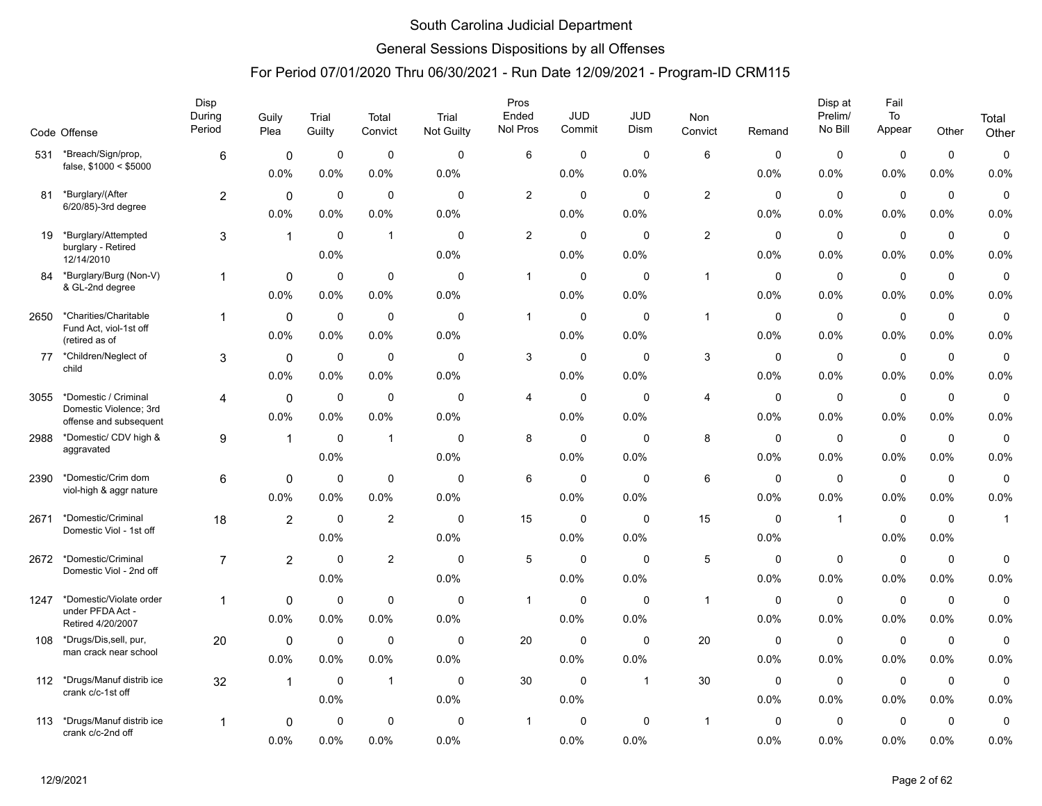### General Sessions Dispositions by all Offenses

|      | Code Offense                                   | Disp<br>During<br>Period | Guily<br>Plea  | Trial<br>Guilty | Total<br>Convict | Trial<br>Not Guilty | Pros<br>Ended<br>Nol Pros | JUD<br>Commit | JUD<br>Dism  | Non<br>Convict | Remand      | Disp at<br>Prelim/<br>No Bill | Fail<br>To<br>Appear | Other       | Total<br>Other |
|------|------------------------------------------------|--------------------------|----------------|-----------------|------------------|---------------------|---------------------------|---------------|--------------|----------------|-------------|-------------------------------|----------------------|-------------|----------------|
| 531  | *Breach/Sign/prop,                             | 6                        | $\mathbf 0$    | $\mathbf 0$     | $\mathbf 0$      | $\mathbf 0$         | 6                         | $\mathbf 0$   | $\mathbf 0$  | 6              | $\mathbf 0$ | $\mathbf 0$                   | $\mathbf 0$          | $\mathbf 0$ | 0              |
|      | false, \$1000 < \$5000                         |                          | 0.0%           | 0.0%            | 0.0%             | 0.0%                |                           | 0.0%          | 0.0%         |                | 0.0%        | 0.0%                          | 0.0%                 | $0.0\%$     | 0.0%           |
| 81   | *Burglary/(After                               | $\overline{2}$           | $\mathbf{0}$   | $\mathbf 0$     | $\mathbf 0$      | $\Omega$            | $\overline{2}$            | $\mathbf 0$   | $\Omega$     | 2              | $\Omega$    | $\Omega$                      | $\mathbf 0$          | $\mathbf 0$ | $\mathbf 0$    |
|      | 6/20/85)-3rd degree                            |                          | 0.0%           | 0.0%            | 0.0%             | 0.0%                |                           | 0.0%          | 0.0%         |                | 0.0%        | 0.0%                          | 0.0%                 | 0.0%        | 0.0%           |
| 19   | *Burglary/Attempted                            | 3                        | 1              | $\mathbf 0$     | $\mathbf{1}$     | $\mathbf 0$         | $\overline{c}$            | $\mathbf 0$   | $\mathbf 0$  | $\overline{2}$ | $\mathbf 0$ | $\mathbf 0$                   | $\mathbf 0$          | $\mathbf 0$ | $\pmb{0}$      |
|      | burglary - Retired<br>12/14/2010               |                          |                | 0.0%            |                  | 0.0%                |                           | 0.0%          | 0.0%         |                | 0.0%        | 0.0%                          | 0.0%                 | 0.0%        | 0.0%           |
| 84   | *Burglary/Burg (Non-V)                         |                          | $\mathbf 0$    | $\mathbf 0$     | $\mathbf 0$      | $\mathbf 0$         | $\mathbf{1}$              | 0             | $\mathbf 0$  | $\overline{1}$ | 0           | $\mathbf 0$                   | $\pmb{0}$            | $\mathbf 0$ | $\mathbf 0$    |
|      | & GL-2nd degree                                |                          | 0.0%           | $0.0\%$         | 0.0%             | 0.0%                |                           | 0.0%          | 0.0%         |                | 0.0%        | 0.0%                          | $0.0\%$              | 0.0%        | 0.0%           |
| 2650 | *Charities/Charitable                          | $\mathbf 1$              | $\mathbf{0}$   | $\mathbf 0$     | $\mathbf 0$      | $\Omega$            | $\mathbf{1}$              | $\mathbf 0$   | $\Omega$     | $\mathbf{1}$   | $\mathbf 0$ | $\mathbf 0$                   | $\mathbf 0$          | $\mathbf 0$ | 0              |
|      | Fund Act, viol-1st off<br>(retired as of       |                          | 0.0%           | 0.0%            | 0.0%             | 0.0%                |                           | 0.0%          | 0.0%         |                | 0.0%        | 0.0%                          | 0.0%                 | 0.0%        | 0.0%           |
| 77   | *Children/Neglect of<br>child                  | 3                        | $\mathbf 0$    | $\mathbf 0$     | $\mathbf 0$      | $\mathbf 0$         | 3                         | $\mathbf 0$   | $\mathbf 0$  | 3              | $\mathbf 0$ | $\mathbf 0$                   | $\pmb{0}$            | $\mathbf 0$ | 0              |
|      |                                                |                          | 0.0%           | 0.0%            | 0.0%             | 0.0%                |                           | 0.0%          | 0.0%         |                | 0.0%        | 0.0%                          | 0.0%                 | $0.0\%$     | 0.0%           |
| 3055 | *Domestic / Criminal<br>Domestic Violence; 3rd | 4                        | $\mathbf 0$    | $\mathbf 0$     | 0                | $\Omega$            | 4                         | 0             | $\Omega$     | 4              | 0           | 0                             | 0                    | 0           | $\mathbf 0$    |
|      | offense and subsequent                         |                          | 0.0%           | 0.0%            | 0.0%             | 0.0%                |                           | 0.0%          | 0.0%         |                | 0.0%        | 0.0%                          | 0.0%                 | 0.0%        | 0.0%           |
| 2988 | *Domestic/ CDV high &<br>aggravated            | 9                        | 1              | $\mathbf 0$     | $\mathbf{1}$     | $\Omega$            | 8                         | $\mathbf 0$   | $\Omega$     | 8              | $\Omega$    | $\mathbf 0$                   | $\mathbf 0$          | $\mathbf 0$ | 0              |
|      |                                                |                          |                | 0.0%            |                  | 0.0%                |                           | 0.0%          | 0.0%         |                | 0.0%        | 0.0%                          | 0.0%                 | 0.0%        | 0.0%           |
| 2390 | *Domestic/Crim dom<br>viol-high & aggr nature  | 6                        | $\mathbf 0$    | $\mathbf 0$     | $\mathbf 0$      | $\mathbf 0$         | 6                         | 0             | $\mathbf 0$  | 6              | $\mathbf 0$ | $\mathbf 0$                   | $\mathbf 0$          | $\mathbf 0$ | 0              |
|      |                                                |                          | 0.0%           | 0.0%            | $0.0\%$          | 0.0%                |                           | 0.0%          | 0.0%         |                | 0.0%        | 0.0%                          | 0.0%                 | $0.0\%$     | 0.0%           |
| 2671 | *Domestic/Criminal<br>Domestic Viol - 1st off  | 18                       | $\overline{2}$ | $\mathbf 0$     | $\overline{2}$   | 0                   | 15                        | $\mathbf 0$   | 0            | 15             | $\mathbf 0$ | $\mathbf{1}$                  | $\mathbf 0$          | $\mathbf 0$ | $\mathbf{1}$   |
|      |                                                |                          |                | 0.0%            |                  | 0.0%                |                           | 0.0%          | 0.0%         |                | 0.0%        |                               | 0.0%                 | 0.0%        |                |
| 2672 | *Domestic/Criminal<br>Domestic Viol - 2nd off  | $\overline{7}$           | $\overline{2}$ | $\mathbf 0$     | $\overline{c}$   | $\Omega$            | 5                         | $\mathbf 0$   | $\mathbf 0$  | 5              | $\mathbf 0$ | $\mathbf 0$                   | $\mathbf 0$          | $\mathbf 0$ | 0              |
|      |                                                |                          |                | 0.0%            |                  | 0.0%                |                           | 0.0%          | 0.0%         |                | 0.0%        | 0.0%                          | 0.0%                 | $0.0\%$     | 0.0%           |
| 1247 | *Domestic/Violate order<br>under PFDA Act -    | -1                       | $\mathbf 0$    | $\mathbf 0$     | 0                | $\mathbf 0$         | $\mathbf{1}$              | 0             | $\mathbf 0$  | $\overline{1}$ | 0           | 0                             | $\pmb{0}$            | $\mathbf 0$ | 0              |
|      | Retired 4/20/2007                              |                          | 0.0%           | 0.0%            | 0.0%             | 0.0%                |                           | 0.0%          | 0.0%         |                | 0.0%        | 0.0%                          | 0.0%                 | 0.0%        | 0.0%           |
| 108  | *Drugs/Dis,sell, pur,<br>man crack near school | 20                       | 0              | $\mathbf 0$     | $\mathbf 0$      | 0                   | 20                        | 0             | 0            | 20             | $\mathbf 0$ | $\mathbf 0$                   | $\pmb{0}$            | 0           | $\pmb{0}$      |
|      |                                                |                          | 0.0%           | 0.0%            | 0.0%             | 0.0%                |                           | 0.0%          | 0.0%         |                | 0.0%        | 0.0%                          | 0.0%                 | 0.0%        | 0.0%           |
| 112  | *Drugs/Manuf distrib ice<br>crank c/c-1st off  | 32                       | $\mathbf{1}$   | $\mathbf 0$     | $\mathbf{1}$     | $\mathbf 0$         | 30                        | $\mathbf 0$   | $\mathbf{1}$ | 30             | $\mathbf 0$ | $\mathbf 0$                   | $\mathbf 0$          | $\mathbf 0$ | $\mathbf 0$    |
|      |                                                |                          |                | 0.0%            |                  | 0.0%                |                           | 0.0%          |              |                | 0.0%        | 0.0%                          | 0.0%                 | $0.0\%$     | 0.0%           |
| 113  | *Drugs/Manuf distrib ice<br>crank c/c-2nd off  | -1                       | 0              | 0               | 0                | 0                   | $\mathbf 1$               | $\Omega$      | $\Omega$     | $\mathbf 1$    | 0           | 0                             | $\mathbf 0$          | 0           | $\mathbf 0$    |
|      |                                                |                          | 0.0%           | 0.0%            | 0.0%             | 0.0%                |                           | 0.0%          | 0.0%         |                | 0.0%        | 0.0%                          | 0.0%                 | 0.0%        | 0.0%           |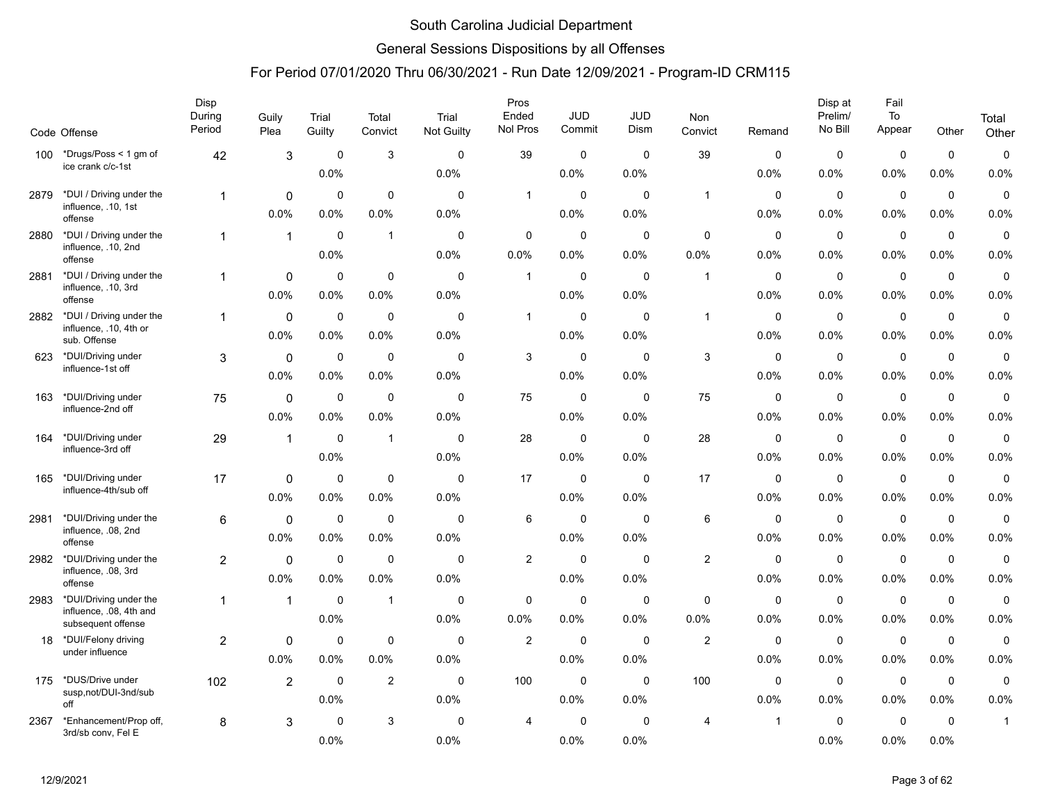### General Sessions Dispositions by all Offenses

|      | Code Offense                                       | Disp<br>During<br>Period | Guily<br>Plea  | Trial<br>Guilty | Total<br>Convict | Trial<br>Not Guilty | Pros<br>Ended<br>Nol Pros | <b>JUD</b><br>Commit | <b>JUD</b><br>Dism | Non<br>Convict | Remand         | Disp at<br>Prelim/<br>No Bill | Fail<br>To<br>Appear | Other       | Total<br>Other |
|------|----------------------------------------------------|--------------------------|----------------|-----------------|------------------|---------------------|---------------------------|----------------------|--------------------|----------------|----------------|-------------------------------|----------------------|-------------|----------------|
|      |                                                    |                          |                |                 |                  |                     |                           |                      |                    |                |                |                               |                      |             |                |
| 100  | *Drugs/Poss < 1 gm of<br>ice crank c/c-1st         | 42                       | $\sqrt{3}$     | $\mathbf 0$     | 3                | $\Omega$            | 39                        | $\Omega$             | $\Omega$           | 39             | $\Omega$       | $\mathbf 0$                   | $\mathbf 0$          | $\mathbf 0$ | $\pmb{0}$      |
|      |                                                    |                          |                | 0.0%            |                  | 0.0%                |                           | 0.0%                 | 0.0%               |                | 0.0%           | 0.0%                          | 0.0%                 | 0.0%        | 0.0%           |
| 2879 | *DUI / Driving under the<br>influence, .10, 1st    | $\mathbf{1}$             | $\mathbf 0$    | $\mathbf 0$     | $\mathbf 0$      | $\mathbf 0$         | $\mathbf{1}$              | $\mathbf 0$          | $\mathbf 0$        | $\mathbf{1}$   | $\mathbf 0$    | $\mathbf 0$                   | $\mathbf 0$          | $\mathbf 0$ | $\pmb{0}$      |
|      | offense                                            |                          | 0.0%           | 0.0%            | 0.0%             | 0.0%                |                           | $0.0\%$              | 0.0%               |                | 0.0%           | 0.0%                          | 0.0%                 | 0.0%        | 0.0%           |
| 2880 | *DUI / Driving under the<br>influence, .10, 2nd    | $\mathbf{1}$             | $\mathbf{1}$   | $\mathbf 0$     | $\mathbf{1}$     | 0                   | 0                         | $\mathbf 0$          | $\mathbf 0$        | $\mathbf 0$    | 0              | $\mathbf 0$                   | $\mathbf 0$          | $\mathbf 0$ | 0              |
|      | offense                                            |                          |                | 0.0%            |                  | 0.0%                | 0.0%                      | 0.0%                 | 0.0%               | 0.0%           | 0.0%           | 0.0%                          | 0.0%                 | 0.0%        | 0.0%           |
| 2881 | *DUI / Driving under the<br>influence, .10, 3rd    |                          | $\mathbf 0$    | $\mathbf 0$     | $\mathbf 0$      | $\Omega$            | $\mathbf{1}$              | $\mathbf 0$          | $\mathbf 0$        | $\mathbf{1}$   | $\mathbf 0$    | $\mathbf 0$                   | $\mathbf 0$          | $\mathbf 0$ | $\pmb{0}$      |
|      | offense                                            |                          | 0.0%           | 0.0%            | 0.0%             | 0.0%                |                           | 0.0%                 | 0.0%               |                | 0.0%           | 0.0%                          | 0.0%                 | 0.0%        | 0.0%           |
| 2882 | *DUI / Driving under the<br>influence, .10, 4th or | $\mathbf{1}$             | $\mathbf 0$    | $\mathbf 0$     | $\mathbf 0$      | $\mathbf 0$         | $\overline{1}$            | $\mathbf 0$          | $\mathbf 0$        | $\mathbf{1}$   | 0              | $\mathbf 0$                   | $\mathbf 0$          | $\mathbf 0$ | 0              |
|      | sub. Offense                                       |                          | 0.0%           | 0.0%            | 0.0%             | 0.0%                |                           | 0.0%                 | 0.0%               |                | 0.0%           | 0.0%                          | 0.0%                 | 0.0%        | 0.0%           |
| 623  | *DUI/Driving under                                 | 3                        | 0              | $\mathbf 0$     | $\mathbf 0$      | $\mathbf 0$         | 3                         | $\mathbf 0$          | $\Omega$           | $\mathbf{3}$   | $\mathbf 0$    | $\mathbf 0$                   | $\pmb{0}$            | $\mathbf 0$ | $\pmb{0}$      |
|      | influence-1st off                                  |                          | 0.0%           | 0.0%            | 0.0%             | 0.0%                |                           | 0.0%                 | 0.0%               |                | 0.0%           | 0.0%                          | 0.0%                 | 0.0%        | 0.0%           |
| 163  | *DUI/Driving under                                 | 75                       | 0              | $\mathbf 0$     | $\mathbf 0$      | $\mathbf 0$         | 75                        | $\mathbf 0$          | $\mathbf 0$        | 75             | 0              | $\mathbf 0$                   | $\mathbf 0$          | $\mathbf 0$ | $\mathbf 0$    |
|      | influence-2nd off                                  |                          | 0.0%           | 0.0%            | 0.0%             | 0.0%                |                           | 0.0%                 | 0.0%               |                | 0.0%           | 0.0%                          | 0.0%                 | 0.0%        | 0.0%           |
| 164  | *DUI/Driving under                                 | 29                       | $\mathbf{1}$   | $\mathbf 0$     | $\mathbf{1}$     | $\Omega$            | 28                        | $\mathbf 0$          | $\Omega$           | 28             | 0              | $\mathbf 0$                   | $\mathbf 0$          | $\mathbf 0$ | 0              |
|      | influence-3rd off                                  |                          |                | 0.0%            |                  | 0.0%                |                           | 0.0%                 | 0.0%               |                | 0.0%           | 0.0%                          | 0.0%                 | 0.0%        | 0.0%           |
| 165  | *DUI/Driving under                                 | 17                       | $\mathbf 0$    | $\mathbf 0$     | $\mathbf 0$      | $\mathbf 0$         | 17                        | $\mathbf 0$          | $\mathbf 0$        | 17             | 0              | $\mathbf 0$                   | $\pmb{0}$            | $\mathbf 0$ | 0              |
|      | influence-4th/sub off                              |                          | 0.0%           | 0.0%            | $0.0\%$          | 0.0%                |                           | $0.0\%$              | 0.0%               |                | 0.0%           | 0.0%                          | 0.0%                 | 0.0%        | 0.0%           |
| 2981 | *DUI/Driving under the                             | 6                        | $\mathbf 0$    | $\mathbf 0$     | $\mathbf 0$      | $\mathbf 0$         | 6                         | $\mathbf 0$          | $\mathbf 0$        | 6              | 0              | $\mathbf 0$                   | $\mathbf 0$          | $\mathbf 0$ | $\mathbf 0$    |
|      | influence, .08, 2nd<br>offense                     |                          | 0.0%           | 0.0%            | 0.0%             | 0.0%                |                           | 0.0%                 | 0.0%               |                | 0.0%           | 0.0%                          | 0.0%                 | 0.0%        | 0.0%           |
| 2982 | *DUI/Driving under the                             | $\overline{2}$           | $\mathbf 0$    | $\mathbf 0$     | $\mathbf 0$      | $\Omega$            | $\overline{c}$            | $\mathbf 0$          | $\mathbf 0$        | $\mathbf{2}$   | $\mathbf 0$    | $\mathbf 0$                   | $\mathbf 0$          | $\mathbf 0$ | $\pmb{0}$      |
|      | influence, .08, 3rd<br>offense                     |                          | 0.0%           | 0.0%            | 0.0%             | 0.0%                |                           | $0.0\%$              | 0.0%               |                | 0.0%           | 0.0%                          | 0.0%                 | 0.0%        | 0.0%           |
| 2983 | *DUI/Driving under the                             | 1                        | $\mathbf{1}$   | $\mathbf 0$     | $\mathbf{1}$     | $\mathbf 0$         | 0                         | $\mathbf 0$          | $\mathbf 0$        | 0              | 0              | $\mathbf 0$                   | $\pmb{0}$            | $\mathbf 0$ | $\pmb{0}$      |
|      | influence, .08, 4th and                            |                          |                | 0.0%            |                  | 0.0%                | 0.0%                      | 0.0%                 | 0.0%               | 0.0%           | 0.0%           | 0.0%                          | 0.0%                 | 0.0%        | 0.0%           |
| 18   | subsequent offense<br>*DUI/Felony driving          | $\overline{2}$           | $\mathbf 0$    | 0               | $\mathbf 0$      | 0                   | $\overline{c}$            | $\mathbf 0$          | 0                  | $\overline{2}$ | 0              | $\mathbf 0$                   | $\mathbf 0$          | $\mathbf 0$ | $\mathbf 0$    |
|      | under influence                                    |                          | 0.0%           | 0.0%            | $0.0\%$          | 0.0%                |                           | 0.0%                 | 0.0%               |                | 0.0%           | $0.0\%$                       | 0.0%                 | 0.0%        | 0.0%           |
| 175  | *DUS/Drive under                                   | 102                      | $\overline{2}$ | $\mathbf 0$     | $\overline{2}$   | $\Omega$            | 100                       | $\mathbf 0$          | $\Omega$           | 100            | $\Omega$       | $\mathbf 0$                   | $\mathbf 0$          | $\mathbf 0$ | 0              |
|      | susp,not/DUI-3nd/sub<br>off                        |                          |                | 0.0%            |                  | 0.0%                |                           | 0.0%                 | 0.0%               |                | 0.0%           | 0.0%                          | 0.0%                 | 0.0%        | 0.0%           |
| 2367 | *Enhancement/Prop off,                             | 8                        | 3              | $\mathbf 0$     | 3                | $\mathbf 0$         | 4                         | 0                    | $\mathbf 0$        | 4              | $\overline{1}$ | $\mathbf 0$                   | $\mathbf 0$          | $\mathbf 0$ | $\mathbf{1}$   |
|      | 3rd/sb conv, Fel E                                 |                          |                | 0.0%            |                  | 0.0%                |                           | 0.0%                 | 0.0%               |                |                | 0.0%                          | 0.0%                 | 0.0%        |                |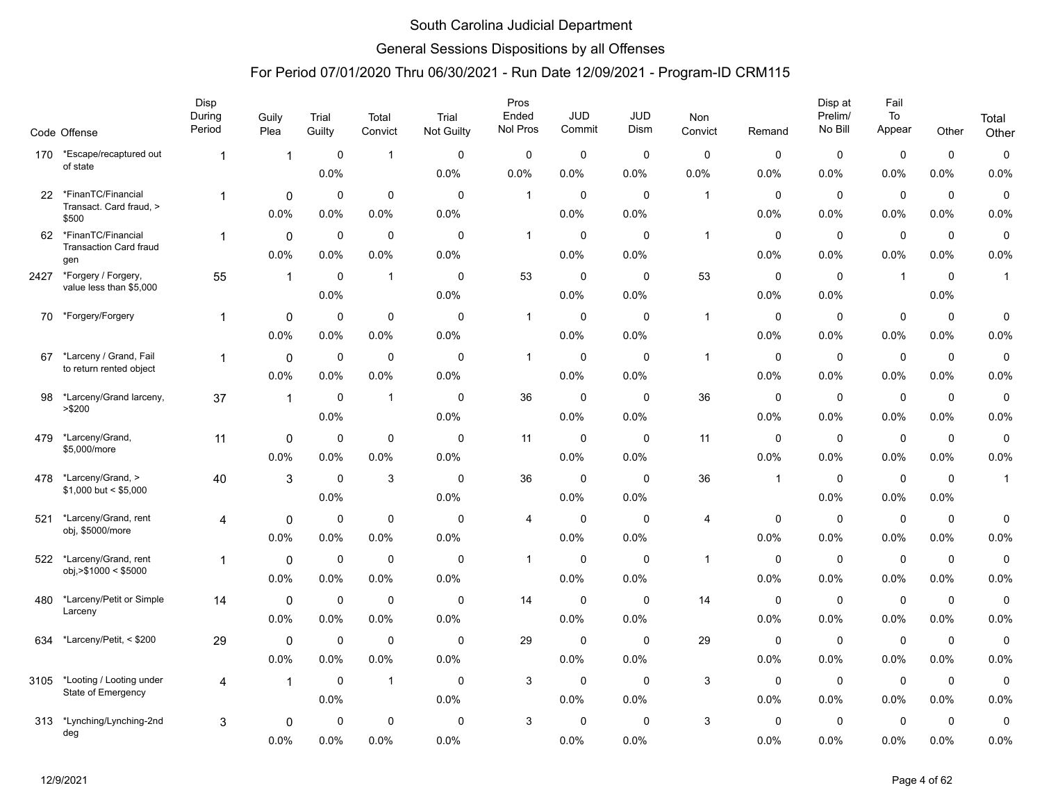### General Sessions Dispositions by all Offenses

|      | Code Offense                                      | Disp<br>During<br>Period | Guily<br>Plea | Trial<br>Guilty     | Total<br>Convict    | Trial<br>Not Guilty | Pros<br>Ended<br>Nol Pros | <b>JUD</b><br>Commit | JUD<br>Dism         | Non<br>Convict | Remand              | Disp at<br>Prelim/<br>No Bill | Fail<br>$\mathsf{To}$<br>Appear | Other               | Total<br>Other      |
|------|---------------------------------------------------|--------------------------|---------------|---------------------|---------------------|---------------------|---------------------------|----------------------|---------------------|----------------|---------------------|-------------------------------|---------------------------------|---------------------|---------------------|
| 170  | *Escape/recaptured out                            | -1                       | $\mathbf{1}$  | $\mathbf 0$         | $\mathbf{1}$        | $\mathbf 0$         | $\mathbf 0$               | 0                    | $\mathbf 0$         | $\pmb{0}$      | $\mathbf 0$         | $\pmb{0}$                     | $\mathbf 0$                     | $\mathbf 0$         | $\pmb{0}$           |
|      | of state                                          |                          |               | 0.0%                |                     | 0.0%                | 0.0%                      | 0.0%                 | 0.0%                | 0.0%           | 0.0%                | 0.0%                          | 0.0%                            | $0.0\%$             | 0.0%                |
| 22   | *FinanTC/Financial                                | $\mathbf{1}$             | $\mathbf 0$   | 0                   | $\mathbf 0$         | $\mathbf 0$         | $\overline{1}$            | $\mathbf 0$          | $\mathbf 0$         | $\mathbf{1}$   | $\mathbf 0$         | $\mathbf 0$                   | $\mathbf 0$                     | $\mathbf 0$         | 0                   |
|      | Transact. Card fraud, ><br>\$500                  |                          | 0.0%          | 0.0%                | 0.0%                | 0.0%                |                           | 0.0%                 | 0.0%                |                | 0.0%                | 0.0%                          | 0.0%                            | $0.0\%$             | 0.0%                |
| 62   | *FinanTC/Financial                                | $\mathbf 1$              | 0             | 0                   | 0                   | 0                   | $\overline{1}$            | 0                    | 0                   | $\mathbf{1}$   | 0                   | $\mathbf 0$                   | $\pmb{0}$                       | $\mathbf 0$         | 0                   |
|      | <b>Transaction Card fraud</b><br>gen              |                          | 0.0%          | 0.0%                | 0.0%                | 0.0%                |                           | 0.0%                 | 0.0%                |                | 0.0%                | 0.0%                          | 0.0%                            | 0.0%                | 0.0%                |
| 2427 | *Forgery / Forgery,                               | 55                       | $\mathbf{1}$  | 0                   | $\mathbf{1}$        | $\Omega$            | 53                        | 0                    | $\Omega$            | 53             | 0                   | $\mathbf 0$                   | $\overline{1}$                  | $\mathbf 0$         | $\mathbf{1}$        |
|      | value less than \$5,000                           |                          |               | 0.0%                |                     | 0.0%                |                           | 0.0%                 | 0.0%                |                | 0.0%                | 0.0%                          |                                 | 0.0%                |                     |
| 70   | *Forgery/Forgery                                  | $\mathbf{1}$             | 0             | 0                   | $\mathbf 0$         | $\Omega$            | $\overline{1}$            | 0                    | $\Omega$            | $\mathbf{1}$   | $\mathbf 0$         | $\mathbf 0$                   | $\mathbf 0$                     | $\mathbf 0$         | 0                   |
|      |                                                   |                          | 0.0%          | 0.0%                | 0.0%                | 0.0%                |                           | 0.0%                 | 0.0%                |                | 0.0%                | 0.0%                          | 0.0%                            | 0.0%                | 0.0%                |
| 67   | *Larceny / Grand, Fail<br>to return rented object | 1                        | 0             | $\mathbf 0$         | $\mathbf 0$         | $\mathbf 0$         | $\mathbf{1}$              | $\mathbf 0$          | $\mathbf 0$         | $\mathbf{1}$   | 0                   | $\mathbf 0$                   | $\mathbf 0$                     | $\mathbf 0$         | $\pmb{0}$           |
|      |                                                   |                          | 0.0%          | 0.0%                | 0.0%                | 0.0%                |                           | 0.0%                 | 0.0%                |                | 0.0%                | 0.0%                          | 0.0%                            | $0.0\%$             | 0.0%                |
| 98   | *Larceny/Grand larceny,<br>> \$200                | 37                       | $\mathbf{1}$  | 0                   | $\mathbf{1}$        | $\mathbf 0$         | 36                        | 0                    | $\mathbf 0$         | 36             | 0                   | $\mathbf 0$                   | $\mathbf 0$                     | $\mathbf 0$         | $\mathbf 0$         |
|      |                                                   |                          |               | 0.0%                |                     | 0.0%                |                           | 0.0%                 | 0.0%                |                | 0.0%                | 0.0%                          | 0.0%                            | $0.0\%$             | 0.0%                |
| 479  | *Larceny/Grand,<br>\$5,000/more                   | 11                       | 0             | 0                   | $\mathbf 0$         | $\mathbf 0$         | 11                        | 0                    | $\mathbf 0$         | 11             | $\mathbf 0$         | $\mathbf 0$                   | $\mathbf 0$                     | $\mathbf 0$         | 0                   |
|      |                                                   |                          | 0.0%          | 0.0%                | 0.0%                | 0.0%                |                           | 0.0%                 | 0.0%                |                | 0.0%                | 0.0%                          | 0.0%                            | $0.0\%$             | 0.0%                |
| 478  | *Larceny/Grand, ><br>$$1,000$ but < \$5,000       | 40                       | $\sqrt{3}$    | $\mathbf 0$         | 3                   | $\mathbf 0$         | 36                        | $\mathbf 0$          | $\mathbf 0$         | 36             | $\mathbf 1$         | $\mathbf 0$                   | 0                               | $\mathbf 0$         | $\mathbf{1}$        |
|      |                                                   |                          |               | 0.0%                |                     | 0.0%                |                           | 0.0%                 | 0.0%                |                |                     | 0.0%                          | 0.0%                            | 0.0%                |                     |
| 521  | *Larceny/Grand, rent<br>obj, \$5000/more          | 4                        | $\mathbf 0$   | 0                   | $\pmb{0}$           | 0                   | 4                         | 0                    | 0                   | 4              | 0                   | $\pmb{0}$                     | $\pmb{0}$                       | 0                   | 0                   |
|      |                                                   |                          | 0.0%          | $0.0\%$             | 0.0%                | 0.0%                |                           | 0.0%                 | 0.0%                |                | 0.0%                | 0.0%                          | 0.0%                            | 0.0%                | 0.0%                |
| 522  | *Larceny/Grand, rent<br>obj, > \$1000 < \$5000    | $\mathbf 1$              | $\mathbf 0$   | $\mathbf 0$         | $\mathbf 0$         | $\mathbf 0$         | $\mathbf{1}$              | $\mathbf 0$          | $\Omega$            | $\mathbf{1}$   | $\mathbf 0$         | $\mathbf 0$                   | $\mathbf 0$                     | $\mathbf 0$         | $\mathbf 0$         |
|      |                                                   |                          | 0.0%          | 0.0%                | 0.0%                | 0.0%                |                           | 0.0%                 | 0.0%                |                | 0.0%                | 0.0%                          | 0.0%                            | $0.0\%$             | 0.0%                |
| 480  | *Larceny/Petit or Simple<br>Larceny               | 14                       | 0<br>0.0%     | 0                   | $\mathbf 0$         | $\mathbf 0$         | 14                        | 0<br>0.0%            | $\mathbf 0$<br>0.0% | 14             | 0                   | $\mathbf 0$<br>0.0%           | $\mathbf 0$                     | $\mathbf 0$         | $\pmb{0}$           |
|      |                                                   |                          |               | 0.0%                | 0.0%                | 0.0%                |                           |                      |                     |                | 0.0%                |                               | 0.0%                            | 0.0%                | 0.0%                |
| 634  | *Larceny/Petit, < \$200                           | 29                       | 0<br>0.0%     | 0<br>0.0%           | $\mathbf 0$<br>0.0% | $\mathbf 0$<br>0.0% | 29                        | 0<br>0.0%            | $\mathbf 0$<br>0.0% | 29             | 0<br>0.0%           | $\mathbf 0$                   | $\mathbf 0$                     | $\mathbf 0$         | 0<br>0.0%           |
|      |                                                   |                          |               |                     |                     |                     |                           |                      |                     |                |                     | $0.0\%$                       | $0.0\%$                         | 0.0%                |                     |
| 3105 | *Looting / Looting under<br>State of Emergency    | 4                        | $\mathbf{1}$  | $\mathbf 0$<br>0.0% | $\mathbf{1}$        | 0<br>0.0%           | 3                         | 0<br>0.0%            | 0<br>0.0%           | 3              | $\mathbf 0$<br>0.0% | $\mathbf 0$<br>0.0%           | $\mathbf 0$<br>0.0%             | $\mathbf 0$<br>0.0% | $\mathbf 0$<br>0.0% |
| 313  | *Lynching/Lynching-2nd                            |                          |               | 0                   | $\mathbf 0$         | $\mathbf 0$         | 3                         | $\mathbf 0$          | $\mathbf 0$         | 3              | $\mathbf 0$         | $\mathbf 0$                   | $\mathbf 0$                     | 0                   | 0                   |
|      | deg                                               | 3                        | 0<br>0.0%     | 0.0%                | 0.0%                | 0.0%                |                           | 0.0%                 | 0.0%                |                | 0.0%                | 0.0%                          | 0.0%                            | $0.0\%$             | 0.0%                |
|      |                                                   |                          |               |                     |                     |                     |                           |                      |                     |                |                     |                               |                                 |                     |                     |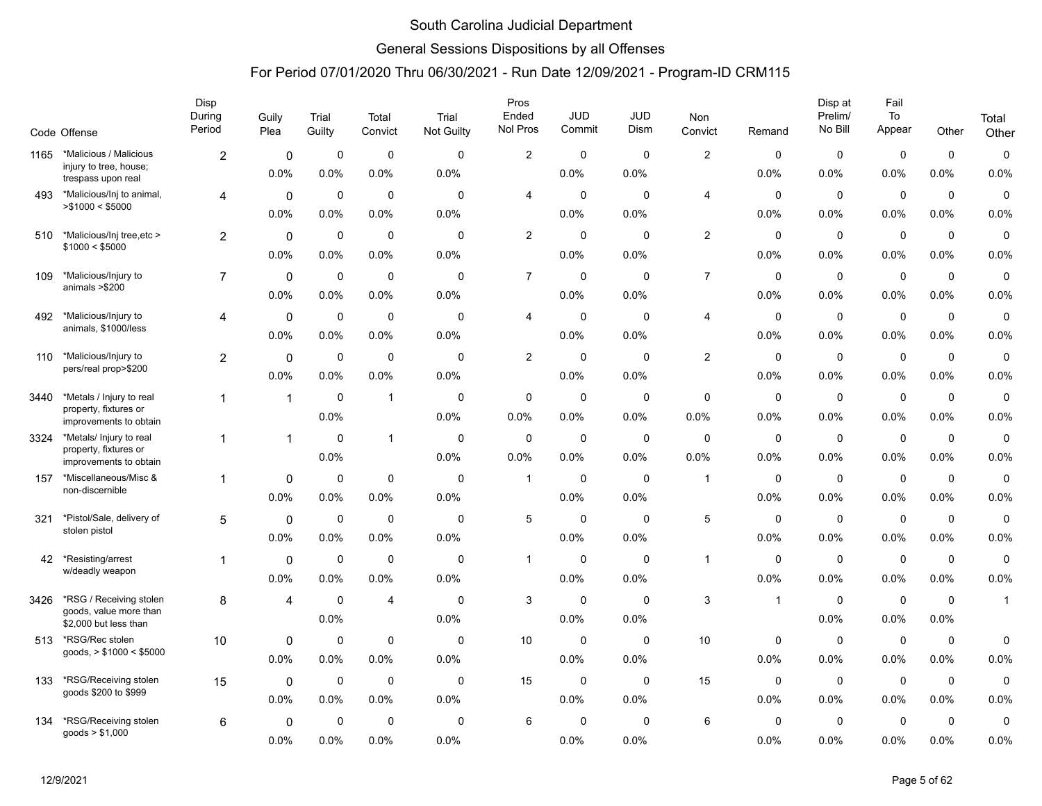### General Sessions Dispositions by all Offenses

|      | Code Offense                                                                | Disp<br>During<br>Period | Guily<br>Plea        | Trial<br>Guilty     | Total<br>Convict    | Trial<br><b>Not Guilty</b> | Pros<br>Ended<br>Nol Pros | <b>JUD</b><br>Commit | <b>JUD</b><br>Dism  | <b>Non</b><br>Convict     | Remand              | Disp at<br>Prelim/<br>No Bill | Fail<br>To<br>Appear | Other                  | Total<br>Other      |
|------|-----------------------------------------------------------------------------|--------------------------|----------------------|---------------------|---------------------|----------------------------|---------------------------|----------------------|---------------------|---------------------------|---------------------|-------------------------------|----------------------|------------------------|---------------------|
| 1165 | *Malicious / Malicious                                                      |                          |                      | $\mathbf 0$         | $\pmb{0}$           | $\mathbf 0$                | $\overline{2}$            | 0                    | $\mathbf 0$         | $\overline{c}$            | $\mathbf 0$         | $\mathbf 0$                   | $\mathbf 0$          | $\mathbf 0$            | $\mathsf 0$         |
|      | injury to tree, house;<br>trespass upon real                                | $\overline{2}$           | 0<br>0.0%            | 0.0%                | 0.0%                | 0.0%                       |                           | 0.0%                 | 0.0%                |                           | 0.0%                | 0.0%                          | 0.0%                 | 0.0%                   | 0.0%                |
| 493  | *Malicious/Inj to animal,<br>> \$1000 < \$5000                              | $\overline{4}$           | $\mathbf 0$<br>0.0%  | $\mathbf 0$<br>0.0% | $\mathbf 0$<br>0.0% | $\mathbf 0$<br>0.0%        | 4                         | 0<br>$0.0\%$         | $\mathbf 0$<br>0.0% | $\overline{4}$            | $\mathbf 0$<br>0.0% | $\mathbf 0$<br>0.0%           | $\mathbf 0$<br>0.0%  | $\mathbf 0$<br>$0.0\%$ | $\mathbf 0$<br>0.0% |
| 510  | *Malicious/Inj tree, etc >                                                  | $\overline{2}$           | 0                    | 0                   | 0                   | $\mathbf 0$                | $\overline{2}$            | 0                    | 0                   | $\overline{2}$            | $\mathbf 0$         | 0                             | $\mathbf 0$          | $\mathbf 0$            | $\mathbf 0$         |
|      | \$1000 < \$5000                                                             |                          | 0.0%                 | 0.0%                | 0.0%                | 0.0%                       |                           | 0.0%                 | 0.0%                |                           | 0.0%                | $0.0\%$                       | 0.0%                 | 0.0%                   | 0.0%                |
| 109  | *Malicious/Injury to<br>animals >\$200                                      | $\overline{7}$           | 0<br>0.0%            | $\mathbf 0$<br>0.0% | $\mathbf 0$<br>0.0% | $\Omega$<br>0.0%           | $\overline{7}$            | 0<br>0.0%            | 0<br>0.0%           | $\overline{7}$            | $\mathbf 0$<br>0.0% | 0<br>0.0%                     | $\mathbf 0$<br>0.0%  | $\mathbf 0$<br>0.0%    | $\mathbf 0$<br>0.0% |
|      |                                                                             |                          |                      |                     |                     |                            |                           |                      |                     |                           |                     |                               |                      |                        |                     |
| 492  | *Malicious/Injury to<br>animals, \$1000/less                                | 4                        | $\mathbf{0}$<br>0.0% | $\mathbf 0$<br>0.0% | $\mathbf 0$<br>0.0% | $\Omega$<br>0.0%           | 4                         | 0<br>0.0%            | $\mathbf 0$<br>0.0% | 4                         | $\mathbf 0$<br>0.0% | $\mathbf 0$<br>0.0%           | $\mathbf 0$<br>0.0%  | $\mathbf 0$<br>0.0%    | $\mathbf 0$<br>0.0% |
| 110  | *Malicious/Injury to<br>pers/real prop>\$200                                | $\overline{2}$           | $\mathbf 0$<br>0.0%  | $\mathbf 0$<br>0.0% | $\mathbf 0$<br>0.0% | $\mathbf 0$<br>0.0%        | $\overline{2}$            | 0<br>0.0%            | $\mathbf 0$<br>0.0% | $\overline{c}$            | $\mathbf 0$<br>0.0% | $\mathbf 0$<br>0.0%           | $\mathbf 0$<br>0.0%  | $\mathbf 0$<br>$0.0\%$ | $\mathsf 0$<br>0.0% |
| 3440 | *Metals / Injury to real<br>property, fixtures or<br>improvements to obtain | $\mathbf{1}$             | $\overline{1}$       | $\mathbf 0$<br>0.0% | $\overline{1}$      | $\mathbf 0$<br>0.0%        | 0<br>0.0%                 | 0<br>0.0%            | 0<br>0.0%           | $\mathbf 0$<br>0.0%       | 0<br>0.0%           | $\mathbf 0$<br>0.0%           | $\mathbf 0$<br>0.0%  | $\mathbf 0$<br>0.0%    | $\mathsf 0$<br>0.0% |
| 3324 | *Metals/ Injury to real<br>property, fixtures or<br>improvements to obtain  | -1                       | $\overline{1}$       | $\mathbf 0$<br>0.0% | $\mathbf{1}$        | $\mathbf 0$<br>0.0%        | $\mathbf 0$<br>0.0%       | 0<br>0.0%            | $\mathbf 0$<br>0.0% | $\mathbf 0$<br>0.0%       | $\mathbf 0$<br>0.0% | $\mathbf 0$<br>0.0%           | $\mathbf 0$<br>0.0%  | $\mathbf 0$<br>0.0%    | $\mathbf 0$<br>0.0% |
| 157  | *Miscellaneous/Misc &<br>non-discernible                                    | $\mathbf 1$              | 0<br>0.0%            | $\mathbf 0$<br>0.0% | $\mathbf 0$<br>0.0% | $\mathbf 0$<br>0.0%        | $\mathbf{1}$              | 0<br>0.0%            | $\mathbf 0$<br>0.0% | $\overline{1}$            | $\mathbf 0$<br>0.0% | $\mathbf 0$<br>0.0%           | $\mathbf 0$<br>0.0%  | $\mathbf 0$<br>0.0%    | $\mathbf 0$<br>0.0% |
| 321  | *Pistol/Sale, delivery of<br>stolen pistol                                  | 5                        | $\mathbf 0$<br>0.0%  | $\mathbf 0$<br>0.0% | $\mathbf 0$<br>0.0% | $\mathbf 0$<br>0.0%        | 5                         | $\mathbf 0$<br>0.0%  | $\mathbf 0$<br>0.0% | 5                         | $\mathbf 0$<br>0.0% | $\mathbf 0$<br>0.0%           | $\mathbf 0$<br>0.0%  | $\mathbf 0$<br>$0.0\%$ | $\mathsf 0$<br>0.0% |
| 42   | *Resisting/arrest<br>w/deadly weapon                                        | -1                       | $\mathbf 0$<br>0.0%  | $\mathbf 0$<br>0.0% | $\mathbf 0$<br>0.0% | $\mathbf 0$<br>0.0%        | $\mathbf{1}$              | 0<br>$0.0\%$         | $\mathbf 0$<br>0.0% | $\overline{1}$            | $\mathbf 0$<br>0.0% | $\mathbf 0$<br>0.0%           | $\mathbf 0$<br>0.0%  | $\mathbf 0$<br>0.0%    | $\mathsf 0$<br>0.0% |
| 3426 | *RSG / Receiving stolen<br>goods, value more than<br>\$2,000 but less than  | 8                        | 4                    | $\mathbf 0$<br>0.0% | 4                   | $\mathbf 0$<br>0.0%        | 3                         | $\mathbf 0$<br>0.0%  | $\mathbf 0$<br>0.0% | $\ensuremath{\mathsf{3}}$ | $\overline{1}$      | $\mathbf 0$<br>0.0%           | $\mathbf 0$<br>0.0%  | $\mathbf 0$<br>0.0%    | $\mathbf{1}$        |
| 513  | *RSG/Rec stolen<br>goods, $> $1000 < $5000$                                 | 10                       | 0<br>0.0%            | 0<br>0.0%           | $\mathbf 0$<br>0.0% | $\mathbf 0$<br>0.0%        | 10                        | 0<br>$0.0\%$         | 0<br>0.0%           | 10                        | 0<br>0.0%           | $\mathbf 0$<br>0.0%           | $\mathbf 0$<br>0.0%  | $\mathbf 0$<br>$0.0\%$ | $\mathbf 0$<br>0.0% |
| 133  | *RSG/Receiving stolen<br>goods \$200 to \$999                               | 15                       | 0<br>0.0%            | $\mathbf 0$<br>0.0% | $\mathbf 0$<br>0.0% | $\mathbf 0$<br>0.0%        | 15                        | $\mathbf 0$<br>0.0%  | $\mathbf 0$<br>0.0% | 15                        | $\mathbf 0$<br>0.0% | $\mathbf 0$<br>$0.0\%$        | $\mathbf 0$<br>0.0%  | $\mathbf 0$<br>0.0%    | $\mathbf 0$<br>0.0% |
| 134  | *RSG/Receiving stolen<br>goods $> $1,000$                                   | 6                        | $\mathbf 0$<br>0.0%  | $\mathbf 0$<br>0.0% | $\mathbf 0$<br>0.0% | $\mathbf 0$<br>0.0%        | 6                         | 0<br>0.0%            | 0<br>0.0%           | 6                         | $\mathbf 0$<br>0.0% | $\mathbf 0$<br>0.0%           | $\mathbf 0$<br>0.0%  | $\mathbf 0$<br>0.0%    | $\mathbf 0$<br>0.0% |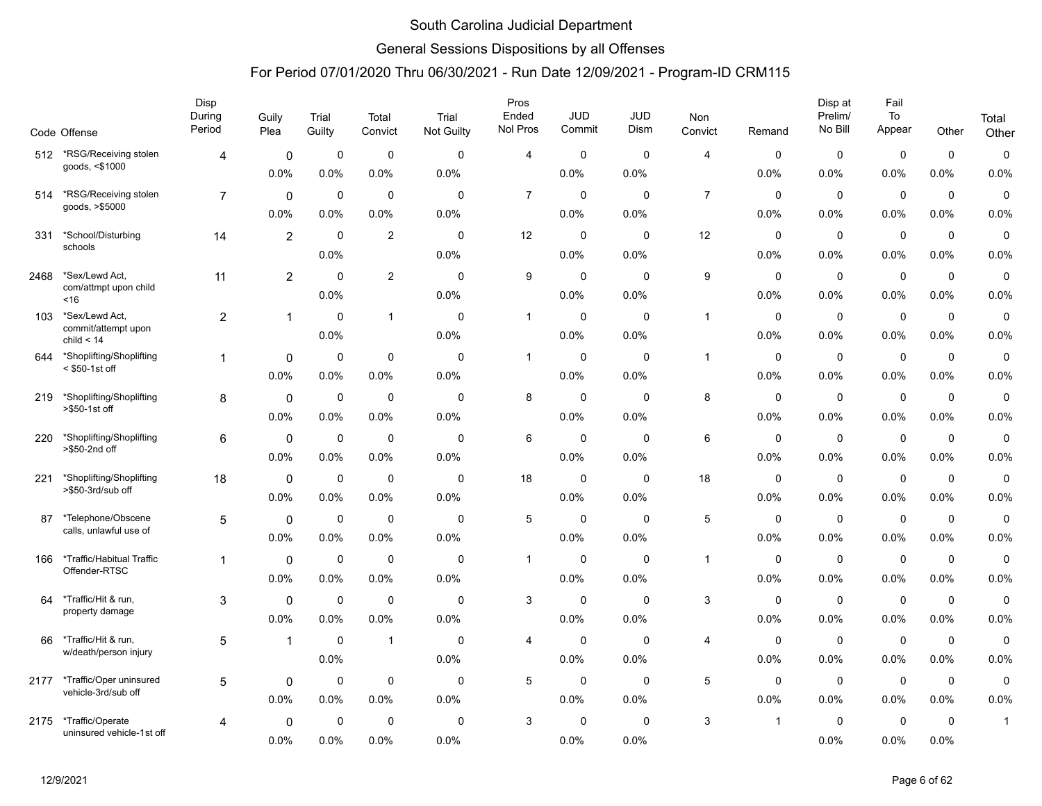### General Sessions Dispositions by all Offenses

|      |                                                | Disp<br>During | Guily          | Trial       | Total          | Trial               | Pros<br>Ended  | <b>JUD</b>          | JUD         | Non            |             | Disp at<br>Prelim/  | Fail<br>$\mathsf{To}$ |                     | Total        |
|------|------------------------------------------------|----------------|----------------|-------------|----------------|---------------------|----------------|---------------------|-------------|----------------|-------------|---------------------|-----------------------|---------------------|--------------|
|      | Code Offense                                   | Period         | Plea           | Guilty      | Convict        | Not Guilty          | Nol Pros       | Commit              | Dism        | Convict        | Remand      | No Bill             | Appear                | Other               | Other        |
| 512  | *RSG/Receiving stolen                          | 4              | $\mathbf 0$    | $\mathbf 0$ | $\mathbf 0$    | $\mathbf 0$         | 4              | $\pmb{0}$           | $\mathbf 0$ | $\overline{4}$ | 0           | $\mathbf 0$         | $\mathbf 0$           | $\mathbf 0$         | $\mathsf 0$  |
|      | goods, <\$1000                                 |                | 0.0%           | 0.0%        | 0.0%           | 0.0%                |                | 0.0%                | 0.0%        |                | 0.0%        | 0.0%                | 0.0%                  | 0.0%                | 0.0%         |
| 514  | *RSG/Receiving stolen<br>goods, >\$5000        | $\overline{7}$ | $\mathbf 0$    | $\mathbf 0$ | $\mathbf 0$    | $\mathbf 0$         | $\overline{7}$ | 0                   | $\mathbf 0$ | $\overline{7}$ | 0           | $\mathbf 0$         | $\mathbf 0$           | $\mathbf 0$         | $\pmb{0}$    |
|      |                                                |                | 0.0%           | 0.0%        | 0.0%           | 0.0%                |                | 0.0%                | 0.0%        |                | $0.0\%$     | 0.0%                | 0.0%                  | 0.0%                | 0.0%         |
| 331  | *School/Disturbing<br>schools                  | 14             | $\overline{2}$ | 0           | 2              | 0                   | 12             | $\mathbf 0$         | $\mathbf 0$ | 12             | 0           | 0                   | $\mathbf 0$           | $\mathbf 0$         | $\mathbf 0$  |
|      |                                                |                |                | 0.0%        |                | 0.0%                |                | 0.0%                | 0.0%        |                | 0.0%        | 0.0%                | 0.0%                  | 0.0%                | 0.0%         |
| 2468 | *Sex/Lewd Act,<br>com/attmpt upon child        | 11             | $\overline{2}$ | $\mathbf 0$ | $\overline{2}$ | $\Omega$            | 9              | $\mathbf 0$         | $\mathbf 0$ | 9              | $\mathbf 0$ | $\mathbf 0$         | $\mathbf 0$           | $\mathbf 0$         | $\mathbf 0$  |
|      | ~16                                            |                |                | 0.0%        |                | 0.0%                |                | 0.0%                | 0.0%        |                | 0.0%        | 0.0%                | 0.0%                  | 0.0%                | 0.0%         |
| 103  | *Sex/Lewd Act,<br>commit/attempt upon          | $\overline{2}$ | $\mathbf{1}$   | $\mathbf 0$ | $\mathbf{1}$   | $\mathbf 0$         | $\mathbf{1}$   | 0                   | $\mathbf 0$ | $\mathbf{1}$   | 0           | $\mathbf 0$         | $\mathbf 0$           | $\mathbf 0$         | $\pmb{0}$    |
|      | child $< 14$                                   |                |                | 0.0%        |                | 0.0%                |                | 0.0%                | 0.0%        |                | $0.0\%$     | 0.0%                | 0.0%                  | 0.0%                | 0.0%         |
| 644  | *Shoplifting/Shoplifting<br>$<$ \$50-1st off   | 1              | $\mathbf{0}$   | $\mathbf 0$ | 0              | $\Omega$            | $\mathbf{1}$   | $\mathbf 0$         | $\mathbf 0$ | $\mathbf{1}$   | 0           | $\mathbf 0$         | $\mathbf 0$           | $\mathbf 0$         | $\mathbf 0$  |
|      |                                                |                | 0.0%           | 0.0%        | 0.0%           | 0.0%                |                | 0.0%                | 0.0%        |                | 0.0%        | 0.0%                | 0.0%                  | 0.0%                | 0.0%         |
| 219  | *Shoplifting/Shoplifting<br>>\$50-1st off      | 8              | $\mathbf 0$    | $\mathbf 0$ | $\mathbf 0$    | $\mathbf 0$         | 8              | $\mathbf 0$         | $\mathbf 0$ | 8              | 0           | $\mathbf 0$         | $\mathbf 0$           | $\mathbf 0$         | $\mathbf 0$  |
|      |                                                |                | 0.0%           | 0.0%        | $0.0\%$        | 0.0%                |                | 0.0%                | 0.0%        |                | 0.0%        | 0.0%                | 0.0%                  | 0.0%                | 0.0%         |
| 220  | *Shoplifting/Shoplifting<br>>\$50-2nd off      | 6              | $\Omega$       | $\mathbf 0$ | $\mathbf 0$    | $\Omega$            | 6              | $\mathbf 0$         | $\mathbf 0$ | 6              | 0           | $\mathbf 0$         | $\mathbf 0$           | $\mathbf 0$         | $\pmb{0}$    |
|      |                                                |                | 0.0%           | 0.0%        | $0.0\%$        | 0.0%                |                | 0.0%                | 0.0%        |                | 0.0%        | 0.0%                | 0.0%                  | 0.0%                | 0.0%         |
| 221  | *Shoplifting/Shoplifting<br>>\$50-3rd/sub off  | 18             | $\mathbf 0$    | $\mathbf 0$ | 0              | $\mathbf 0$         | 18             | $\mathbf 0$         | $\mathbf 0$ | 18             | 0           | $\mathbf 0$         | $\mathbf 0$           | $\mathbf 0$         | $\mathbf 0$  |
|      |                                                |                | 0.0%           | 0.0%        | 0.0%           | 0.0%                |                | 0.0%                | 0.0%        |                | 0.0%        | 0.0%                | 0.0%                  | 0.0%                | 0.0%         |
| 87   | *Telephone/Obscene<br>calls, unlawful use of   | 5              | $\mathbf 0$    | $\mathbf 0$ | $\mathbf 0$    | $\mathbf 0$         | 5              | $\mathbf 0$         | $\mathbf 0$ | $\sqrt{5}$     | 0           | $\mathbf 0$         | $\mathbf 0$           | $\mathbf 0$         | $\pmb{0}$    |
|      |                                                |                | 0.0%           | 0.0%        | 0.0%           | 0.0%                |                | 0.0%                | 0.0%        |                | 0.0%        | 0.0%                | 0.0%                  | 0.0%                | 0.0%         |
| 166  | *Traffic/Habitual Traffic<br>Offender-RTSC     | $\mathbf 1$    | $\mathbf 0$    | $\mathbf 0$ | $\mathbf 0$    | $\Omega$            | $\mathbf{1}$   | $\mathbf 0$         | $\mathbf 0$ | $\mathbf{1}$   | 0           | $\mathbf 0$         | $\mathbf 0$           | $\mathbf 0$         | $\mathbf 0$  |
|      |                                                |                | 0.0%           | 0.0%        | $0.0\%$        | 0.0%                |                | 0.0%                | 0.0%        |                | 0.0%        | 0.0%                | 0.0%                  | 0.0%                | 0.0%         |
| 64   | *Traffic/Hit & run,<br>property damage         | 3              | $\mathbf 0$    | $\mathbf 0$ | $\mathbf 0$    | $\mathbf 0$         | 3              | 0                   | $\mathbf 0$ | 3              | 0           | $\mathbf 0$         | $\mathbf 0$           | $\mathbf 0$         | $\pmb{0}$    |
|      |                                                |                | 0.0%           | 0.0%        | 0.0%           | 0.0%                |                | 0.0%                | 0.0%        |                | 0.0%        | 0.0%                | 0.0%                  | 0.0%                | 0.0%         |
| 66   | *Traffic/Hit & run,<br>w/death/person injury   | $\sqrt{5}$     | $\mathbf{1}$   | $\mathbf 0$ | $\mathbf{1}$   | 0                   | 4              | $\pmb{0}$           | $\mathbf 0$ | 4              | 0           | $\mathbf 0$         | $\mathbf 0$           | $\mathbf 0$         | $\pmb{0}$    |
|      |                                                |                |                | 0.0%        |                | 0.0%                |                | 0.0%                | 0.0%        |                | 0.0%        | 0.0%                | 0.0%                  | 0.0%                | 0.0%         |
| 2177 | *Traffic/Oper uninsured<br>vehicle-3rd/sub off | 5              | $\mathbf 0$    | $\mathbf 0$ | $\mathbf 0$    | $\mathbf 0$         | 5              | $\mathbf 0$         | $\mathbf 0$ | 5              | $\mathbf 0$ | $\mathbf 0$         | $\mathbf 0$           | $\mathbf 0$         | $\mathbf 0$  |
|      |                                                |                | 0.0%           | 0.0%        | 0.0%           | 0.0%                |                | 0.0%                | 0.0%        |                | 0.0%        | 0.0%                | 0.0%                  | 0.0%                | 0.0%         |
| 2175 | *Traffic/Operate<br>uninsured vehicle-1st off  | 4              | 0<br>0.0%      | $\mathbf 0$ | $\mathbf 0$    | $\mathbf 0$<br>0.0% | 3              | $\mathbf 0$<br>0.0% | $\mathbf 0$ | 3              | -1          | $\mathbf 0$<br>0.0% | $\mathbf 0$<br>0.0%   | $\mathbf 0$<br>0.0% | $\mathbf{1}$ |
|      |                                                |                |                | 0.0%        | 0.0%           |                     |                |                     | 0.0%        |                |             |                     |                       |                     |              |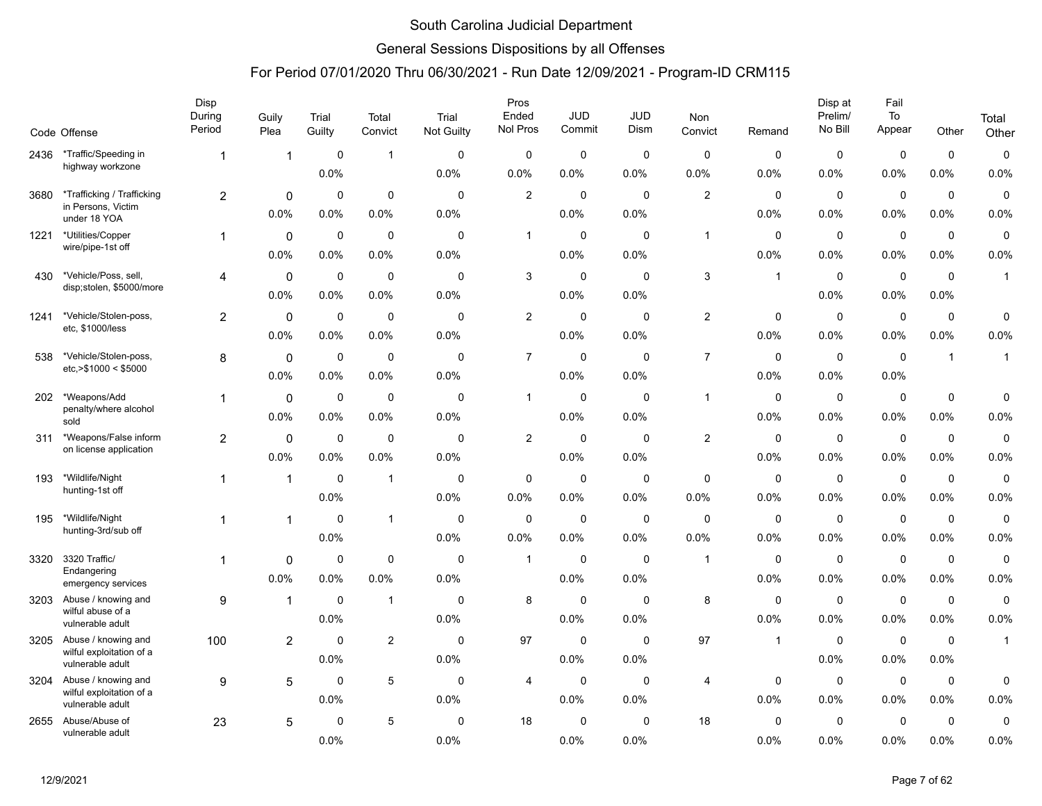### General Sessions Dispositions by all Offenses

|      |                                                  | Disp<br>During | Guily          | Trial       | Total          | Trial       | Pros<br>Ended  | <b>JUD</b>  | <b>JUD</b>  | Non            |             | Disp at<br>Prelim/ | Fail<br>To  |              | Total        |
|------|--------------------------------------------------|----------------|----------------|-------------|----------------|-------------|----------------|-------------|-------------|----------------|-------------|--------------------|-------------|--------------|--------------|
|      | Code Offense                                     | Period         | Plea           | Guilty      | Convict        | Not Guilty  | Nol Pros       | Commit      | Dism        | Convict        | Remand      | No Bill            | Appear      | Other        | Other        |
| 2436 | *Traffic/Speeding in                             | 1              | $\overline{1}$ | $\mathbf 0$ | $\mathbf{1}$   | $\Omega$    | 0              | $\mathbf 0$ | $\Omega$    | $\Omega$       | $\Omega$    | 0                  | $\mathbf 0$ | $\mathbf 0$  | $\pmb{0}$    |
|      | highway workzone                                 |                |                | 0.0%        |                | 0.0%        | 0.0%           | 0.0%        | 0.0%        | 0.0%           | 0.0%        | 0.0%               | 0.0%        | 0.0%         | 0.0%         |
| 3680 | *Trafficking / Trafficking                       | $\overline{2}$ | 0              | $\mathbf 0$ | $\mathbf 0$    | $\mathbf 0$ | $\overline{2}$ | $\mathbf 0$ | $\mathbf 0$ | 2              | $\mathbf 0$ | $\mathbf 0$        | $\mathbf 0$ | $\mathbf 0$  | 0            |
|      | in Persons, Victim<br>under 18 YOA               |                | 0.0%           | 0.0%        | 0.0%           | 0.0%        |                | 0.0%        | 0.0%        |                | 0.0%        | 0.0%               | 0.0%        | 0.0%         | 0.0%         |
| 1221 | *Utilities/Copper<br>wire/pipe-1st off           | 1              | $\mathbf 0$    | 0           | $\mathbf 0$    | $\mathbf 0$ | $\mathbf{1}$   | 0           | $\mathbf 0$ | $\overline{1}$ | 0           | 0                  | $\mathbf 0$ | $\mathbf 0$  | $\mathbf 0$  |
|      |                                                  |                | 0.0%           | 0.0%        | 0.0%           | 0.0%        |                | 0.0%        | 0.0%        |                | 0.0%        | 0.0%               | 0.0%        | 0.0%         | 0.0%         |
| 430  | *Vehicle/Poss, sell,<br>disp;stolen, \$5000/more | 4              | $\mathbf 0$    | $\mathbf 0$ | $\mathbf 0$    | $\mathbf 0$ | 3              | $\mathbf 0$ | $\mathbf 0$ | 3              | $\mathbf 1$ | $\mathbf 0$        | $\mathbf 0$ | $\mathbf 0$  | $\mathbf{1}$ |
|      |                                                  |                | 0.0%           | 0.0%        | 0.0%           | 0.0%        |                | 0.0%        | 0.0%        |                |             | 0.0%               | 0.0%        | 0.0%         |              |
| 1241 | *Vehicle/Stolen-poss,<br>etc, \$1000/less        | $\overline{a}$ | $\mathbf 0$    | $\mathbf 0$ | $\mathbf 0$    | $\mathbf 0$ | $\overline{c}$ | 0           | $\mathbf 0$ | $\overline{2}$ | $\mathbf 0$ | $\mathbf 0$        | $\mathbf 0$ | $\mathbf 0$  | 0            |
|      |                                                  |                | 0.0%           | 0.0%        | 0.0%           | 0.0%        |                | 0.0%        | 0.0%        |                | 0.0%        | 0.0%               | 0.0%        | 0.0%         | 0.0%         |
| 538  | *Vehicle/Stolen-poss,<br>etc. > \$1000 < \$5000  | 8              | 0              | $\mathbf 0$ | $\mathbf 0$    | $\mathbf 0$ | $\overline{7}$ | $\mathbf 0$ | $\mathbf 0$ | $\overline{7}$ | $\mathbf 0$ | $\mathbf 0$        | $\pmb{0}$   | $\mathbf{1}$ | $\mathbf{1}$ |
|      |                                                  |                | 0.0%           | 0.0%        | 0.0%           | 0.0%        |                | 0.0%        | 0.0%        |                | 0.0%        | 0.0%               | 0.0%        |              |              |
| 202  | *Weapons/Add<br>penalty/where alcohol            | 1              | $\mathbf 0$    | $\mathbf 0$ | $\mathbf 0$    | $\mathbf 0$ | $\mathbf{1}$   | $\mathbf 0$ | $\mathbf 0$ | $\overline{1}$ | 0           | $\mathbf 0$        | $\mathbf 0$ | $\mathbf 0$  | 0            |
|      | sold                                             |                | 0.0%           | 0.0%        | 0.0%           | 0.0%        |                | 0.0%        | 0.0%        |                | 0.0%        | 0.0%               | 0.0%        | 0.0%         | 0.0%         |
| 311  | *Weapons/False inform<br>on license application  | $\overline{2}$ | $\mathbf{0}$   | $\mathbf 0$ | $\mathbf 0$    | $\mathbf 0$ | $\overline{c}$ | $\mathbf 0$ | $\Omega$    | $\mathbf{2}$   | $\mathbf 0$ | $\mathbf 0$        | $\mathbf 0$ | $\mathbf 0$  | 0            |
|      |                                                  |                | 0.0%           | 0.0%        | 0.0%           | 0.0%        |                | 0.0%        | 0.0%        |                | 0.0%        | 0.0%               | 0.0%        | 0.0%         | 0.0%         |
| 193  | *Wildlife/Night<br>hunting-1st off               | 1              | $\overline{1}$ | $\mathbf 0$ | $\mathbf{1}$   | $\mathbf 0$ | 0              | $\mathbf 0$ | $\mathbf 0$ | $\mathbf 0$    | 0           | 0                  | $\pmb{0}$   | $\mathbf 0$  | 0            |
|      |                                                  |                |                | 0.0%        |                | 0.0%        | 0.0%           | 0.0%        | 0.0%        | 0.0%           | 0.0%        | 0.0%               | $0.0\%$     | 0.0%         | 0.0%         |
| 195  | *Wildlife/Night<br>hunting-3rd/sub off           |                | 1              | $\mathbf 0$ | $\mathbf{1}$   | $\mathbf 0$ | $\mathbf 0$    | $\mathbf 0$ | $\mathbf 0$ | $\mathbf 0$    | $\mathbf 0$ | $\mathbf 0$        | $\mathbf 0$ | $\mathbf 0$  | 0            |
|      |                                                  |                |                | 0.0%        |                | 0.0%        | 0.0%           | 0.0%        | 0.0%        | 0.0%           | 0.0%        | 0.0%               | 0.0%        | 0.0%         | 0.0%         |
| 3320 | 3320 Traffic/<br>Endangering                     | $\mathbf{1}$   | 0              | $\mathbf 0$ | $\mathbf 0$    | $\mathbf 0$ | $\mathbf{1}$   | $\mathbf 0$ | $\mathbf 0$ | $\overline{1}$ | $\mathbf 0$ | $\mathbf 0$        | $\mathbf 0$ | $\mathbf 0$  | 0            |
|      | emergency services                               |                | 0.0%           | 0.0%        | 0.0%           | 0.0%        |                | 0.0%        | 0.0%        |                | 0.0%        | 0.0%               | $0.0\%$     | 0.0%         | 0.0%         |
| 3203 | Abuse / knowing and<br>wilful abuse of a         | 9              | $\overline{1}$ | $\mathbf 0$ | $\mathbf{1}$   | $\mathbf 0$ | 8              | 0           | $\Omega$    | 8              | $\mathbf 0$ | $\mathbf 0$        | $\pmb{0}$   | $\mathbf 0$  | $\pmb{0}$    |
|      | vulnerable adult                                 |                |                | 0.0%        |                | 0.0%        |                | 0.0%        | 0.0%        |                | 0.0%        | 0.0%               | 0.0%        | 0.0%         | 0.0%         |
| 3205 | Abuse / knowing and<br>wilful exploitation of a  | 100            | 2              | $\mathbf 0$ | $\overline{2}$ | 0           | 97             | 0           | 0           | 97             | $\mathbf 1$ | 0                  | $\mathbf 0$ | 0            | $\mathbf{1}$ |
|      | vulnerable adult                                 |                |                | 0.0%        |                | 0.0%        |                | 0.0%        | 0.0%        |                |             | 0.0%               | $0.0\%$     | 0.0%         |              |
| 3204 | Abuse / knowing and<br>wilful exploitation of a  | 9              | 5              | $\mathbf 0$ | $\sqrt{5}$     | $\Omega$    | 4              | $\mathbf 0$ | $\Omega$    | 4              | $\Omega$    | $\mathbf 0$        | $\mathbf 0$ | $\mathbf 0$  | 0            |
|      | vulnerable adult                                 |                |                | 0.0%        |                | 0.0%        |                | 0.0%        | 0.0%        |                | 0.0%        | 0.0%               | 0.0%        | 0.0%         | 0.0%         |
| 2655 | Abuse/Abuse of<br>vulnerable adult               | 23             | 5              | $\mathbf 0$ | 5              | $\mathbf 0$ | 18             | $\mathbf 0$ | $\mathbf 0$ | 18             | $\mathbf 0$ | $\mathbf 0$        | $\mathbf 0$ | $\mathbf 0$  | 0            |
|      |                                                  |                |                | 0.0%        |                | 0.0%        |                | 0.0%        | 0.0%        |                | 0.0%        | 0.0%               | 0.0%        | 0.0%         | 0.0%         |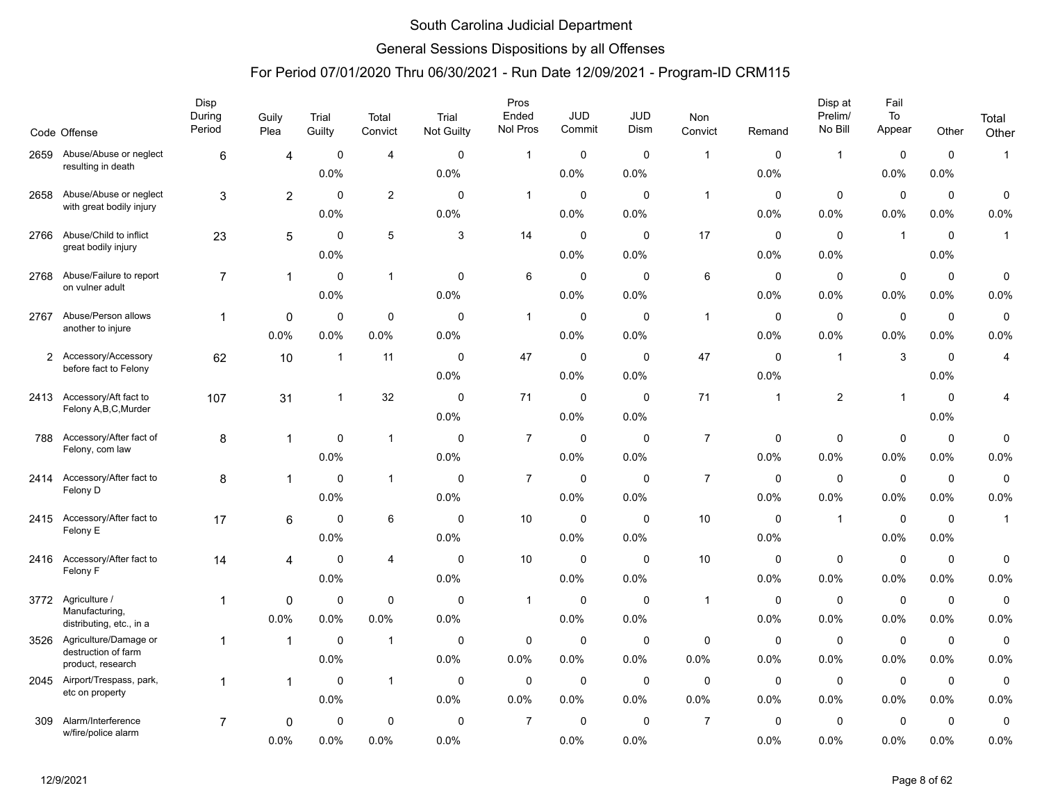### General Sessions Dispositions by all Offenses

|                | Code Offense                                    | Disp<br>During<br>Period | Guily<br>Plea  | Trial<br>Guilty | Total<br>Convict        | Trial<br><b>Not Guilty</b> | Pros<br>Ended<br>Nol Pros | <b>JUD</b><br>Commit | <b>JUD</b><br>Dism | Non<br>Convict | Remand      | Disp at<br>Prelim/<br>No Bill | Fail<br>To<br>Appear | Other       | Total<br>Other |
|----------------|-------------------------------------------------|--------------------------|----------------|-----------------|-------------------------|----------------------------|---------------------------|----------------------|--------------------|----------------|-------------|-------------------------------|----------------------|-------------|----------------|
|                | 2659 Abuse/Abuse or neglect                     | 6                        | 4              | $\mathbf 0$     | $\overline{4}$          | $\mathbf 0$                | $\mathbf{1}$              | $\mathbf 0$          | $\mathbf 0$        | $\overline{1}$ | 0           | $\mathbf{1}$                  | 0                    | $\mathbf 0$ | $\mathbf{1}$   |
|                | resulting in death                              |                          |                | 0.0%            |                         | 0.0%                       |                           | 0.0%                 | 0.0%               |                | 0.0%        |                               | 0.0%                 | 0.0%        |                |
| 2658           | Abuse/Abuse or neglect                          | 3                        | $\overline{c}$ | $\mathbf 0$     | $\overline{c}$          | $\mathbf 0$                | $\mathbf{1}$              | 0                    | $\mathbf 0$        | $\mathbf{1}$   | 0           | $\mathbf 0$                   | $\mathbf 0$          | $\mathbf 0$ | $\pmb{0}$      |
|                | with great bodily injury                        |                          |                | 0.0%            |                         | 0.0%                       |                           | 0.0%                 | 0.0%               |                | 0.0%        | 0.0%                          | 0.0%                 | $0.0\%$     | 0.0%           |
| 2766           | Abuse/Child to inflict                          | 23                       | 5              | $\Omega$        | 5                       | 3                          | 14                        | $\mathbf 0$          | $\Omega$           | 17             | $\mathbf 0$ | $\mathbf 0$                   | $\mathbf{1}$         | $\mathbf 0$ | $\mathbf{1}$   |
|                | great bodily injury                             |                          |                | 0.0%            |                         |                            |                           | 0.0%                 | 0.0%               |                | 0.0%        | 0.0%                          |                      | 0.0%        |                |
| 2768           | Abuse/Failure to report                         | $\overline{7}$           | $\mathbf{1}$   | $\mathbf 0$     | $\mathbf{1}$            | $\mathbf 0$                | 6                         | $\mathbf 0$          | $\mathbf 0$        | $\,6\,$        | 0           | $\mathbf 0$                   | $\pmb{0}$            | $\mathbf 0$ | $\pmb{0}$      |
|                | on vulner adult                                 |                          |                | 0.0%            |                         | 0.0%                       |                           | 0.0%                 | 0.0%               |                | 0.0%        | 0.0%                          | 0.0%                 | $0.0\%$     | 0.0%           |
| 2767           | Abuse/Person allows                             | $\mathbf{1}$             | 0              | $\mathbf 0$     | $\mathbf 0$             | $\mathbf 0$                | $\mathbf{1}$              | 0                    | $\mathbf 0$        | $\overline{1}$ | $\mathbf 0$ | $\mathbf 0$                   | $\mathbf 0$          | $\mathbf 0$ | $\pmb{0}$      |
|                | another to injure                               |                          | 0.0%           | 0.0%            | 0.0%                    | 0.0%                       |                           | 0.0%                 | 0.0%               |                | 0.0%        | 0.0%                          | 0.0%                 | $0.0\%$     | 0.0%           |
| $\overline{2}$ | Accessory/Accessory<br>before fact to Felony    | 62                       | 10             | $\overline{1}$  | 11                      | $\mathbf 0$                | 47                        | $\mathbf 0$          | $\Omega$           | 47             | $\mathbf 0$ | $\mathbf{1}$                  | 3                    | $\mathbf 0$ | $\overline{4}$ |
|                |                                                 |                          |                |                 |                         | 0.0%                       |                           | 0.0%                 | 0.0%               |                | 0.0%        |                               |                      | 0.0%        |                |
| 2413           | Accessory/Aft fact to<br>Felony A, B, C, Murder | 107                      | 31             | -1              | 32                      | $\mathbf 0$                | 71                        | $\mathbf 0$          | $\mathbf 0$        | 71             | 1           | $\sqrt{2}$                    | $\mathbf{1}$         | $\mathbf 0$ | 4              |
|                |                                                 |                          |                |                 |                         | 0.0%                       |                           | 0.0%                 | 0.0%               |                |             |                               |                      | 0.0%        |                |
| 788            | Accessory/After fact of<br>Felony, com law      | 8                        | $\mathbf{1}$   | 0               | $\mathbf{1}$            | $\mathbf 0$                | $\overline{7}$            | 0                    | $\mathbf 0$        | $\overline{7}$ | 0           | $\mathbf 0$                   | $\mathbf 0$          | 0           | $\mathbf 0$    |
|                |                                                 |                          |                | 0.0%            |                         | 0.0%                       |                           | 0.0%                 | 0.0%               |                | 0.0%        | 0.0%                          | 0.0%                 | 0.0%        | 0.0%           |
| 2414           | Accessory/After fact to<br>Felony D             | 8                        | 1              | $\Omega$        | $\mathbf{1}$            | $\mathbf 0$                | $\boldsymbol{7}$          | $\mathbf 0$          | $\Omega$           | $\overline{7}$ | $\mathbf 0$ | $\mathbf 0$                   | $\pmb{0}$            | $\mathbf 0$ | $\pmb{0}$      |
|                |                                                 |                          |                | 0.0%            |                         | 0.0%                       |                           | 0.0%                 | 0.0%               |                | 0.0%        | 0.0%                          | 0.0%                 | 0.0%        | 0.0%           |
| 2415           | Accessory/After fact to<br>Felony E             | 17                       | 6              | 0               | 6                       | 0                          | 10                        | $\mathbf 0$          | 0                  | 10             | $\mathbf 0$ | $\mathbf{1}$                  | $\mathbf 0$          | $\mathbf 0$ | $\mathbf{1}$   |
|                |                                                 |                          |                | 0.0%            |                         | 0.0%                       |                           | 0.0%                 | 0.0%               |                | 0.0%        |                               | 0.0%                 | 0.0%        |                |
| 2416           | Accessory/After fact to<br>Felony F             | 14                       | 4              | $\mathbf 0$     | $\overline{4}$          | $\mathbf 0$                | 10                        | $\mathbf 0$          | $\mathbf 0$        | 10             | $\mathbf 0$ | $\mathbf 0$                   | $\pmb{0}$            | $\mathbf 0$ | $\pmb{0}$      |
|                |                                                 |                          |                | 0.0%            |                         | 0.0%                       |                           | 0.0%                 | 0.0%               |                | 0.0%        | 0.0%                          | 0.0%                 | $0.0\%$     | 0.0%           |
| 3772           | Agriculture /<br>Manufacturing,                 | 1                        | 0              | 0               | $\mathbf 0$             | $\mathbf 0$                | $\mathbf{1}$              | 0                    | $\Omega$           | $\mathbf{1}$   | 0           | 0                             | $\pmb{0}$            | $\mathbf 0$ | $\mathbf 0$    |
|                | distributing, etc., in a                        |                          | 0.0%           | 0.0%            | 0.0%                    | 0.0%                       |                           | 0.0%                 | 0.0%               |                | 0.0%        | 0.0%                          | 0.0%                 | 0.0%        | 0.0%           |
| 3526           | Agriculture/Damage or<br>destruction of farm    | 1                        | $\mathbf{1}$   | 0               | $\overline{\mathbf{1}}$ | 0                          | 0                         | 0                    | 0                  | 0              | 0           | 0                             | $\mathbf 0$          | $\mathbf 0$ | $\mathsf 0$    |
|                | product, research                               |                          |                | 0.0%            |                         | 0.0%                       | 0.0%                      | 0.0%                 | 0.0%               | 0.0%           | 0.0%        | 0.0%                          | 0.0%                 | 0.0%        | 0.0%           |
|                | 2045 Airport/Trespass, park,<br>etc on property | 1                        | 1              | $\mathbf 0$     | $\mathbf{1}$            | $\mathbf 0$                | $\mathbf 0$               | $\mathbf 0$          | $\mathbf 0$        | $\mathbf 0$    | $\mathbf 0$ | $\mathbf 0$                   | $\mathbf 0$          | $\mathbf 0$ | $\mathbf 0$    |
|                |                                                 |                          |                | 0.0%            |                         | 0.0%                       | 0.0%                      | 0.0%                 | 0.0%               | 0.0%           | 0.0%        | 0.0%                          | 0.0%                 | $0.0\%$     | 0.0%           |
| 309            | Alarm/Interference<br>w/fire/police alarm       | $\overline{7}$           | 0              | 0               | 0                       | 0                          | $\overline{7}$            | 0                    | $\Omega$           | $\overline{7}$ | 0           | 0                             | 0                    | 0           | $\mathbf 0$    |
|                |                                                 |                          | 0.0%           | 0.0%            | 0.0%                    | 0.0%                       |                           | 0.0%                 | 0.0%               |                | 0.0%        | 0.0%                          | 0.0%                 | 0.0%        | 0.0%           |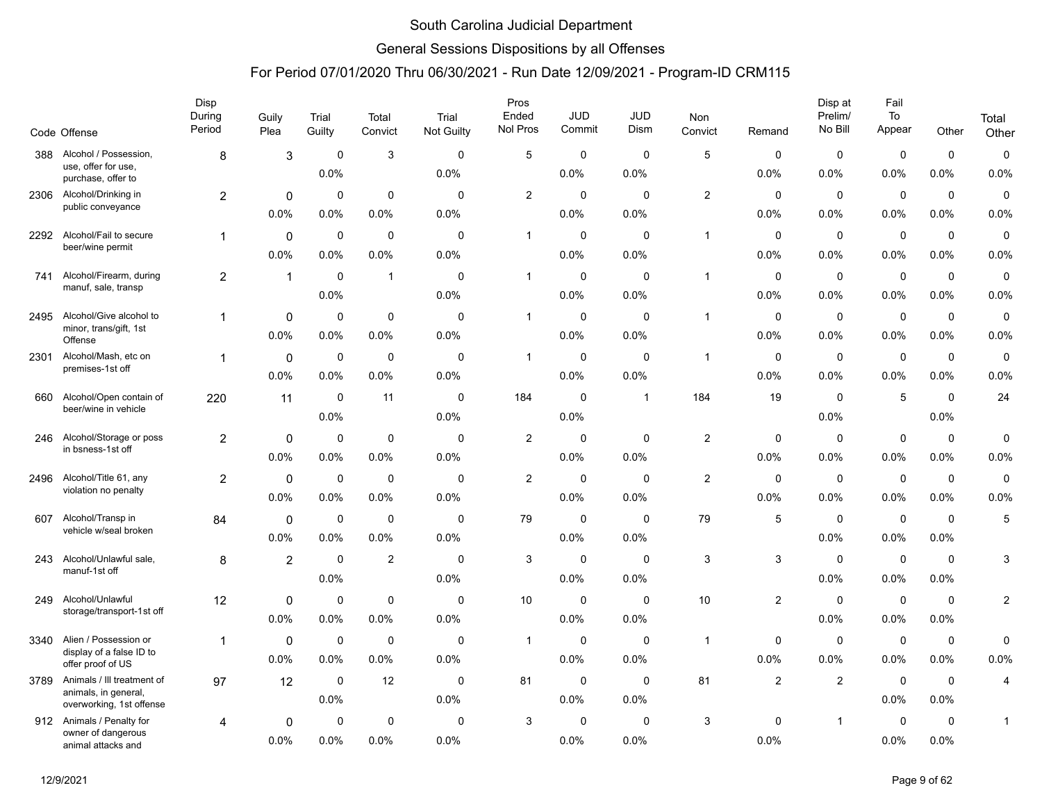### General Sessions Dispositions by all Offenses

|      | Code Offense                                     | Disp<br>During<br>Period | Guily<br>Plea  | Trial<br>Guilty | Total<br>Convict | Trial<br>Not Guilty | Pros<br>Ended<br>Nol Pros | <b>JUD</b><br>Commit | JUD<br>Dism  | Non<br>Convict          | Remand         | Disp at<br>Prelim/<br>No Bill | Fail<br>To<br>Appear | Other       | Total<br>Other          |
|------|--------------------------------------------------|--------------------------|----------------|-----------------|------------------|---------------------|---------------------------|----------------------|--------------|-------------------------|----------------|-------------------------------|----------------------|-------------|-------------------------|
| 388  | Alcohol / Possession,                            | 8                        | 3              | 0               | 3                | $\mathbf{0}$        | 5                         | 0                    | $\Omega$     | 5                       | 0              | 0                             | $\mathbf 0$          | $\mathbf 0$ | 0                       |
|      | use, offer for use,<br>purchase, offer to        |                          |                | 0.0%            |                  | 0.0%                |                           | 0.0%                 | 0.0%         |                         | 0.0%           | 0.0%                          | 0.0%                 | 0.0%        | 0.0%                    |
| 2306 | Alcohol/Drinking in                              | 2                        | 0              | $\Omega$        | 0                | $\Omega$            | $\overline{c}$            | 0                    | $\Omega$     | $\overline{2}$          | $\Omega$       | $\mathbf{0}$                  | $\mathbf 0$          | $\mathbf 0$ | 0                       |
|      | public conveyance                                |                          | 0.0%           | 0.0%            | 0.0%             | 0.0%                |                           | 0.0%                 | 0.0%         |                         | 0.0%           | 0.0%                          | 0.0%                 | 0.0%        | 0.0%                    |
| 2292 | Alcohol/Fail to secure                           | $\overline{1}$           | 0              | 0               | $\mathbf 0$      | $\mathbf 0$         | $\mathbf{1}$              | 0                    | $\Omega$     | $\overline{1}$          | 0              | 0                             | $\pmb{0}$            | $\mathbf 0$ | 0                       |
|      | beer/wine permit                                 |                          | 0.0%           | 0.0%            | 0.0%             | 0.0%                |                           | 0.0%                 | 0.0%         |                         | 0.0%           | 0.0%                          | 0.0%                 | 0.0%        | 0.0%                    |
| 741  | Alcohol/Firearm, during                          | 2                        | $\mathbf{1}$   | 0               | $\mathbf{1}$     | $\mathbf 0$         | $\mathbf{1}$              | 0                    | 0            | $\overline{1}$          | 0              | 0                             | 0                    | $\mathbf 0$ | $\mathbf 0$             |
|      | manuf, sale, transp                              |                          |                | 0.0%            |                  | 0.0%                |                           | $0.0\%$              | 0.0%         |                         | 0.0%           | 0.0%                          | 0.0%                 | 0.0%        | 0.0%                    |
| 2495 | Alcohol/Give alcohol to                          | 1                        | 0              | $\Omega$        | $\Omega$         | $\Omega$            | $\mathbf{1}$              | $\mathbf 0$          | $\Omega$     | $\overline{1}$          | 0              | $\mathbf 0$                   | $\mathbf 0$          | $\mathbf 0$ | 0                       |
|      | minor, trans/gift, 1st<br>Offense                |                          | $0.0\%$        | 0.0%            | 0.0%             | 0.0%                |                           | 0.0%                 | 0.0%         |                         | 0.0%           | 0.0%                          | $0.0\%$              | 0.0%        | 0.0%                    |
| 2301 | Alcohol/Mash, etc on                             | $\overline{1}$           | $\mathbf 0$    | 0               | $\mathbf 0$      | 0                   | $\mathbf{1}$              | $\mathbf 0$          | 0            | $\overline{\mathbf{1}}$ | 0              | 0                             | 0                    | $\mathbf 0$ | 0                       |
|      | premises-1st off                                 |                          | 0.0%           | 0.0%            | 0.0%             | 0.0%                |                           | 0.0%                 | 0.0%         |                         | 0.0%           | 0.0%                          | 0.0%                 | 0.0%        | 0.0%                    |
| 660  | Alcohol/Open contain of                          | 220                      | 11             | $\mathbf 0$     | 11               | 0                   | 184                       | $\mathbf 0$          | $\mathbf{1}$ | 184                     | 19             | 0                             | 5                    | $\mathbf 0$ | 24                      |
|      | beer/wine in vehicle                             |                          |                | 0.0%            |                  | 0.0%                |                           | $0.0\%$              |              |                         |                | 0.0%                          |                      | 0.0%        |                         |
| 246  | Alcohol/Storage or poss                          | $\overline{2}$           | 0              | $\mathbf 0$     | $\mathbf 0$      | $\mathbf 0$         | $\overline{c}$            | 0                    | 0            | $\overline{2}$          | 0              | 0                             | $\mathbf 0$          | 0           | 0                       |
|      | in bsness-1st off                                |                          | 0.0%           | $0.0\%$         | 0.0%             | 0.0%                |                           | $0.0\%$              | 0.0%         |                         | 0.0%           | $0.0\%$                       | 0.0%                 | 0.0%        | 0.0%                    |
| 2496 | Alcohol/Title 61, any                            | $\overline{2}$           | $\mathbf 0$    | 0               | $\mathbf 0$      | $\mathbf 0$         | 2                         | $\mathbf 0$          | $\mathbf 0$  | $\overline{\mathbf{c}}$ | 0              | $\mathbf 0$                   | $\mathbf 0$          | $\mathbf 0$ | $\mathbf 0$             |
|      | violation no penalty                             |                          | $0.0\%$        | 0.0%            | 0.0%             | 0.0%                |                           | 0.0%                 | 0.0%         |                         | 0.0%           | $0.0\%$                       | $0.0\%$              | 0.0%        | 0.0%                    |
| 607  | Alcohol/Transp in                                | 84                       | $\mathbf 0$    | 0               | 0                | $\mathbf 0$         | 79                        | 0                    | $\mathbf 0$  | 79                      | 5              | 0                             | 0                    | 0           | 5                       |
|      | vehicle w/seal broken                            |                          | 0.0%           | 0.0%            | 0.0%             | 0.0%                |                           | $0.0\%$              | 0.0%         |                         |                | $0.0\%$                       | 0.0%                 | 0.0%        |                         |
| 243  | Alcohol/Unlawful sale,                           | 8                        | $\overline{2}$ | $\mathbf 0$     | $\overline{2}$   | $\mathbf 0$         | 3                         | $\mathbf 0$          | $\mathbf 0$  | 3                       | 3              | $\mathbf 0$                   | $\mathbf 0$          | $\mathbf 0$ | 3                       |
|      | manuf-1st off                                    |                          |                | 0.0%            |                  | 0.0%                |                           | $0.0\%$              | 0.0%         |                         |                | $0.0\%$                       | 0.0%                 | 0.0%        |                         |
| 249  | Alcohol/Unlawful                                 | 12                       | 0              | 0               | $\mathbf 0$      | 0                   | 10                        | 0                    | 0            | 10                      | $\overline{2}$ | 0                             | 0                    | 0           | $\overline{\mathbf{c}}$ |
|      | storage/transport-1st off                        |                          | 0.0%           | 0.0%            | 0.0%             | 0.0%                |                           | $0.0\%$              | 0.0%         |                         |                | 0.0%                          | 0.0%                 | 0.0%        |                         |
| 3340 | Alien / Possession or                            | 1                        | $\mathbf 0$    | 0               | $\mathbf 0$      | $\mathbf 0$         | $\mathbf{1}$              | $\mathbf 0$          | $\mathbf 0$  | $\overline{1}$          | $\mathbf 0$    | $\mathbf 0$                   | $\mathbf 0$          | $\mathbf 0$ | 0                       |
|      | display of a false ID to<br>offer proof of US    |                          | $0.0\%$        | 0.0%            | 0.0%             | 0.0%                |                           | $0.0\%$              | 0.0%         |                         | 0.0%           | $0.0\%$                       | $0.0\%$              | 0.0%        | 0.0%                    |
| 3789 | Animals / Ill treatment of                       | 97                       | 12             | 0               | 12               | 0                   | 81                        | 0                    | 0            | 81                      | $\overline{2}$ | $\overline{2}$                | 0                    | $\mathbf 0$ | 4                       |
|      | animals, in general,<br>overworking, 1st offense |                          |                | 0.0%            |                  | 0.0%                |                           | 0.0%                 | 0.0%         |                         |                |                               | 0.0%                 | 0.0%        |                         |
| 912  | Animals / Penalty for                            | 4                        | 0              | $\mathbf 0$     | $\mathbf 0$      | $\mathbf 0$         | 3                         | 0                    | $\mathbf 0$  | 3                       | $\mathbf 0$    | $\mathbf{1}$                  | $\mathbf 0$          | $\mathbf 0$ | $\mathbf{1}$            |
|      | owner of dangerous<br>animal attacks and         |                          | $0.0\%$        | 0.0%            | 0.0%             | 0.0%                |                           | $0.0\%$              | 0.0%         |                         | 0.0%           |                               | $0.0\%$              | 0.0%        |                         |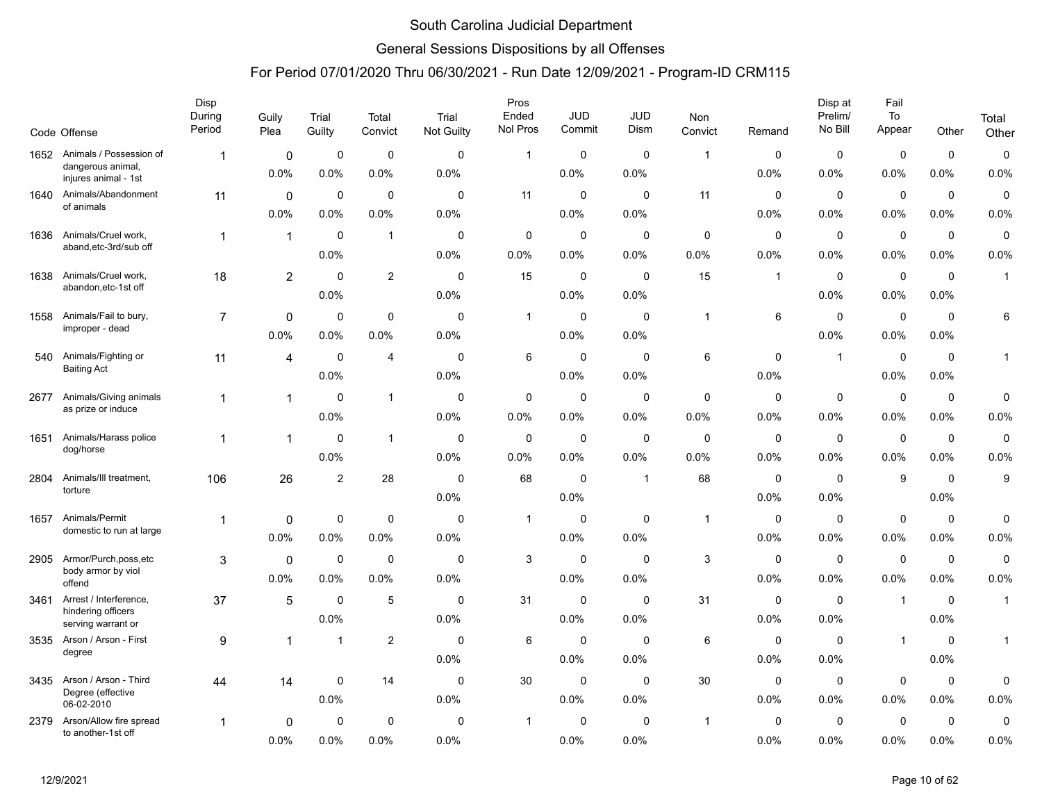### General Sessions Dispositions by all Offenses

|      | Code Offense                              | Disp<br>During<br>Period | Guily<br>Plea  | Trial<br>Guilty | Total<br>Convict  | Trial<br><b>Not Guilty</b> | Pros<br>Ended<br>Nol Pros | <b>JUD</b><br>Commit | <b>JUD</b><br><b>Dism</b> | Non<br>Convict          | Remand      | Disp at<br>Prelim/<br>No Bill | Fail<br>To<br>Appear | Other       | Total<br>Other    |
|------|-------------------------------------------|--------------------------|----------------|-----------------|-------------------|----------------------------|---------------------------|----------------------|---------------------------|-------------------------|-------------|-------------------------------|----------------------|-------------|-------------------|
|      | 1652 Animals / Possession of              |                          |                |                 |                   |                            |                           |                      | $\mathbf 0$               |                         |             |                               |                      |             |                   |
|      | dangerous animal,<br>injures animal - 1st | 1                        | 0<br>0.0%      | 0<br>0.0%       | $\pmb{0}$<br>0.0% | $\mathbf 0$<br>0.0%        | $\mathbf{1}$              | 0<br>0.0%            | 0.0%                      | $\overline{1}$          | 0<br>0.0%   | $\mathbf 0$<br>0.0%           | 0<br>0.0%            | 0<br>0.0%   | $\pmb{0}$<br>0.0% |
| 1640 | Animals/Abandonment                       | 11                       | $\mathbf 0$    | $\mathbf 0$     | $\mathbf 0$       | $\mathbf 0$                | 11                        | $\mathbf 0$          | $\mathbf 0$               | 11                      | $\mathbf 0$ | $\mathbf 0$                   | $\mathbf 0$          | $\mathbf 0$ | $\pmb{0}$         |
|      | of animals                                |                          | 0.0%           | 0.0%            | 0.0%              | 0.0%                       |                           | $0.0\%$              | 0.0%                      |                         | 0.0%        | 0.0%                          | 0.0%                 | 0.0%        | 0.0%              |
| 1636 | Animals/Cruel work,                       | $\mathbf{1}$             | $\mathbf{1}$   | $\mathbf 0$     | $\mathbf{1}$      | 0                          | 0                         | 0                    | 0                         | 0                       | 0           | 0                             | $\mathbf 0$          | 0           | $\mathbf 0$       |
|      | aband, etc-3rd/sub off                    |                          |                | 0.0%            |                   | 0.0%                       | 0.0%                      | 0.0%                 | 0.0%                      | 0.0%                    | 0.0%        | 0.0%                          | 0.0%                 | 0.0%        | 0.0%              |
| 1638 | Animals/Cruel work,                       | 18                       | $\overline{2}$ | $\mathbf 0$     | 2                 | $\mathbf 0$                | 15                        | $\pmb{0}$            | $\mathbf 0$               | 15                      | $\mathbf 1$ | $\mathbf 0$                   | $\mathbf 0$          | $\mathbf 0$ | $\mathbf{1}$      |
|      | abandon, etc-1st off                      |                          |                | 0.0%            |                   | 0.0%                       |                           | $0.0\%$              | 0.0%                      |                         |             | $0.0\%$                       | 0.0%                 | 0.0%        |                   |
| 1558 | Animals/Fail to bury,                     | $\overline{7}$           | 0              | $\mathbf 0$     | $\mathbf 0$       | $\Omega$                   | $\mathbf{1}$              | $\mathbf 0$          | $\Omega$                  | $\overline{1}$          | 6           | $\mathbf 0$                   | $\mathbf 0$          | $\mathbf 0$ | 6                 |
|      | improper - dead                           |                          | 0.0%           | 0.0%            | 0.0%              | 0.0%                       |                           | 0.0%                 | 0.0%                      |                         |             | 0.0%                          | 0.0%                 | 0.0%        |                   |
| 540  | Animals/Fighting or                       | 11                       | 4              | $\mathbf 0$     | $\overline{4}$    | $\mathbf 0$                | 6                         | $\mathbf 0$          | $\mathbf 0$               | 6                       | $\mathbf 0$ | $\overline{1}$                | $\mathbf 0$          | $\mathbf 0$ | $\mathbf{1}$      |
|      | <b>Baiting Act</b>                        |                          |                | 0.0%            |                   | 0.0%                       |                           | 0.0%                 | 0.0%                      |                         | 0.0%        |                               | 0.0%                 | 0.0%        |                   |
| 2677 | Animals/Giving animals                    | 1                        | $\mathbf{1}$   | $\mathbf 0$     | $\mathbf{1}$      | $\mathbf 0$                | $\mathbf 0$               | $\mathbf 0$          | 0                         | $\mathbf 0$             | $\mathbf 0$ | $\mathbf 0$                   | $\mathbf 0$          | 0           | 0                 |
|      | as prize or induce                        |                          |                | 0.0%            |                   | 0.0%                       | 0.0%                      | $0.0\%$              | $0.0\%$                   | 0.0%                    | 0.0%        | 0.0%                          | $0.0\%$              | 0.0%        | 0.0%              |
| 1651 | Animals/Harass police                     | $\mathbf{1}$             | $\mathbf{1}$   | $\mathbf 0$     | $\mathbf{1}$      | $\mathbf 0$                | $\mathbf 0$               | $\mathbf 0$          | $\mathbf 0$               | $\mathbf 0$             | $\mathbf 0$ | $\mathbf 0$                   | $\mathbf 0$          | $\mathbf 0$ | 0                 |
|      | dog/horse                                 |                          |                | 0.0%            |                   | 0.0%                       | 0.0%                      | $0.0\%$              | 0.0%                      | 0.0%                    | 0.0%        | 0.0%                          | 0.0%                 | 0.0%        | 0.0%              |
| 2804 | Animals/III treatment,                    | 106                      | 26             | $\overline{2}$  | 28                | $\mathbf 0$                | 68                        | $\mathbf 0$          | $\mathbf{1}$              | 68                      | 0           | 0                             | 9                    | $\mathbf 0$ | 9                 |
|      | torture                                   |                          |                |                 |                   | 0.0%                       |                           | 0.0%                 |                           |                         | 0.0%        | 0.0%                          |                      | 0.0%        |                   |
| 1657 | Animals/Permit                            | 1                        | 0              | $\mathbf 0$     | $\mathbf 0$       | $\mathbf 0$                | $\mathbf{1}$              | 0                    | $\mathbf 0$               | $\overline{\mathbf{1}}$ | 0           | $\mathbf 0$                   | $\mathbf 0$          | 0           | 0                 |
|      | domestic to run at large                  |                          | 0.0%           | 0.0%            | 0.0%              | 0.0%                       |                           | 0.0%                 | 0.0%                      |                         | 0.0%        | 0.0%                          | 0.0%                 | 0.0%        | 0.0%              |
| 2905 | Armor/Purch,poss,etc                      | 3                        | 0              | $\mathbf 0$     | $\mathbf 0$       | $\mathbf 0$                | 3                         | $\mathbf 0$          | $\Omega$                  | $\mathsf 3$             | $\mathbf 0$ | $\mathbf 0$                   | $\mathbf 0$          | $\mathbf 0$ | 0                 |
|      | body armor by viol<br>offend              |                          | 0.0%           | 0.0%            | 0.0%              | 0.0%                       |                           | $0.0\%$              | 0.0%                      |                         | 0.0%        | 0.0%                          | 0.0%                 | 0.0%        | 0.0%              |
| 3461 | Arrest / Interference,                    | 37                       | 5              | $\mathbf 0$     | 5                 | $\mathbf 0$                | 31                        | 0                    | $\mathbf 0$               | 31                      | 0           | 0                             | $\overline{1}$       | $\mathbf 0$ | $\mathbf{1}$      |
|      | hindering officers<br>serving warrant or  |                          |                | 0.0%            |                   | 0.0%                       |                           | 0.0%                 | 0.0%                      |                         | 0.0%        | 0.0%                          |                      | 0.0%        |                   |
| 3535 | Arson / Arson - First                     | 9                        | $\mathbf{1}$   | -1              | 2                 | $\mathbf 0$                | 6                         | $\pmb{0}$            | 0                         | 6                       | 0           | $\mathbf 0$                   | $\overline{1}$       | $\mathbf 0$ | $\mathbf{1}$      |
|      | degree                                    |                          |                |                 |                   | 0.0%                       |                           | $0.0\%$              | 0.0%                      |                         | 0.0%        | $0.0\%$                       |                      | 0.0%        |                   |
| 3435 | Arson / Arson - Third                     | 44                       | 14             | 0               | 14                | 0                          | 30                        | 0                    | 0                         | 30                      | 0           | 0                             | 0                    | 0           | 0                 |
|      | Degree (effective<br>06-02-2010           |                          |                | 0.0%            |                   | 0.0%                       |                           | 0.0%                 | 0.0%                      |                         | 0.0%        | 0.0%                          | 0.0%                 | 0.0%        | 0.0%              |
| 2379 | Arson/Allow fire spread                   | 1                        | 0              | $\mathbf 0$     | $\mathbf 0$       | $\mathbf 0$                | 1                         | 0                    | $\mathbf 0$               | $\mathbf{1}$            | 0           | $\mathbf 0$                   | $\mathbf 0$          | $\mathbf 0$ | $\mathbf 0$       |
|      | to another-1st off                        |                          | 0.0%           | 0.0%            | 0.0%              | 0.0%                       |                           | 0.0%                 | 0.0%                      |                         | 0.0%        | 0.0%                          | 0.0%                 | 0.0%        | 0.0%              |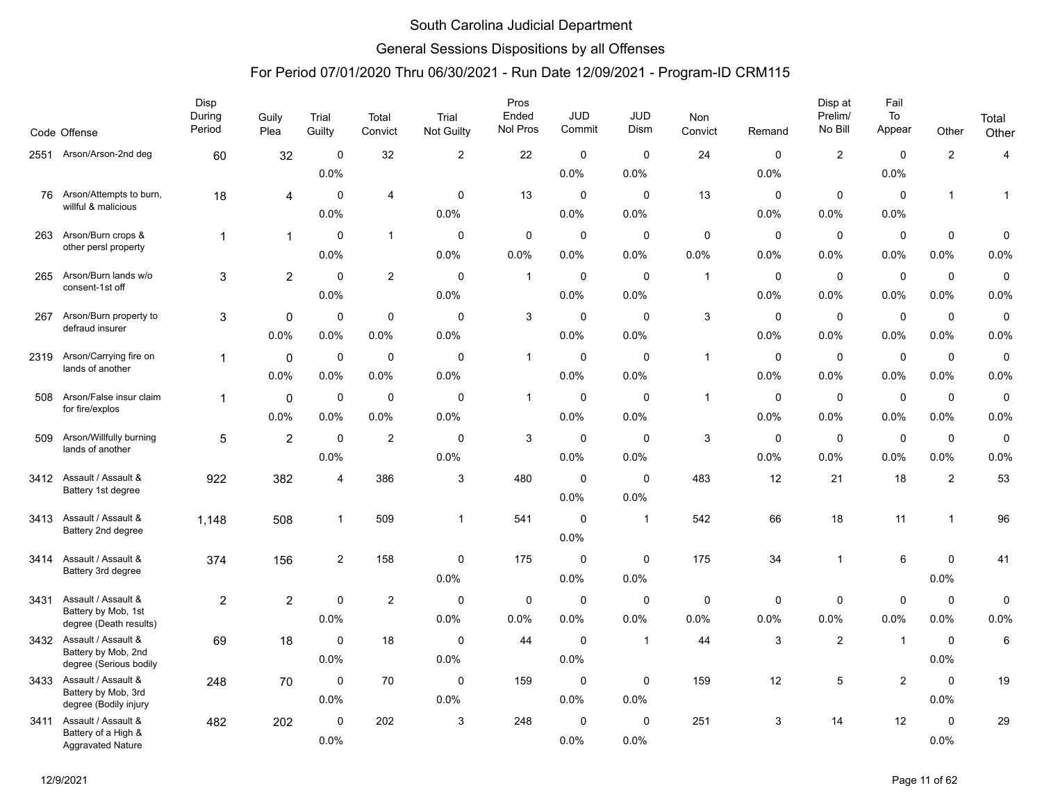### General Sessions Dispositions by all Offenses

|      | Code Offense                                    | Disp<br>During<br>Period | Guily<br>Plea  | Trial<br>Guilty | Total<br>Convict | Trial<br>Not Guilty | Pros<br>Ended<br>Nol Pros | <b>JUD</b><br>Commit | <b>JUD</b><br>Dism | Non<br>Convict | Remand      | Disp at<br>Prelim/<br>No Bill | Fail<br>To<br>Appear | Other          | Total<br>Other |
|------|-------------------------------------------------|--------------------------|----------------|-----------------|------------------|---------------------|---------------------------|----------------------|--------------------|----------------|-------------|-------------------------------|----------------------|----------------|----------------|
| 2551 | Arson/Arson-2nd deg                             | 60                       | 32             | $\mathbf 0$     | 32               | $\overline{2}$      | 22                        | $\mathbf 0$          | $\mathbf 0$        | 24             | $\mathbf 0$ | $\overline{c}$                | $\mathbf 0$          | $\overline{c}$ | $\overline{4}$ |
|      |                                                 |                          |                | 0.0%            |                  |                     |                           | 0.0%                 | 0.0%               |                | 0.0%        |                               | 0.0%                 |                |                |
| 76   | Arson/Attempts to burn,                         | 18                       | 4              | $\mathbf 0$     | $\overline{4}$   | $\mathbf 0$         | 13                        | $\mathbf 0$          | $\Omega$           | 13             | $\mathbf 0$ | $\mathbf 0$                   | $\mathbf 0$          | $\mathbf{1}$   | $\mathbf{1}$   |
|      | willful & malicious                             |                          |                | 0.0%            |                  | 0.0%                |                           | $0.0\%$              | 0.0%               |                | 0.0%        | 0.0%                          | 0.0%                 |                |                |
| 263  | Arson/Burn crops &                              | $\overline{1}$           | $\mathbf{1}$   | $\Omega$        | $\mathbf{1}$     | 0                   | 0                         | 0                    | 0                  | 0              | 0           | 0                             | $\mathbf 0$          | 0              | 0              |
|      | other persl property                            |                          |                | 0.0%            |                  | 0.0%                | 0.0%                      | 0.0%                 | 0.0%               | 0.0%           | 0.0%        | $0.0\%$                       | 0.0%                 | 0.0%           | 0.0%           |
| 265  | Arson/Burn lands w/o                            | 3                        | $\overline{2}$ | $\mathbf 0$     | 2                | $\mathbf 0$         | $\mathbf{1}$              | $\mathbf 0$          | $\mathbf 0$        | $\overline{1}$ | 0           | $\mathbf 0$                   | $\mathbf 0$          | $\mathbf 0$    | $\mathbf 0$    |
|      | consent-1st off                                 |                          |                | 0.0%            |                  | 0.0%                |                           | $0.0\%$              | 0.0%               |                | 0.0%        | 0.0%                          | 0.0%                 | 0.0%           | 0.0%           |
| 267  | Arson/Burn property to                          | 3                        | $\mathbf 0$    | $\mathbf 0$     | $\mathbf 0$      | $\mathbf 0$         | 3                         | $\mathbf 0$          | $\mathbf 0$        | $\mathsf 3$    | $\mathbf 0$ | $\mathbf 0$                   | $\pmb{0}$            | $\pmb{0}$      | 0              |
|      | defraud insurer                                 |                          | 0.0%           | 0.0%            | 0.0%             | 0.0%                |                           | $0.0\%$              | 0.0%               |                | 0.0%        | 0.0%                          | 0.0%                 | 0.0%           | 0.0%           |
| 2319 | Arson/Carrying fire on                          | 1                        | $\mathbf 0$    | $\mathbf 0$     | $\mathbf 0$      | $\mathbf 0$         | $\mathbf{1}$              | $\mathbf 0$          | $\mathbf 0$        | $\overline{1}$ | $\mathbf 0$ | $\mathbf 0$                   | $\mathbf 0$          | $\mathbf 0$    | 0              |
|      | lands of another                                |                          | 0.0%           | 0.0%            | 0.0%             | 0.0%                |                           | 0.0%                 | 0.0%               |                | 0.0%        | 0.0%                          | 0.0%                 | 0.0%           | 0.0%           |
| 508  | Arson/False insur claim                         | 1                        | 0              | $\mathbf 0$     | $\mathbf 0$      | $\mathbf 0$         | $\mathbf{1}$              | $\mathbf 0$          | $\mathbf 0$        | $\overline{1}$ | $\mathbf 0$ | $\mathbf 0$                   | $\mathbf 0$          | $\pmb{0}$      | 0              |
|      | for fire/explos                                 |                          | 0.0%           | 0.0%            | 0.0%             | 0.0%                |                           | $0.0\%$              | 0.0%               |                | 0.0%        | 0.0%                          | 0.0%                 | 0.0%           | 0.0%           |
| 509  | Arson/Willfully burning                         | 5                        | $\overline{2}$ | $\mathbf 0$     | $\overline{2}$   | $\mathbf 0$         | 3                         | 0                    | $\mathbf 0$        | 3              | 0           | 0                             | $\mathbf 0$          | $\mathbf 0$    | $\pmb{0}$      |
|      | lands of another                                |                          |                | 0.0%            |                  | 0.0%                |                           | 0.0%                 | 0.0%               |                | 0.0%        | 0.0%                          | 0.0%                 | 0.0%           | 0.0%           |
| 3412 | Assault / Assault &                             | 922                      | 382            | $\overline{4}$  | 386              | 3                   | 480                       | $\mathbf 0$          | $\mathbf 0$        | 483            | 12          | 21                            | 18                   | $\sqrt{2}$     | 53             |
|      | Battery 1st degree                              |                          |                |                 |                  |                     |                           | $0.0\%$              | 0.0%               |                |             |                               |                      |                |                |
| 3413 | Assault / Assault &                             | 1.148                    | 508            | $\mathbf{1}$    | 509              | $\mathbf{1}$        | 541                       | $\pmb{0}$            | $\mathbf{1}$       | 542            | 66          | 18                            | 11                   | $\mathbf{1}$   | 96             |
|      | Battery 2nd degree                              |                          |                |                 |                  |                     |                           | 0.0%                 |                    |                |             |                               |                      |                |                |
| 3414 | Assault / Assault &                             | 374                      | 156            | $\overline{c}$  | 158              | $\mathbf 0$         | 175                       | $\mathbf 0$          | $\mathbf 0$        | 175            | 34          | $\mathbf{1}$                  | 6                    | $\mathbf 0$    | 41             |
|      | Battery 3rd degree                              |                          |                |                 |                  | 0.0%                |                           | 0.0%                 | 0.0%               |                |             |                               |                      | 0.0%           |                |
| 3431 | Assault / Assault &                             | $\overline{2}$           | $\overline{2}$ | $\mathbf 0$     | $\overline{2}$   | $\mathbf 0$         | 0                         | 0                    | 0                  | $\mathbf 0$    | 0           | 0                             | $\mathbf 0$          | $\mathbf 0$    | 0              |
|      | Battery by Mob, 1st<br>degree (Death results)   |                          |                | 0.0%            |                  | 0.0%                | 0.0%                      | $0.0\%$              | 0.0%               | 0.0%           | 0.0%        | 0.0%                          | 0.0%                 | 0.0%           | 0.0%           |
| 3432 | Assault / Assault &                             | 69                       | 18             | $\mathbf 0$     | 18               | $\mathbf 0$         | 44                        | $\mathbf 0$          | $\mathbf{1}$       | 44             | 3           | $\overline{\mathbf{c}}$       | $\overline{1}$       | $\mathbf 0$    | 6              |
|      | Battery by Mob, 2nd<br>degree (Serious bodily   |                          |                | 0.0%            |                  | 0.0%                |                           | 0.0%                 |                    |                |             |                               |                      | 0.0%           |                |
| 3433 | Assault / Assault &                             | 248                      | 70             | $\mathbf 0$     | 70               | $\mathbf 0$         | 159                       | $\mathbf 0$          | $\mathbf 0$        | 159            | 12          | 5                             | $\overline{2}$       | $\mathbf 0$    | 19             |
|      | Battery by Mob, 3rd<br>degree (Bodily injury    |                          |                | 0.0%            |                  | 0.0%                |                           | 0.0%                 | 0.0%               |                |             |                               |                      | 0.0%           |                |
| 3411 | Assault / Assault &                             | 482                      | 202            | $\Omega$        | 202              | 3                   | 248                       | $\mathbf 0$          | $\Omega$           | 251            | 3           | 14                            | 12                   | $\mathbf 0$    | 29             |
|      | Battery of a High &<br><b>Aggravated Nature</b> |                          |                | 0.0%            |                  |                     |                           | 0.0%                 | 0.0%               |                |             |                               |                      | 0.0%           |                |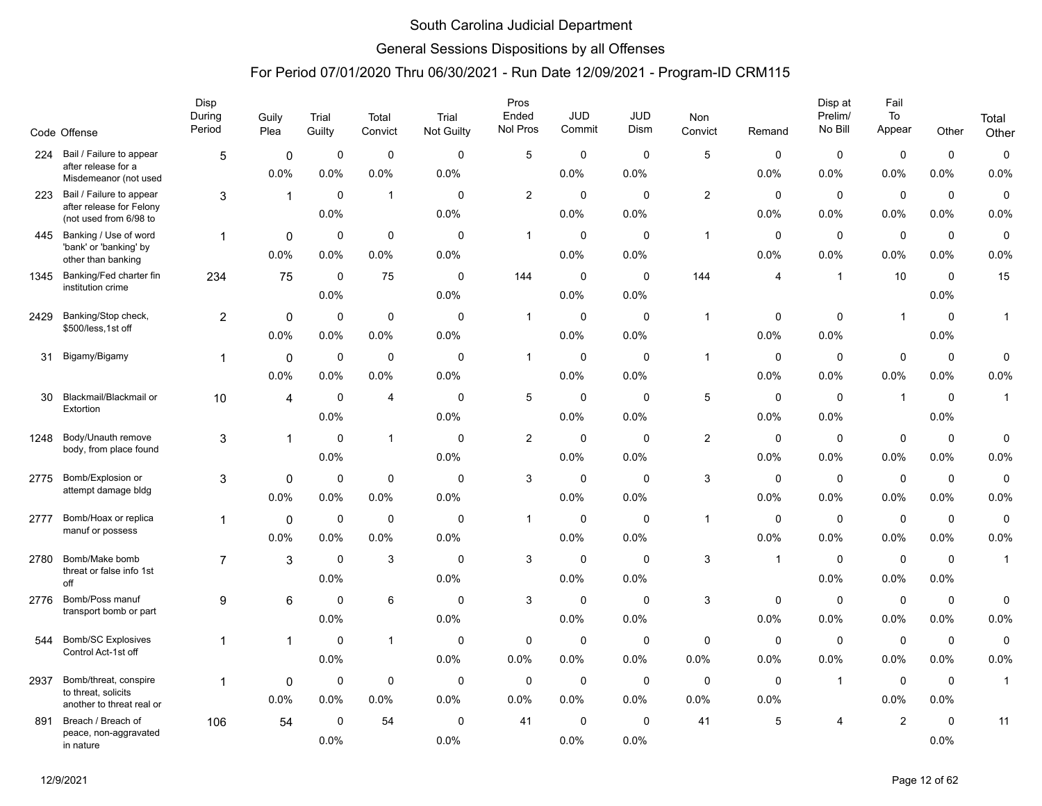### General Sessions Dispositions by all Offenses

|      | Code Offense                                       | Disp<br>During<br>Period | Guily<br>Plea       | Trial<br>Guilty     | Total<br>Convict    | Trial<br>Not Guilty | Pros<br>Ended<br>Nol Pros | <b>JUD</b><br>Commit | <b>JUD</b><br>Dism  | Non<br>Convict | Remand              | Disp at<br>Prelim/<br>No Bill | Fail<br>To<br>Appear | Other               | Total<br>Other |
|------|----------------------------------------------------|--------------------------|---------------------|---------------------|---------------------|---------------------|---------------------------|----------------------|---------------------|----------------|---------------------|-------------------------------|----------------------|---------------------|----------------|
| 224  | Bail / Failure to appear                           | 5                        | $\pmb{0}$           | 0                   | $\mathbf 0$         | $\Omega$            | 5                         | $\mathbf 0$          | $\Omega$            | 5              | 0                   | $\mathbf 0$                   | $\mathbf 0$          | $\mathbf 0$         | $\pmb{0}$      |
|      | after release for a<br>Misdemeanor (not used       |                          | 0.0%                | 0.0%                | 0.0%                | 0.0%                |                           | 0.0%                 | 0.0%                |                | 0.0%                | 0.0%                          | 0.0%                 | 0.0%                | 0.0%           |
| 223  | Bail / Failure to appear                           | 3                        | $\mathbf{1}$        | $\Omega$            | $\mathbf{1}$        | $\Omega$            | $\overline{2}$            | $\mathbf 0$          | $\Omega$            | $\overline{2}$ | $\Omega$            | $\mathbf 0$                   | $\mathbf 0$          | $\mathbf 0$         | 0              |
|      | after release for Felony<br>(not used from 6/98 to |                          |                     | 0.0%                |                     | 0.0%                |                           | 0.0%                 | 0.0%                |                | 0.0%                | 0.0%                          | 0.0%                 | 0.0%                | 0.0%           |
| 445  | Banking / Use of word                              | 1                        | 0                   | $\mathbf 0$         | $\mathbf 0$         | $\mathbf 0$         | $\mathbf{1}$              | $\mathbf 0$          | $\mathbf 0$         | $\overline{1}$ | $\mathbf 0$         | $\mathbf 0$                   | $\mathbf 0$          | $\mathbf 0$         | $\pmb{0}$      |
|      | 'bank' or 'banking' by<br>other than banking       |                          | 0.0%                | 0.0%                | 0.0%                | 0.0%                |                           | 0.0%                 | 0.0%                |                | 0.0%                | 0.0%                          | 0.0%                 | 0.0%                | 0.0%           |
| 1345 | Banking/Fed charter fin<br>institution crime       | 234                      | 75                  | $\mathbf 0$         | 75                  | 0                   | 144                       | 0                    | 0                   | 144            | 4                   | $\mathbf{1}$                  | 10                   | $\mathbf 0$         | 15             |
|      |                                                    |                          |                     | 0.0%                |                     | 0.0%                |                           | 0.0%                 | 0.0%                |                |                     |                               |                      | 0.0%                |                |
| 2429 | Banking/Stop check,<br>\$500/less, 1st off         | $\overline{2}$           | $\mathbf 0$         | $\mathbf 0$         | $\mathbf 0$         | $\Omega$            | $\mathbf{1}$              | $\mathbf 0$          | $\Omega$            | $\mathbf{1}$   | $\mathbf 0$         | $\mathbf 0$                   | $\mathbf{1}$         | $\mathbf 0$         | $\mathbf{1}$   |
|      |                                                    |                          | 0.0%                | 0.0%                | 0.0%                | 0.0%                |                           | 0.0%                 | 0.0%                |                | 0.0%                | 0.0%                          |                      | 0.0%                |                |
| 31   | Bigamy/Bigamy                                      | $\mathbf 1$              | $\mathbf{0}$        | $\mathbf 0$         | $\mathbf 0$         | $\mathbf 0$         | $\mathbf{1}$              | 0                    | $\mathbf 0$         | $\mathbf{1}$   | $\mathbf 0$         | $\mathbf 0$                   | $\pmb{0}$            | $\mathbf 0$         | 0              |
|      |                                                    |                          | 0.0%                | 0.0%                | 0.0%                | 0.0%                |                           | 0.0%                 | 0.0%                |                | 0.0%                | 0.0%                          | 0.0%                 | 0.0%                | 0.0%           |
| 30   | Blackmail/Blackmail or<br>Extortion                | 10                       | 4                   | $\mathbf 0$         | $\overline{4}$      | $\Omega$            | 5                         | $\mathbf 0$          | $\mathbf 0$         | $\,$ 5 $\,$    | $\mathbf 0$         | $\mathbf 0$                   | $\overline{1}$       | $\mathbf 0$         | $\mathbf{1}$   |
|      |                                                    |                          |                     | $0.0\%$             |                     | 0.0%                |                           | $0.0\%$              | 0.0%                |                | 0.0%                | 0.0%                          |                      | 0.0%                |                |
| 1248 | Body/Unauth remove<br>body, from place found       | 3                        | $\mathbf{1}$        | $\mathbf 0$         | $\mathbf{1}$        | $\mathbf 0$         | $\overline{2}$            | $\mathbf 0$          | $\mathbf 0$         | $\mathbf{2}$   | $\mathbf 0$         | $\mathbf 0$                   | $\mathbf 0$          | $\mathbf 0$         | 0              |
|      |                                                    |                          |                     | 0.0%                |                     | 0.0%                |                           | 0.0%                 | 0.0%                |                | 0.0%                | 0.0%                          | 0.0%                 | 0.0%                | 0.0%           |
| 2775 | Bomb/Explosion or<br>attempt damage bldg           | 3                        | $\mathbf 0$         | 0                   | $\mathbf 0$         | $\Omega$            | 3                         | $\mathbf 0$          | $\mathbf 0$         | $\mathbf{3}$   | $\mathbf 0$         | $\mathbf 0$                   | $\mathbf 0$          | $\mathbf 0$         | $\mathbf 0$    |
|      |                                                    |                          | 0.0%                | 0.0%                | 0.0%                | 0.0%                |                           | 0.0%                 | 0.0%                |                | 0.0%                | 0.0%                          | 0.0%                 | 0.0%                | 0.0%           |
| 2777 | Bomb/Hoax or replica<br>manuf or possess           | 1                        | $\mathbf{0}$        | $\mathbf 0$         | $\mathbf 0$         | $\mathbf 0$         | $\mathbf{1}$              | $\mathbf 0$          | $\mathbf 0$         | $\mathbf{1}$   | 0                   | $\mathbf 0$                   | $\mathbf 0$          | $\mathbf 0$         | 0              |
|      |                                                    |                          | 0.0%                | 0.0%                | 0.0%                | 0.0%                |                           | 0.0%                 | 0.0%                |                | 0.0%                | 0.0%                          | 0.0%                 | 0.0%                | 0.0%           |
| 2780 | Bomb/Make bomb<br>threat or false info 1st         | $\overline{7}$           | 3                   | $\mathbf 0$         | 3                   | $\mathbf 0$         | 3                         | $\mathbf 0$          | $\mathbf 0$         | 3              | $\overline{1}$      | $\mathbf 0$                   | $\mathbf 0$          | $\mathbf 0$         | $\mathbf{1}$   |
|      | off                                                |                          |                     | 0.0%                |                     | 0.0%                |                           | 0.0%                 | 0.0%                |                |                     | 0.0%                          | 0.0%                 | 0.0%                |                |
| 2776 | Bomb/Poss manuf<br>transport bomb or part          | 9                        | 6                   | $\mathbf 0$         | 6                   | $\mathbf 0$         | 3                         | 0                    | $\mathbf 0$         | $\sqrt{3}$     | 0                   | $\mathbf 0$                   | $\mathbf 0$          | 0                   | 0              |
|      |                                                    |                          |                     | 0.0%                |                     | 0.0%                |                           | 0.0%                 | 0.0%                |                | 0.0%                | 0.0%                          | 0.0%                 | 0.0%                | 0.0%           |
| 544  | <b>Bomb/SC Explosives</b><br>Control Act-1st off   | 1                        | 1                   | $\mathbf 0$         | $\mathbf{1}$        | $\mathbf 0$         | $\mathbf 0$               | $\mathbf 0$          | $\mathbf 0$         | $\mathbf 0$    | $\mathbf 0$         | $\mathbf 0$                   | $\mathbf 0$          | $\mathbf 0$         | 0<br>0.0%      |
|      |                                                    |                          |                     | 0.0%                |                     | 0.0%                | $0.0\%$                   | 0.0%                 | 0.0%                | 0.0%           | 0.0%                | 0.0%                          | 0.0%                 | $0.0\%$             |                |
| 2937 | Bomb/threat, conspire<br>to threat, solicits       | $\mathbf 1$              | $\mathbf 0$<br>0.0% | 0<br>0.0%           | $\mathbf 0$<br>0.0% | $\mathbf 0$<br>0.0% | $\mathbf 0$<br>0.0%       | 0<br>0.0%            | $\mathbf 0$<br>0.0% | 0<br>0.0%      | $\mathbf 0$<br>0.0% | $\overline{1}$                | $\mathbf 0$<br>0.0%  | $\mathbf 0$<br>0.0% | $\mathbf{1}$   |
|      | another to threat real or                          |                          |                     |                     |                     |                     |                           |                      |                     |                |                     |                               |                      |                     |                |
| 891  | Breach / Breach of<br>peace, non-aggravated        | 106                      | 54                  | $\mathbf 0$<br>0.0% | 54                  | $\mathbf 0$<br>0.0% | 41                        | 0<br>0.0%            | $\mathbf 0$<br>0.0% | 41             | 5                   | 4                             | $\overline{2}$       | $\mathbf 0$<br>0.0% | 11             |
|      | in nature                                          |                          |                     |                     |                     |                     |                           |                      |                     |                |                     |                               |                      |                     |                |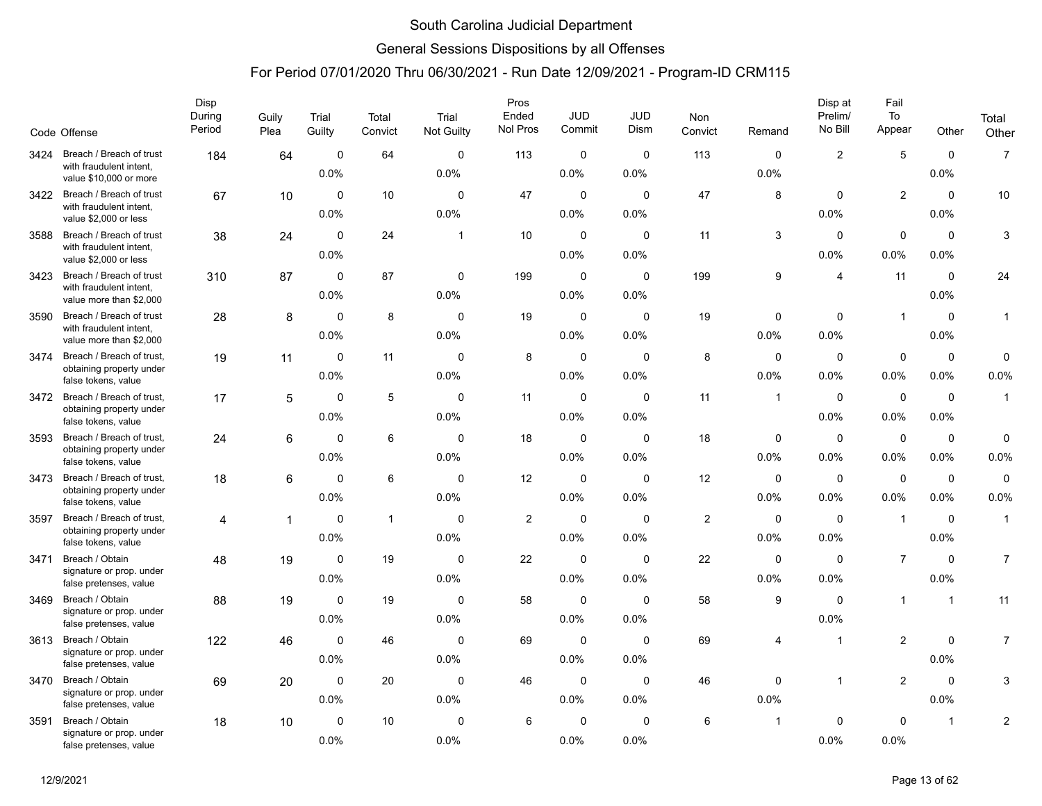### General Sessions Dispositions by all Offenses

|      | Code Offense                                                                   | Disp<br>During<br>Period | Guily<br>Plea | Trial<br>Guilty     | Total<br>Convict | Trial<br>Not Guilty | Pros<br>Ended<br>Nol Pros | <b>JUD</b><br>Commit | JUD<br>Dism         | <b>Non</b><br>Convict | Remand                  | Disp at<br>Prelim/<br>No Bill | Fail<br>To<br>Appear | Other                   | Total<br>Other      |
|------|--------------------------------------------------------------------------------|--------------------------|---------------|---------------------|------------------|---------------------|---------------------------|----------------------|---------------------|-----------------------|-------------------------|-------------------------------|----------------------|-------------------------|---------------------|
|      |                                                                                |                          |               |                     |                  |                     |                           |                      |                     |                       |                         |                               |                      |                         |                     |
| 3424 | Breach / Breach of trust<br>with fraudulent intent,<br>value \$10,000 or more  | 184                      | 64            | $\mathbf 0$<br>0.0% | 64               | $\Omega$<br>0.0%    | 113                       | 0<br>0.0%            | $\mathbf 0$<br>0.0% | 113                   | $\Omega$<br>0.0%        | $\overline{2}$                | 5                    | $\mathbf 0$<br>0.0%     | $\overline{7}$      |
| 3422 | Breach / Breach of trust<br>with fraudulent intent,<br>value \$2,000 or less   | 67                       | 10            | $\Omega$<br>0.0%    | 10               | $\Omega$<br>0.0%    | 47                        | 0<br>0.0%            | $\Omega$<br>0.0%    | 47                    | 8                       | $\mathbf 0$<br>0.0%           | $\overline{2}$       | $\Omega$<br>0.0%        | 10                  |
| 3588 | Breach / Breach of trust<br>with fraudulent intent,<br>value \$2,000 or less   | 38                       | 24            | $\Omega$<br>0.0%    | 24               | -1                  | 10                        | $\mathbf 0$<br>0.0%  | 0<br>0.0%           | 11                    | 3                       | $\Omega$<br>0.0%              | $\mathbf 0$<br>0.0%  | $\mathbf 0$<br>0.0%     | 3                   |
| 3423 | Breach / Breach of trust<br>with fraudulent intent,<br>value more than \$2,000 | 310                      | 87            | 0<br>0.0%           | 87               | 0<br>0.0%           | 199                       | 0<br>0.0%            | 0<br>0.0%           | 199                   | 9                       | $\overline{4}$                | 11                   | $\mathbf 0$<br>0.0%     | 24                  |
| 3590 | Breach / Breach of trust<br>with fraudulent intent,<br>value more than \$2,000 | 28                       | 8             | $\Omega$<br>0.0%    | 8                | $\Omega$<br>0.0%    | 19                        | $\mathbf 0$<br>0.0%  | $\mathbf 0$<br>0.0% | 19                    | $\Omega$<br>0.0%        | $\mathbf 0$<br>0.0%           | $\mathbf{1}$         | $\mathbf 0$<br>0.0%     | $\mathbf{1}$        |
| 3474 | Breach / Breach of trust,<br>obtaining property under<br>false tokens, value   | 19                       | 11            | $\mathbf 0$<br>0.0% | 11               | $\mathbf 0$<br>0.0% | 8                         | 0<br>0.0%            | 0<br>0.0%           | 8                     | 0<br>0.0%               | $\mathbf 0$<br>0.0%           | $\mathbf 0$<br>0.0%  | $\mathbf 0$<br>0.0%     | $\mathbf 0$<br>0.0% |
| 3472 | Breach / Breach of trust,<br>obtaining property under<br>false tokens, value   | 17                       | 5             | $\Omega$<br>0.0%    | 5                | $\Omega$<br>0.0%    | 11                        | $\pmb{0}$<br>0.0%    | 0<br>0.0%           | 11                    | $\overline{1}$          | $\mathbf 0$<br>0.0%           | $\mathbf 0$<br>0.0%  | $\mathbf 0$<br>$0.0\%$  | $\mathbf{1}$        |
| 3593 | Breach / Breach of trust,<br>obtaining property under<br>false tokens, value   | 24                       | 6             | $\mathbf 0$<br>0.0% | 6                | $\mathbf 0$<br>0.0% | 18                        | 0<br>0.0%            | 0<br>0.0%           | 18                    | 0<br>0.0%               | $\mathbf 0$<br>0.0%           | $\mathbf 0$<br>0.0%  | $\mathbf 0$<br>0.0%     | $\pmb{0}$<br>0.0%   |
| 3473 | Breach / Breach of trust,<br>obtaining property under<br>false tokens, value   | 18                       | 6             | $\mathbf 0$<br>0.0% | 6                | $\mathbf 0$<br>0.0% | 12                        | $\mathbf 0$<br>0.0%  | 0<br>0.0%           | 12                    | $\mathbf 0$<br>$0.0\%$  | $\mathbf 0$<br>0.0%           | $\mathbf 0$<br>0.0%  | $\mathbf 0$<br>$0.0\%$  | $\mathbf 0$<br>0.0% |
| 3597 | Breach / Breach of trust,<br>obtaining property under<br>false tokens, value   | 4                        | $\mathbf{1}$  | $\mathbf 0$<br>0.0% | $\mathbf{1}$     | $\mathbf 0$<br>0.0% | $\overline{2}$            | 0<br>0.0%            | 0<br>0.0%           | $\overline{2}$        | 0<br>0.0%               | $\mathbf 0$<br>0.0%           | $\mathbf{1}$         | $\mathbf 0$<br>0.0%     | $\mathbf{1}$        |
| 3471 | Breach / Obtain<br>signature or prop. under<br>false pretenses, value          | 48                       | 19            | $\mathbf 0$<br>0.0% | 19               | $\mathbf 0$<br>0.0% | 22                        | $\pmb{0}$<br>0.0%    | $\mathbf 0$<br>0.0% | 22                    | $\mathbf 0$<br>$0.0\%$  | $\mathbf 0$<br>0.0%           | $\overline{7}$       | $\mathbf 0$<br>$0.0\%$  | $\overline{7}$      |
| 3469 | Breach / Obtain<br>signature or prop. under<br>false pretenses, value          | 88                       | 19            | 0<br>0.0%           | 19               | $\mathbf 0$<br>0.0% | 58                        | 0<br>0.0%            | 0<br>0.0%           | 58                    | 9                       | $\mathbf 0$<br>0.0%           | $\mathbf{1}$         | $\overline{1}$          | 11                  |
| 3613 | Breach / Obtain<br>signature or prop. under<br>false pretenses, value          | 122                      | 46            | $\mathbf 0$<br>0.0% | 46               | $\mathbf 0$<br>0.0% | 69                        | $\mathbf 0$<br>0.0%  | 0<br>0.0%           | 69                    | 4                       | $\overline{1}$                | $\overline{c}$       | $\mathbf 0$<br>0.0%     | $\overline{7}$      |
| 3470 | Breach / Obtain<br>signature or prop. under<br>false pretenses, value          | 69                       | 20            | $\mathbf 0$<br>0.0% | 20               | $\mathbf 0$<br>0.0% | 46                        | 0<br>0.0%            | 0<br>0.0%           | 46                    | 0<br>0.0%               | $\overline{\mathbf{1}}$       | $\overline{2}$       | $\mathbf 0$<br>0.0%     | 3                   |
| 3591 | Breach / Obtain<br>signature or prop. under<br>false pretenses, value          | 18                       | 10            | $\mathbf 0$<br>0.0% | 10               | $\mathbf 0$<br>0.0% | 6                         | $\mathbf 0$<br>0.0%  | $\mathbf 0$<br>0.0% | 6                     | $\overline{\mathbf{1}}$ | $\mathbf 0$<br>0.0%           | $\mathbf 0$<br>0.0%  | $\overline{\mathbf{1}}$ | $\overline{c}$      |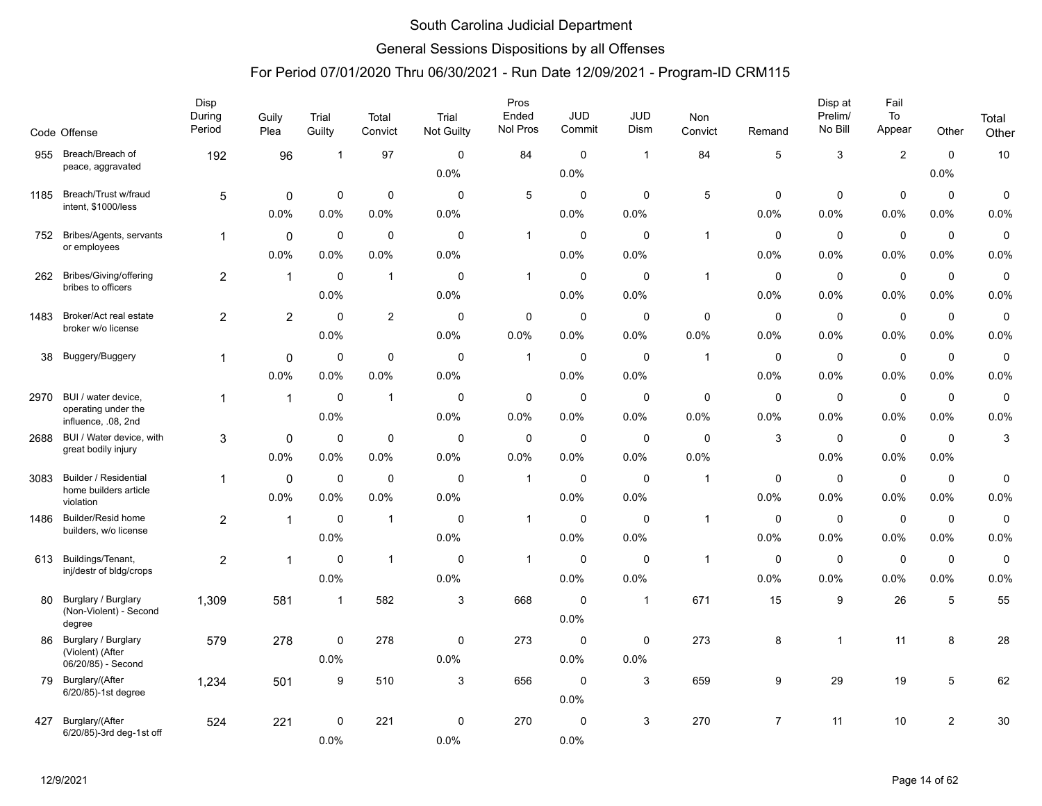### General Sessions Dispositions by all Offenses

|      | Code Offense                               | Disp<br>During<br>Period | Guily<br>Plea  | Trial<br>Guilty | Total<br>Convict | Trial<br><b>Not Guilty</b> | Pros<br>Ended<br>Nol Pros | <b>JUD</b><br>Commit | <b>JUD</b><br>Dism | Non<br>Convict | Remand         | Disp at<br>Prelim/<br>No Bill | Fail<br>To<br>Appear | Other          | Total<br>Other |
|------|--------------------------------------------|--------------------------|----------------|-----------------|------------------|----------------------------|---------------------------|----------------------|--------------------|----------------|----------------|-------------------------------|----------------------|----------------|----------------|
| 955  | Breach/Breach of<br>peace, aggravated      | 192                      | 96             | -1              | 97               | $\mathbf 0$                | 84                        | $\mathbf 0$          | -1                 | 84             | 5              | 3                             | $\overline{c}$       | $\mathbf 0$    | 10             |
|      |                                            |                          |                |                 |                  | 0.0%                       |                           | 0.0%                 |                    |                |                |                               |                      | 0.0%           |                |
| 1185 | Breach/Trust w/fraud                       | 5                        | 0              | 0               | $\mathbf 0$      | $\Omega$                   | 5                         | $\mathbf 0$          | $\mathbf 0$        | 5              | 0              | 0                             | $\mathbf 0$          | $\mathbf 0$    | $\mathbf 0$    |
|      | intent, \$1000/less                        |                          | 0.0%           | 0.0%            | 0.0%             | 0.0%                       |                           | $0.0\%$              | 0.0%               |                | 0.0%           | 0.0%                          | 0.0%                 | 0.0%           | 0.0%           |
| 752  | Bribes/Agents, servants                    | 1                        | $\mathbf 0$    | 0               | 0                | $\mathbf 0$                | $\mathbf{1}$              | $\mathbf 0$          | $\mathbf 0$        | $\mathbf{1}$   | $\mathbf 0$    | 0                             | $\mathbf 0$          | $\mathbf 0$    | $\pmb{0}$      |
|      | or employees                               |                          | 0.0%           | 0.0%            | 0.0%             | 0.0%                       |                           | 0.0%                 | 0.0%               |                | 0.0%           | 0.0%                          | 0.0%                 | 0.0%           | 0.0%           |
| 262  | Bribes/Giving/offering                     | $\overline{c}$           | $\mathbf{1}$   | $\mathbf 0$     | $\mathbf 1$      | $\Omega$                   | $\mathbf{1}$              | $\pmb{0}$            | $\Omega$           | $\mathbf{1}$   | $\mathbf 0$    | $\mathbf 0$                   | $\pmb{0}$            | 0              | $\pmb{0}$      |
|      | bribes to officers                         |                          |                | 0.0%            |                  | 0.0%                       |                           | 0.0%                 | 0.0%               |                | 0.0%           | 0.0%                          | 0.0%                 | 0.0%           | 0.0%           |
| 1483 | Broker/Act real estate                     | $\overline{2}$           | $\overline{2}$ | $\mathbf 0$     | 2                | $\mathbf 0$                | $\mathbf 0$               | $\mathbf 0$          | $\mathbf 0$        | $\mathbf 0$    | $\mathbf 0$    | $\mathbf 0$                   | $\mathbf 0$          | $\mathbf 0$    | $\mathbf 0$    |
|      | broker w/o license                         |                          |                | 0.0%            |                  | 0.0%                       | 0.0%                      | $0.0\%$              | 0.0%               | 0.0%           | 0.0%           | 0.0%                          | 0.0%                 | 0.0%           | 0.0%           |
| 38   | Buggery/Buggery                            | 1                        | $\mathbf 0$    | 0               | 0                | $\mathbf 0$                | 1                         | 0                    | $\mathbf 0$        | $\overline{1}$ | 0              | 0                             | $\mathbf 0$          | $\mathbf 0$    | $\mathbf 0$    |
|      |                                            |                          | 0.0%           | 0.0%            | 0.0%             | 0.0%                       |                           | 0.0%                 | 0.0%               |                | 0.0%           | 0.0%                          | 0.0%                 | 0.0%           | 0.0%           |
| 2970 | BUI / water device,                        | $\mathbf{1}$             | $\mathbf{1}$   | $\mathbf 0$     | $\mathbf 1$      | $\mathbf 0$                | 0                         | $\mathbf 0$          | $\mathbf 0$        | $\mathbf 0$    | $\mathbf 0$    | $\mathbf 0$                   | $\mathbf 0$          | 0              | $\pmb{0}$      |
|      | operating under the<br>influence, .08, 2nd |                          |                | 0.0%            |                  | 0.0%                       | 0.0%                      | $0.0\%$              | $0.0\%$            | 0.0%           | 0.0%           | 0.0%                          | 0.0%                 | 0.0%           | 0.0%           |
| 2688 | BUI / Water device, with                   | 3                        | $\mathbf 0$    | $\mathbf 0$     | $\mathbf 0$      | $\mathbf 0$                | $\mathbf 0$               | $\mathbf 0$          | $\mathbf 0$        | 0              | 3              | $\mathbf 0$                   | $\mathbf 0$          | $\mathbf 0$    | $\sqrt{3}$     |
|      | great bodily injury                        |                          | 0.0%           | 0.0%            | 0.0%             | 0.0%                       | 0.0%                      | $0.0\%$              | 0.0%               | 0.0%           |                | 0.0%                          | 0.0%                 | 0.0%           |                |
| 3083 | <b>Builder / Residential</b>               | 1                        | $\mathbf 0$    | $\mathbf 0$     | 0                | $\mathbf 0$                | $\mathbf{1}$              | 0                    | $\mathbf 0$        | $\overline{1}$ | $\mathbf 0$    | $\mathbf 0$                   | $\mathbf 0$          | $\mathbf 0$    | $\mathbf 0$    |
|      | home builders article<br>violation         |                          | 0.0%           | 0.0%            | 0.0%             | 0.0%                       |                           | 0.0%                 | 0.0%               |                | 0.0%           | 0.0%                          | 0.0%                 | 0.0%           | 0.0%           |
| 1486 | <b>Builder/Resid home</b>                  | $\overline{2}$           | $\mathbf{1}$   | $\mathbf 0$     | $\mathbf{1}$     | $\mathbf 0$                | $\mathbf{1}$              | $\mathbf 0$          | $\mathbf 0$        | $\mathbf{1}$   | 0              | $\mathbf 0$                   | $\mathbf 0$          | $\mathbf 0$    | $\mathbf 0$    |
|      | builders, w/o license                      |                          |                | 0.0%            |                  | 0.0%                       |                           | $0.0\%$              | 0.0%               |                | 0.0%           | 0.0%                          | 0.0%                 | 0.0%           | 0.0%           |
| 613  | Buildings/Tenant,                          | 2                        | $\mathbf{1}$   | $\Omega$        | $\mathbf{1}$     | $\mathbf 0$                | $\mathbf{1}$              | $\mathbf 0$          | $\mathbf 0$        | $\overline{1}$ | $\Omega$       | $\mathbf 0$                   | $\mathbf 0$          | $\mathbf 0$    | $\pmb{0}$      |
|      | inj/destr of bldg/crops                    |                          |                | 0.0%            |                  | 0.0%                       |                           | 0.0%                 | 0.0%               |                | 0.0%           | 0.0%                          | 0.0%                 | 0.0%           | 0.0%           |
| 80   | Burglary / Burglary                        | 1,309                    | 581            | $\overline{1}$  | 582              | 3                          | 668                       | $\mathbf 0$          | $\mathbf{1}$       | 671            | 15             | 9                             | 26                   | 5              | 55             |
|      | (Non-Violent) - Second<br>degree           |                          |                |                 |                  |                            |                           | 0.0%                 |                    |                |                |                               |                      |                |                |
| 86   | Burglary / Burglary                        | 579                      | 278            | 0               | 278              | 0                          | 273                       | 0                    | 0                  | 273            | 8              | $\mathbf{1}$                  | 11                   | 8              | 28             |
|      | (Violent) (After<br>06/20/85) - Second     |                          |                | 0.0%            |                  | 0.0%                       |                           | 0.0%                 | 0.0%               |                |                |                               |                      |                |                |
| 79   | Burglary/(After                            | 1,234                    | 501            | 9               | 510              | 3                          | 656                       | $\mathbf 0$          | 3                  | 659            | 9              | 29                            | 19                   | 5              | 62             |
|      | 6/20/85)-1st degree                        |                          |                |                 |                  |                            |                           | 0.0%                 |                    |                |                |                               |                      |                |                |
| 427  | Burglary/(After                            | 524                      | 221            | $\mathbf 0$     | 221              | 0                          | 270                       | $\mathbf 0$          | 3                  | 270            | $\overline{7}$ | 11                            | 10                   | $\overline{2}$ | 30             |
|      | 6/20/85)-3rd deg-1st off                   |                          |                | 0.0%            |                  | 0.0%                       |                           | 0.0%                 |                    |                |                |                               |                      |                |                |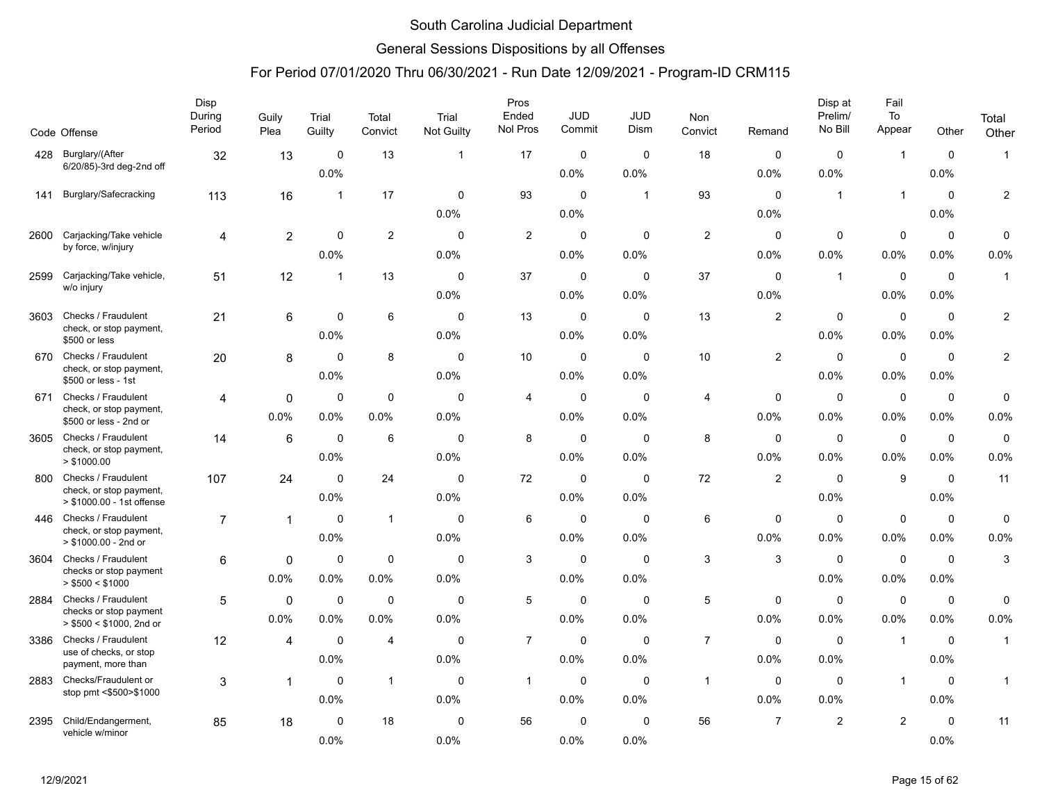### General Sessions Dispositions by all Offenses

|      |                                                      | Disp<br>During | Guily       | Trial          | Total          | Trial             | Pros<br>Ended  | <b>JUD</b>  | <b>JUD</b>   | Non            |                | Disp at<br>Prelim/ | Fail<br>To     |             | Total        |
|------|------------------------------------------------------|----------------|-------------|----------------|----------------|-------------------|----------------|-------------|--------------|----------------|----------------|--------------------|----------------|-------------|--------------|
|      | Code Offense                                         | Period         | Plea        | Guilty         | Convict        | <b>Not Guilty</b> | Nol Pros       | Commit      | Dism         | Convict        | Remand         | No Bill            | Appear         | Other       | Other        |
| 428  | Burglary/(After                                      | 32             | 13          | $\mathbf 0$    | 13             | $\mathbf{1}$      | 17             | 0           | $\mathbf 0$  | 18             | $\mathbf 0$    | $\mathbf 0$        | $\overline{1}$ | $\mathbf 0$ | $\mathbf{1}$ |
|      | 6/20/85)-3rd deg-2nd off                             |                |             | 0.0%           |                |                   |                | 0.0%        | 0.0%         |                | 0.0%           | 0.0%               |                | 0.0%        |              |
| 141  | Burglary/Safecracking                                | 113            | 16          | $\overline{1}$ | 17             | 0                 | 93             | $\mathbf 0$ | $\mathbf{1}$ | 93             | $\Omega$       | $\mathbf{1}$       | $\overline{1}$ | $\mathbf 0$ | 2            |
|      |                                                      |                |             |                |                | 0.0%              |                | 0.0%        |              |                | 0.0%           |                    |                | 0.0%        |              |
| 2600 | Carjacking/Take vehicle                              | $\overline{4}$ | 2           | 0              | $\overline{2}$ | $\mathbf 0$       | 2              | $\mathbf 0$ | $\mathbf 0$  | 2              | $\mathbf 0$    | $\mathbf 0$        | $\mathbf 0$    | $\mathbf 0$ | 0            |
|      | by force, w/injury                                   |                |             | 0.0%           |                | 0.0%              |                | 0.0%        | 0.0%         |                | 0.0%           | 0.0%               | 0.0%           | 0.0%        | 0.0%         |
| 2599 | Carjacking/Take vehicle,                             | 51             | 12          | -1             | 13             | $\mathbf 0$       | 37             | $\mathbf 0$ | $\mathbf 0$  | 37             | $\mathbf 0$    | $\mathbf{1}$       | $\mathbf 0$    | $\mathbf 0$ | $\mathbf{1}$ |
|      | w/o injury                                           |                |             |                |                | 0.0%              |                | 0.0%        | 0.0%         |                | 0.0%           |                    | 0.0%           | 0.0%        |              |
| 3603 | Checks / Fraudulent                                  | 21             | 6           | $\mathbf 0$    | 6              | $\Omega$          | 13             | $\mathbf 0$ | $\Omega$     | 13             | $\overline{c}$ | $\mathbf 0$        | $\mathbf 0$    | $\mathbf 0$ | 2            |
|      | check, or stop payment,<br>\$500 or less             |                |             | 0.0%           |                | 0.0%              |                | 0.0%        | 0.0%         |                |                | 0.0%               | 0.0%           | 0.0%        |              |
| 670  | Checks / Fraudulent                                  | 20             | 8           | $\mathbf 0$    | 8              | $\mathbf 0$       | 10             | $\mathbf 0$ | $\mathbf 0$  | 10             | $\overline{2}$ | $\mathbf 0$        | $\mathbf 0$    | $\mathbf 0$ | 2            |
|      | check, or stop payment,<br>\$500 or less - 1st       |                |             | 0.0%           |                | 0.0%              |                | 0.0%        | 0.0%         |                |                | 0.0%               | 0.0%           | 0.0%        |              |
| 671  | Checks / Fraudulent                                  | 4              | $\mathbf 0$ | 0              | $\mathbf 0$    | $\mathbf 0$       | 4              | $\mathbf 0$ | $\mathbf 0$  | 4              | $\mathbf 0$    | 0                  | $\mathbf 0$    | $\mathbf 0$ | 0            |
|      | check, or stop payment,<br>\$500 or less - 2nd or    |                | 0.0%        | 0.0%           | 0.0%           | 0.0%              |                | 0.0%        | 0.0%         |                | 0.0%           | $0.0\%$            | $0.0\%$        | 0.0%        | 0.0%         |
| 3605 | Checks / Fraudulent                                  | 14             | 6           | $\mathbf 0$    | 6              | $\mathbf 0$       | 8              | $\mathbf 0$ | $\Omega$     | 8              | $\mathbf 0$    | $\mathbf 0$        | $\mathbf 0$    | $\mathbf 0$ | 0            |
|      | check, or stop payment,<br>> \$1000.00               |                |             | 0.0%           |                | 0.0%              |                | 0.0%        | 0.0%         |                | 0.0%           | 0.0%               | 0.0%           | 0.0%        | 0.0%         |
| 800  | Checks / Fraudulent                                  | 107            | 24          | $\mathbf 0$    | 24             | $\mathbf 0$       | 72             | $\mathbf 0$ | $\mathbf 0$  | 72             | 2              | $\mathbf 0$        | $9\,$          | $\mathbf 0$ | 11           |
|      | check, or stop payment,<br>> \$1000.00 - 1st offense |                |             | 0.0%           |                | 0.0%              |                | 0.0%        | 0.0%         |                |                | 0.0%               |                | 0.0%        |              |
| 446  | Checks / Fraudulent                                  | $\overline{7}$ | 1           | 0              | $\mathbf{1}$   | $\Omega$          | 6              | $\mathbf 0$ | 0            | 6              | 0              | 0                  | $\mathbf 0$    | $\mathbf 0$ | 0            |
|      | check, or stop payment,<br>> \$1000.00 - 2nd or      |                |             | 0.0%           |                | 0.0%              |                | 0.0%        | 0.0%         |                | 0.0%           | 0.0%               | 0.0%           | 0.0%        | 0.0%         |
| 3604 | Checks / Fraudulent                                  | 6              | 0           | $\mathbf 0$    | $\mathbf 0$    | $\mathbf 0$       | 3              | $\mathbf 0$ | $\Omega$     | $\mathbf{3}$   | 3              | $\mathbf 0$        | $\mathbf 0$    | $\mathbf 0$ | 3            |
|      | checks or stop payment<br>> \$500 < \$1000           |                | 0.0%        | 0.0%           | 0.0%           | 0.0%              |                | 0.0%        | 0.0%         |                |                | 0.0%               | 0.0%           | 0.0%        |              |
| 2884 | Checks / Fraudulent                                  | 5              | $\mathbf 0$ | $\mathbf 0$    | $\mathbf 0$    | $\mathbf 0$       | 5              | $\mathbf 0$ | $\mathbf 0$  | 5              | 0              | $\mathbf 0$        | $\pmb{0}$      | $\mathbf 0$ | 0            |
|      | checks or stop payment<br>> \$500 < \$1000, 2nd or   |                | $0.0\%$     | 0.0%           | 0.0%           | 0.0%              |                | 0.0%        | 0.0%         |                | 0.0%           | $0.0\%$            | 0.0%           | 0.0%        | 0.0%         |
| 3386 | Checks / Fraudulent                                  | 12             | 4           | $\mathbf 0$    | 4              | $\mathbf 0$       | $\overline{7}$ | $\mathbf 0$ | $\mathbf 0$  | $\overline{7}$ | $\mathbf 0$    | $\mathbf 0$        | $\overline{1}$ | $\mathbf 0$ | $\mathbf{1}$ |
|      | use of checks, or stop<br>payment, more than         |                |             | 0.0%           |                | 0.0%              |                | 0.0%        | 0.0%         |                | 0.0%           | 0.0%               |                | 0.0%        |              |
| 2883 | Checks/Fraudulent or                                 | 3              | $\mathbf 1$ | $\mathbf 0$    | $\mathbf{1}$   | $\mathbf 0$       | $\mathbf{1}$   | $\mathbf 0$ | $\mathbf 0$  | $\overline{1}$ | $\mathbf 0$    | $\mathbf 0$        | $\overline{1}$ | $\mathbf 0$ | $\mathbf{1}$ |
|      | stop pmt <\$500>\$1000                               |                |             | 0.0%           |                | 0.0%              |                | 0.0%        | 0.0%         |                | 0.0%           | 0.0%               |                | 0.0%        |              |
| 2395 | Child/Endangerment,                                  | 85             | 18          | $\mathbf 0$    | 18             | $\mathbf 0$       | 56             | 0           | $\mathbf 0$  | 56             | $\overline{7}$ | $\overline{2}$     | $\overline{2}$ | $\mathbf 0$ | 11           |
|      | vehicle w/minor                                      |                |             | 0.0%           |                | 0.0%              |                | 0.0%        | 0.0%         |                |                |                    |                | 0.0%        |              |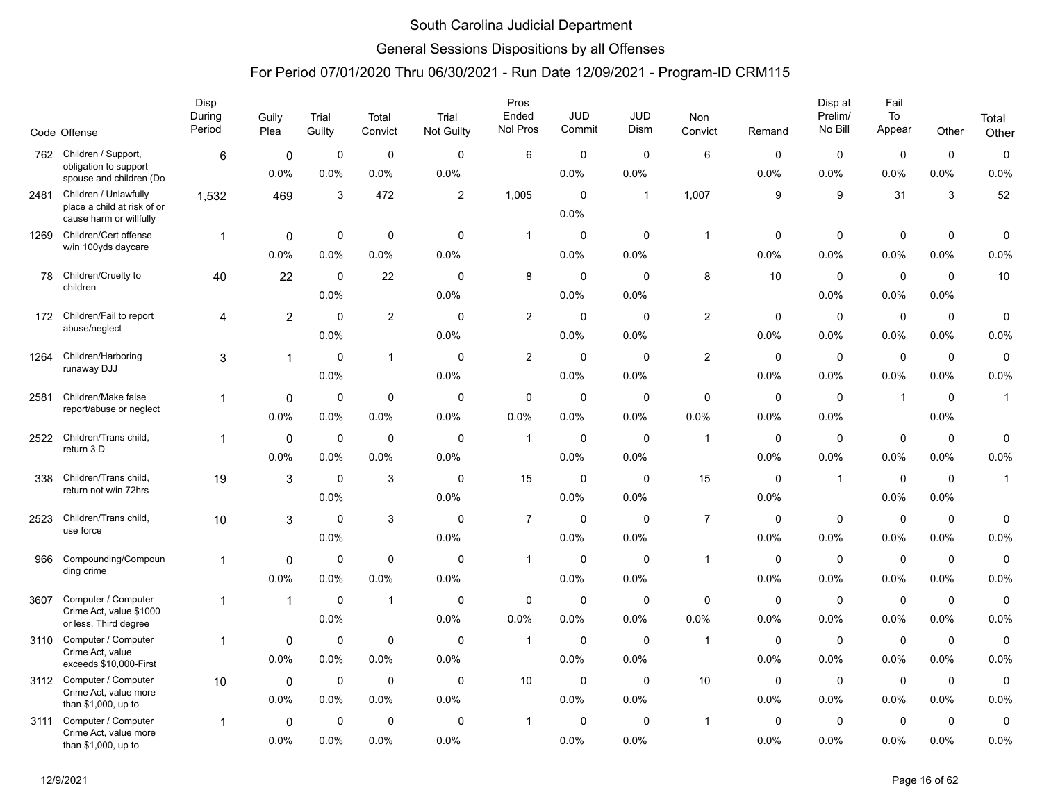### General Sessions Dispositions by all Offenses

|      | Code Offense                                                                    | Disp<br>During<br>Period | Guily<br>Plea          | Trial<br>Guilty     | Total<br>Convict    | Trial<br>Not Guilty | Pros<br>Ended<br>Nol Pros | <b>JUD</b><br>Commit | JUD<br>Dism         | Non<br>Convict      | Remand              | Disp at<br>Prelim/<br>No Bill | Fail<br>To<br>Appear   | Other               | Total<br>Other      |
|------|---------------------------------------------------------------------------------|--------------------------|------------------------|---------------------|---------------------|---------------------|---------------------------|----------------------|---------------------|---------------------|---------------------|-------------------------------|------------------------|---------------------|---------------------|
| 762  | Children / Support,                                                             | 6                        | 0                      | 0                   | $\mathbf 0$         | $\mathbf 0$         | 6                         | 0                    | $\Omega$            | 6                   | $\Omega$            | 0                             | $\mathbf 0$            | $\mathbf 0$         | 0                   |
|      | obligation to support<br>spouse and children (Do                                |                          | 0.0%                   | 0.0%                | 0.0%                | 0.0%                |                           | 0.0%                 | 0.0%                |                     | 0.0%                | 0.0%                          | 0.0%                   | 0.0%                | 0.0%                |
| 2481 | Children / Unlawfully<br>place a child at risk of or<br>cause harm or willfully | 1,532                    | 469                    | 3                   | 472                 | $\overline{2}$      | 1,005                     | 0<br>0.0%            | $\mathbf{1}$        | 1,007               | 9                   | 9                             | 31                     | 3                   | 52                  |
| 1269 | Children/Cert offense<br>w/in 100yds daycare                                    | $\overline{1}$           | 0<br>0.0%              | 0<br>0.0%           | $\mathbf 0$<br>0.0% | 0<br>0.0%           | $\mathbf{1}$              | $\mathbf 0$<br>0.0%  | 0<br>0.0%           | $\overline{1}$      | 0<br>0.0%           | 0<br>0.0%                     | $\pmb{0}$<br>0.0%      | $\mathbf 0$<br>0.0% | 0<br>0.0%           |
| 78   | Children/Cruelty to<br>children                                                 | 40                       | 22                     | $\mathbf 0$<br>0.0% | 22                  | 0<br>0.0%           | 8                         | 0<br>0.0%            | 0<br>0.0%           | 8                   | 10                  | 0<br>0.0%                     | $\mathbf 0$<br>0.0%    | $\mathbf 0$<br>0.0% | 10                  |
| 172  | Children/Fail to report<br>abuse/neglect                                        | 4                        | $\overline{c}$         | $\Omega$<br>0.0%    | $\overline{c}$      | $\Omega$<br>0.0%    | 2                         | $\mathbf 0$<br>0.0%  | $\Omega$<br>0.0%    | $\overline{c}$      | $\Omega$<br>0.0%    | $\mathbf{0}$<br>0.0%          | $\mathbf 0$<br>0.0%    | $\mathbf 0$<br>0.0% | 0<br>0.0%           |
| 1264 | Children/Harboring<br>runaway DJJ                                               | 3                        | $\mathbf{1}$           | 0<br>0.0%           | $\mathbf{1}$        | 0<br>0.0%           | 2                         | 0<br>0.0%            | $\Omega$<br>0.0%    | $\overline{c}$      | 0<br>0.0%           | 0<br>0.0%                     | 0<br>0.0%              | $\mathbf 0$<br>0.0% | 0<br>0.0%           |
| 2581 | Children/Make false<br>report/abuse or neglect                                  | 1                        | $\mathbf 0$<br>0.0%    | $\Omega$<br>0.0%    | $\mathbf 0$<br>0.0% | 0<br>0.0%           | 0<br>$0.0\%$              | $\mathbf 0$<br>0.0%  | 0<br>0.0%           | $\mathbf 0$<br>0.0% | 0<br>0.0%           | 0<br>0.0%                     | $\overline{1}$         | $\mathbf 0$<br>0.0% | $\mathbf{1}$        |
| 2522 | Children/Trans child,<br>return 3 D                                             | 1                        | $\mathbf 0$<br>0.0%    | 0<br>0.0%           | 0<br>0.0%           | $\mathbf 0$<br>0.0% | $\mathbf{1}$              | 0<br>0.0%            | $\mathbf 0$<br>0.0% | $\mathbf{1}$        | 0<br>0.0%           | 0<br>0.0%                     | $\mathbf 0$<br>0.0%    | 0<br>0.0%           | 0<br>0.0%           |
| 338  | Children/Trans child,<br>return not w/in 72hrs                                  | 19                       | $\mathsf 3$            | $\mathbf 0$<br>0.0% | 3                   | $\mathbf 0$<br>0.0% | 15                        | $\mathbf 0$<br>0.0%  | $\mathbf 0$<br>0.0% | 15                  | $\mathbf 0$<br>0.0% | $\mathbf{1}$                  | $\mathbf 0$<br>$0.0\%$ | $\mathbf 0$<br>0.0% | $\mathbf{1}$        |
| 2523 | Children/Trans child,<br>use force                                              | 10                       | 3                      | $\mathbf 0$<br>0.0% | 3                   | $\mathbf 0$<br>0.0% | $\overline{7}$            | 0<br>0.0%            | $\mathbf 0$<br>0.0% | $\overline{7}$      | $\mathbf 0$<br>0.0% | 0<br>0.0%                     | 0<br>0.0%              | 0<br>0.0%           | 0<br>0.0%           |
| 966  | Compounding/Compoun<br>ding crime                                               | 1                        | $\mathbf 0$<br>0.0%    | 0<br>0.0%           | $\mathbf 0$<br>0.0% | $\mathbf 0$<br>0.0% | $\mathbf{1}$              | $\mathbf 0$<br>0.0%  | $\mathbf 0$<br>0.0% | $\mathbf{1}$        | 0<br>0.0%           | 0<br>$0.0\%$                  | $\mathbf 0$<br>$0.0\%$ | $\mathbf 0$<br>0.0% | $\mathbf 0$<br>0.0% |
| 3607 | Computer / Computer<br>Crime Act, value \$1000<br>or less, Third degree         | 1                        | $\mathbf{1}$           | $\mathbf 0$<br>0.0% | $\mathbf{1}$        | 0<br>0.0%           | 0<br>0.0%                 | 0<br>0.0%            | 0<br>0.0%           | 0<br>0.0%           | 0<br>0.0%           | 0<br>0.0%                     | $\mathbf 0$<br>0.0%    | $\mathbf 0$<br>0.0% | $\mathbf 0$<br>0.0% |
| 3110 | Computer / Computer<br>Crime Act, value<br>exceeds \$10,000-First               | 1                        | $\mathbf 0$<br>$0.0\%$ | $\mathbf 0$<br>0.0% | $\mathbf 0$<br>0.0% | $\mathbf 0$<br>0.0% | $\mathbf{1}$              | 0<br>0.0%            | $\mathbf 0$<br>0.0% | $\overline{1}$      | $\mathbf 0$<br>0.0% | 0<br>0.0%                     | $\mathbf 0$<br>$0.0\%$ | $\mathbf 0$<br>0.0% | 0<br>0.0%           |
|      | 3112 Computer / Computer<br>Crime Act, value more<br>than \$1,000, up to        | 10                       | $\mathbf 0$<br>0.0%    | 0<br>0.0%           | 0<br>0.0%           | 0<br>0.0%           | 10                        | $\mathbf 0$<br>0.0%  | $\mathbf 0$<br>0.0% | 10                  | 0<br>0.0%           | 0<br>0.0%                     | 0<br>0.0%              | $\mathbf 0$<br>0.0% | 0<br>0.0%           |
| 3111 | Computer / Computer<br>Crime Act, value more<br>than \$1,000, up to             | 1                        | $\mathbf 0$<br>$0.0\%$ | $\mathbf 0$<br>0.0% | $\mathbf 0$<br>0.0% | $\mathbf 0$<br>0.0% | $\mathbf{1}$              | 0<br>0.0%            | $\mathbf 0$<br>0.0% | $\overline{1}$      | $\mathbf 0$<br>0.0% | $\mathbf 0$<br>0.0%           | $\mathbf 0$<br>0.0%    | $\mathbf 0$<br>0.0% | 0<br>0.0%           |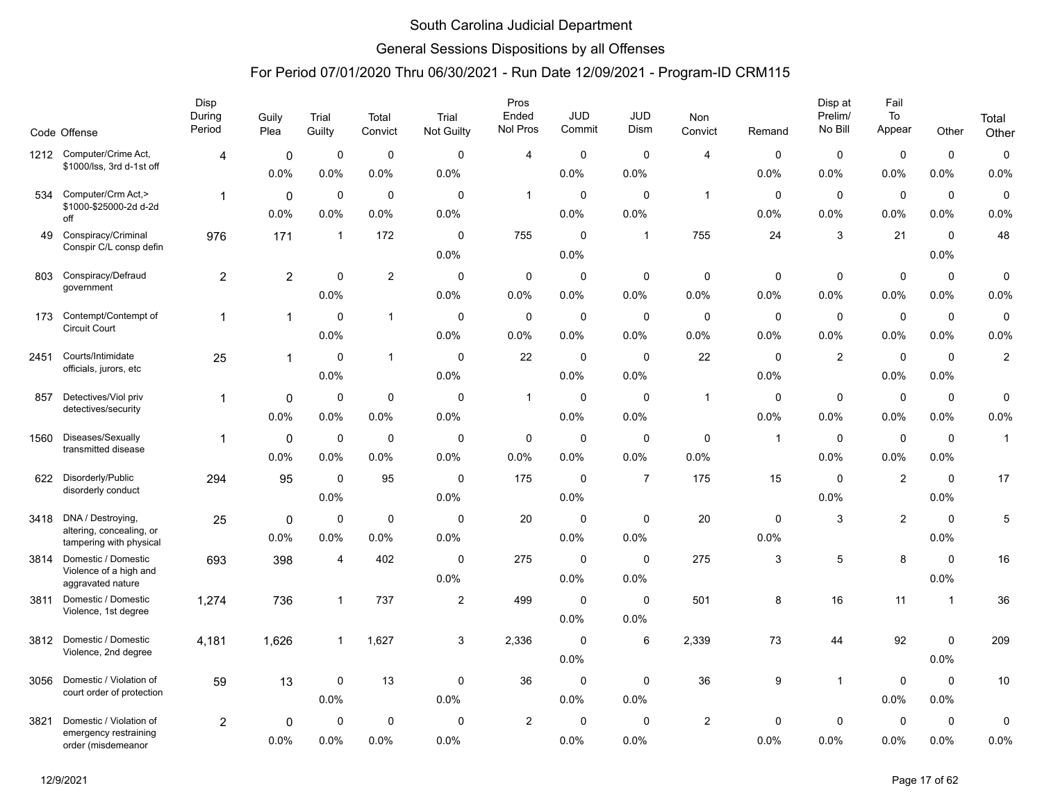### General Sessions Dispositions by all Offenses

|      | Code Offense                                         | Disp<br>During<br>Period | Guily<br>Plea  | Trial<br>Guilty | Total<br>Convict | Trial<br>Not Guilty | Pros<br>Ended<br>Nol Pros | <b>JUD</b><br>Commit | <b>JUD</b><br>Dism | Non<br>Convict | Remand       | Disp at<br>Prelim/<br>No Bill | Fail<br>To<br>Appear | Other        | Total<br>Other   |
|------|------------------------------------------------------|--------------------------|----------------|-----------------|------------------|---------------------|---------------------------|----------------------|--------------------|----------------|--------------|-------------------------------|----------------------|--------------|------------------|
|      | 1212 Computer/Crime Act,                             | 4                        | $\mathbf 0$    | 0               | $\mathbf 0$      | $\mathbf 0$         | $\overline{4}$            | 0                    | $\mathbf 0$        | $\overline{4}$ | 0            | 0                             | 0                    | $\mathbf 0$  | 0                |
|      | \$1000/lss, 3rd d-1st off                            |                          | 0.0%           | 0.0%            | 0.0%             | 0.0%                |                           | 0.0%                 | 0.0%               |                | 0.0%         | 0.0%                          | 0.0%                 | 0.0%         | 0.0%             |
| 534  | Computer/Crm Act,>                                   | $\overline{1}$           | $\mathbf 0$    | $\mathbf 0$     | $\mathbf 0$      | $\mathbf 0$         | $\mathbf{1}$              | $\mathbf 0$          | $\mathbf 0$        | $\overline{1}$ | $\mathbf 0$  | $\mathbf 0$                   | $\mathbf 0$          | $\mathbf 0$  | $\pmb{0}$        |
|      | \$1000-\$25000-2d d-2d<br>off                        |                          | 0.0%           | 0.0%            | 0.0%             | 0.0%                |                           | $0.0\%$              | 0.0%               |                | 0.0%         | 0.0%                          | 0.0%                 | 0.0%         | 0.0%             |
| 49   | Conspiracy/Criminal                                  | 976                      | 171            | $\mathbf{1}$    | 172              | $\mathbf 0$         | 755                       | $\mathbf 0$          | $\mathbf{1}$       | 755            | 24           | 3                             | 21                   | $\mathbf 0$  | 48               |
|      | Conspir C/L consp defin                              |                          |                |                 |                  | 0.0%                |                           | 0.0%                 |                    |                |              |                               |                      | 0.0%         |                  |
| 803  | Conspiracy/Defraud                                   | $\overline{c}$           | $\overline{2}$ | $\mathbf 0$     | $\overline{2}$   | $\mathbf 0$         | $\mathbf 0$               | $\mathbf 0$          | $\mathbf 0$        | $\mathbf 0$    | $\mathbf 0$  | $\mathbf 0$                   | $\mathbf 0$          | $\mathbf 0$  | 0                |
|      | government                                           |                          |                | 0.0%            |                  | 0.0%                | 0.0%                      | 0.0%                 | 0.0%               | 0.0%           | 0.0%         | 0.0%                          | 0.0%                 | 0.0%         | 0.0%             |
| 173  | Contempt/Contempt of<br>Circuit Court                | $\mathbf{1}$             | $\mathbf{1}$   | $\Omega$        | $\mathbf{1}$     | $\mathbf 0$         | $\mathbf 0$               | $\mathbf 0$          | $\mathbf 0$        | $\mathbf 0$    | $\mathbf 0$  | $\mathbf 0$                   | $\mathbf 0$          | $\mathbf 0$  | 0                |
|      |                                                      |                          |                | 0.0%            |                  | 0.0%                | 0.0%                      | 0.0%                 | 0.0%               | 0.0%           | 0.0%         | 0.0%                          | 0.0%                 | 0.0%         | 0.0%             |
| 2451 | Courts/Intimidate<br>officials, jurors, etc          | 25                       | $\mathbf{1}$   | 0               | $\mathbf{1}$     | $\mathbf 0$         | 22                        | $\mathbf 0$          | 0                  | 22             | 0            | $\overline{c}$                | $\mathbf 0$          | 0            | $\boldsymbol{2}$ |
|      |                                                      |                          |                | 0.0%            |                  | 0.0%                |                           | 0.0%                 | 0.0%               |                | 0.0%         |                               | 0.0%                 | 0.0%         |                  |
| 857  | Detectives/Viol priv<br>detectives/security          | 1                        | 0              | 0               | $\mathbf 0$      | 0                   | $\mathbf{1}$              | 0                    | 0                  | $\overline{1}$ | 0            | 0                             | $\mathbf 0$          | 0            | 0                |
|      |                                                      |                          | 0.0%           | 0.0%            | 0.0%             | 0.0%                |                           | $0.0\%$              | 0.0%               |                | 0.0%         | $0.0\%$                       | $0.0\%$              | 0.0%         | 0.0%             |
| 1560 | Diseases/Sexually<br>transmitted disease             | $\mathbf 1$              | $\mathbf 0$    | $\mathbf 0$     | $\mathbf 0$      | $\mathbf 0$         | 0                         | $\mathbf 0$          | $\mathbf 0$        | $\mathbf 0$    | $\mathbf{1}$ | $\mathbf 0$                   | $\mathbf 0$          | $\mathbf 0$  | $\mathbf{1}$     |
|      |                                                      |                          | 0.0%           | 0.0%            | 0.0%             | 0.0%                | 0.0%                      | $0.0\%$              | 0.0%               | 0.0%           |              | 0.0%                          | 0.0%                 | 0.0%         |                  |
| 622  | Disorderly/Public<br>disorderly conduct              | 294                      | 95             | $\mathbf 0$     | 95               | $\mathbf 0$         | 175                       | $\mathbf 0$          | $\overline{7}$     | 175            | 15           | $\mathbf 0$                   | $\overline{2}$       | $\mathbf 0$  | 17               |
|      |                                                      |                          |                | 0.0%            |                  | 0.0%                |                           | 0.0%                 |                    |                |              | 0.0%                          |                      | 0.0%         |                  |
| 3418 | DNA / Destroying,<br>altering, concealing, or        | 25                       | $\mathbf 0$    | $\mathbf 0$     | $\mathbf 0$      | $\mathbf 0$         | 20                        | $\mathbf 0$          | $\mathbf 0$        | 20             | $\mathbf 0$  | 3                             | $\overline{2}$       | $\mathbf 0$  | 5                |
|      | tampering with physical                              |                          | 0.0%           | 0.0%            | 0.0%             | 0.0%                |                           | 0.0%                 | 0.0%               |                | 0.0%         |                               |                      | 0.0%         |                  |
| 3814 | Domestic / Domestic<br>Violence of a high and        | 693                      | 398            | 4               | 402              | $\mathbf 0$         | 275                       | $\mathbf 0$          | $\mathbf 0$        | 275            | 3            | 5                             | 8                    | $\pmb{0}$    | 16               |
|      | aggravated nature                                    |                          |                |                 |                  | 0.0%                |                           | 0.0%                 | 0.0%               |                |              |                               |                      | 0.0%         |                  |
| 3811 | Domestic / Domestic<br>Violence, 1st degree          | 1,274                    | 736            | 1               | 737              | $\overline{2}$      | 499                       | $\mathbf 0$          | $\mathbf 0$        | 501            | 8            | 16                            | 11                   | $\mathbf{1}$ | 36               |
|      |                                                      |                          |                |                 |                  |                     |                           | 0.0%                 | 0.0%               |                |              |                               |                      |              |                  |
| 3812 | Domestic / Domestic<br>Violence, 2nd degree          | 4,181                    | 1,626          | 1               | 1,627            | 3                   | 2,336                     | $\mathbf 0$          | 6                  | 2,339          | 73           | 44                            | 92                   | $\mathbf 0$  | 209              |
|      |                                                      |                          |                |                 |                  |                     |                           | 0.0%                 |                    |                |              |                               |                      | 0.0%         |                  |
| 3056 | Domestic / Violation of<br>court order of protection | 59                       | 13             | 0               | 13               | 0                   | 36                        | 0                    | 0                  | 36             | 9            | $\mathbf{1}$                  | 0                    | $\mathbf 0$  | 10               |
|      |                                                      |                          |                | 0.0%            |                  | 0.0%                |                           | 0.0%                 | 0.0%               |                |              |                               | 0.0%                 | 0.0%         |                  |
| 3821 | Domestic / Violation of<br>emergency restraining     | $\overline{2}$           | 0              | $\mathbf 0$     | $\mathbf 0$      | $\mathbf 0$         | 2                         | 0                    | $\mathbf 0$        | $\overline{c}$ | 0            | 0                             | $\mathbf 0$          | $\mathbf 0$  | 0                |
|      | order (misdemeanor                                   |                          | 0.0%           | 0.0%            | 0.0%             | 0.0%                |                           | 0.0%                 | 0.0%               |                | 0.0%         | $0.0\%$                       | 0.0%                 | 0.0%         | 0.0%             |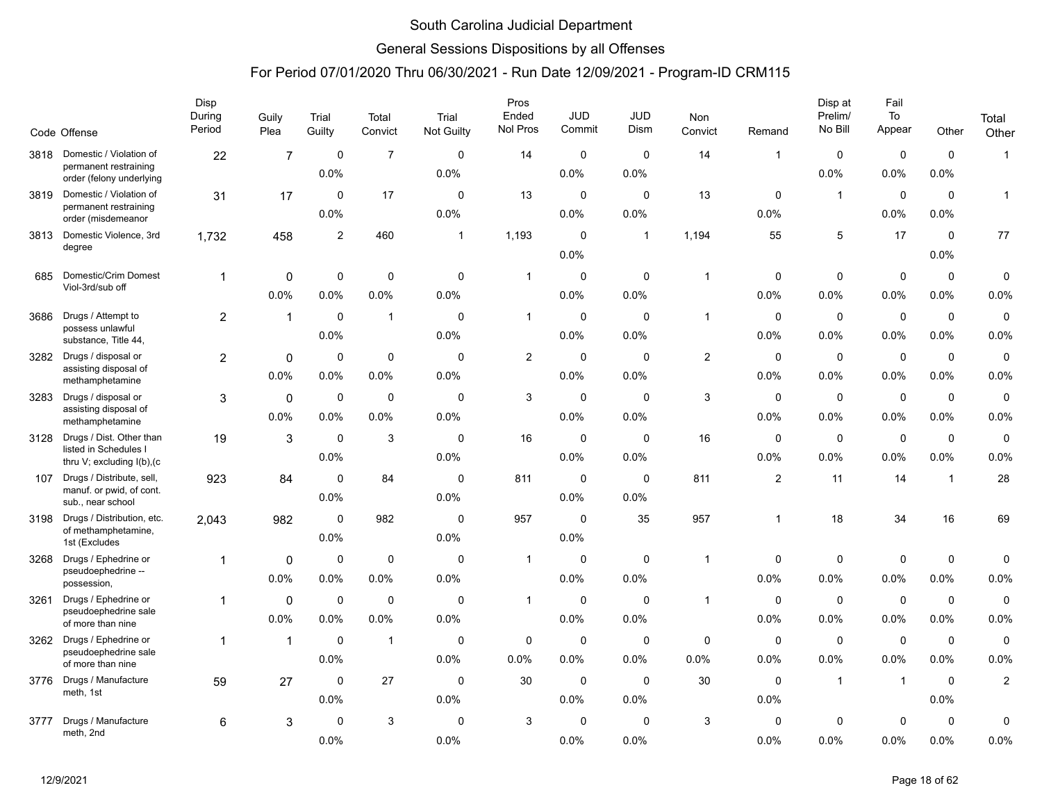### General Sessions Dispositions by all Offenses

|      |                                                                                 | Disp<br>During | Guily                  | Trial               | Total               | Trial               | Pros<br>Ended  | <b>JUD</b>             | JUD                 | Non                 |                     | Disp at<br>Prelim/     | Fail<br>To             |                     | Total               |
|------|---------------------------------------------------------------------------------|----------------|------------------------|---------------------|---------------------|---------------------|----------------|------------------------|---------------------|---------------------|---------------------|------------------------|------------------------|---------------------|---------------------|
|      | Code Offense                                                                    | Period         | Plea                   | Guilty              | Convict             | Not Guilty          | Nol Pros       | Commit                 | <b>Dism</b>         | Convict             | Remand              | No Bill                | Appear                 | Other               | Other               |
| 3818 | Domestic / Violation of<br>permanent restraining<br>order (felony underlying    | 22             | $\overline{7}$         | $\mathbf 0$<br>0.0% | $\overline{7}$      | $\mathbf 0$<br>0.0% | 14             | 0<br>0.0%              | $\mathbf 0$<br>0.0% | 14                  | $\mathbf 1$         | $\mathbf 0$<br>0.0%    | $\mathbf 0$<br>0.0%    | $\mathbf 0$<br>0.0% | $\mathbf{1}$        |
| 3819 | Domestic / Violation of<br>permanent restraining<br>order (misdemeanor          | 31             | 17                     | $\Omega$<br>0.0%    | 17                  | $\Omega$<br>0.0%    | 13             | $\mathbf 0$<br>0.0%    | $\Omega$<br>0.0%    | 13                  | $\Omega$<br>0.0%    | $\mathbf{1}$           | $\mathbf 0$<br>0.0%    | $\mathbf 0$<br>0.0% | $\mathbf{1}$        |
| 3813 | Domestic Violence, 3rd<br>degree                                                | 1,732          | 458                    | $\overline{c}$      | 460                 | $\mathbf{1}$        | 1,193          | $\mathbf 0$<br>0.0%    | $\overline{1}$      | 1,194               | 55                  | 5                      | 17                     | $\mathbf 0$<br>0.0% | 77                  |
| 685  | Domestic/Crim Domest<br>Viol-3rd/sub off                                        | $\overline{1}$ | $\mathbf 0$<br>0.0%    | $\pmb{0}$<br>0.0%   | $\mathbf 0$<br>0.0% | $\pmb{0}$<br>0.0%   | $\mathbf{1}$   | $\mathbf 0$<br>0.0%    | $\mathbf 0$<br>0.0% | $\overline{1}$      | $\mathbf 0$<br>0.0% | 0<br>0.0%              | $\pmb{0}$<br>0.0%      | $\mathbf 0$<br>0.0% | $\pmb{0}$<br>0.0%   |
| 3686 | Drugs / Attempt to<br>possess unlawful<br>substance, Title 44,                  | $\overline{a}$ | $\mathbf{1}$           | $\mathbf 0$<br>0.0% | $\mathbf{1}$        | $\Omega$<br>0.0%    | $\mathbf{1}$   | $\mathbf 0$<br>0.0%    | $\Omega$<br>0.0%    | $\mathbf{1}$        | $\mathbf 0$<br>0.0% | $\mathbf 0$<br>0.0%    | $\mathbf 0$<br>0.0%    | $\mathbf 0$<br>0.0% | 0<br>0.0%           |
| 3282 | Drugs / disposal or<br>assisting disposal of<br>methamphetamine                 | $\overline{a}$ | $\Omega$<br>0.0%       | $\mathbf 0$<br>0.0% | $\mathbf 0$<br>0.0% | $\mathbf 0$<br>0.0% | $\overline{c}$ | $\mathbf 0$<br>0.0%    | $\mathbf 0$<br>0.0% | $\mathbf{2}$        | $\mathbf 0$<br>0.0% | $\mathbf 0$<br>0.0%    | $\mathbf 0$<br>0.0%    | $\mathbf 0$<br>0.0% | $\pmb{0}$<br>0.0%   |
| 3283 | Drugs / disposal or<br>assisting disposal of<br>methamphetamine                 | 3              | $\mathbf 0$<br>$0.0\%$ | $\mathbf 0$<br>0.0% | $\mathbf 0$<br>0.0% | $\mathbf 0$<br>0.0% | 3              | $\mathbf 0$<br>0.0%    | $\mathbf 0$<br>0.0% | 3                   | $\mathbf 0$<br>0.0% | 0<br>$0.0\%$           | $\mathbf 0$<br>$0.0\%$ | $\mathbf 0$<br>0.0% | $\mathbf 0$<br>0.0% |
| 3128 | Drugs / Dist. Other than<br>listed in Schedules I<br>thru V; excluding I(b), (c | 19             | 3                      | $\Omega$<br>0.0%    | 3                   | $\Omega$<br>0.0%    | 16             | $\mathbf 0$<br>0.0%    | $\Omega$<br>0.0%    | 16                  | $\mathbf 0$<br>0.0% | $\mathbf 0$<br>0.0%    | $\mathbf 0$<br>0.0%    | $\mathbf 0$<br>0.0% | 0<br>0.0%           |
| 107  | Drugs / Distribute, sell,<br>manuf. or pwid, of cont.<br>sub., near school      | 923            | 84                     | $\mathbf 0$<br>0.0% | 84                  | $\mathbf 0$<br>0.0% | 811            | $\mathbf 0$<br>$0.0\%$ | $\mathbf 0$<br>0.0% | 811                 | 2                   | 11                     | 14                     | $\mathbf{1}$        | 28                  |
| 3198 | Drugs / Distribution, etc.<br>of methamphetamine,<br>1st (Excludes              | 2,043          | 982                    | $\mathbf 0$<br>0.0% | 982                 | $\Omega$<br>0.0%    | 957            | $\mathbf 0$<br>0.0%    | 35                  | 957                 | $\mathbf 1$         | 18                     | 34                     | 16                  | 69                  |
| 3268 | Drugs / Ephedrine or<br>pseudoephedrine --<br>possession,                       | 1              | 0<br>0.0%              | $\mathbf 0$<br>0.0% | $\mathbf 0$<br>0.0% | $\mathbf 0$<br>0.0% | $\mathbf{1}$   | $\mathbf 0$<br>0.0%    | $\mathbf 0$<br>0.0% | $\overline{1}$      | $\mathbf 0$<br>0.0% | $\mathbf 0$<br>0.0%    | $\mathsf 0$<br>0.0%    | $\pmb{0}$<br>0.0%   | 0<br>0.0%           |
| 3261 | Drugs / Ephedrine or<br>pseudoephedrine sale<br>of more than nine               | 1              | $\mathbf 0$<br>0.0%    | $\mathbf 0$<br>0.0% | $\mathbf 0$<br>0.0% | $\mathbf 0$<br>0.0% | $\mathbf{1}$   | $\mathbf 0$<br>$0.0\%$ | $\mathbf 0$<br>0.0% | $\overline{1}$      | $\mathbf 0$<br>0.0% | $\mathbf 0$<br>$0.0\%$ | $\mathbf 0$<br>0.0%    | $\mathbf 0$<br>0.0% | 0<br>0.0%           |
| 3262 | Drugs / Ephedrine or<br>pseudoephedrine sale<br>of more than nine               | $\overline{1}$ | $\mathbf{1}$           | $\mathbf 0$<br>0.0% | $\mathbf{1}$        | $\mathbf 0$<br>0.0% | 0<br>0.0%      | $\mathbf 0$<br>0.0%    | $\mathbf 0$<br>0.0% | $\mathbf 0$<br>0.0% | $\mathbf 0$<br>0.0% | $\mathbf 0$<br>0.0%    | $\mathbf 0$<br>0.0%    | $\mathbf 0$<br>0.0% | 0<br>0.0%           |
| 3776 | Drugs / Manufacture<br>meth, 1st                                                | 59             | 27                     | $\mathbf 0$<br>0.0% | 27                  | $\mathbf 0$<br>0.0% | 30             | $\mathbf 0$<br>0.0%    | $\mathbf 0$<br>0.0% | 30                  | $\Omega$<br>0.0%    | $\mathbf{1}$           | $\overline{1}$         | $\mathbf 0$<br>0.0% | $\overline{c}$      |
| 3777 | Drugs / Manufacture<br>meth, 2nd                                                | 6              | 3                      | $\mathbf 0$<br>0.0% | 3                   | $\mathbf 0$<br>0.0% | 3              | $\mathbf 0$<br>0.0%    | $\mathbf 0$<br>0.0% | 3                   | 0<br>0.0%           | 0<br>0.0%              | $\mathbf 0$<br>0.0%    | 0<br>0.0%           | 0<br>0.0%           |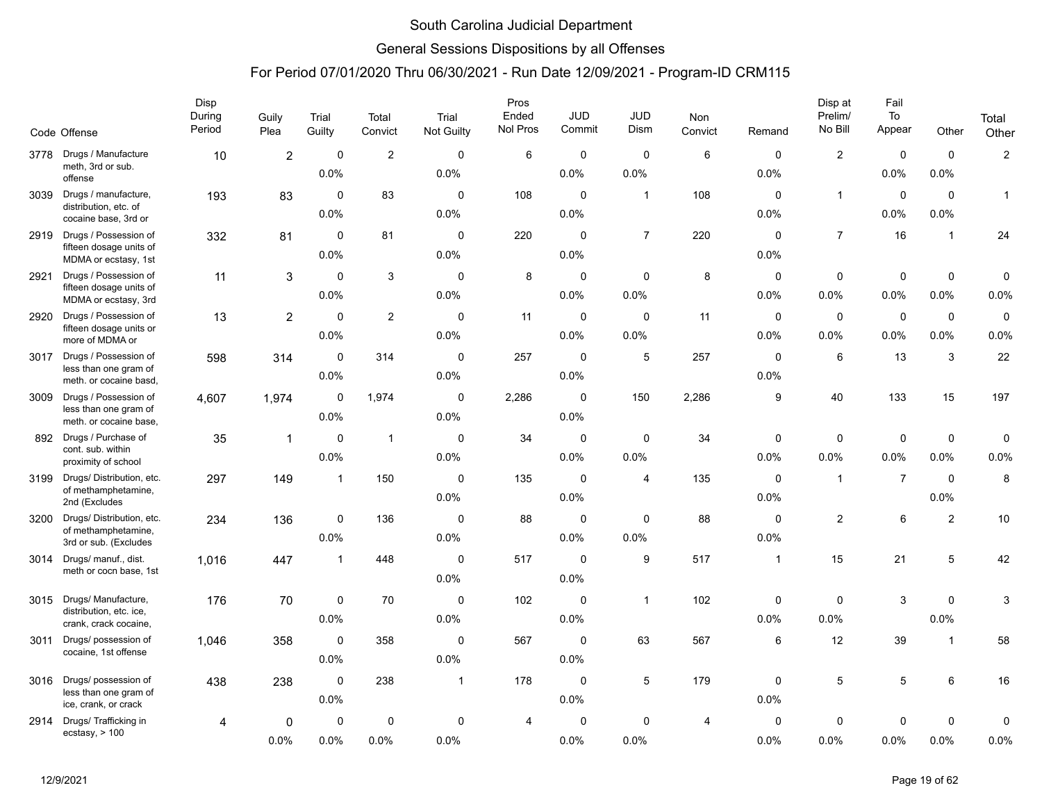### General Sessions Dispositions by all Offenses

|      |                                                  | Disp<br>During | Guily          | Trial          | Total          | Trial          | Pros<br>Ended | <b>JUD</b>  | JUD            | Non            |                | Disp at<br>Prelim/ | Fail<br>$\operatorname{\mathsf{To}}$ |                | Total          |
|------|--------------------------------------------------|----------------|----------------|----------------|----------------|----------------|---------------|-------------|----------------|----------------|----------------|--------------------|--------------------------------------|----------------|----------------|
|      | Code Offense                                     | Period         | Plea           | Guilty         | Convict        | Not Guilty     | Nol Pros      | Commit      | Dism           | Convict        | Remand         | No Bill            | Appear                               | Other          | Other          |
| 3778 | Drugs / Manufacture<br>meth, 3rd or sub.         | 10             | $\overline{2}$ | $\pmb{0}$      | $\overline{2}$ | $\mathbf 0$    | 6             | $\mathbf 0$ | $\mathbf 0$    | $\,6\,$        | $\mathbf 0$    | $\mathbf{2}$       | $\pmb{0}$                            | $\pmb{0}$      | $\overline{2}$ |
|      | offense                                          |                |                | 0.0%           |                | 0.0%           |               | 0.0%        | 0.0%           |                | 0.0%           |                    | 0.0%                                 | 0.0%           |                |
| 3039 | Drugs / manufacture,<br>distribution, etc. of    | 193            | 83             | $\mathbf 0$    | 83             | $\mathbf 0$    | 108           | $\mathbf 0$ | $\mathbf{1}$   | 108            | $\mathbf 0$    | $\mathbf{1}$       | $\mathbf 0$                          | $\mathbf 0$    | 1              |
|      | cocaine base, 3rd or                             |                |                | 0.0%           |                | 0.0%           |               | 0.0%        |                |                | 0.0%           |                    | 0.0%                                 | 0.0%           |                |
| 2919 | Drugs / Possession of<br>fifteen dosage units of | 332            | 81             | $\mathbf 0$    | 81             | $\mathbf 0$    | 220           | $\mathbf 0$ | $\overline{7}$ | 220            | 0              | $\overline{7}$     | 16                                   | $\overline{1}$ | 24             |
|      | MDMA or ecstasy, 1st                             |                |                | 0.0%           |                | 0.0%           |               | 0.0%        |                |                | 0.0%           |                    |                                      |                |                |
| 2921 | Drugs / Possession of<br>fifteen dosage units of | 11             | 3              | $\mathbf 0$    | 3              | $\mathbf 0$    | 8             | 0           | $\mathbf 0$    | $\bf 8$        | 0              | $\pmb{0}$          | $\pmb{0}$                            | $\pmb{0}$      | 0              |
|      | MDMA or ecstasy, 3rd                             |                |                | 0.0%           |                | 0.0%           |               | 0.0%        | 0.0%           |                | 0.0%           | 0.0%               | 0.0%                                 | 0.0%           | 0.0%           |
| 2920 | Drugs / Possession of                            | 13             | $\overline{2}$ | $\mathbf 0$    | $\overline{2}$ | $\mathbf 0$    | 11            | $\mathbf 0$ | $\mathbf 0$    | 11             | $\mathbf 0$    | $\mathbf 0$        | $\pmb{0}$                            | $\pmb{0}$      | $\pmb{0}$      |
|      | fifteen dosage units or<br>more of MDMA or       |                |                | 0.0%           |                | 0.0%           |               | 0.0%        | 0.0%           |                | 0.0%           | 0.0%               | 0.0%                                 | 0.0%           | 0.0%           |
| 3017 | Drugs / Possession of                            | 598            | 314            | $\mathbf 0$    | 314            | $\mathbf 0$    | 257           | $\mathbf 0$ | $\,$ 5 $\,$    | 257            | $\mathbf 0$    | 6                  | 13                                   | $\sqrt{3}$     | 22             |
|      | less than one gram of<br>meth. or cocaine basd,  |                |                | 0.0%           |                | 0.0%           |               | 0.0%        |                |                | 0.0%           |                    |                                      |                |                |
| 3009 | Drugs / Possession of                            | 4,607          | 1,974          | $\mathbf 0$    | 1,974          | $\mathbf 0$    | 2.286         | $\mathbf 0$ | 150            | 2,286          | 9              | 40                 | 133                                  | 15             | 197            |
|      | less than one gram of<br>meth. or cocaine base,  |                |                | 0.0%           |                | 0.0%           |               | 0.0%        |                |                |                |                    |                                      |                |                |
| 892  | Drugs / Purchase of                              | 35             | $\overline{1}$ | $\mathbf 0$    | $\mathbf{1}$   | $\mathbf 0$    | 34            | $\mathbf 0$ | $\mathbf 0$    | 34             | 0              | $\mathbf 0$        | $\pmb{0}$                            | $\pmb{0}$      | $\pmb{0}$      |
|      | cont. sub. within<br>proximity of school         |                |                | 0.0%           |                | 0.0%           |               | 0.0%        | 0.0%           |                | 0.0%           | 0.0%               | 0.0%                                 | 0.0%           | 0.0%           |
| 3199 | Drugs/ Distribution, etc.                        | 297            | 149            | $\overline{1}$ | 150            | $\mathbf 0$    | 135           | $\mathbf 0$ | 4              | 135            | $\mathbf 0$    | $\mathbf{1}$       | $\overline{7}$                       | $\mathbf 0$    | 8              |
|      | of methamphetamine,<br>2nd (Excludes             |                |                |                |                | 0.0%           |               | 0.0%        |                |                | 0.0%           |                    |                                      | 0.0%           |                |
| 3200 | Drugs/ Distribution, etc.                        | 234            | 136            | $\mathbf 0$    | 136            | $\mathbf 0$    | 88            | $\mathbf 0$ | $\mathbf 0$    | 88             | 0              | $\overline{2}$     | $\,6$                                | $\overline{2}$ | 10             |
|      | of methamphetamine,<br>3rd or sub. (Excludes     |                |                | 0.0%           |                | 0.0%           |               | 0.0%        | 0.0%           |                | 0.0%           |                    |                                      |                |                |
| 3014 | Drugs/ manuf., dist.                             | 1,016          | 447            | $\mathbf 1$    | 448            | $\mathbf 0$    | 517           | $\mathbf 0$ | 9              | 517            | $\overline{1}$ | 15                 | 21                                   | $\sqrt{5}$     | 42             |
|      | meth or cocn base, 1st                           |                |                |                |                | 0.0%           |               | 0.0%        |                |                |                |                    |                                      |                |                |
| 3015 | Drugs/ Manufacture,                              | 176            | 70             | $\mathbf 0$    | 70             | $\mathbf 0$    | 102           | $\mathbf 0$ | $\mathbf{1}$   | 102            | 0              | $\mathbf 0$        | 3                                    | $\mathbf 0$    | 3              |
|      | distribution, etc. ice,<br>crank, crack cocaine, |                |                | 0.0%           |                | 0.0%           |               | 0.0%        |                |                | 0.0%           | 0.0%               |                                      | 0.0%           |                |
| 3011 | Drugs/ possession of                             | 1,046          | 358            | $\mathbf 0$    | 358            | $\mathbf 0$    | 567           | $\mathbf 0$ | 63             | 567            | 6              | 12                 | 39                                   | $\overline{1}$ | 58             |
|      | cocaine, 1st offense                             |                |                | 0.0%           |                | 0.0%           |               | 0.0%        |                |                |                |                    |                                      |                |                |
| 3016 | Drugs/ possession of                             | 438            | 238            | $\mathbf 0$    | 238            | $\overline{1}$ | 178           | $\mathbf 0$ | 5              | 179            | 0              | 5                  | $\sqrt{5}$                           | 6              | 16             |
|      | less than one gram of<br>ice, crank, or crack    |                |                | 0.0%           |                |                |               | 0.0%        |                |                | 0.0%           |                    |                                      |                |                |
| 2914 | Drugs/ Trafficking in                            | 4              | 0              | $\mathbf 0$    | $\mathbf 0$    | $\mathbf 0$    | 4             | $\Omega$    | 0              | $\overline{4}$ | $\mathbf 0$    | $\mathbf 0$        | $\mathbf 0$                          | $\mathbf 0$    | $\mathbf 0$    |
|      | ecstasy, > 100                                   |                | 0.0%           | 0.0%           | 0.0%           | 0.0%           |               | 0.0%        | 0.0%           |                | 0.0%           | 0.0%               | 0.0%                                 | 0.0%           | 0.0%           |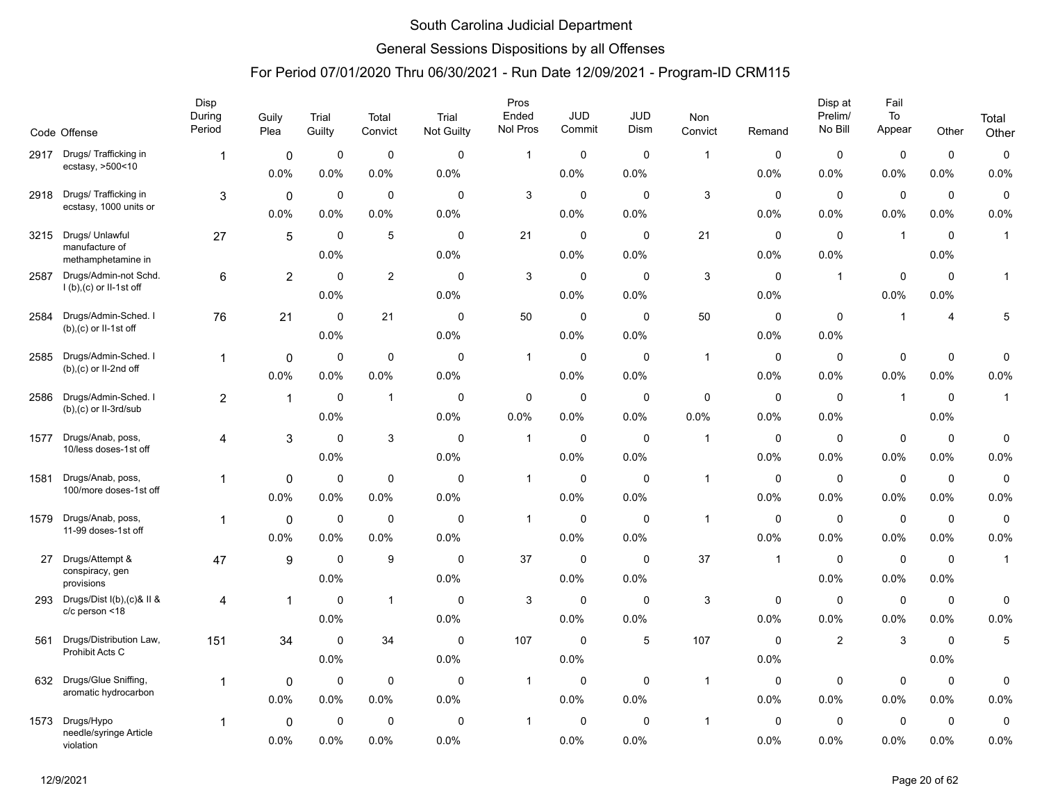### General Sessions Dispositions by all Offenses

|      | Code Offense                         | Disp<br>During<br>Period | Guily<br>Plea  | Trial<br>Guilty | Total<br>Convict | Trial<br>Not Guilty | Pros<br>Ended<br>Nol Pros | <b>JUD</b><br>Commit | <b>JUD</b><br>Dism | <b>Non</b><br>Convict | Remand       | Disp at<br>Prelim/<br>No Bill | Fail<br>To<br>Appear | Other          | Total<br>Other |
|------|--------------------------------------|--------------------------|----------------|-----------------|------------------|---------------------|---------------------------|----------------------|--------------------|-----------------------|--------------|-------------------------------|----------------------|----------------|----------------|
| 2917 | Drugs/ Trafficking in                | 1                        | 0              | 0               | $\mathbf 0$      | $\Omega$            | $\mathbf{1}$              | 0                    | $\Omega$           | $\mathbf{1}$          | 0            | $\mathbf 0$                   | $\pmb{0}$            | $\mathbf 0$    | $\mathsf 0$    |
|      | ecstasy, >500<10                     |                          | 0.0%           | 0.0%            | 0.0%             | 0.0%                |                           | 0.0%                 | 0.0%               |                       | 0.0%         | 0.0%                          | 0.0%                 | 0.0%           | 0.0%           |
| 2918 | Drugs/ Trafficking in                | 3                        | 0              | $\Omega$        | 0                | $\Omega$            | 3                         | 0                    | $\Omega$           | $\mathbf{3}$          | $\mathbf{0}$ | $\mathbf 0$                   | $\mathbf 0$          | $\mathbf 0$    | $\pmb{0}$      |
|      | ecstasy, 1000 units or               |                          | 0.0%           | 0.0%            | 0.0%             | 0.0%                |                           | 0.0%                 | 0.0%               |                       | 0.0%         | 0.0%                          | 0.0%                 | 0.0%           | 0.0%           |
| 3215 | Drugs/ Unlawful                      | 27                       | $\sqrt{5}$     | $\mathbf 0$     | $\,$ 5 $\,$      | $\mathbf 0$         | 21                        | 0                    | $\mathbf 0$        | 21                    | 0            | $\mathbf 0$                   | $\overline{1}$       | $\mathbf 0$    | $\mathbf{1}$   |
|      | manufacture of<br>methamphetamine in |                          |                | 0.0%            |                  | 0.0%                |                           | 0.0%                 | 0.0%               |                       | 0.0%         | 0.0%                          |                      | 0.0%           |                |
| 2587 | Drugs/Admin-not Schd.                | 6                        | $\overline{2}$ | $\Omega$        | 2                | 0                   | 3                         | 0                    | $\Omega$           | 3                     | 0            | $\overline{1}$                | $\mathbf 0$          | 0              | $\mathbf{1}$   |
|      | $I(b)$ , (c) or II-1st off           |                          |                | 0.0%            |                  | 0.0%                |                           | 0.0%                 | 0.0%               |                       | 0.0%         |                               | 0.0%                 | 0.0%           |                |
| 2584 | Drugs/Admin-Sched. I                 | 76                       | 21             | $\Omega$        | 21               | $\Omega$            | 50                        | $\mathbf 0$          | $\Omega$           | 50                    | $\Omega$     | $\mathbf{0}$                  | $\overline{1}$       | $\overline{4}$ | 5              |
|      | $(b)$ , $(c)$ or II-1st off          |                          |                | 0.0%            |                  | 0.0%                |                           | 0.0%                 | 0.0%               |                       | 0.0%         | 0.0%                          |                      |                |                |
| 2585 | Drugs/Admin-Sched. I                 | $\mathbf{1}$             | 0              | 0               | 0                | $\mathbf 0$         | $\mathbf{1}$              | 0                    | $\Omega$           | $\mathbf{1}$          | 0            | 0                             | $\pmb{0}$            | 0              | 0              |
|      | $(b)$ , $(c)$ or II-2nd off          |                          | 0.0%           | 0.0%            | 0.0%             | 0.0%                |                           | 0.0%                 | 0.0%               |                       | 0.0%         | 0.0%                          | 0.0%                 | 0.0%           | 0.0%           |
| 2586 | Drugs/Admin-Sched. I                 | $\overline{2}$           | $\overline{1}$ | $\mathbf 0$     | $\mathbf 1$      | $\Omega$            | $\mathbf 0$               | $\mathbf 0$          | $\mathbf 0$        | $\mathbf 0$           | 0            | $\mathbf 0$                   | $\overline{1}$       | $\mathbf 0$    | $\mathbf{1}$   |
|      | $(b)$ , $(c)$ or II-3rd/sub          |                          |                | 0.0%            |                  | 0.0%                | $0.0\%$                   | $0.0\%$              | 0.0%               | 0.0%                  | 0.0%         | 0.0%                          |                      | 0.0%           |                |
| 1577 | Drugs/Anab, poss,                    | 4                        | 3              | $\mathbf 0$     | 3                | 0                   | $\overline{1}$            | 0                    | $\mathbf 0$        | $\overline{1}$        | 0            | 0                             | $\mathbf 0$          | $\mathbf 0$    | 0              |
|      | 10/less doses-1st off                |                          |                | 0.0%            |                  | 0.0%                |                           | 0.0%                 | 0.0%               |                       | 0.0%         | 0.0%                          | 0.0%                 | 0.0%           | 0.0%           |
| 1581 | Drugs/Anab, poss,                    | 1                        | 0              | $\mathbf 0$     | $\mathbf 0$      | $\mathbf 0$         | $\mathbf{1}$              | $\mathbf 0$          | $\mathbf 0$        | $\mathbf{1}$          | 0            | $\mathbf 0$                   | $\mathbf 0$          | $\mathbf 0$    | $\mathbf 0$    |
|      | 100/more doses-1st off               |                          | 0.0%           | 0.0%            | 0.0%             | 0.0%                |                           | 0.0%                 | 0.0%               |                       | 0.0%         | 0.0%                          | 0.0%                 | 0.0%           | 0.0%           |
| 1579 | Drugs/Anab, poss,                    | 1                        | 0              | $\mathbf 0$     | 0                | $\mathbf 0$         | $\overline{1}$            | 0                    | $\mathbf 0$        | $\overline{1}$        | 0            | 0                             | $\mathbf 0$          | $\mathbf 0$    | $\mathbf 0$    |
|      | 11-99 doses-1st off                  |                          | 0.0%           | 0.0%            | 0.0%             | 0.0%                |                           | 0.0%                 | 0.0%               |                       | 0.0%         | 0.0%                          | 0.0%                 | 0.0%           | 0.0%           |
| 27   | Drugs/Attempt &                      | 47                       | 9              | $\mathbf 0$     | 9                | $\mathbf 0$         | 37                        | $\mathbf 0$          | $\mathbf 0$        | 37                    | $\mathbf{1}$ | $\mathbf 0$                   | $\pmb{0}$            | $\mathbf 0$    | $\mathbf{1}$   |
|      | conspiracy, gen<br>provisions        |                          |                | 0.0%            |                  | 0.0%                |                           | 0.0%                 | 0.0%               |                       |              | 0.0%                          | 0.0%                 | 0.0%           |                |
| 293  | Drugs/Dist I(b), (c)& II &           | 4                        | 1              | 0               | $\mathbf{1}$     | 0                   | 3                         | 0                    | $\mathbf 0$        | $\mathsf 3$           | 0            | 0                             | $\mathbf 0$          | $\mathbf 0$    | 0              |
|      | c/c person <18                       |                          |                | 0.0%            |                  | 0.0%                |                           | 0.0%                 | 0.0%               |                       | 0.0%         | 0.0%                          | 0.0%                 | 0.0%           | 0.0%           |
| 561  | Drugs/Distribution Law,              | 151                      | 34             | $\mathbf 0$     | 34               | $\mathbf 0$         | 107                       | $\mathbf 0$          | 5                  | 107                   | $\mathbf 0$  | $\sqrt{2}$                    | 3                    | $\mathbf 0$    | $\,$ 5 $\,$    |
|      | Prohibit Acts C                      |                          |                | 0.0%            |                  | 0.0%                |                           | 0.0%                 |                    |                       | 0.0%         |                               |                      | 0.0%           |                |
|      | 632 Drugs/Glue Sniffing,             | 1                        | 0              | 0               | $\mathbf 0$      | 0                   | $\overline{1}$            | 0                    | $\mathbf 0$        | $\overline{1}$        | 0            | $\mathbf 0$                   | $\mathbf 0$          | $\mathbf 0$    | 0              |
|      | aromatic hydrocarbon                 |                          | 0.0%           | 0.0%            | 0.0%             | 0.0%                |                           | 0.0%                 | 0.0%               |                       | 0.0%         | 0.0%                          | 0.0%                 | 0.0%           | 0.0%           |
| 1573 | Drugs/Hypo                           | 1                        | $\mathbf 0$    | $\mathbf 0$     | $\mathbf 0$      | $\mathbf 0$         | $\mathbf{1}$              | $\mathbf 0$          | $\mathbf 0$        | $\mathbf{1}$          | $\mathbf 0$  | $\mathbf 0$                   | $\pmb{0}$            | $\mathbf 0$    | $\mathbf 0$    |
|      | needle/syringe Article<br>violation  |                          | $0.0\%$        | 0.0%            | 0.0%             | 0.0%                |                           | 0.0%                 | 0.0%               |                       | 0.0%         | 0.0%                          | 0.0%                 | 0.0%           | 0.0%           |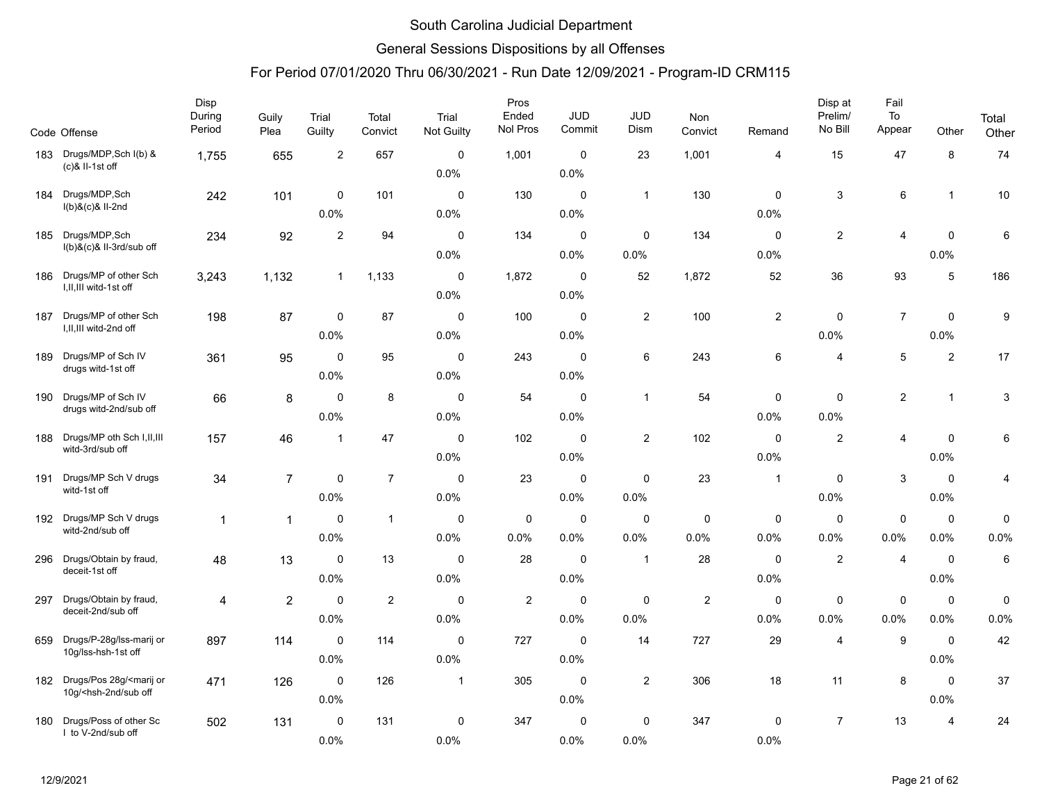### General Sessions Dispositions by all Offenses

|     | Code Offense                                                                                                                                                                                                                                                                                               | Disp<br>During<br>Period | Guily<br>Plea  | Trial<br>Guilty     | Total<br>Convict | Trial<br>Not Guilty | Pros<br>Ended<br>Nol Pros | <b>JUD</b><br>Commit | JUD<br>Dism    | Non<br>Convict | Remand         | Disp at<br>Prelim/<br>No Bill | Fail<br>To<br>Appear | Other          | Total<br>Other            |
|-----|------------------------------------------------------------------------------------------------------------------------------------------------------------------------------------------------------------------------------------------------------------------------------------------------------------|--------------------------|----------------|---------------------|------------------|---------------------|---------------------------|----------------------|----------------|----------------|----------------|-------------------------------|----------------------|----------------|---------------------------|
| 183 | Drugs/MDP, Sch I(b) &<br>$(c)$ & II-1st off                                                                                                                                                                                                                                                                | 1,755                    | 655            | $\overline{2}$      | 657              | $\Omega$            | 1,001                     | $\mathbf 0$          | 23             | 1,001          | 4              | 15                            | 47                   | 8              | 74                        |
|     |                                                                                                                                                                                                                                                                                                            |                          |                |                     |                  | 0.0%                |                           | 0.0%                 |                |                |                |                               |                      |                |                           |
| 184 | Drugs/MDP, Sch<br>I(b)&(c)& II-2nd                                                                                                                                                                                                                                                                         | 242                      | 101            | $\mathbf 0$         | 101              | $\mathbf 0$         | 130                       | $\pmb{0}$            | $\mathbf{1}$   | 130            | $\mathbf 0$    | 3                             | 6                    | $\mathbf{1}$   | $10$                      |
|     |                                                                                                                                                                                                                                                                                                            |                          |                | 0.0%                |                  | 0.0%                |                           | 0.0%                 |                |                | 0.0%           |                               |                      |                |                           |
| 185 | Drugs/MDP, Sch<br>I(b)&(c)& II-3rd/sub off                                                                                                                                                                                                                                                                 | 234                      | 92             | 2                   | 94               | $\mathbf 0$         | 134                       | $\mathbf 0$          | $\mathbf 0$    | 134            | $\mathbf 0$    | $\overline{c}$                | 4                    | $\mathbf 0$    | 6                         |
|     |                                                                                                                                                                                                                                                                                                            |                          |                |                     |                  | 0.0%                |                           | 0.0%                 | 0.0%           |                | 0.0%           |                               |                      | 0.0%           |                           |
| 186 | Drugs/MP of other Sch                                                                                                                                                                                                                                                                                      | 3,243                    | 1,132          | $\mathbf{1}$        | 1,133            | $\mathbf 0$         | 1,872                     | $\mathbf 0$          | 52             | 1,872          | 52             | 36                            | 93                   | $\sqrt{5}$     | 186                       |
|     | I, II, III witd-1st off                                                                                                                                                                                                                                                                                    |                          |                |                     |                  | 0.0%                |                           | 0.0%                 |                |                |                |                               |                      |                |                           |
| 187 | Drugs/MP of other Sch                                                                                                                                                                                                                                                                                      | 198                      | 87             | $\mathbf 0$         | 87               | $\mathbf 0$         | 100                       | $\mathbf 0$          | $\overline{2}$ | 100            | $\overline{2}$ | 0                             | $\overline{7}$       | $\mathbf 0$    | 9                         |
|     | I, II, III witd-2nd off                                                                                                                                                                                                                                                                                    |                          |                | 0.0%                |                  | 0.0%                |                           | 0.0%                 |                |                |                | 0.0%                          |                      | 0.0%           |                           |
| 189 | Drugs/MP of Sch IV                                                                                                                                                                                                                                                                                         | 361                      | 95             | $\mathbf 0$         | 95               | $\mathbf 0$         | 243                       | $\mathbf 0$          | 6              | 243            | 6              | 4                             | 5                    | $\overline{2}$ | 17                        |
|     | drugs witd-1st off                                                                                                                                                                                                                                                                                         |                          |                | 0.0%                |                  | 0.0%                |                           | 0.0%                 |                |                |                |                               |                      |                |                           |
| 190 | Drugs/MP of Sch IV                                                                                                                                                                                                                                                                                         | 66                       | 8              | $\mathbf 0$         | 8                | $\mathbf 0$         | 54                        | $\mathbf 0$          | $\mathbf{1}$   | 54             | 0              | $\mathsf 0$                   | $\overline{c}$       | $\mathbf{1}$   | $\ensuremath{\mathsf{3}}$ |
|     | drugs witd-2nd/sub off                                                                                                                                                                                                                                                                                     |                          |                | 0.0%                |                  | 0.0%                |                           | 0.0%                 |                |                | 0.0%           | 0.0%                          |                      |                |                           |
| 188 | Drugs/MP oth Sch I, II, III                                                                                                                                                                                                                                                                                | 157                      | 46             | $\overline{1}$      | 47               | $\mathbf 0$         | 102                       | $\mathbf 0$          | $\overline{2}$ | 102            | $\mathbf 0$    | $\mathbf{2}$                  | $\overline{4}$       | $\mathbf 0$    | 6                         |
|     | witd-3rd/sub off                                                                                                                                                                                                                                                                                           |                          |                |                     |                  | 0.0%                |                           | 0.0%                 |                |                | 0.0%           |                               |                      | 0.0%           |                           |
| 191 | Drugs/MP Sch V drugs                                                                                                                                                                                                                                                                                       | 34                       | $\overline{7}$ | $\mathbf 0$         | $\overline{7}$   | $\mathbf 0$         | 23                        | $\mathbf 0$          | $\mathbf 0$    | 23             | $\mathbf{1}$   | 0                             | $\mathbf{3}$         | $\mathbf 0$    | 4                         |
|     | witd-1st off                                                                                                                                                                                                                                                                                               |                          |                | 0.0%                |                  | 0.0%                |                           | 0.0%                 | 0.0%           |                |                | 0.0%                          |                      | 0.0%           |                           |
| 192 | Drugs/MP Sch V drugs                                                                                                                                                                                                                                                                                       | $\mathbf{1}$             | $\mathbf{1}$   | 0                   | $\mathbf{1}$     | 0                   | 0                         | 0                    | 0              | $\mathbf 0$    | 0              | 0                             | $\mathbf 0$          | 0              | 0                         |
|     | witd-2nd/sub off                                                                                                                                                                                                                                                                                           |                          |                | 0.0%                |                  | 0.0%                | 0.0%                      | 0.0%                 | 0.0%           | 0.0%           | 0.0%           | 0.0%                          | 0.0%                 | 0.0%           | 0.0%                      |
| 296 | Drugs/Obtain by fraud,                                                                                                                                                                                                                                                                                     | 48                       | 13             | $\mathbf 0$         | 13               | $\Omega$            | 28                        | $\mathbf 0$          | $\mathbf{1}$   | 28             | $\Omega$       | $\mathbf{2}$                  | $\overline{4}$       | $\mathbf 0$    | $\,6\,$                   |
|     | deceit-1st off                                                                                                                                                                                                                                                                                             |                          |                | 0.0%                |                  | 0.0%                |                           | 0.0%                 |                |                | 0.0%           |                               |                      | 0.0%           |                           |
| 297 | Drugs/Obtain by fraud,                                                                                                                                                                                                                                                                                     | 4                        | $\overline{2}$ | $\mathbf 0$         | $\overline{c}$   | $\mathbf 0$         | $\overline{\mathbf{c}}$   | $\pmb{0}$            | $\mathbf 0$    | $\overline{2}$ | $\mathbf 0$    | 0                             | $\mathbf 0$          | $\pmb{0}$      | 0                         |
|     | deceit-2nd/sub off                                                                                                                                                                                                                                                                                         |                          |                | 0.0%                |                  | 0.0%                |                           | 0.0%                 | 0.0%           |                | 0.0%           | 0.0%                          | 0.0%                 | 0.0%           | 0.0%                      |
| 659 | Drugs/P-28g/lss-marij or                                                                                                                                                                                                                                                                                   | 897                      | 114            | $\mathbf 0$         | 114              | $\mathbf 0$         | 727                       | $\mathbf 0$          | 14             | 727            | 29             | $\overline{4}$                | 9                    | $\mathbf 0$    | 42                        |
|     | 10g/lss-hsh-1st off                                                                                                                                                                                                                                                                                        |                          |                | 0.0%                |                  | 0.0%                |                           | 0.0%                 |                |                |                |                               |                      | 0.0%           |                           |
| 182 | Drugs/Pos 28g/ <marij or<="" td=""><td></td><td></td><td><math>\mathbf 0</math></td><td>126</td><td><math>\mathbf 1</math></td><td>305</td><td><math>\mathbf 0</math></td><td><math>\overline{2}</math></td><td>306</td><td>18</td><td>11</td><td>8</td><td><math>\mathbf 0</math></td><td>37</td></marij> |                          |                | $\mathbf 0$         | 126              | $\mathbf 1$         | 305                       | $\mathbf 0$          | $\overline{2}$ | 306            | 18             | 11                            | 8                    | $\mathbf 0$    | 37                        |
|     | 10g/ <hsh-2nd off<="" sub="" td=""><td>471</td><td>126</td><td>0.0%</td><td></td><td></td><td></td><td>0.0%</td><td></td><td></td><td></td><td></td><td></td><td>0.0%</td><td></td></hsh-2nd>                                                                                                              | 471                      | 126            | 0.0%                |                  |                     |                           | 0.0%                 |                |                |                |                               |                      | 0.0%           |                           |
|     | Drugs/Poss of other Sc                                                                                                                                                                                                                                                                                     |                          |                |                     |                  |                     |                           |                      |                |                |                | $\overline{7}$                |                      |                |                           |
| 180 | I to V-2nd/sub off                                                                                                                                                                                                                                                                                         | 502                      | 131            | $\mathbf 0$<br>0.0% | 131              | $\mathbf 0$<br>0.0% | 347                       | $\mathbf 0$<br>0.0%  | 0<br>0.0%      | 347            | 0<br>0.0%      |                               | 13                   | 4              | 24                        |
|     |                                                                                                                                                                                                                                                                                                            |                          |                |                     |                  |                     |                           |                      |                |                |                |                               |                      |                |                           |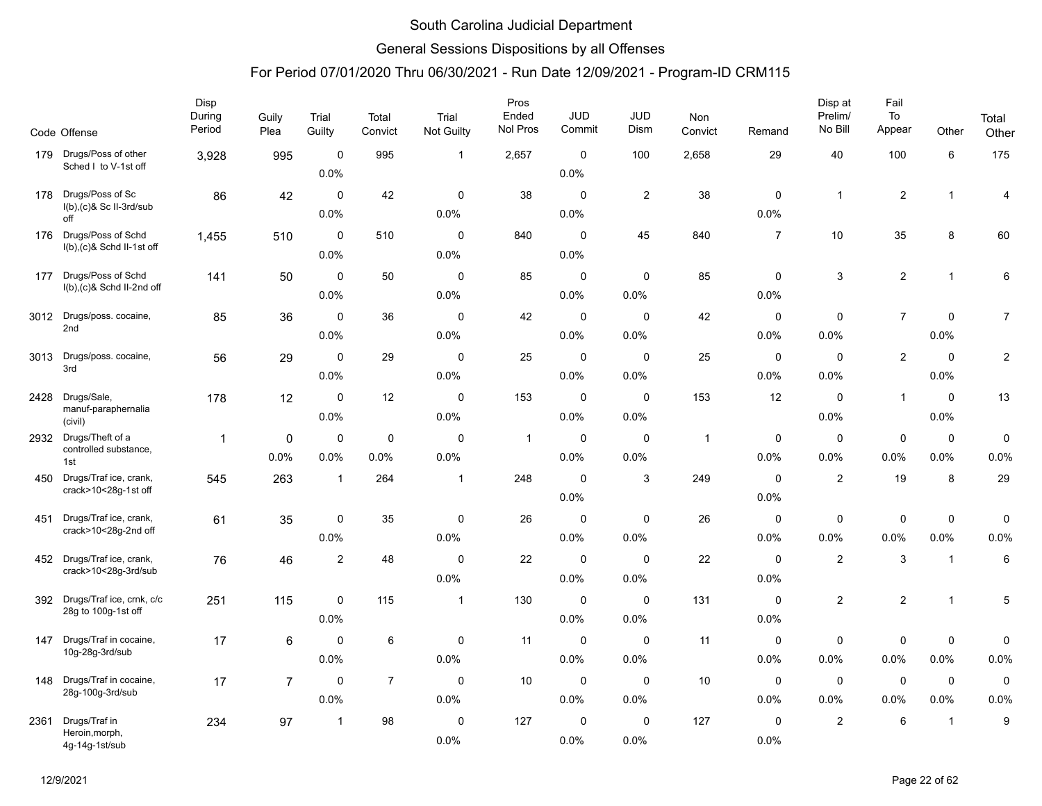### General Sessions Dispositions by all Offenses

|      | Code Offense                                     | Disp<br>During<br>Period | Guily<br>Plea  | Trial<br>Guilty     | Total<br>Convict | Trial<br>Not Guilty | Pros<br>Ended<br>Nol Pros | <b>JUD</b><br>Commit | <b>JUD</b><br>Dism  | Non<br>Convict  | Remand              | Disp at<br>Prelim/<br>No Bill | Fail<br>To<br>Appear | Other               | Total<br>Other |
|------|--------------------------------------------------|--------------------------|----------------|---------------------|------------------|---------------------|---------------------------|----------------------|---------------------|-----------------|---------------------|-------------------------------|----------------------|---------------------|----------------|
| 179  | Drugs/Poss of other                              | 3,928                    | 995            | $\mathbf 0$         | 995              | $\mathbf{1}$        | 2,657                     | $\mathbf 0$          | 100                 | 2,658           | 29                  | 40                            | 100                  | $\,6\,$             | 175            |
|      | Sched I to V-1st off                             |                          |                | 0.0%                |                  |                     |                           | 0.0%                 |                     |                 |                     |                               |                      |                     |                |
| 178  | Drugs/Poss of Sc                                 | 86                       | 42             | $\mathbf 0$         | 42               | $\mathbf 0$         | 38                        | $\mathbf 0$          | $\overline{2}$      | 38              | $\mathbf 0$         | $\mathbf{1}$                  | $\sqrt{2}$           | $\mathbf{1}$        | 4              |
|      | $I(b)$ , $(c)$ & Sc II-3rd/sub<br>off            |                          |                | 0.0%                |                  | 0.0%                |                           | 0.0%                 |                     |                 | 0.0%                |                               |                      |                     |                |
|      | 176 Drugs/Poss of Schd                           | 1,455                    | 510            | $\mathbf 0$         | 510              | $\mathbf 0$         | 840                       | $\mathbf 0$          | 45                  | 840             | $\overline{7}$      | 10                            | 35                   | 8                   | 60             |
|      | I(b),(c)& Schd II-1st off                        |                          |                | 0.0%                |                  | 0.0%                |                           | 0.0%                 |                     |                 |                     |                               |                      |                     |                |
| 177  | Drugs/Poss of Schd                               | 141                      | 50             | $\mathbf 0$         | 50               | 0                   | 85                        | $\mathbf 0$          | 0                   | 85              | 0                   | 3                             | $\overline{c}$       | $\mathbf{1}$        | 6              |
|      | $I(b),(c)$ & Schd II-2nd off                     |                          |                | 0.0%                |                  | 0.0%                |                           | 0.0%                 | 0.0%                |                 | 0.0%                |                               |                      |                     |                |
|      | 3012 Drugs/poss. cocaine,                        | 85                       | 36             | $\mathbf 0$         | 36               | $\mathbf 0$         | 42                        | $\mathbf 0$          | $\mathbf 0$         | 42              | $\mathbf 0$         | 0                             | $\overline{7}$       | $\mathbf 0$         | $\overline{7}$ |
|      | 2nd                                              |                          |                | 0.0%                |                  | 0.0%                |                           | 0.0%                 | 0.0%                |                 | 0.0%                | 0.0%                          |                      | 0.0%                |                |
| 3013 | Drugs/poss. cocaine,<br>3rd                      | 56                       | 29             | $\mathsf 0$         | 29               | $\mathbf 0$         | 25                        | $\mathbf 0$          | $\mathbf 0$         | 25              | 0                   | $\mathbf 0$                   | $\sqrt{2}$           | $\mathbf 0$         | $\overline{c}$ |
|      |                                                  |                          |                | 0.0%                |                  | 0.0%                |                           | 0.0%                 | 0.0%                |                 | 0.0%                | 0.0%                          |                      | 0.0%                |                |
| 2428 | Drugs/Sale,                                      | 178                      | 12             | $\mathbf 0$         | 12               | $\mathbf 0$         | 153                       | $\mathbf 0$          | $\mathbf 0$         | 153             | 12                  | $\mathbf 0$                   | $\mathbf{1}$         | $\mathbf 0$         | 13             |
|      | manuf-paraphernalia<br>(civil)                   |                          |                | 0.0%                |                  | 0.0%                |                           | 0.0%                 | 0.0%                |                 |                     | 0.0%                          |                      | 0.0%                |                |
|      | 2932 Drugs/Theft of a<br>controlled substance,   | $\mathbf{1}$             | 0              | $\mathbf 0$         | $\mathbf 0$      | $\mathbf 0$         | $\overline{1}$            | $\pmb{0}$            | $\mathbf 0$         | $\overline{1}$  | 0                   | $\mathbf 0$                   | $\pmb{0}$            | $\pmb{0}$           | 0              |
|      | 1st                                              |                          | 0.0%           | 0.0%                | 0.0%             | 0.0%                |                           | 0.0%                 | 0.0%                |                 | 0.0%                | 0.0%                          | 0.0%                 | 0.0%                | 0.0%           |
| 450  | Drugs/Traf ice, crank,<br>crack>10<28g-1st off   | 545                      | 263            | $\overline{1}$      | 264              | $\mathbf{1}$        | 248                       | $\mathbf 0$          | 3                   | 249             | 0                   | $\overline{2}$                | 19                   | 8                   | 29             |
|      |                                                  |                          |                |                     |                  |                     |                           | 0.0%                 |                     |                 | 0.0%                |                               |                      |                     |                |
| 451  | Drugs/Traf ice, crank,<br>crack>10<28g-2nd off   | 61                       | 35             | $\mathbf 0$         | 35               | $\mathbf 0$         | 26                        | $\mathbf 0$          | $\mathbf 0$         | 26              | $\mathbf 0$         | $\mathbf 0$                   | $\pmb{0}$            | $\mathbf 0$         | 0              |
|      |                                                  |                          |                | 0.0%                |                  | 0.0%                |                           | 0.0%                 | 0.0%                |                 | 0.0%                | 0.0%                          | 0.0%                 | 0.0%                | 0.0%           |
| 452  | Drugs/Traf ice, crank,<br>crack>10<28g-3rd/sub   | 76                       | 46             | $\overline{2}$      | 48               | $\mathbf 0$         | 22                        | $\mathbf 0$          | $\mathbf 0$         | 22              | $\mathbf 0$         | $\mathbf{2}$                  | $\mathbf{3}$         | $\overline{1}$      | 6              |
|      |                                                  |                          |                |                     |                  | 0.0%                |                           | 0.0%                 | 0.0%                |                 | 0.0%                |                               |                      |                     |                |
| 392  | Drugs/Traf ice, crnk, c/c<br>28g to 100g-1st off | 251                      | 115            | $\mathbf 0$         | 115              | $\mathbf{1}$        | 130                       | $\mathbf 0$          | $\Omega$            | 131             | $\Omega$            | $\overline{2}$                | $\sqrt{2}$           | $\mathbf{1}$        | 5              |
|      |                                                  |                          |                | 0.0%                |                  |                     |                           | 0.0%                 | 0.0%                |                 | 0.0%                |                               |                      |                     |                |
| 147  | Drugs/Traf in cocaine,<br>10g-28g-3rd/sub        | 17                       | 6              | $\mathbf 0$         | 6                | 0                   | 11                        | $\mathbf 0$          | $\mathbf 0$         | 11              | 0                   | 0                             | $\pmb{0}$            | 0                   | 0              |
|      |                                                  |                          |                | 0.0%                |                  | 0.0%                |                           | 0.0%                 | 0.0%                |                 | 0.0%                | 0.0%                          | 0.0%                 | 0.0%                | 0.0%           |
| 148  | Drugs/Traf in cocaine,<br>28g-100g-3rd/sub       | 17                       | $\overline{7}$ | $\mathbf 0$<br>0.0% | $\overline{7}$   | $\mathbf 0$<br>0.0% | 10                        | $\mathbf 0$<br>0.0%  | $\mathbf 0$<br>0.0% | 10 <sup>1</sup> | 0<br>0.0%           | $\mathbf 0$<br>0.0%           | $\mathbf 0$<br>0.0%  | $\mathbf 0$<br>0.0% | 0<br>0.0%      |
|      |                                                  |                          |                |                     |                  |                     |                           |                      |                     |                 |                     |                               |                      |                     |                |
| 2361 | Drugs/Traf in<br>Heroin, morph,                  | 234                      | 97             | $\mathbf{1}$        | 98               | $\Omega$<br>0.0%    | 127                       | $\mathbf 0$<br>0.0%  | $\Omega$<br>0.0%    | 127             | $\mathbf 0$<br>0.0% | $\mathbf{2}$                  | 6                    | $\mathbf{1}$        | 9              |
|      | 4g-14g-1st/sub                                   |                          |                |                     |                  |                     |                           |                      |                     |                 |                     |                               |                      |                     |                |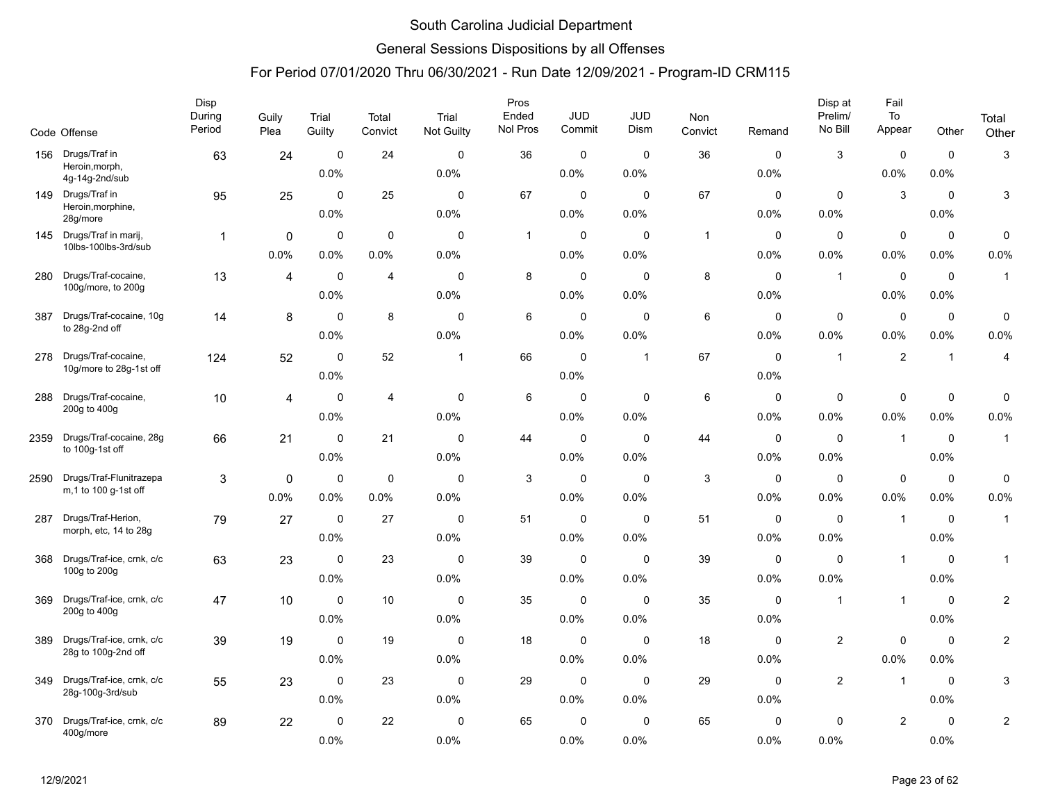### General Sessions Dispositions by all Offenses

|      | Code Offense                     | Disp<br>During<br>Period | Guily<br>Plea  | Trial<br>Guilty | Total<br>Convict | Trial<br>Not Guilty | Pros<br>Ended<br>Nol Pros | <b>JUD</b><br>Commit | JUD<br>Dism  | Non<br>Convict | Remand      | Disp at<br>Prelim/<br>No Bill | Fail<br>To<br>Appear | Other          | Total<br>Other          |
|------|----------------------------------|--------------------------|----------------|-----------------|------------------|---------------------|---------------------------|----------------------|--------------|----------------|-------------|-------------------------------|----------------------|----------------|-------------------------|
| 156  | Drugs/Traf in                    | 63                       | 24             | $\pmb{0}$       | 24               | $\mathbf 0$         | 36                        | $\mathbf 0$          | $\mathbf 0$  | 36             | $\mathbf 0$ | $\mathbf{3}$                  | $\pmb{0}$            | $\mathbf 0$    | 3                       |
|      | Heroin, morph,<br>4g-14g-2nd/sub |                          |                | 0.0%            |                  | 0.0%                |                           | 0.0%                 | 0.0%         |                | 0.0%        |                               | 0.0%                 | 0.0%           |                         |
| 149  | Drugs/Traf in                    | 95                       | 25             | $\mathbf 0$     | 25               | $\mathbf 0$         | 67                        | $\mathbf 0$          | $\mathbf 0$  | 67             | $\mathbf 0$ | $\mathbf 0$                   | 3                    | $\mathbf 0$    | 3                       |
|      | Heroin, morphine,<br>28g/more    |                          |                | 0.0%            |                  | 0.0%                |                           | $0.0\%$              | 0.0%         |                | 0.0%        | 0.0%                          |                      | 0.0%           |                         |
| 145  | Drugs/Traf in marij,             | $\mathbf 1$              | 0              | $\mathbf 0$     | 0                | $\mathbf 0$         | $\overline{1}$            | 0                    | 0            | $\mathbf{1}$   | $\mathbf 0$ | $\mathbf 0$                   | $\mathbf 0$          | $\mathbf 0$    | 0                       |
|      | 10lbs-100lbs-3rd/sub             |                          | 0.0%           | 0.0%            | 0.0%             | 0.0%                |                           | 0.0%                 | 0.0%         |                | 0.0%        | 0.0%                          | 0.0%                 | 0.0%           | 0.0%                    |
| 280  | Drugs/Traf-cocaine,              | 13                       | $\overline{4}$ | $\mathbf 0$     | $\overline{4}$   | $\mathbf 0$         | 8                         | $\mathbf 0$          | $\mathbf 0$  | 8              | $\mathbf 0$ | $\mathbf{1}$                  | $\mathsf 0$          | $\mathbf 0$    | $\mathbf{1}$            |
|      | 100g/more, to 200g               |                          |                | 0.0%            |                  | 0.0%                |                           | 0.0%                 | 0.0%         |                | 0.0%        |                               | 0.0%                 | 0.0%           |                         |
| 387  | Drugs/Traf-cocaine, 10g          | 14                       | 8              | $\mathbf 0$     | 8                | $\mathbf 0$         | 6                         | 0                    | $\mathbf 0$  | 6              | $\mathbf 0$ | $\mathbf 0$                   | $\pmb{0}$            | $\mathbf 0$    | 0                       |
|      | to 28g-2nd off                   |                          |                | 0.0%            |                  | 0.0%                |                           | 0.0%                 | 0.0%         |                | 0.0%        | 0.0%                          | 0.0%                 | 0.0%           | 0.0%                    |
| 278  | Drugs/Traf-cocaine,              | 124                      | 52             | $\mathbf 0$     | 52               | $\overline{1}$      | 66                        | $\mathbf 0$          | $\mathbf{1}$ | 67             | $\mathbf 0$ | $\overline{1}$                | $\overline{2}$       | $\overline{1}$ | 4                       |
|      | 10g/more to 28g-1st off          |                          |                | 0.0%            |                  |                     |                           | 0.0%                 |              |                | 0.0%        |                               |                      |                |                         |
| 288  | Drugs/Traf-cocaine,              | 10                       | $\overline{4}$ | 0               | $\overline{4}$   | $\mathbf 0$         | 6                         | $\mathbf 0$          | $\mathbf 0$  | 6              | 0           | $\mathbf 0$                   | $\pmb{0}$            | $\pmb{0}$      | 0                       |
|      | 200g to 400g                     |                          |                | 0.0%            |                  | 0.0%                |                           | 0.0%                 | 0.0%         |                | 0.0%        | 0.0%                          | 0.0%                 | 0.0%           | 0.0%                    |
| 2359 | Drugs/Traf-cocaine, 28g          | 66                       | 21             | $\mathbf 0$     | 21               | $\mathbf 0$         | 44                        | $\mathbf 0$          | $\mathbf 0$  | 44             | $\mathbf 0$ | $\mathbf 0$                   | $\overline{1}$       | $\mathbf 0$    | $\mathbf{1}$            |
|      | to 100g-1st off                  |                          |                | 0.0%            |                  | 0.0%                |                           | 0.0%                 | 0.0%         |                | 0.0%        | 0.0%                          |                      | 0.0%           |                         |
| 2590 | Drugs/Traf-Flunitrazepa          | $\mathbf{3}$             | 0              | 0               | $\mathbf 0$      | $\mathbf 0$         | 3                         | 0                    | $\mathbf 0$  | 3              | $\mathbf 0$ | $\mathbf 0$                   | $\mathbf 0$          | $\mathbf 0$    | 0                       |
|      | m, 1 to 100 g-1st off            |                          | 0.0%           | 0.0%            | 0.0%             | 0.0%                |                           | 0.0%                 | 0.0%         |                | 0.0%        | 0.0%                          | 0.0%                 | 0.0%           | 0.0%                    |
| 287  | Drugs/Traf-Herion,               | 79                       | 27             | $\mathbf 0$     | 27               | $\mathbf 0$         | 51                        | $\mathbf 0$          | $\mathbf 0$  | 51             | 0           | $\mathbf 0$                   | $\overline{1}$       | $\mathbf 0$    | $\mathbf{1}$            |
|      | morph, etc, 14 to 28g            |                          |                | 0.0%            |                  | 0.0%                |                           | 0.0%                 | 0.0%         |                | 0.0%        | 0.0%                          |                      | 0.0%           |                         |
| 368  | Drugs/Traf-ice, crnk, c/c        | 63                       | 23             | $\mathbf 0$     | 23               | $\mathbf 0$         | 39                        | $\mathbf 0$          | $\mathbf 0$  | 39             | $\mathbf 0$ | $\mathbf 0$                   | $\mathbf{1}$         | $\mathbf 0$    | $\mathbf{1}$            |
|      | 100g to 200g                     |                          |                | 0.0%            |                  | 0.0%                |                           | 0.0%                 | 0.0%         |                | 0.0%        | 0.0%                          |                      | 0.0%           |                         |
| 369  | Drugs/Traf-ice, crnk, c/c        | 47                       | 10             | $\mathbf 0$     | 10               | $\mathbf 0$         | 35                        | 0                    | $\mathbf 0$  | 35             | $\mathbf 0$ | $\overline{1}$                | $\overline{1}$       | $\mathbf 0$    | $\overline{\mathbf{c}}$ |
|      | 200g to 400g                     |                          |                | 0.0%            |                  | 0.0%                |                           | 0.0%                 | 0.0%         |                | 0.0%        |                               |                      | 0.0%           |                         |
| 389  | Drugs/Traf-ice, crnk, c/c        | 39                       | 19             | $\mathbf 0$     | 19               | $\mathbf 0$         | 18                        | $\mathbf 0$          | $\mathbf 0$  | 18             | $\mathbf 0$ | $\overline{2}$                | $\mathsf 0$          | $\mathbf 0$    | $\overline{c}$          |
|      | 28g to 100g-2nd off              |                          |                | 0.0%            |                  | 0.0%                |                           | 0.0%                 | 0.0%         |                | 0.0%        |                               | 0.0%                 | 0.0%           |                         |
| 349  | Drugs/Traf-ice, crnk, c/c        | 55                       | 23             | $\mathbf 0$     | 23               | $\mathbf 0$         | 29                        | $\mathbf 0$          | $\mathbf 0$  | 29             | $\mathbf 0$ | $\overline{2}$                | $\mathbf{1}$         | $\mathbf 0$    | 3                       |
|      | 28g-100g-3rd/sub                 |                          |                | 0.0%            |                  | 0.0%                |                           | 0.0%                 | 0.0%         |                | 0.0%        |                               |                      | $0.0\%$        |                         |
| 370  | Drugs/Traf-ice, crnk, c/c        | 89                       | 22             | $\mathbf 0$     | 22               | $\mathbf 0$         | 65                        | 0                    | $\mathbf 0$  | 65             | $\mathbf 0$ | 0                             | $\sqrt{2}$           | $\mathbf 0$    | $\overline{\mathbf{c}}$ |
|      | 400g/more                        |                          |                | 0.0%            |                  | 0.0%                |                           | 0.0%                 | 0.0%         |                | 0.0%        | 0.0%                          |                      | 0.0%           |                         |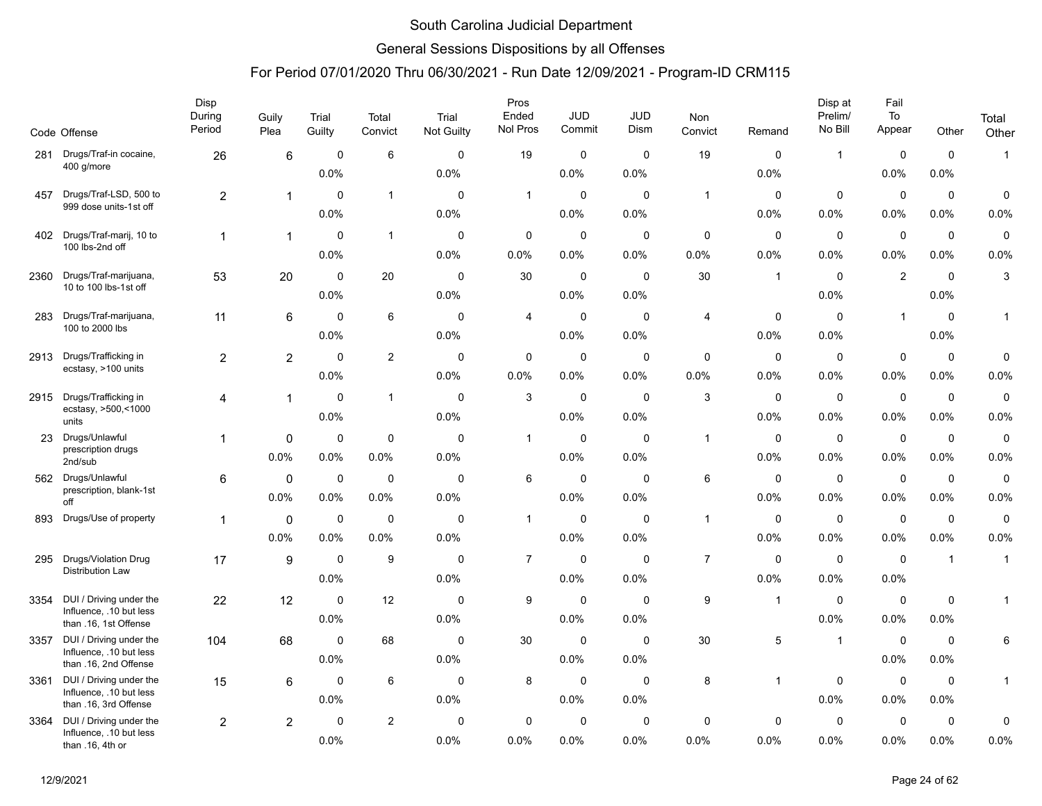### General Sessions Dispositions by all Offenses

|      | Code Offense                                       | Disp<br>During<br>Period | Guily<br>Plea    | Trial<br>Guilty | Total<br>Convict | Trial<br>Not Guilty | Pros<br>Ended<br>Nol Pros | <b>JUD</b><br>Commit | JUD<br>Dism | Non<br>Convict | Remand         | Disp at<br>Prelim/<br>No Bill | Fail<br>To<br>Appear | Other          | Total<br>Other |
|------|----------------------------------------------------|--------------------------|------------------|-----------------|------------------|---------------------|---------------------------|----------------------|-------------|----------------|----------------|-------------------------------|----------------------|----------------|----------------|
| 281  | Drugs/Traf-in cocaine,                             | 26                       | 6                | $\mathbf 0$     | 6                | $\mathbf 0$         | 19                        | $\mathbf 0$          | $\mathbf 0$ | 19             | $\mathbf 0$    | $\mathbf{1}$                  | $\mathbf 0$          | $\mathbf 0$    | $\mathbf{1}$   |
|      | 400 g/more                                         |                          |                  | 0.0%            |                  | 0.0%                |                           | 0.0%                 | 0.0%        |                | 0.0%           |                               | 0.0%                 | 0.0%           |                |
| 457  | Drugs/Traf-LSD, 500 to                             | $\overline{a}$           | $\mathbf{1}$     | $\mathbf 0$     | $\mathbf{1}$     | $\mathbf 0$         | $\mathbf{1}$              | $\mathbf 0$          | $\mathbf 0$ | $\mathbf{1}$   | $\mathbf 0$    | $\mathbf 0$                   | $\mathbf 0$          | $\mathbf 0$    | $\mathbf 0$    |
|      | 999 dose units-1st off                             |                          |                  | 0.0%            |                  | 0.0%                |                           | 0.0%                 | 0.0%        |                | $0.0\%$        | 0.0%                          | 0.0%                 | $0.0\%$        | 0.0%           |
| 402  | Drugs/Traf-marij, 10 to                            | $\mathbf{1}$             | $\mathbf{1}$     | $\mathbf 0$     | $\mathbf{1}$     | $\mathbf 0$         | 0                         | $\mathbf 0$          | 0           | $\mathbf 0$    | 0              | $\mathbf 0$                   | $\mathbf 0$          | $\mathbf 0$    | $\mathbf 0$    |
|      | 100 lbs-2nd off                                    |                          |                  | 0.0%            |                  | 0.0%                | 0.0%                      | 0.0%                 | 0.0%        | 0.0%           | 0.0%           | 0.0%                          | 0.0%                 | 0.0%           | 0.0%           |
| 2360 | Drugs/Traf-marijuana,                              | 53                       | 20               | $\mathbf 0$     | 20               | $\mathbf 0$         | 30                        | $\mathbf 0$          | $\mathbf 0$ | 30             | $\overline{1}$ | $\mathbf 0$                   | 2                    | $\mathbf 0$    | 3              |
|      | 10 to 100 lbs-1st off                              |                          |                  | 0.0%            |                  | 0.0%                |                           | 0.0%                 | 0.0%        |                |                | 0.0%                          |                      | 0.0%           |                |
| 283  | Drugs/Traf-marijuana,                              | 11                       | 6                | $\mathbf 0$     | $\,6\,$          | $\mathbf 0$         | $\overline{4}$            | $\mathbf 0$          | $\mathbf 0$ | $\overline{4}$ | $\mathbf 0$    | $\mathbf 0$                   | $\mathbf{1}$         | $\mathbf 0$    | $\mathbf{1}$   |
|      | 100 to 2000 lbs                                    |                          |                  | 0.0%            |                  | 0.0%                |                           | 0.0%                 | 0.0%        |                | 0.0%           | 0.0%                          |                      | 0.0%           |                |
| 2913 | Drugs/Trafficking in                               | $\overline{a}$           | $\overline{2}$   | $\mathbf 0$     | $\overline{2}$   | $\mathbf 0$         | $\mathbf 0$               | $\mathbf 0$          | $\mathbf 0$ | $\mathbf 0$    | $\mathbf 0$    | $\mathbf 0$                   | $\mathbf 0$          | $\mathbf 0$    | $\mathbf 0$    |
|      | ecstasy, >100 units                                |                          |                  | 0.0%            |                  | 0.0%                | 0.0%                      | 0.0%                 | 0.0%        | 0.0%           | 0.0%           | 0.0%                          | 0.0%                 | 0.0%           | 0.0%           |
| 2915 | Drugs/Trafficking in                               | 4                        | $\mathbf{1}$     | $\mathbf 0$     | $\mathbf{1}$     | $\mathbf 0$         | 3                         | $\mathbf 0$          | $\mathbf 0$ | 3              | $\mathbf 0$    | $\mathbf 0$                   | $\pmb{0}$            | $\mathbf 0$    | $\mathsf 0$    |
|      | ecstasy, >500,<1000<br>units                       |                          |                  | 0.0%            |                  | 0.0%                |                           | 0.0%                 | 0.0%        |                | 0.0%           | 0.0%                          | 0.0%                 | $0.0\%$        | 0.0%           |
| 23   | Drugs/Unlawful                                     | 1                        | $\mathbf{0}$     | $\mathbf 0$     | $\mathbf 0$      | $\mathbf 0$         | $\mathbf{1}$              | $\mathbf 0$          | $\mathbf 0$ | $\mathbf{1}$   | $\mathbf 0$    | $\mathbf 0$                   | $\mathbf 0$          | $\mathbf 0$    | $\mathsf 0$    |
|      | prescription drugs<br>2nd/sub                      |                          | 0.0%             | 0.0%            | 0.0%             | 0.0%                |                           | 0.0%                 | 0.0%        |                | 0.0%           | 0.0%                          | 0.0%                 | 0.0%           | 0.0%           |
| 562  | Drugs/Unlawful                                     | 6                        | $\mathbf 0$      | $\mathsf 0$     | $\mathbf 0$      | $\mathbf 0$         | 6                         | $\mathbf 0$          | $\mathbf 0$ | 6              | $\mathbf 0$    | $\mathbf 0$                   | $\mathbf 0$          | $\mathsf 0$    | $\mathsf 0$    |
|      | prescription, blank-1st<br>off                     |                          | $0.0\%$          | 0.0%            | 0.0%             | 0.0%                |                           | 0.0%                 | 0.0%        |                | 0.0%           | 0.0%                          | 0.0%                 | 0.0%           | 0.0%           |
| 893  | Drugs/Use of property                              | 1                        | 0                | $\mathbf 0$     | $\mathbf 0$      | $\Omega$            | $\mathbf{1}$              | $\mathbf 0$          | $\mathbf 0$ | $\mathbf{1}$   | 0              | $\mathbf 0$                   | $\mathbf 0$          | $\mathbf 0$    | $\mathsf 0$    |
|      |                                                    |                          | 0.0%             | 0.0%            | 0.0%             | 0.0%                |                           | 0.0%                 | 0.0%        |                | 0.0%           | 0.0%                          | 0.0%                 | 0.0%           | 0.0%           |
| 295  | Drugs/Violation Drug                               | 17                       | $\boldsymbol{9}$ | $\mathbf 0$     | 9                | $\Omega$            | $\overline{7}$            | $\mathbf 0$          | $\mathbf 0$ | $\overline{7}$ | $\mathbf 0$    | $\mathbf 0$                   | $\mathbf 0$          | $\overline{1}$ | $\mathbf{1}$   |
|      | <b>Distribution Law</b>                            |                          |                  | 0.0%            |                  | 0.0%                |                           | 0.0%                 | 0.0%        |                | 0.0%           | 0.0%                          | 0.0%                 |                |                |
| 3354 | DUI / Driving under the                            | 22                       | 12               | $\mathbf 0$     | 12               | $\mathbf 0$         | 9                         | $\mathbf 0$          | $\mathbf 0$ | 9              | $\overline{1}$ | $\mathbf 0$                   | $\mathbf 0$          | $\mathbf 0$    | 1              |
|      | Influence, .10 but less<br>than .16, 1st Offense   |                          |                  | 0.0%            |                  | 0.0%                |                           | 0.0%                 | 0.0%        |                |                | 0.0%                          | 0.0%                 | 0.0%           |                |
| 3357 | DUI / Driving under the<br>Influence, .10 but less | 104                      | 68               | $\Omega$        | 68               | $\Omega$            | 30                        | $\mathbf 0$          | 0           | 30             | 5              | $\mathbf{1}$                  | $\mathbf 0$          | 0              | 6              |
|      | than .16, 2nd Offense                              |                          |                  | 0.0%            |                  | 0.0%                |                           | 0.0%                 | 0.0%        |                |                |                               | 0.0%                 | $0.0\%$        |                |
| 3361 | DUI / Driving under the                            | 15                       | 6                | $\mathbf 0$     | 6                | $\mathbf 0$         | 8                         | 0                    | 0           | 8              | -1             | $\mathbf 0$                   | $\mathbf 0$          | 0              | $\mathbf{1}$   |
|      | Influence, .10 but less<br>than .16, 3rd Offense   |                          |                  | 0.0%            |                  | 0.0%                |                           | 0.0%                 | 0.0%        |                |                | 0.0%                          | 0.0%                 | 0.0%           |                |
| 3364 | DUI / Driving under the<br>Influence, .10 but less | $\overline{a}$           | $\overline{2}$   | $\mathbf 0$     | $\overline{2}$   | $\mathbf 0$         | $\mathbf 0$               | $\mathbf 0$          | $\mathbf 0$ | $\mathbf 0$    | $\mathbf 0$    | $\mathbf 0$                   | $\mathbf 0$          | $\mathbf 0$    | $\mathbf 0$    |
|      | than .16, 4th or                                   |                          |                  | 0.0%            |                  | 0.0%                | $0.0\%$                   | 0.0%                 | 0.0%        | 0.0%           | 0.0%           | 0.0%                          | 0.0%                 | $0.0\%$        | 0.0%           |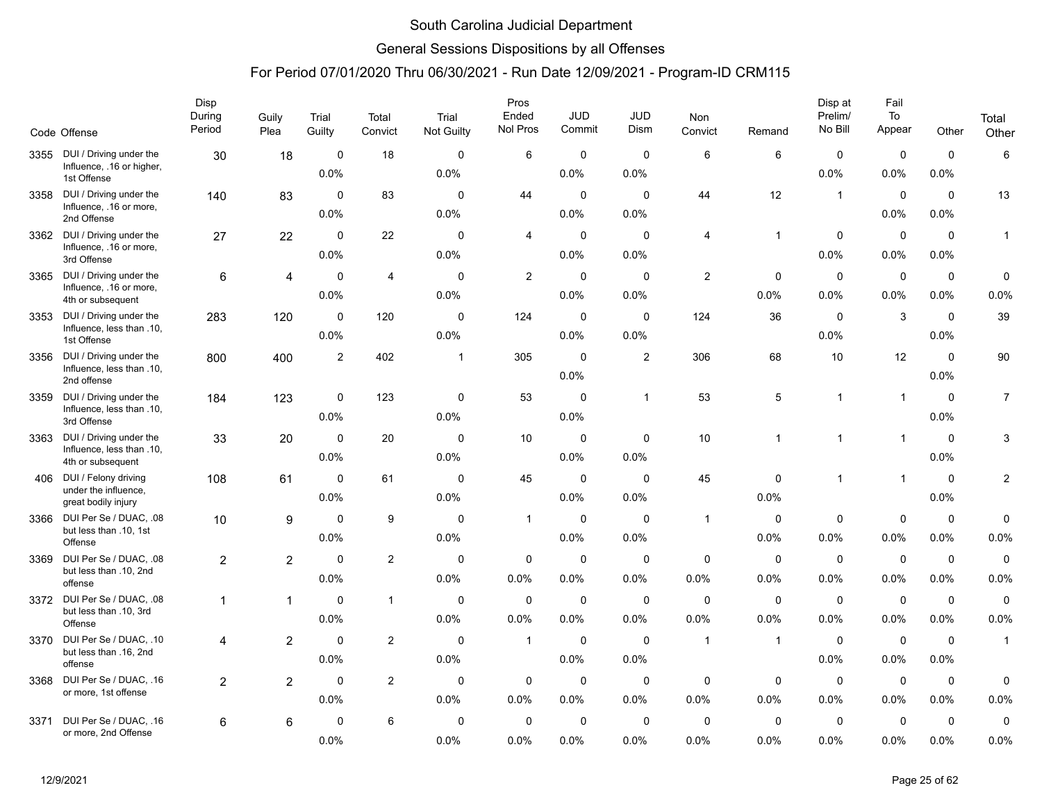### General Sessions Dispositions by all Offenses

|      |                                                                           | Disp<br>During | Guily          | Trial               | Total          | Trial               | Pros<br>Ended       | <b>JUD</b>          | JUD                  | Non                 |                        | Disp at<br>Prelim/     | Fail<br>To          |                     | Total          |
|------|---------------------------------------------------------------------------|----------------|----------------|---------------------|----------------|---------------------|---------------------|---------------------|----------------------|---------------------|------------------------|------------------------|---------------------|---------------------|----------------|
|      | Code Offense                                                              | Period         | Plea           | Guilty              | Convict        | <b>Not Guilty</b>   | Nol Pros            | Commit              | Dism                 | Convict             | Remand                 | No Bill                | Appear              | Other               | Other          |
| 3355 | DUI / Driving under the<br>Influence, .16 or higher,<br>1st Offense       | 30             | 18             | $\mathbf 0$<br>0.0% | 18             | $\mathbf 0$<br>0.0% | 6                   | 0<br>0.0%           | $\mathbf 0$<br>0.0%  | 6                   | 6                      | 0<br>0.0%              | $\mathbf 0$<br>0.0% | $\mathbf 0$<br>0.0% | 6              |
| 3358 | DUI / Driving under the<br>Influence, .16 or more,<br>2nd Offense         | 140            | 83             | $\Omega$<br>0.0%    | 83             | $\Omega$<br>0.0%    | 44                  | $\mathbf 0$<br>0.0% | $\Omega$<br>0.0%     | 44                  | 12                     | $\overline{1}$         | $\mathbf 0$<br>0.0% | $\mathbf 0$<br>0.0% | 13             |
| 3362 | DUI / Driving under the<br>Influence, .16 or more,<br>3rd Offense         | 27             | 22             | $\mathbf 0$<br>0.0% | 22             | $\mathbf 0$<br>0.0% | 4                   | $\mathbf 0$<br>0.0% | 0<br>0.0%            | 4                   | 1                      | 0<br>0.0%              | $\mathbf 0$<br>0.0% | $\mathbf 0$<br>0.0% | $\mathbf{1}$   |
| 3365 | DUI / Driving under the<br>Influence, .16 or more,<br>4th or subsequent   | 6              | 4              | $\mathbf 0$<br>0.0% | $\overline{4}$ | $\mathbf 0$<br>0.0% | $\overline{c}$      | $\mathbf 0$<br>0.0% | $\mathbf 0$<br>0.0%  | $\mathbf{2}$        | $\mathbf 0$<br>$0.0\%$ | $\mathbf 0$<br>$0.0\%$ | $\mathbf 0$<br>0.0% | $\mathbf 0$<br>0.0% | 0<br>0.0%      |
| 3353 | DUI / Driving under the<br>Influence, less than .10,<br>1st Offense       | 283            | 120            | $\mathbf 0$<br>0.0% | 120            | $\Omega$<br>0.0%    | 124                 | $\mathbf 0$<br>0.0% | $\mathbf{0}$<br>0.0% | 124                 | 36                     | $\Omega$<br>0.0%       | 3                   | $\Omega$<br>0.0%    | 39             |
| 3356 | DUI / Driving under the<br>Influence, less than .10,<br>2nd offense       | 800            | 400            | $\overline{c}$      | 402            | $\mathbf{1}$        | 305                 | $\mathbf 0$<br>0.0% | $\overline{2}$       | 306                 | 68                     | 10                     | 12                  | $\mathbf 0$<br>0.0% | 90             |
| 3359 | DUI / Driving under the<br>Influence, less than .10,<br>3rd Offense       | 184            | 123            | $\mathbf 0$<br>0.0% | 123            | 0<br>0.0%           | 53                  | $\mathbf 0$<br>0.0% | $\mathbf{1}$         | 53                  | 5                      | $\mathbf{1}$           | $\overline{1}$      | $\mathbf 0$<br>0.0% | $\overline{7}$ |
| 3363 | DUI / Driving under the<br>Influence, less than .10,<br>4th or subsequent | 33             | 20             | $\Omega$<br>0.0%    | 20             | $\Omega$<br>0.0%    | 10                  | $\mathbf 0$<br>0.0% | $\mathbf 0$<br>0.0%  | 10 <sup>°</sup>     | 1                      | $\mathbf{1}$           | $\overline{1}$      | $\mathbf 0$<br>0.0% | 3              |
| 406  | DUI / Felony driving<br>under the influence,<br>great bodily injury       | 108            | 61             | $\mathbf 0$<br>0.0% | 61             | $\mathbf 0$<br>0.0% | 45                  | $\mathbf 0$<br>0.0% | $\mathbf 0$<br>0.0%  | 45                  | $\mathbf 0$<br>0.0%    | $\mathbf{1}$           | $\overline{1}$      | $\mathbf 0$<br>0.0% | 2              |
| 3366 | DUI Per Se / DUAC, .08<br>but less than .10, 1st<br>Offense               | 10             | 9              | $\mathbf 0$<br>0.0% | 9              | $\mathbf 0$<br>0.0% | $\mathbf{1}$        | $\mathbf 0$<br>0.0% | $\mathbf 0$<br>0.0%  | $\mathbf{1}$        | $\mathbf 0$<br>0.0%    | $\mathbf 0$<br>0.0%    | $\mathbf 0$<br>0.0% | $\mathbf 0$<br>0.0% | 0<br>0.0%      |
| 3369 | DUI Per Se / DUAC, .08<br>but less than .10, 2nd<br>offense               | $\overline{c}$ | $\overline{2}$ | $\mathbf 0$<br>0.0% | $\overline{2}$ | $\mathbf 0$<br>0.0% | 0<br>0.0%           | $\mathbf 0$<br>0.0% | $\mathbf 0$<br>0.0%  | $\mathbf 0$<br>0.0% | $\mathbf 0$<br>0.0%    | $\mathbf 0$<br>0.0%    | $\pmb{0}$<br>0.0%   | $\mathbf 0$<br>0.0% | 0<br>0.0%      |
|      | 3372 DUI Per Se / DUAC, .08<br>but less than .10, 3rd<br>Offense          | $\mathbf 1$    | $\mathbf{1}$   | $\mathbf 0$<br>0.0% | $\mathbf{1}$   | $\mathbf 0$<br>0.0% | $\mathbf 0$<br>0.0% | $\mathbf 0$<br>0.0% | 0<br>0.0%            | 0<br>0.0%           | 0<br>0.0%              | 0<br>$0.0\%$           | $\mathbf 0$<br>0.0% | $\mathbf 0$<br>0.0% | 0<br>0.0%      |
| 3370 | DUI Per Se / DUAC, .10<br>but less than .16, 2nd<br>offense               | 4              | $\overline{2}$ | $\mathbf 0$<br>0.0% | 2              | $\mathbf 0$<br>0.0% | $\mathbf{1}$        | 0<br>0.0%           | $\mathbf 0$<br>0.0%  | $\mathbf{1}$        | $\mathbf{1}$           | $\mathbf 0$<br>0.0%    | $\mathbf 0$<br>0.0% | $\mathbf 0$<br>0.0% | $\mathbf{1}$   |
| 3368 | DUI Per Se / DUAC, .16<br>or more, 1st offense                            | $\overline{2}$ | $\overline{2}$ | $\mathbf 0$<br>0.0% | 2              | $\mathbf 0$<br>0.0% | 0<br>0.0%           | $\mathbf 0$<br>0.0% | $\mathbf 0$<br>0.0%  | $\mathbf 0$<br>0.0% | $\mathbf 0$<br>0.0%    | $\mathbf 0$<br>0.0%    | $\mathbf 0$<br>0.0% | $\mathbf 0$<br>0.0% | 0<br>0.0%      |
| 3371 | DUI Per Se / DUAC. .16<br>or more, 2nd Offense                            | 6              | 6              | 0<br>0.0%           | 6              | 0<br>0.0%           | 0<br>0.0%           | 0<br>0.0%           | 0<br>0.0%            | 0<br>0.0%           | 0<br>0.0%              | 0<br>0.0%              | $\mathbf 0$<br>0.0% | 0<br>0.0%           | 0<br>0.0%      |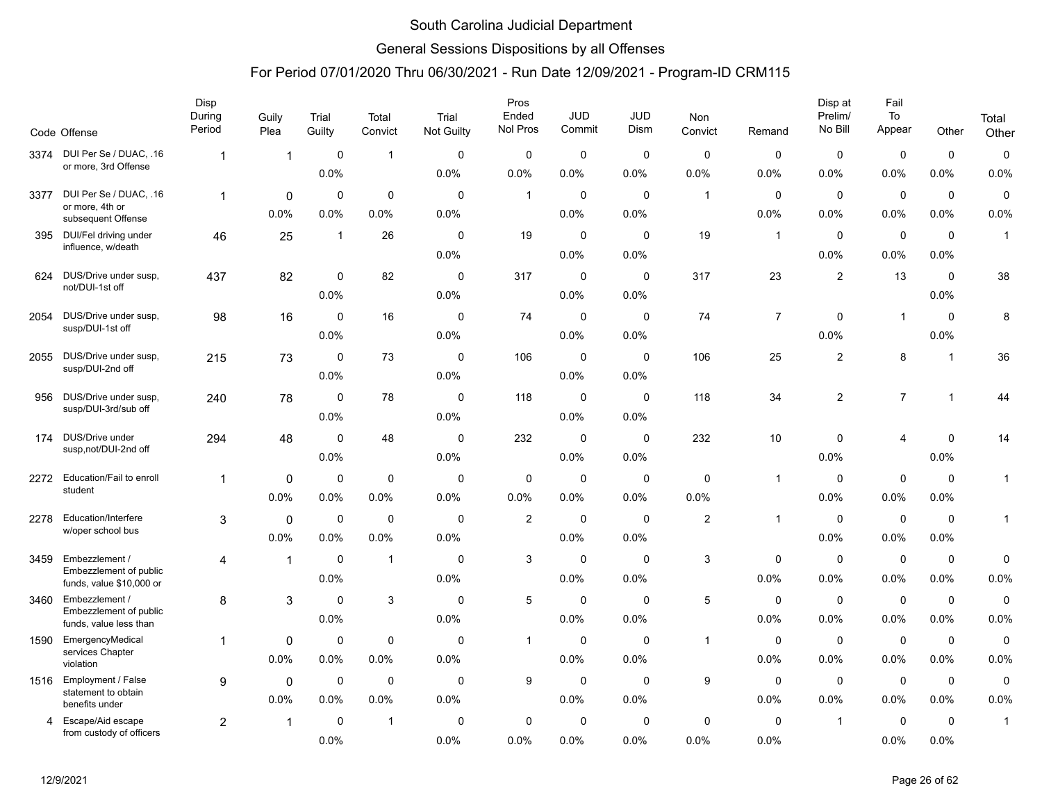### General Sessions Dispositions by all Offenses

|      | Code Offense                                  | Disp<br>During<br>Period | Guily<br>Plea           | Trial<br>Guilty     | Total<br>Convict | Trial<br>Not Guilty | Pros<br>Ended<br>Nol Pros | <b>JUD</b><br>Commit | JUD<br>Dism         | Non<br>Convict      | Remand              | Disp at<br>Prelim/<br>No Bill | Fail<br>To<br>Appear | Other               | Total<br>Other |
|------|-----------------------------------------------|--------------------------|-------------------------|---------------------|------------------|---------------------|---------------------------|----------------------|---------------------|---------------------|---------------------|-------------------------------|----------------------|---------------------|----------------|
| 3374 | DUI Per Se / DUAC, .16                        | $\overline{1}$           | $\overline{\mathbf{1}}$ | $\mathbf 0$         | $\overline{1}$   | $\mathbf 0$         | 0                         | $\mathbf 0$          | $\mathbf 0$         | $\mathbf 0$         | 0                   | 0                             | $\mathbf 0$          | $\mathbf 0$         | $\pmb{0}$      |
|      | or more, 3rd Offense                          |                          |                         | 0.0%                |                  | 0.0%                | 0.0%                      | 0.0%                 | 0.0%                | 0.0%                | 0.0%                | $0.0\%$                       | 0.0%                 | 0.0%                | 0.0%           |
| 3377 | DUI Per Se / DUAC, .16                        | $\mathbf{1}$             | $\mathbf{0}$            | $\mathbf 0$         | $\mathbf 0$      | $\mathbf{0}$        | $\mathbf{1}$              | $\mathbf 0$          | $\Omega$            | $\overline{1}$      | $\mathbf 0$         | $\mathbf 0$                   | $\mathbf 0$          | $\mathbf 0$         | $\mathbf 0$    |
|      | or more, 4th or<br>subsequent Offense         |                          | 0.0%                    | 0.0%                | 0.0%             | 0.0%                |                           | $0.0\%$              | 0.0%                |                     | 0.0%                | 0.0%                          | 0.0%                 | 0.0%                | 0.0%           |
| 395  | DUI/Fel driving under                         | 46                       | 25                      | $\mathbf{1}$        | 26               | $\mathbf 0$         | 19                        | $\mathbf 0$          | $\mathbf 0$         | 19                  | $\mathbf{1}$        | $\mathbf 0$                   | $\mathbf 0$          | $\mathbf 0$         | $\mathbf{1}$   |
|      | influence, w/death                            |                          |                         |                     |                  | 0.0%                |                           | 0.0%                 | 0.0%                |                     |                     | 0.0%                          | 0.0%                 | 0.0%                |                |
| 624  | DUS/Drive under susp,                         | 437                      | 82                      | $\mathbf 0$         | 82               | $\mathbf{0}$        | 317                       | $\mathbf 0$          | $\Omega$            | 317                 | 23                  | $\overline{\mathbf{c}}$       | 13                   | $\mathbf 0$         | 38             |
|      | not/DUI-1st off                               |                          |                         | 0.0%                |                  | 0.0%                |                           | 0.0%                 | 0.0%                |                     |                     |                               |                      | 0.0%                |                |
| 2054 | DUS/Drive under susp,                         | 98                       | 16                      | $\mathbf 0$         | 16               | $\mathbf 0$         | 74                        | $\mathbf 0$          | $\mathbf 0$         | 74                  | $\overline{7}$      | $\mathbf 0$                   | $\overline{1}$       | $\mathbf 0$         | 8              |
|      | susp/DUI-1st off                              |                          |                         | 0.0%                |                  | 0.0%                |                           | $0.0\%$              | 0.0%                |                     |                     | 0.0%                          |                      | 0.0%                |                |
| 2055 | DUS/Drive under susp,<br>susp/DUI-2nd off     | 215                      | 73                      | 0                   | 73               | 0                   | 106                       | $\mathbf 0$          | 0                   | 106                 | 25                  | $\mathbf{2}$                  | 8                    | $\overline{1}$      | 36             |
|      |                                               |                          |                         | 0.0%                |                  | 0.0%                |                           | 0.0%                 | 0.0%                |                     |                     |                               |                      |                     |                |
| 956  | DUS/Drive under susp,<br>susp/DUI-3rd/sub off | 240                      | 78                      | $\mathbf 0$         | 78               | $\mathbf{0}$        | 118                       | $\mathbf 0$          | $\mathbf 0$         | 118                 | 34                  | $\overline{2}$                | $\overline{7}$       | $\mathbf{1}$        | 44             |
|      |                                               |                          |                         | 0.0%                |                  | 0.0%                |                           | $0.0\%$              | 0.0%                |                     |                     |                               |                      |                     |                |
| 174  | DUS/Drive under<br>susp,not/DUI-2nd off       | 294                      | 48                      | $\mathbf 0$         | 48               | $\mathbf 0$         | 232                       | $\mathbf 0$          | $\mathbf 0$         | 232                 | 10                  | 0                             | 4                    | $\mathbf 0$         | 14             |
|      |                                               |                          |                         | 0.0%                |                  | 0.0%                |                           | $0.0\%$              | 0.0%                |                     |                     | 0.0%                          |                      | 0.0%                |                |
| 2272 | Education/Fail to enroll<br>student           | $\overline{1}$           | $\mathbf{0}$            | $\mathbf 0$         | $\mathbf 0$      | $\mathbf 0$         | 0                         | $\mathbf 0$          | $\mathbf 0$         | 0                   | $\mathbf 1$         | $\mathbf 0$                   | $\mathbf 0$          | $\mathbf 0$         | $\mathbf{1}$   |
|      |                                               |                          | 0.0%                    | 0.0%                | 0.0%             | 0.0%                | 0.0%                      | 0.0%                 | 0.0%                | 0.0%                |                     | 0.0%                          | 0.0%                 | 0.0%                |                |
| 2278 | Education/Interfere<br>w/oper school bus      | 3                        | $\mathbf 0$             | $\mathbf 0$         | $\mathbf 0$      | $\mathbf 0$         | $\overline{c}$            | $\mathbf 0$          | $\mathbf 0$         | 2                   | $\mathbf{1}$        | $\mathbf 0$                   | $\mathbf 0$          | $\mathbf 0$         | $\mathbf{1}$   |
|      |                                               |                          | 0.0%                    | 0.0%                | 0.0%             | 0.0%                |                           | $0.0\%$              | 0.0%                |                     |                     | $0.0\%$                       | $0.0\%$              | 0.0%                |                |
| 3459 | Embezzlement /<br>Embezzlement of public      | 4                        | $\mathbf{1}$            | $\Omega$            | $\mathbf{1}$     | $\mathbf{0}$        | 3                         | $\mathbf 0$          | $\Omega$            | 3                   | $\Omega$            | $\Omega$                      | $\mathbf 0$          | $\mathbf 0$         | $\mathbf 0$    |
|      | funds, value \$10,000 or                      |                          |                         | 0.0%                |                  | 0.0%                |                           | 0.0%                 | 0.0%                |                     | 0.0%                | 0.0%                          | 0.0%                 | 0.0%                | 0.0%           |
| 3460 | Embezzlement /<br>Embezzlement of public      | 8                        | 3                       | $\mathbf 0$         | 3                | $\mathbf 0$         | 5                         | $\mathbf 0$          | $\mathbf 0$         | 5                   | $\mathbf 0$         | $\mathbf 0$                   | $\mathbf 0$          | $\mathbf 0$         | $\pmb{0}$      |
|      | funds, value less than                        |                          |                         | 0.0%                |                  | 0.0%                |                           | $0.0\%$              | 0.0%                |                     | 0.0%                | 0.0%                          | 0.0%                 | 0.0%                | 0.0%           |
| 1590 | EmergencyMedical<br>services Chapter          | 1                        | 0                       | 0                   | $\mathbf 0$      | 0                   | $\mathbf{1}$              | 0                    | 0                   | $\overline{1}$      | 0                   | 0                             | 0                    | $\mathbf 0$         | $\mathbf 0$    |
|      | violation                                     |                          | 0.0%                    | 0.0%                | 0.0%             | 0.0%                |                           | 0.0%                 | 0.0%                |                     | 0.0%                | 0.0%                          | 0.0%                 | 0.0%                | 0.0%           |
| 1516 | Employment / False<br>statement to obtain     | 9                        | $\Omega$                | $\mathbf 0$         | $\mathbf 0$      | $\mathbf 0$         | 9                         | $\mathbf 0$          | $\Omega$            | 9                   | $\mathbf 0$         | $\mathbf 0$                   | $\mathbf 0$          | $\mathbf 0$         | 0              |
|      | benefits under                                |                          | 0.0%                    | 0.0%                | 0.0%             | 0.0%                |                           | 0.0%                 | 0.0%                |                     | 0.0%                | 0.0%                          | 0.0%                 | 0.0%                | 0.0%           |
| 4    | Escape/Aid escape<br>from custody of officers | 2                        | $\overline{1}$          | $\mathbf 0$<br>0.0% | $\overline{1}$   | $\mathbf 0$<br>0.0% | 0<br>0.0%                 | $\mathbf 0$<br>0.0%  | $\mathbf 0$<br>0.0% | $\mathbf 0$<br>0.0% | $\mathbf 0$<br>0.0% | $\mathbf{1}$                  | $\mathbf 0$<br>0.0%  | $\mathbf 0$<br>0.0% | $\mathbf{1}$   |
|      |                                               |                          |                         |                     |                  |                     |                           |                      |                     |                     |                     |                               |                      |                     |                |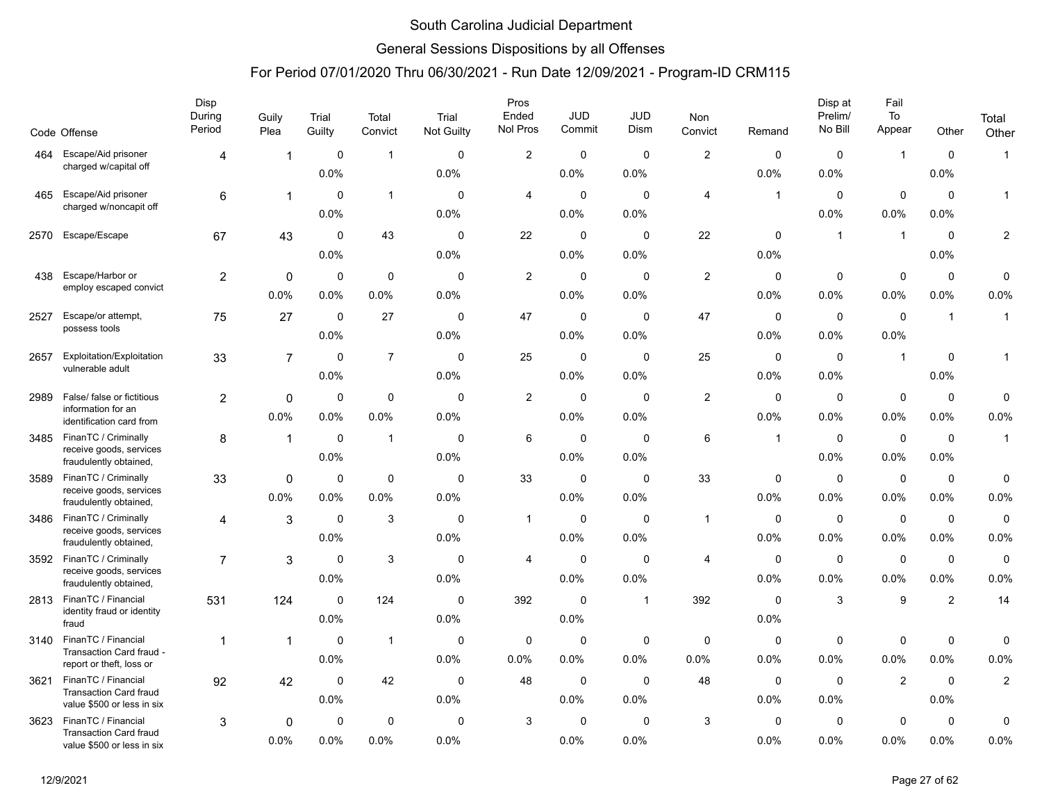### General Sessions Dispositions by all Offenses

|      |                                                             | Disp<br>During<br>Period | Guily          | Trial       | Total          | Trial       | Pros<br>Ended<br>Nol Pros | <b>JUD</b><br>Commit | <b>JUD</b><br>Dism | <b>Non</b>     |                | Disp at<br>Prelim/<br>No Bill | Fail<br>To              |                | Total          |
|------|-------------------------------------------------------------|--------------------------|----------------|-------------|----------------|-------------|---------------------------|----------------------|--------------------|----------------|----------------|-------------------------------|-------------------------|----------------|----------------|
|      | Code Offense                                                |                          | Plea           | Guilty      | Convict        | Not Guilty  |                           |                      |                    | Convict        | Remand         |                               | Appear                  | Other          | Other          |
| 464  | Escape/Aid prisoner<br>charged w/capital off                | 4                        | -1             | $\mathbf 0$ | $\mathbf{1}$   | $\Omega$    | $\overline{\mathbf{c}}$   | 0                    | $\Omega$           | $\overline{2}$ | 0              | $\mathbf 0$                   | $\mathbf{1}$            | $\mathbf 0$    | $\mathbf{1}$   |
|      |                                                             |                          |                | 0.0%        |                | 0.0%        |                           | 0.0%                 | 0.0%               |                | 0.0%           | 0.0%                          |                         | 0.0%           |                |
| 465  | Escape/Aid prisoner<br>charged w/noncapit off               | 6                        | $\mathbf{1}$   | $\Omega$    | $\mathbf{1}$   | $\Omega$    | 4                         | 0                    | $\Omega$           | 4              | $\overline{1}$ | $\Omega$                      | $\mathbf 0$             | $\Omega$       | $\mathbf{1}$   |
|      |                                                             |                          |                | 0.0%        |                | 0.0%        |                           | 0.0%                 | 0.0%               |                |                | 0.0%                          | 0.0%                    | 0.0%           |                |
| 2570 | Escape/Escape                                               | 67                       | 43             | $\mathbf 0$ | 43             | $\mathbf 0$ | 22                        | $\mathbf 0$          | 0                  | 22             | $\mathbf 0$    | $\mathbf{1}$                  | $\overline{\mathbf{1}}$ | $\mathbf 0$    | $\overline{c}$ |
|      |                                                             |                          |                | 0.0%        |                | 0.0%        |                           | 0.0%                 | 0.0%               |                | 0.0%           |                               |                         | 0.0%           |                |
| 438  | Escape/Harbor or                                            | 2                        | 0              | 0           | 0              | 0           | $\overline{\mathbf{c}}$   | 0                    | 0                  | $\overline{2}$ | 0              | 0                             | $\mathbf 0$             | 0              | $\pmb{0}$      |
|      | employ escaped convict                                      |                          | 0.0%           | 0.0%        | 0.0%           | 0.0%        |                           | 0.0%                 | 0.0%               |                | 0.0%           | 0.0%                          | 0.0%                    | 0.0%           | 0.0%           |
| 2527 | Escape/or attempt,                                          | 75                       | 27             | $\Omega$    | 27             | $\Omega$    | 47                        | $\mathbf 0$          | $\Omega$           | 47             | 0              | $\Omega$                      | $\Omega$                | $\overline{1}$ | $\mathbf{1}$   |
|      | possess tools                                               |                          |                | 0.0%        |                | 0.0%        |                           | 0.0%                 | 0.0%               |                | 0.0%           | 0.0%                          | 0.0%                    |                |                |
| 2657 | Exploitation/Exploitation                                   | 33                       | $\overline{7}$ | 0           | $\overline{7}$ | 0           | 25                        | 0                    | 0                  | 25             | 0              | $\mathbf 0$                   | $\overline{1}$          | 0              | $\mathbf 1$    |
|      | vulnerable adult                                            |                          |                | 0.0%        |                | 0.0%        |                           | 0.0%                 | 0.0%               |                | 0.0%           | 0.0%                          |                         | 0.0%           |                |
| 2989 | False/ false or fictitious                                  | $\overline{2}$           | $\mathbf 0$    | $\Omega$    | $\mathbf 0$    | $\mathbf 0$ | $\overline{c}$            | $\mathbf 0$          | 0                  | $\overline{2}$ | 0              | 0                             | $\mathbf 0$             | $\mathbf 0$    | $\pmb{0}$      |
|      | information for an<br>identification card from              |                          | $0.0\%$        | 0.0%        | 0.0%           | 0.0%        |                           | 0.0%                 | 0.0%               |                | $0.0\%$        | 0.0%                          | 0.0%                    | $0.0\%$        | 0.0%           |
| 3485 | FinanTC / Criminally                                        | 8                        | $\mathbf{1}$   | 0           | $\mathbf{1}$   | 0           | 6                         | 0                    | $\mathbf 0$        | 6              | $\overline{1}$ | $\mathbf 0$                   | $\mathbf 0$             | $\mathbf 0$    | $\mathbf{1}$   |
|      | receive goods, services<br>fraudulently obtained,           |                          |                | 0.0%        |                | 0.0%        |                           | 0.0%                 | 0.0%               |                |                | 0.0%                          | 0.0%                    | 0.0%           |                |
| 3589 | FinanTC / Criminally                                        | 33                       | $\mathbf 0$    | 0           | $\mathbf 0$    | $\mathbf 0$ | 33                        | $\mathbf 0$          | 0                  | 33             | 0              | $\mathbf 0$                   | $\mathbf 0$             | $\mathbf 0$    | $\mathbf 0$    |
|      | receive goods, services<br>fraudulently obtained,           |                          | $0.0\%$        | 0.0%        | 0.0%           | 0.0%        |                           | 0.0%                 | 0.0%               |                | $0.0\%$        | 0.0%                          | 0.0%                    | $0.0\%$        | 0.0%           |
| 3486 | FinanTC / Criminally                                        | 4                        | 3              | $\mathbf 0$ | 3              | $\mathbf 0$ | $\overline{1}$            | 0                    | $\mathbf 0$        | $\mathbf{1}$   | 0              | $\mathbf 0$                   | $\mathbf 0$             | 0              | $\mathbf 0$    |
|      | receive goods, services<br>fraudulently obtained,           |                          |                | 0.0%        |                | 0.0%        |                           | 0.0%                 | 0.0%               |                | 0.0%           | 0.0%                          | 0.0%                    | 0.0%           | 0.0%           |
| 3592 | FinanTC / Criminally                                        | $\overline{7}$           | 3              | $\mathbf 0$ | 3              | $\mathbf 0$ | 4                         | $\mathbf 0$          | $\mathbf 0$        | 4              | 0              | $\mathbf 0$                   | $\mathbf 0$             | $\mathbf 0$    | $\mathbf 0$    |
|      | receive goods, services<br>fraudulently obtained,           |                          |                | 0.0%        |                | 0.0%        |                           | 0.0%                 | 0.0%               |                | $0.0\%$        | 0.0%                          | 0.0%                    | $0.0\%$        | 0.0%           |
| 2813 | FinanTC / Financial                                         | 531                      | 124            | 0           | 124            | 0           | 392                       | 0                    | $\mathbf{1}$       | 392            | 0              | 3                             | $\boldsymbol{9}$        | $\overline{2}$ | 14             |
|      | identity fraud or identity<br>fraud                         |                          |                | 0.0%        |                | 0.0%        |                           | 0.0%                 |                    |                | 0.0%           |                               |                         |                |                |
| 3140 | FinanTC / Financial                                         | 1                        | -1             | $\mathbf 0$ | $\mathbf{1}$   | $\mathbf 0$ | 0                         | $\mathbf 0$          | 0                  | $\mathbf 0$    | 0              | $\mathbf 0$                   | $\mathbf 0$             | $\mathbf 0$    | $\mathbf 0$    |
|      | Transaction Card fraud -<br>report or theft, loss or        |                          |                | 0.0%        |                | 0.0%        | 0.0%                      | 0.0%                 | 0.0%               | 0.0%           | 0.0%           | 0.0%                          | 0.0%                    | $0.0\%$        | 0.0%           |
| 3621 | FinanTC / Financial                                         | 92                       | 42             | 0           | 42             | $\mathbf 0$ | 48                        | 0                    | $\mathbf 0$        | 48             | 0              | $\mathbf 0$                   | $\overline{2}$          | $\mathbf 0$    | $\overline{2}$ |
|      | <b>Transaction Card fraud</b><br>value \$500 or less in six |                          |                | 0.0%        |                | 0.0%        |                           | 0.0%                 | 0.0%               |                | 0.0%           | 0.0%                          |                         | 0.0%           |                |
| 3623 | FinanTC / Financial                                         | 3                        | 0              | $\mathbf 0$ | $\mathbf 0$    | $\mathbf 0$ | 3                         | $\mathbf 0$          | $\mathbf 0$        | 3              | $\mathbf 0$    | $\mathbf 0$                   | $\mathbf 0$             | $\mathbf 0$    | $\mathbf 0$    |
|      | <b>Transaction Card fraud</b><br>value \$500 or less in six |                          | 0.0%           | 0.0%        | 0.0%           | 0.0%        |                           | 0.0%                 | 0.0%               |                | $0.0\%$        | 0.0%                          | 0.0%                    | $0.0\%$        | 0.0%           |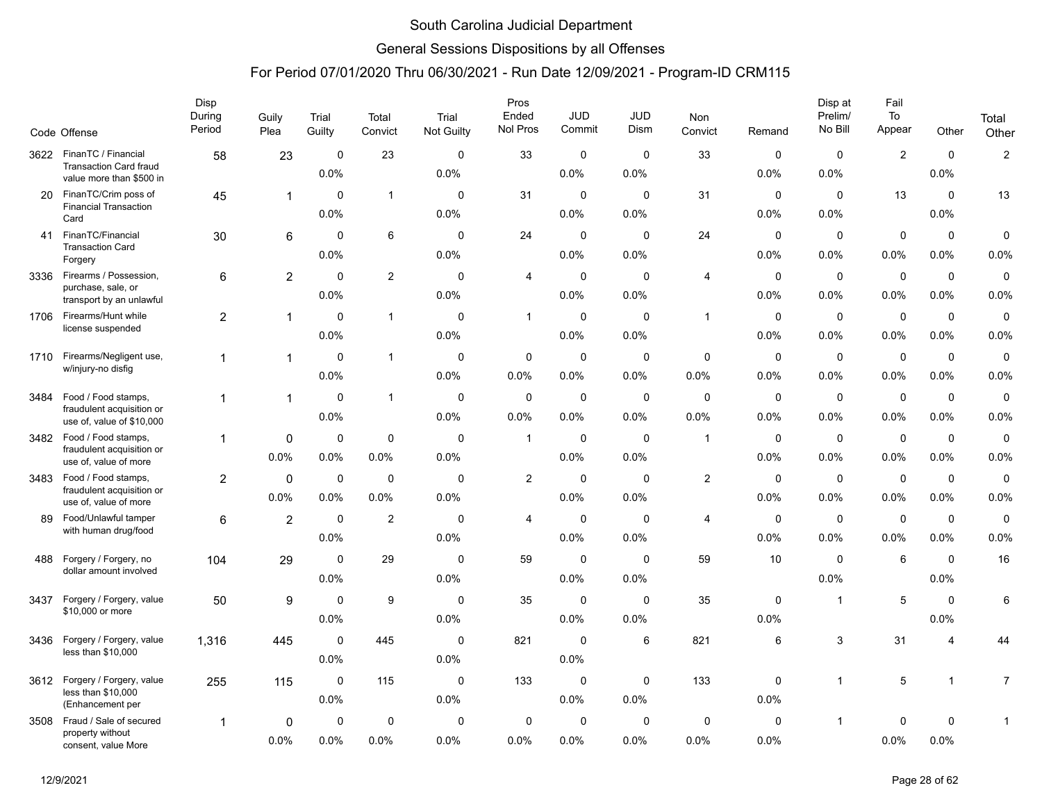### General Sessions Dispositions by all Offenses

|      | Code Offense                                           | Disp<br>During<br>Period | Guily<br>Plea           | Trial<br>Guilty | Total<br>Convict | Trial<br>Not Guilty | Pros<br>Ended<br>Nol Pros | JUD<br>Commit | <b>JUD</b><br>Dism | Non<br>Convict          | Remand      | Disp at<br>Prelim/<br>No Bill | Fail<br>To<br>Appear    | Other          | Total<br>Other |
|------|--------------------------------------------------------|--------------------------|-------------------------|-----------------|------------------|---------------------|---------------------------|---------------|--------------------|-------------------------|-------------|-------------------------------|-------------------------|----------------|----------------|
| 3622 | FinanTC / Financial<br><b>Transaction Card fraud</b>   | 58                       | 23                      | $\mathbf 0$     | 23               | $\Omega$            | 33                        | 0             | $\mathbf 0$        | 33                      | 0           | 0                             | $\overline{\mathbf{c}}$ | $\mathbf 0$    | $\overline{c}$ |
|      | value more than \$500 in                               |                          |                         | 0.0%            |                  | 0.0%                |                           | 0.0%          | 0.0%               |                         | 0.0%        | 0.0%                          |                         | 0.0%           |                |
| 20   | FinanTC/Crim poss of                                   | 45                       | $\overline{\mathbf{1}}$ | $\Omega$        | $\mathbf{1}$     | $\mathbf{0}$        | 31                        | 0             | $\mathbf{0}$       | 31                      | $\Omega$    | $\Omega$                      | 13                      | 0              | 13             |
|      | <b>Financial Transaction</b><br>Card                   |                          |                         | 0.0%            |                  | 0.0%                |                           | 0.0%          | 0.0%               |                         | 0.0%        | 0.0%                          |                         | 0.0%           |                |
| 41   | FinanTC/Financial                                      | 30                       | 6                       | $\Omega$        | 6                | $\mathbf 0$         | 24                        | $\mathbf 0$   | $\mathbf 0$        | 24                      | 0           | 0                             | $\pmb{0}$               | $\mathbf 0$    | $\pmb{0}$      |
|      | <b>Transaction Card</b><br>Forgery                     |                          |                         | 0.0%            |                  | 0.0%                |                           | 0.0%          | 0.0%               |                         | 0.0%        | 0.0%                          | 0.0%                    | 0.0%           | 0.0%           |
| 3336 | Firearms / Possession,                                 | 6                        | $\overline{2}$          | 0               | $\overline{2}$   | 0                   | 4                         | $\mathbf 0$   | 0                  | 4                       | 0           | 0                             | $\mathbf 0$             | 0              | $\pmb{0}$      |
|      | purchase, sale, or<br>transport by an unlawful         |                          |                         | 0.0%            |                  | 0.0%                |                           | $0.0\%$       | 0.0%               |                         | 0.0%        | $0.0\%$                       | 0.0%                    | 0.0%           | 0.0%           |
| 1706 | Firearms/Hunt while                                    | $\overline{2}$           | $\mathbf{1}$            | $\Omega$        | $\mathbf{1}$     | $\mathbf{0}$        | $\mathbf{1}$              | $\mathbf 0$   | $\mathbf{0}$       | $\mathbf{1}$            | $\Omega$    | $\mathbf 0$                   | $\mathbf 0$             | $\mathbf 0$    | $\mathbf 0$    |
|      | license suspended                                      |                          |                         | 0.0%            |                  | 0.0%                |                           | $0.0\%$       | 0.0%               |                         | 0.0%        | $0.0\%$                       | $0.0\%$                 | 0.0%           | 0.0%           |
| 1710 | Firearms/Negligent use,                                | $\mathbf{1}$             | $\overline{1}$          | 0               | $\mathbf{1}$     | 0                   | 0                         | $\mathbf 0$   | 0                  | 0                       | 0           | 0                             | $\mathbf 0$             | $\mathbf 0$    | $\mathbf 0$    |
|      | w/injury-no disfig                                     |                          |                         | 0.0%            |                  | 0.0%                | 0.0%                      | 0.0%          | 0.0%               | 0.0%                    | 0.0%        | 0.0%                          | 0.0%                    | 0.0%           | 0.0%           |
| 3484 | Food / Food stamps,                                    | 1                        | 1                       | $\Omega$        | $\mathbf{1}$     | 0                   | $\mathbf 0$               | $\pmb{0}$     | $\mathbf 0$        | $\mathbf 0$             | 0           | $\mathbf 0$                   | $\mathbf 0$             | 0              | $\pmb{0}$      |
|      | fraudulent acquisition or<br>use of, value of \$10,000 |                          |                         | 0.0%            |                  | 0.0%                | 0.0%                      | $0.0\%$       | $0.0\%$            | 0.0%                    | 0.0%        | $0.0\%$                       | $0.0\%$                 | $0.0\%$        | 0.0%           |
|      | 3482 Food / Food stamps,                               | 1                        | 0                       | 0               | $\mathbf 0$      | 0                   | $\mathbf{1}$              | 0             | 0                  | $\mathbf{1}$            | 0           | 0                             | $\mathbf 0$             | 0              | $\mathbf 0$    |
|      | fraudulent acquisition or<br>use of, value of more     |                          | 0.0%                    | 0.0%            | 0.0%             | 0.0%                |                           | 0.0%          | 0.0%               |                         | 0.0%        | 0.0%                          | 0.0%                    | 0.0%           | 0.0%           |
| 3483 | Food / Food stamps,                                    | $\overline{2}$           | $\mathbf 0$             | 0               | $\mathbf 0$      | $\mathbf 0$         | $\overline{\mathbf{c}}$   | $\mathbf 0$   | $\mathbf 0$        | $\overline{\mathbf{c}}$ | 0           | $\mathbf 0$                   | $\mathbf 0$             | $\mathbf 0$    | $\mathbf 0$    |
|      | fraudulent acquisition or<br>use of, value of more     |                          | 0.0%                    | 0.0%            | 0.0%             | 0.0%                |                           | $0.0\%$       | 0.0%               |                         | 0.0%        | 0.0%                          | 0.0%                    | 0.0%           | 0.0%           |
| 89   | Food/Unlawful tamper                                   | 6                        | $\overline{2}$          | $\mathbf 0$     | $\overline{2}$   | $\mathbf 0$         | 4                         | $\mathbf 0$   | $\mathbf 0$        | 4                       | $\mathbf 0$ | 0                             | $\mathbf 0$             | 0              | $\mathbf 0$    |
|      | with human drug/food                                   |                          |                         | 0.0%            |                  | 0.0%                |                           | 0.0%          | 0.0%               |                         | 0.0%        | 0.0%                          | 0.0%                    | 0.0%           | 0.0%           |
| 488  | Forgery / Forgery, no                                  | 104                      | 29                      | $\mathbf 0$     | 29               | $\mathbf 0$         | 59                        | $\pmb{0}$     | $\mathbf 0$        | 59                      | 10          | $\mathbf 0$                   | 6                       | $\mathbf 0$    | 16             |
|      | dollar amount involved                                 |                          |                         | 0.0%            |                  | 0.0%                |                           | $0.0\%$       | $0.0\%$            |                         |             | 0.0%                          |                         | 0.0%           |                |
| 3437 | Forgery / Forgery, value                               | 50                       | 9                       | 0               | 9                | 0                   | 35                        | $\mathbf 0$   | 0                  | 35                      | 0           | $\mathbf{1}$                  | 5                       | 0              | 6              |
|      | \$10,000 or more                                       |                          |                         | 0.0%            |                  | 0.0%                |                           | 0.0%          | 0.0%               |                         | 0.0%        |                               |                         | 0.0%           |                |
| 3436 | Forgery / Forgery, value                               | 1,316                    | 445                     | $\mathbf 0$     | 445              | $\mathbf 0$         | 821                       | $\mathbf 0$   | 6                  | 821                     | 6           | 3                             | 31                      | $\overline{4}$ | 44             |
|      | less than \$10,000                                     |                          |                         | 0.0%            |                  | 0.0%                |                           | $0.0\%$       |                    |                         |             |                               |                         |                |                |
| 3612 | Forgery / Forgery, value                               | 255                      | 115                     | $\mathbf 0$     | 115              | 0                   | 133                       | $\mathbf 0$   | 0                  | 133                     | 0           | $\mathbf{1}$                  | 5                       | $\mathbf{1}$   | 7              |
|      | less than \$10,000<br>(Enhancement per                 |                          |                         | 0.0%            |                  | 0.0%                |                           | 0.0%          | 0.0%               |                         | 0.0%        |                               |                         |                |                |
| 3508 | Fraud / Sale of secured                                | 1                        | 0                       | $\mathbf 0$     | $\mathbf 0$      | 0                   | $\mathbf 0$               | $\mathbf 0$   | $\mathbf 0$        | $\mathbf 0$             | $\mathbf 0$ | $\mathbf{1}$                  | 0                       | $\pmb{0}$      | 1              |
|      | property without<br>consent, value More                |                          | 0.0%                    | 0.0%            | 0.0%             | 0.0%                | 0.0%                      | $0.0\%$       | $0.0\%$            | 0.0%                    | 0.0%        |                               | 0.0%                    | 0.0%           |                |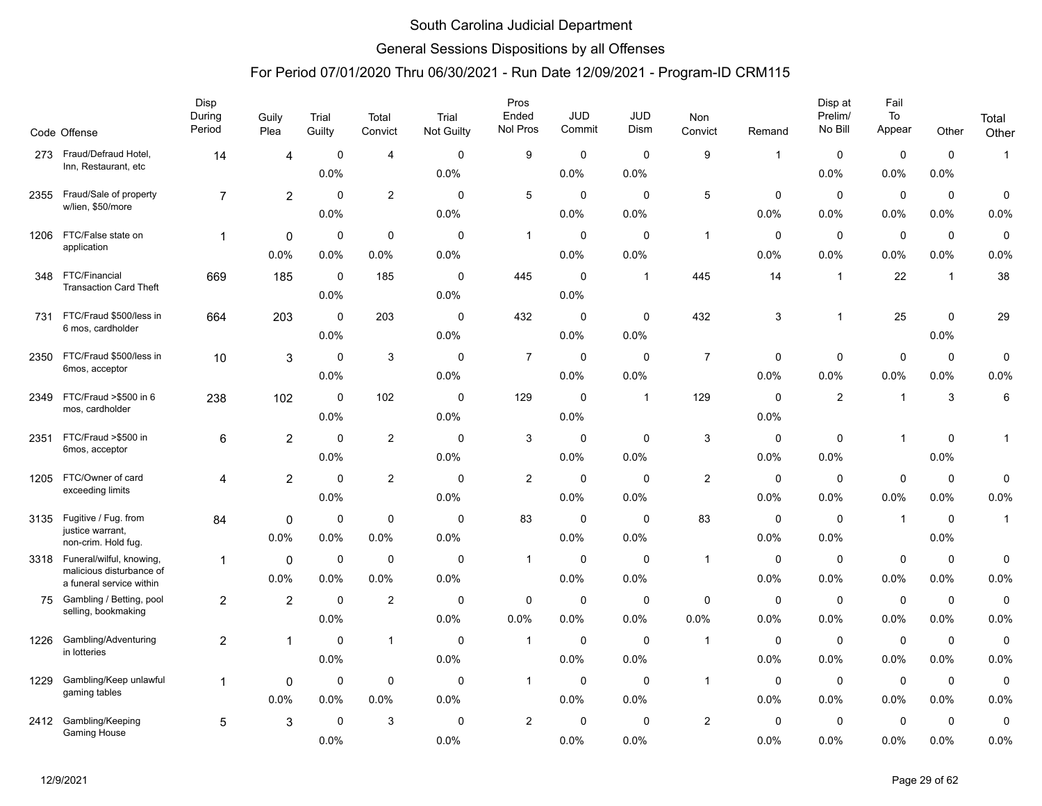### General Sessions Dispositions by all Offenses

|      | Code Offense                                         | Disp<br>During<br>Period | Guily<br>Plea           | Trial<br>Guilty | Total<br>Convict | Trial<br><b>Not Guilty</b> | Pros<br>Ended<br>Nol Pros | <b>JUD</b><br>Commit | <b>JUD</b><br>Dism      | Non<br>Convict | Remand      | Disp at<br>Prelim/<br>No Bill | Fail<br>To<br>Appear | Other          | Total<br>Other |
|------|------------------------------------------------------|--------------------------|-------------------------|-----------------|------------------|----------------------------|---------------------------|----------------------|-------------------------|----------------|-------------|-------------------------------|----------------------|----------------|----------------|
| 273  | Fraud/Defraud Hotel,                                 | 14                       | 4                       | 0               | $\overline{4}$   | $\mathbf 0$                | 9                         | 0                    | $\mathbf 0$             | 9              | $\mathbf 1$ | $\mathbf 0$                   | $\mathbf 0$          | $\mathbf 0$    | $\mathbf{1}$   |
|      | Inn, Restaurant, etc                                 |                          |                         | 0.0%            |                  | 0.0%                       |                           | 0.0%                 | 0.0%                    |                |             | 0.0%                          | 0.0%                 | 0.0%           |                |
| 2355 | Fraud/Sale of property                               | $\overline{7}$           | $\overline{2}$          | $\mathbf 0$     | $\overline{2}$   | $\mathbf 0$                | 5                         | $\mathbf 0$          | $\mathbf 0$             | 5              | $\mathbf 0$ | $\mathbf 0$                   | $\pmb{0}$            | $\mathbf 0$    | 0              |
|      | w/lien, \$50/more                                    |                          |                         | 0.0%            |                  | 0.0%                       |                           | 0.0%                 | 0.0%                    |                | 0.0%        | 0.0%                          | 0.0%                 | 0.0%           | 0.0%           |
| 1206 | FTC/False state on                                   | $\mathbf{1}$             | 0                       | $\mathbf 0$     | $\mathbf 0$      | $\mathbf 0$                | $\mathbf{1}$              | 0                    | $\mathbf 0$             | $\overline{1}$ | 0           | $\mathbf 0$                   | 0                    | $\mathbf 0$    | $\mathbf 0$    |
|      | application                                          |                          | 0.0%                    | $0.0\%$         | 0.0%             | 0.0%                       |                           | 0.0%                 | 0.0%                    |                | 0.0%        | 0.0%                          | 0.0%                 | 0.0%           | 0.0%           |
| 348  | FTC/Financial<br><b>Transaction Card Theft</b>       | 669                      | 185                     | 0<br>0.0%       | 185              | $\mathbf 0$<br>0.0%        | 445                       | $\mathbf 0$<br>0.0%  | $\overline{\mathbf{1}}$ | 445            | 14          | $\mathbf{1}$                  | 22                   | $\overline{1}$ | 38             |
| 731  | FTC/Fraud \$500/less in                              | 664                      | 203                     | $\Omega$        | 203              | $\mathbf{0}$               | 432                       | $\mathbf 0$          | $\mathbf 0$             | 432            | 3           | $\mathbf{1}$                  | 25                   | $\mathbf 0$    | 29             |
|      | 6 mos, cardholder                                    |                          |                         | 0.0%            |                  | 0.0%                       |                           | 0.0%                 | 0.0%                    |                |             |                               |                      | 0.0%           |                |
| 2350 | FTC/Fraud \$500/less in                              | 10                       | 3                       | $\mathbf 0$     | 3                | $\mathbf 0$                | $\overline{7}$            | $\mathbf 0$          | $\mathbf 0$             | $\overline{7}$ | $\mathbf 0$ | $\mathbf 0$                   | $\mathbf 0$          | $\mathsf 0$    | 0              |
|      | 6mos, acceptor                                       |                          |                         | 0.0%            |                  | 0.0%                       |                           | 0.0%                 | 0.0%                    |                | 0.0%        | 0.0%                          | 0.0%                 | 0.0%           | 0.0%           |
| 2349 | FTC/Fraud >\$500 in 6                                | 238                      | 102                     | $\mathbf 0$     | 102              | $\mathbf 0$                | 129                       | $\mathbf 0$          | $\mathbf 1$             | 129            | $\mathbf 0$ | 2                             | $\overline{1}$       | 3              | 6              |
|      | mos, cardholder                                      |                          |                         | 0.0%            |                  | 0.0%                       |                           | 0.0%                 |                         |                | 0.0%        |                               |                      |                |                |
| 2351 | FTC/Fraud >\$500 in                                  | 6                        | $\overline{2}$          | $\mathbf 0$     | $\overline{2}$   | $\mathbf 0$                | 3                         | $\mathbf 0$          | $\mathbf 0$             | $\mathbf{3}$   | $\mathbf 0$ | $\mathbf 0$                   | $\overline{1}$       | $\mathbf 0$    | $\mathbf{1}$   |
|      | 6mos, acceptor                                       |                          |                         | 0.0%            |                  | 0.0%                       |                           | 0.0%                 | 0.0%                    |                | 0.0%        | 0.0%                          |                      | 0.0%           |                |
| 1205 | FTC/Owner of card                                    | 4                        | $\overline{\mathbf{c}}$ | 0               | 2                | 0                          | 2                         | $\mathbf 0$          | $\Omega$                | $\overline{c}$ | 0           | 0                             | $\mathbf 0$          | $\mathbf 0$    | 0              |
|      | exceeding limits                                     |                          |                         | 0.0%            |                  | 0.0%                       |                           | 0.0%                 | 0.0%                    |                | 0.0%        | 0.0%                          | 0.0%                 | 0.0%           | 0.0%           |
| 3135 | Fugitive / Fug. from                                 | 84                       | $\Omega$                | 0               | $\mathbf 0$      | $\mathbf 0$                | 83                        | $\mathbf 0$          | 0                       | 83             | $\mathbf 0$ | $\mathbf 0$                   | $\overline{1}$       | $\mathbf 0$    | $\mathbf{1}$   |
|      | justice warrant,<br>non-crim. Hold fug.              |                          | 0.0%                    | 0.0%            | 0.0%             | 0.0%                       |                           | 0.0%                 | 0.0%                    |                | 0.0%        | 0.0%                          |                      | 0.0%           |                |
|      | 3318 Funeral/wilful, knowing,                        | 1                        | 0                       | $\mathbf 0$     | $\mathbf 0$      | $\mathbf 0$                | $\mathbf{1}$              | $\mathbf 0$          | $\mathbf 0$             | $\mathbf{1}$   | $\mathbf 0$ | $\mathbf 0$                   | $\mathbf 0$          | $\mathbf 0$    | $\mathbf 0$    |
|      | malicious disturbance of<br>a funeral service within |                          | 0.0%                    | 0.0%            | 0.0%             | 0.0%                       |                           | 0.0%                 | 0.0%                    |                | 0.0%        | 0.0%                          | 0.0%                 | 0.0%           | 0.0%           |
| 75   | Gambling / Betting, pool                             | $\overline{c}$           | $\overline{2}$          | $\mathbf 0$     | $\overline{2}$   | 0                          | 0                         | 0                    | $\mathbf 0$             | $\mathbf 0$    | 0           | $\mathbf 0$                   | $\mathbf 0$          | $\mathbf 0$    | $\mathbf 0$    |
|      | selling, bookmaking                                  |                          |                         | 0.0%            |                  | 0.0%                       | 0.0%                      | 0.0%                 | 0.0%                    | 0.0%           | 0.0%        | 0.0%                          | 0.0%                 | 0.0%           | 0.0%           |
| 1226 | Gambling/Adventuring<br>in lotteries                 | $\overline{c}$           | $\mathbf{1}$            | $\mathbf 0$     | $\mathbf{1}$     | $\mathbf 0$                | $\mathbf{1}$              | 0                    | $\mathbf 0$             | $\mathbf{1}$   | 0           | $\mathbf 0$                   | $\mathbf 0$          | $\mathbf 0$    | $\pmb{0}$      |
|      |                                                      |                          |                         | 0.0%            |                  | 0.0%                       |                           | 0.0%                 | 0.0%                    |                | 0.0%        | 0.0%                          | 0.0%                 | 0.0%           | 0.0%           |
| 1229 | Gambling/Keep unlawful<br>gaming tables              | $\mathbf{1}$             | 0                       | 0               | $\mathbf 0$      | 0                          | $\mathbf{1}$              | 0                    | $\mathbf 0$             | $\mathbf{1}$   | 0           | $\mathbf 0$                   | $\mathbf 0$          | $\mathbf 0$    | $\mathbf 0$    |
|      |                                                      |                          | 0.0%                    | 0.0%            | 0.0%             | 0.0%                       |                           | 0.0%                 | 0.0%                    |                | 0.0%        | 0.0%                          | 0.0%                 | 0.0%           | 0.0%           |
| 2412 | Gambling/Keeping<br><b>Gaming House</b>              | 5                        | 3                       | $\mathbf 0$     | 3                | $\mathbf 0$                | $\overline{c}$            | $\mathbf 0$          | $\Omega$                | $\overline{2}$ | $\mathbf 0$ | $\mathbf 0$                   | 0                    | $\mathbf 0$    | $\mathbf 0$    |
|      |                                                      |                          |                         | 0.0%            |                  | 0.0%                       |                           | 0.0%                 | 0.0%                    |                | 0.0%        | 0.0%                          | 0.0%                 | 0.0%           | 0.0%           |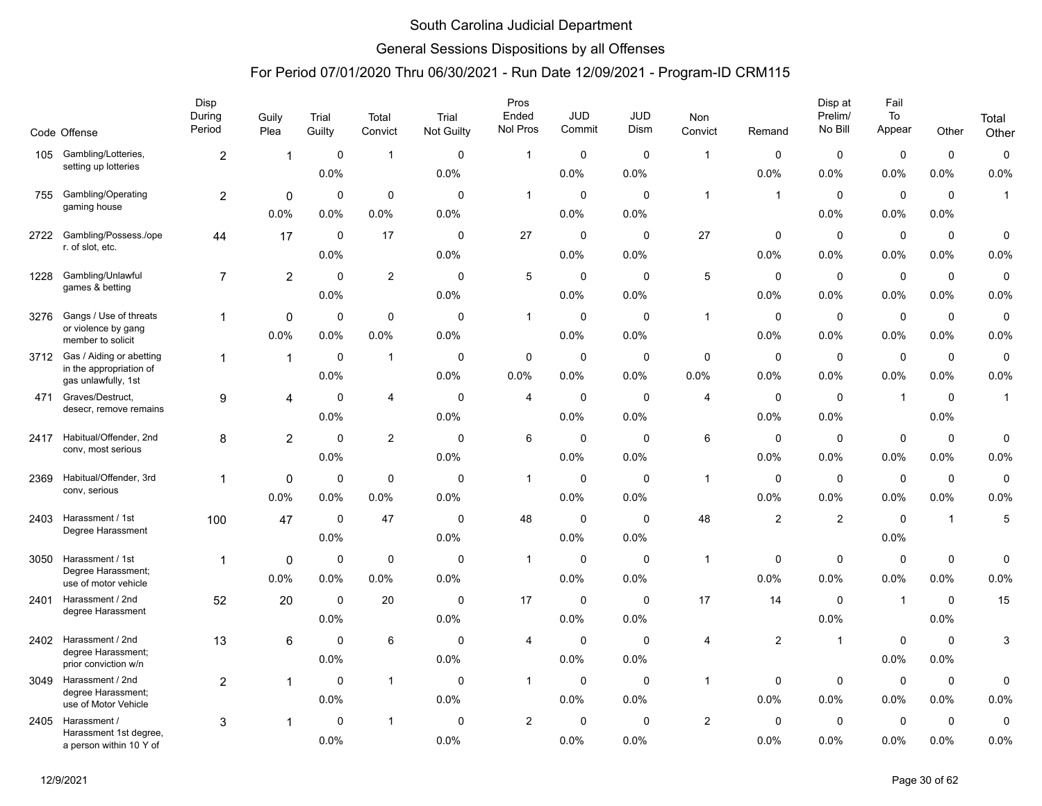### General Sessions Dispositions by all Offenses

|      |                                                   | Disp<br>During | Guily          | Trial       | Total          | Trial       | Pros<br>Ended  | <b>JUD</b>  | <b>JUD</b>  | Non            |                | Disp at<br>Prelim/ | Fail<br>To     |                     | Total        |
|------|---------------------------------------------------|----------------|----------------|-------------|----------------|-------------|----------------|-------------|-------------|----------------|----------------|--------------------|----------------|---------------------|--------------|
|      | Code Offense                                      | Period         | Plea           | Guilty      | Convict        | Not Guilty  | Nol Pros       | Commit      | Dism        | Convict        | Remand         | No Bill            | Appear         | Other               | Other        |
| 105  | Gambling/Lotteries,<br>setting up lotteries       | $\overline{c}$ | 1              | $\mathbf 0$ | $\mathbf{1}$   | $\mathbf 0$ | $\mathbf{1}$   | $\mathbf 0$ | $\mathbf 0$ | $\overline{1}$ | 0              | $\mathbf 0$        | $\mathbf 0$    | $\mathbf 0$         | $\mathsf 0$  |
|      |                                                   |                |                | 0.0%        |                | 0.0%        |                | 0.0%        | 0.0%        |                | 0.0%           | 0.0%               | 0.0%           | 0.0%                | 0.0%         |
| 755  | Gambling/Operating                                | 2              | $\Omega$       | $\mathbf 0$ | $\mathbf 0$    | $\Omega$    | $\mathbf{1}$   | $\mathbf 0$ | $\Omega$    | $\overline{1}$ | $\mathbf{1}$   | $\mathbf{0}$       | $\mathbf 0$    | $\mathbf 0$         | $\mathbf{1}$ |
|      | gaming house                                      |                | 0.0%           | 0.0%        | 0.0%           | 0.0%        |                | 0.0%        | 0.0%        |                |                | 0.0%               | 0.0%           | 0.0%                |              |
| 2722 | Gambling/Possess./ope                             | 44             | 17             | 0           | 17             | $\mathbf 0$ | 27             | $\pmb{0}$   | $\mathbf 0$ | 27             | 0              | 0                  | $\mathbf 0$    | $\mathbf 0$         | 0            |
|      | r. of slot, etc.                                  |                |                | 0.0%        |                | 0.0%        |                | 0.0%        | 0.0%        |                | 0.0%           | $0.0\%$            | 0.0%           | 0.0%                | 0.0%         |
| 1228 | Gambling/Unlawful                                 | $\overline{7}$ | $\overline{2}$ | $\mathbf 0$ | 2              | $\mathbf 0$ | 5              | 0           | 0           | 5              | $\mathbf 0$    | $\mathbf 0$        | 0              | $\mathbf 0$         | 0            |
|      | games & betting                                   |                |                | 0.0%        |                | 0.0%        |                | 0.0%        | 0.0%        |                | 0.0%           | 0.0%               | 0.0%           | 0.0%                | 0.0%         |
| 3276 | Gangs / Use of threats                            | $\mathbf{1}$   | 0              | $\mathbf 0$ | $\mathbf 0$    | $\Omega$    | $\mathbf{1}$   | $\mathbf 0$ | $\Omega$    | $\overline{1}$ | $\mathbf 0$    | $\mathbf 0$        | $\mathbf 0$    | $\mathbf 0$         | $\pmb{0}$    |
|      | or violence by gang<br>member to solicit          |                | 0.0%           | 0.0%        | 0.0%           | 0.0%        |                | 0.0%        | 0.0%        |                | 0.0%           | 0.0%               | 0.0%           | 0.0%                | 0.0%         |
| 3712 | Gas / Aiding or abetting                          | $\mathbf{1}$   | $\mathbf{1}$   | 0           | $\overline{1}$ | 0           | $\mathbf 0$    | $\mathbf 0$ | 0           | 0              | 0              | 0                  | $\mathbf 0$    | $\mathbf 0$         | 0            |
|      | in the appropriation of<br>gas unlawfully, 1st    |                |                | 0.0%        |                | 0.0%        | 0.0%           | 0.0%        | 0.0%        | 0.0%           | 0.0%           | $0.0\%$            | 0.0%           | 0.0%                | 0.0%         |
| 471  | Graves/Destruct,                                  | 9              | 4              | $\mathbf 0$ | $\overline{4}$ | $\mathbf 0$ | 4              | 0           | $\mathbf 0$ | 4              | $\mathbf 0$    | $\mathbf 0$        | $\overline{1}$ | $\mathbf 0$         | $\mathbf{1}$ |
|      | desecr, remove remains                            |                |                | $0.0\%$     |                | 0.0%        |                | 0.0%        | 0.0%        |                | 0.0%           | 0.0%               |                | 0.0%                |              |
| 2417 | Habitual/Offender, 2nd                            | 8              | $\overline{2}$ | $\mathbf 0$ | $\overline{2}$ | $\mathbf 0$ | 6              | $\mathbf 0$ | $\mathbf 0$ | 6              | $\mathbf 0$    | $\mathbf 0$        | $\mathbf 0$    | $\mathbf 0$         | 0            |
|      | conv, most serious                                |                |                | 0.0%        |                | 0.0%        |                | 0.0%        | 0.0%        |                | 0.0%           | 0.0%               | 0.0%           | 0.0%                | 0.0%         |
| 2369 | Habitual/Offender, 3rd                            | $\mathbf{1}$   | $\Omega$       | $\mathbf 0$ | $\mathbf 0$    | $\mathbf 0$ | 1              | $\mathbf 0$ | $\mathbf 0$ | $\overline{1}$ | $\mathbf 0$    | $\mathbf 0$        | $\mathbf 0$    | $\mathbf 0$         | $\mathbf 0$  |
|      | conv, serious                                     |                | 0.0%           | 0.0%        | 0.0%           | 0.0%        |                | 0.0%        | 0.0%        |                | 0.0%           | 0.0%               | 0.0%           | 0.0%                | 0.0%         |
| 2403 | Harassment / 1st                                  | 100            | 47             | $\mathbf 0$ | 47             | $\mathbf 0$ | 48             | $\mathbf 0$ | $\mathbf 0$ | 48             | $\overline{c}$ | $\overline{c}$     | $\mathbf 0$    | $\overline{1}$      | 5            |
|      | Degree Harassment                                 |                |                | 0.0%        |                | 0.0%        |                | $0.0\%$     | 0.0%        |                |                |                    | $0.0\%$        |                     |              |
| 3050 | Harassment / 1st                                  | $\mathbf{1}$   | 0              | $\mathbf 0$ | $\mathbf 0$    | $\mathbf 0$ | $\mathbf{1}$   | 0           | $\mathbf 0$ | $\overline{1}$ | $\mathbf 0$    | $\mathbf 0$        | $\mathbf 0$    | $\mathsf{O}\xspace$ | 0            |
|      | Degree Harassment;<br>use of motor vehicle        |                | 0.0%           | 0.0%        | 0.0%           | 0.0%        |                | 0.0%        | 0.0%        |                | 0.0%           | 0.0%               | 0.0%           | 0.0%                | 0.0%         |
| 2401 | Harassment / 2nd                                  | 52             | 20             | $\mathbf 0$ | 20             | $\mathbf 0$ | 17             | $\mathbf 0$ | $\mathbf 0$ | 17             | 14             | $\mathbf 0$        | $\overline{1}$ | $\mathbf 0$         | 15           |
|      | degree Harassment                                 |                |                | 0.0%        |                | 0.0%        |                | 0.0%        | 0.0%        |                |                | 0.0%               |                | 0.0%                |              |
| 2402 | Harassment / 2nd                                  | 13             | 6              | $\Omega$    | 6              | 0           | 4              | 0           | 0           | 4              | $\overline{c}$ | $\overline{1}$     | $\mathbf 0$    | 0                   | 3            |
|      | degree Harassment;<br>prior conviction w/n        |                |                | 0.0%        |                | 0.0%        |                | 0.0%        | 0.0%        |                |                |                    | 0.0%           | 0.0%                |              |
|      | 3049 Harassment / 2nd                             | $\overline{c}$ | 1              | $\mathbf 0$ | $\mathbf{1}$   | $\mathbf 0$ | $\mathbf{1}$   | 0           | $\mathbf 0$ | $\mathbf{1}$   | 0              | $\mathbf 0$        | $\mathbf 0$    | 0                   | 0            |
|      | degree Harassment;<br>use of Motor Vehicle        |                |                | 0.0%        |                | 0.0%        |                | 0.0%        | 0.0%        |                | 0.0%           | 0.0%               | $0.0\%$        | 0.0%                | 0.0%         |
| 2405 | Harassment /                                      | 3              | 1              | $\Omega$    | $\mathbf{1}$   | $\Omega$    | $\overline{c}$ | $\mathbf 0$ | $\Omega$    | $\overline{c}$ | $\Omega$       | $\mathbf 0$        | $\mathbf 0$    | $\mathbf 0$         | $\pmb{0}$    |
|      | Harassment 1st degree,<br>a person within 10 Y of |                |                | 0.0%        |                | 0.0%        |                | 0.0%        | 0.0%        |                | 0.0%           | 0.0%               | 0.0%           | 0.0%                | 0.0%         |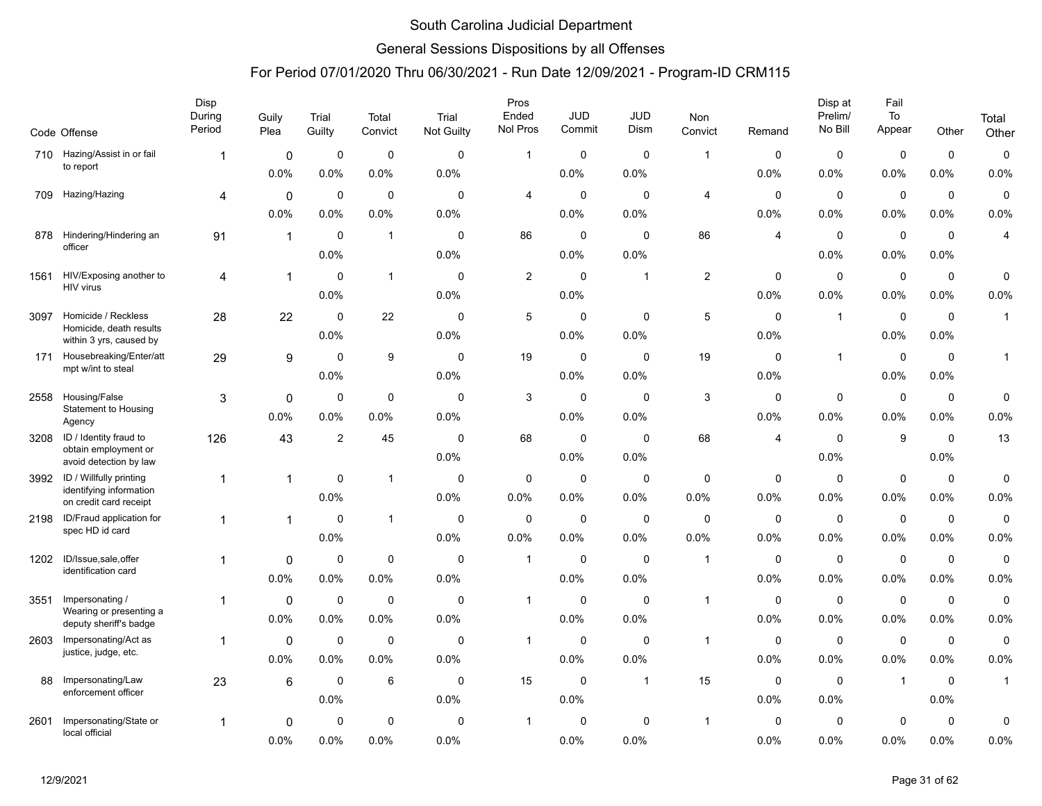### General Sessions Dispositions by all Offenses

|      | Code Offense                                       | Disp<br>During<br>Period | Guily<br>Plea | Trial<br>Guilty | Total<br>Convict | Trial<br>Not Guilty | Pros<br>Ended<br>Nol Pros | <b>JUD</b><br>Commit | <b>JUD</b><br>Dism | Non<br>Convict | Remand      | Disp at<br>Prelim/<br>No Bill | Fail<br>To<br>Appear | Other       | Total<br>Other |
|------|----------------------------------------------------|--------------------------|---------------|-----------------|------------------|---------------------|---------------------------|----------------------|--------------------|----------------|-------------|-------------------------------|----------------------|-------------|----------------|
| 710  | Hazing/Assist in or fail                           | 1                        | 0             | $\mathbf 0$     | $\mathbf 0$      | $\mathbf 0$         | $\mathbf{1}$              | $\mathbf 0$          | $\mathbf 0$        | $\mathbf{1}$   | 0           | $\mathbf 0$                   | $\mathbf 0$          | $\mathbf 0$ | $\mathbf 0$    |
|      | to report                                          |                          | 0.0%          | 0.0%            | 0.0%             | 0.0%                |                           | 0.0%                 | 0.0%               |                | 0.0%        | 0.0%                          | 0.0%                 | 0.0%        | 0.0%           |
| 709  | Hazing/Hazing                                      | 4                        | $\mathbf 0$   | $\mathbf 0$     | $\mathbf 0$      | $\mathbf 0$         | 4                         | $\mathbf 0$          | $\mathbf 0$        | $\overline{4}$ | $\mathbf 0$ | $\mathbf 0$                   | $\pmb{0}$            | $\pmb{0}$   | $\pmb{0}$      |
|      |                                                    |                          | 0.0%          | 0.0%            | 0.0%             | 0.0%                |                           | 0.0%                 | 0.0%               |                | 0.0%        | 0.0%                          | 0.0%                 | 0.0%        | 0.0%           |
| 878  | Hindering/Hindering an                             | 91                       | $\mathbf{1}$  | $\mathbf 0$     | $\mathbf{1}$     | $\mathbf 0$         | 86                        | $\mathbf 0$          | $\mathbf 0$        | 86             | 4           | $\mathbf 0$                   | $\mathbf 0$          | $\mathbf 0$ | 4              |
|      | officer                                            |                          |               | 0.0%            |                  | 0.0%                |                           | $0.0\%$              | 0.0%               |                |             | 0.0%                          | 0.0%                 | 0.0%        |                |
| 1561 | HIV/Exposing another to                            | 4                        | 1             | $\mathbf 0$     | $\mathbf{1}$     | $\mathbf 0$         | $\overline{c}$            | $\mathbf 0$          | $\mathbf 1$        | $\mathbf{2}$   | 0           | 0                             | $\mathbf 0$          | $\mathbf 0$ | 0              |
|      | HIV virus                                          |                          |               | 0.0%            |                  | 0.0%                |                           | 0.0%                 |                    |                | 0.0%        | 0.0%                          | 0.0%                 | 0.0%        | 0.0%           |
| 3097 | Homicide / Reckless                                | 28                       | 22            | $\Omega$        | 22               | $\Omega$            | 5                         | $\mathbf 0$          | $\mathbf 0$        | 5              | $\Omega$    | $\mathbf{1}$                  | $\mathbf 0$          | $\Omega$    | $\mathbf{1}$   |
|      | Homicide, death results<br>within 3 yrs, caused by |                          |               | 0.0%            |                  | 0.0%                |                           | 0.0%                 | 0.0%               |                | 0.0%        |                               | 0.0%                 | 0.0%        |                |
| 171  | Housebreaking/Enter/att                            | 29                       | 9             | $\mathbf 0$     | 9                | $\mathbf 0$         | 19                        | $\mathbf 0$          | 0                  | 19             | 0           | $\mathbf{1}$                  | $\mathbf 0$          | $\mathbf 0$ | $\mathbf{1}$   |
|      | mpt w/int to steal                                 |                          |               | 0.0%            |                  | 0.0%                |                           | 0.0%                 | 0.0%               |                | 0.0%        |                               | 0.0%                 | 0.0%        |                |
| 2558 | Housing/False                                      | 3                        | $\mathbf 0$   | $\mathbf 0$     | $\mathbf 0$      | $\mathbf 0$         | 3                         | $\mathbf 0$          | $\mathbf 0$        | 3              | $\mathbf 0$ | $\mathbf 0$                   | $\mathbf 0$          | $\mathbf 0$ | 0              |
|      | <b>Statement to Housing</b><br>Agency              |                          | 0.0%          | 0.0%            | 0.0%             | 0.0%                |                           | $0.0\%$              | 0.0%               |                | 0.0%        | 0.0%                          | 0.0%                 | 0.0%        | 0.0%           |
| 3208 | ID / Identity fraud to                             | 126                      | 43            | $\overline{2}$  | 45               | $\mathbf 0$         | 68                        | $\mathbf 0$          | $\Omega$           | 68             | 4           | $\mathbf 0$                   | 9                    | $\mathbf 0$ | 13             |
|      | obtain employment or<br>avoid detection by law     |                          |               |                 |                  | 0.0%                |                           | 0.0%                 | 0.0%               |                |             | 0.0%                          |                      | 0.0%        |                |
| 3992 | ID / Willfully printing                            | 1                        |               | 0               | $\mathbf{1}$     | $\mathbf 0$         | 0                         | $\mathbf 0$          | $\mathbf 0$        | $\pmb{0}$      | 0           | 0                             | $\pmb{0}$            | $\mathbf 0$ | 0              |
|      | identifying information<br>on credit card receipt  |                          |               | 0.0%            |                  | 0.0%                | 0.0%                      | $0.0\%$              | 0.0%               | 0.0%           | 0.0%        | $0.0\%$                       | 0.0%                 | 0.0%        | 0.0%           |
| 2198 | ID/Fraud application for<br>spec HD id card        | 1                        | $\mathbf{1}$  | $\Omega$        | $\mathbf{1}$     | $\mathbf 0$         | $\mathbf 0$               | $\mathbf 0$          | $\mathbf 0$        | $\mathbf 0$    | 0           | $\mathbf 0$                   | $\mathbf 0$          | $\mathbf 0$ | $\mathbf 0$    |
|      |                                                    |                          |               | 0.0%            |                  | 0.0%                | 0.0%                      | 0.0%                 | 0.0%               | 0.0%           | 0.0%        | 0.0%                          | 0.0%                 | 0.0%        | 0.0%           |
| 1202 | ID/Issue,sale, offer<br>identification card        | 1                        | $\mathbf 0$   | $\mathbf 0$     | $\mathbf 0$      | $\Omega$            | $\overline{1}$            | $\mathbf 0$          | $\Omega$           | $\overline{1}$ | 0           | $\mathbf 0$                   | $\mathbf 0$          | $\mathbf 0$ | 0              |
|      |                                                    |                          | 0.0%          | 0.0%            | 0.0%             | 0.0%                |                           | 0.0%                 | 0.0%               |                | 0.0%        | 0.0%                          | 0.0%                 | 0.0%        | 0.0%           |
| 3551 | Impersonating /<br>Wearing or presenting a         | 1                        | $\mathbf 0$   | $\mathbf 0$     | $\mathbf 0$      | $\mathbf 0$         | $\mathbf{1}$              | $\mathbf 0$          | $\mathbf 0$        | $\mathbf{1}$   | 0           | $\mathbf 0$                   | $\mathbf 0$          | $\mathbf 0$ | 0              |
|      | deputy sheriff's badge                             |                          | 0.0%          | 0.0%            | 0.0%             | 0.0%                |                           | 0.0%                 | 0.0%               |                | 0.0%        | 0.0%                          | 0.0%                 | 0.0%        | 0.0%           |
| 2603 | Impersonating/Act as                               | $\mathbf{1}$             | $\mathbf 0$   | $\mathbf 0$     | $\mathbf 0$      | $\mathbf 0$         | $\mathbf{1}$              | $\mathbf 0$          | $\mathbf 0$        | $\mathbf{1}$   | 0           | 0                             | $\mathbf 0$          | $\mathbf 0$ | 0              |
|      | justice, judge, etc.                               |                          | 0.0%          | 0.0%            | 0.0%             | 0.0%                |                           | 0.0%                 | 0.0%               |                | 0.0%        | 0.0%                          | 0.0%                 | 0.0%        | 0.0%           |
| 88   | Impersonating/Law<br>enforcement officer           | 23                       | 6             | $\mathbf 0$     | 6                | $\mathbf 0$         | 15                        | $\mathbf 0$          | $\mathbf 1$        | 15             | 0           | $\mathbf 0$                   | $\overline{1}$       | $\mathbf 0$ | $\mathbf{1}$   |
|      |                                                    |                          |               | 0.0%            |                  | 0.0%                |                           | $0.0\%$              |                    |                | 0.0%        | $0.0\%$                       |                      | 0.0%        |                |
| 2601 | Impersonating/State or                             | 1                        | 0             | 0               | $\mathbf 0$      | $\mathbf 0$         | $\mathbf 1$               | $\Omega$             | $\mathbf 0$        | $\mathbf{1}$   | 0           | $\mathbf 0$                   | $\mathbf 0$          | $\mathbf 0$ | 0              |
|      | local official                                     |                          | 0.0%          | 0.0%            | 0.0%             | 0.0%                |                           | 0.0%                 | 0.0%               |                | 0.0%        | 0.0%                          | 0.0%                 | 0.0%        | 0.0%           |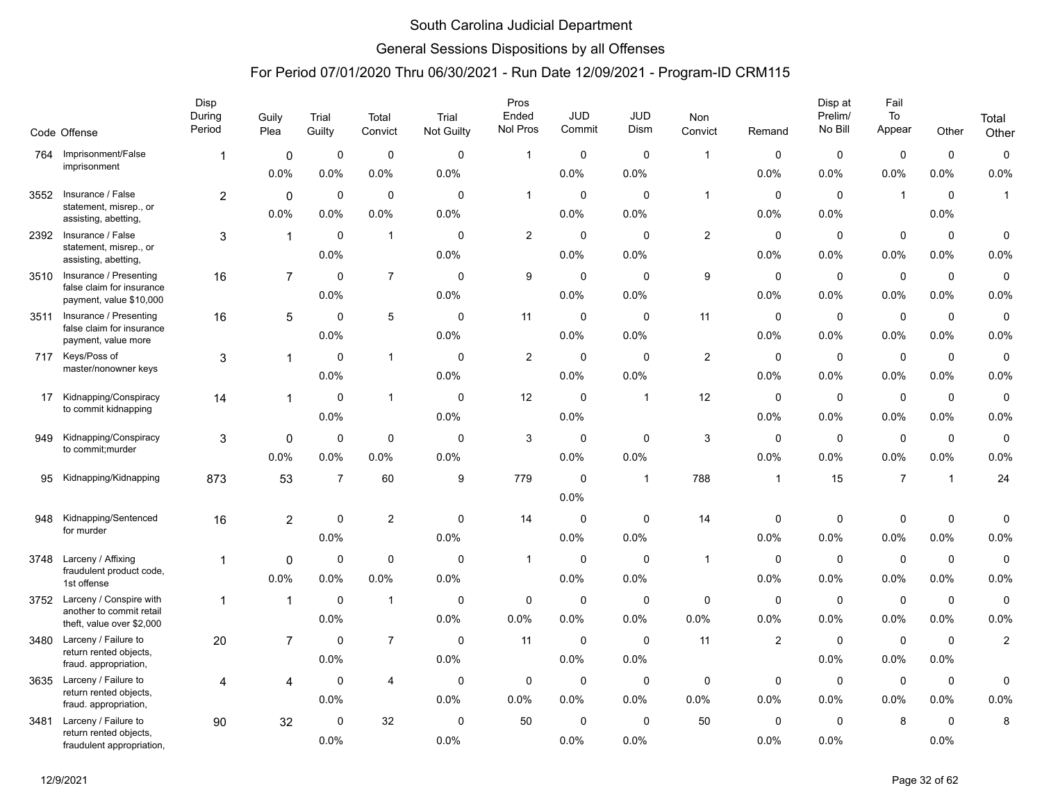### General Sessions Dispositions by all Offenses

|      |                                                      | Disp<br>During | Guily          | Trial          | Total                   | Trial       | Pros<br>Ended  | <b>JUD</b>  | <b>JUD</b>              | <b>Non</b>   |                         | Disp at<br>Prelim/ | Fail<br>To     |                | Total               |
|------|------------------------------------------------------|----------------|----------------|----------------|-------------------------|-------------|----------------|-------------|-------------------------|--------------|-------------------------|--------------------|----------------|----------------|---------------------|
|      | Code Offense                                         | Period         | Plea           | Guilty         | Convict                 | Not Guilty  | Nol Pros       | Commit      | Dism                    | Convict      | Remand                  | No Bill            | Appear         | Other          | Other               |
| 764  | Imprisonment/False                                   | 1              | $\mathbf 0$    | 0              | $\mathbf 0$             | $\mathbf 0$ | $\mathbf{1}$   | $\mathbf 0$ | $\mathbf 0$             | $\mathbf{1}$ | 0                       | $\mathbf 0$        | $\mathbf 0$    | $\mathbf 0$    | $\pmb{0}$           |
|      | imprisonment                                         |                | 0.0%           | 0.0%           | 0.0%                    | 0.0%        |                | 0.0%        | 0.0%                    |              | 0.0%                    | 0.0%               | 0.0%           | $0.0\%$        | 0.0%                |
| 3552 | Insurance / False                                    | $\overline{2}$ | $\mathbf 0$    | $\mathbf 0$    | $\mathbf 0$             | $\Omega$    | $\mathbf{1}$   | $\mathbf 0$ | $\mathbf 0$             | $\mathbf{1}$ | $\mathbf 0$             | $\mathbf 0$        | $\mathbf{1}$   | $\mathbf 0$    | $\mathbf{1}$        |
|      | statement, misrep., or<br>assisting, abetting,       |                | 0.0%           | 0.0%           | 0.0%                    | 0.0%        |                | 0.0%        | 0.0%                    |              | 0.0%                    | 0.0%               |                | 0.0%           |                     |
| 2392 | Insurance / False                                    | 3              | $\mathbf{1}$   | $\mathbf 0$    | $\mathbf{1}$            | $\mathbf 0$ | $\overline{c}$ | 0           | $\mathbf 0$             | $\mathbf{2}$ | $\mathbf 0$             | $\mathbf 0$        | $\mathbf 0$    | $\mathbf 0$    | $\mathsf{O}\xspace$ |
|      | statement, misrep., or<br>assisting, abetting,       |                |                | 0.0%           |                         | 0.0%        |                | 0.0%        | 0.0%                    |              | 0.0%                    | 0.0%               | 0.0%           | 0.0%           | 0.0%                |
| 3510 | Insurance / Presenting                               | 16             | $\overline{7}$ | $\Omega$       | $\overline{7}$          | $\Omega$    | 9              | 0           | 0                       | 9            | 0                       | $\mathbf 0$        | $\mathbf 0$    | $\mathbf 0$    | $\pmb{0}$           |
|      | false claim for insurance<br>payment, value \$10,000 |                |                | 0.0%           |                         | 0.0%        |                | 0.0%        | 0.0%                    |              | 0.0%                    | 0.0%               | 0.0%           | $0.0\%$        | 0.0%                |
| 3511 | Insurance / Presenting<br>false claim for insurance  | 16             | 5              | $\mathbf 0$    | 5                       | $\mathbf 0$ | 11             | $\mathbf 0$ | $\mathbf 0$             | 11           | $\mathbf 0$             | $\mathbf 0$        | $\mathbf 0$    | $\mathbf 0$    | $\mathbf 0$         |
|      | payment, value more                                  |                |                | 0.0%           |                         | 0.0%        |                | 0.0%        | 0.0%                    |              | 0.0%                    | 0.0%               | 0.0%           | 0.0%           | 0.0%                |
| 717  | Keys/Poss of                                         | 3              | 1              | $\mathbf 0$    | $\mathbf{1}$            | $\mathbf 0$ | $\overline{c}$ | $\mathbf 0$ | $\mathbf 0$             | $\mathbf{2}$ | $\mathbf 0$             | $\mathbf 0$        | $\pmb{0}$      | $\mathsf 0$    | $\mathsf 0$         |
|      | master/nonowner keys                                 |                |                | 0.0%           |                         | 0.0%        |                | 0.0%        | 0.0%                    |              | 0.0%                    | 0.0%               | 0.0%           | 0.0%           | 0.0%                |
| 17   | Kidnapping/Conspiracy<br>to commit kidnapping        | 14             | 1              | $\mathbf 0$    | $\mathbf{1}$            | $\mathbf 0$ | 12             | 0           | $\overline{\mathbf{1}}$ | 12           | $\mathbf 0$             | $\mathbf 0$        | $\mathbf 0$    | $\mathbf 0$    | $\pmb{0}$           |
|      |                                                      |                |                | 0.0%           |                         | 0.0%        |                | 0.0%        |                         |              | 0.0%                    | 0.0%               | 0.0%           | 0.0%           | 0.0%                |
| 949  | Kidnapping/Conspiracy                                | 3              | 0              | $\mathbf 0$    | $\mathbf 0$             | $\mathbf 0$ | 3              | 0           | $\mathbf 0$             | 3            | $\mathbf 0$             | $\mathbf 0$        | $\mathbf 0$    | $\mathbf 0$    | $\pmb{0}$           |
|      | to commit; murder                                    |                | 0.0%           | 0.0%           | $0.0\%$                 | 0.0%        |                | 0.0%        | 0.0%                    |              | 0.0%                    | 0.0%               | 0.0%           | $0.0\%$        | 0.0%                |
| 95   | Kidnapping/Kidnapping                                | 873            | 53             | $\overline{7}$ | 60                      | 9           | 779            | $\mathbf 0$ | $\overline{1}$          | 788          | $\overline{1}$          | 15                 | $\overline{7}$ | $\overline{1}$ | 24                  |
|      |                                                      |                |                |                |                         |             |                | 0.0%        |                         |              |                         |                    |                |                |                     |
| 948  | Kidnapping/Sentenced<br>for murder                   | 16             | $\overline{2}$ | $\mathbf 0$    | $\overline{\mathbf{c}}$ | $\mathbf 0$ | 14             | $\mathbf 0$ | $\mathbf 0$             | 14           | 0                       | $\mathbf 0$        | $\mathbf 0$    | $\mathbf 0$    | $\mathbf 0$         |
|      |                                                      |                |                | 0.0%           |                         | 0.0%        |                | 0.0%        | 0.0%                    |              | 0.0%                    | 0.0%               | 0.0%           | $0.0\%$        | 0.0%                |
| 3748 | Larceny / Affixing<br>fraudulent product code,       | 1              | $\mathbf 0$    | $\mathbf 0$    | $\mathbf 0$             | $\mathbf 0$ | $\mathbf{1}$   | 0           | $\mathbf 0$             | $\mathbf{1}$ | $\mathbf 0$             | $\mathbf 0$        | $\pmb{0}$      | $\mathbf 0$    | $\mathsf 0$         |
|      | 1st offense                                          |                | 0.0%           | 0.0%           | 0.0%                    | 0.0%        |                | 0.0%        | 0.0%                    |              | 0.0%                    | 0.0%               | 0.0%           | 0.0%           | 0.0%                |
| 3752 | Larceny / Conspire with<br>another to commit retail  | $\mathbf{1}$   | $\mathbf{1}$   | $\mathbf 0$    | $\mathbf{1}$            | $\Omega$    | $\mathbf 0$    | 0           | $\mathbf 0$             | $\mathbf 0$  | $\mathbf 0$             | $\mathbf 0$        | $\mathbf 0$    | $\mathbf 0$    | $\pmb{0}$           |
|      | theft, value over \$2,000                            |                |                | 0.0%           |                         | 0.0%        | 0.0%           | 0.0%        | 0.0%                    | 0.0%         | 0.0%                    | 0.0%               | 0.0%           | 0.0%           | 0.0%                |
| 3480 | Larceny / Failure to<br>return rented objects,       | 20             | $\overline{7}$ | 0              | $\overline{7}$          | $\mathbf 0$ | 11             | 0           | 0                       | 11           | $\overline{\mathbf{c}}$ | $\mathbf 0$        | $\mathbf 0$    | $\mathbf 0$    | $\overline{2}$      |
|      | fraud. appropriation,                                |                |                | 0.0%           |                         | 0.0%        |                | 0.0%        | 0.0%                    |              |                         | 0.0%               | 0.0%           | 0.0%           |                     |
| 3635 | Larceny / Failure to                                 | 4              | 4              | $\mathbf 0$    | $\overline{4}$          | $\mathbf 0$ | 0              | 0           | 0                       | $\mathbf 0$  | 0                       | $\mathbf 0$        | $\mathbf 0$    | $\mathbf 0$    | $\pmb{0}$           |
|      | return rented objects,<br>fraud. appropriation,      |                |                | 0.0%           |                         | 0.0%        | 0.0%           | 0.0%        | 0.0%                    | 0.0%         | 0.0%                    | 0.0%               | 0.0%           | 0.0%           | 0.0%                |
| 3481 | Larceny / Failure to                                 | 90             | 32             | $\mathbf 0$    | 32                      | $\Omega$    | 50             | $\mathbf 0$ | $\mathbf 0$             | 50           | $\Omega$                | $\mathbf 0$        | 8              | $\mathbf 0$    | 8                   |
|      | return rented objects,<br>fraudulent appropriation,  |                |                | 0.0%           |                         | 0.0%        |                | 0.0%        | 0.0%                    |              | 0.0%                    | 0.0%               |                | 0.0%           |                     |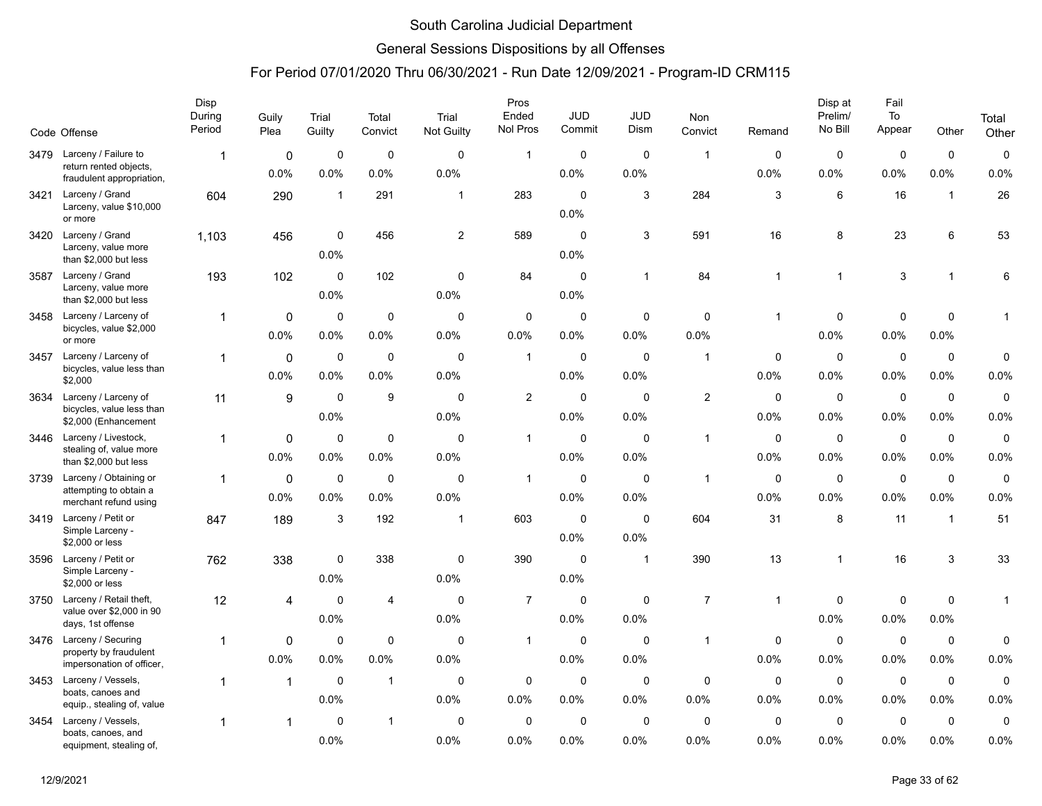### General Sessions Dispositions by all Offenses

|      |                                                                             | Disp<br>During<br>Period | Guily<br>Plea       | Trial<br>Guilty     | Total<br>Convict    | Trial<br>Not Guilty | Pros<br>Ended<br>Nol Pros | JUD<br>Commit          | <b>JUD</b><br>Dism  | <b>Non</b><br>Convict | Remand              | Disp at<br>Prelim/<br>No Bill | Fail<br>To<br>Appear | Other               | Total               |
|------|-----------------------------------------------------------------------------|--------------------------|---------------------|---------------------|---------------------|---------------------|---------------------------|------------------------|---------------------|-----------------------|---------------------|-------------------------------|----------------------|---------------------|---------------------|
|      | Code Offense                                                                |                          |                     |                     |                     |                     |                           |                        |                     |                       |                     |                               |                      |                     | Other               |
| 3479 | Larceny / Failure to<br>return rented objects,<br>fraudulent appropriation, |                          | $\mathbf 0$<br>0.0% | $\mathbf 0$<br>0.0% | $\mathbf 0$<br>0.0% | $\mathbf 0$<br>0.0% | $\mathbf{1}$              | $\mathbf 0$<br>0.0%    | $\mathbf 0$<br>0.0% | $\overline{1}$        | $\mathbf 0$<br>0.0% | $\mathbf 0$<br>0.0%           | $\mathbf 0$<br>0.0%  | $\mathbf 0$<br>0.0% | $\pmb{0}$<br>0.0%   |
| 3421 | Larceny / Grand<br>Larceny, value \$10,000<br>or more                       | 604                      | 290                 | $\mathbf{1}$        | 291                 | $\mathbf{1}$        | 283                       | $\mathbf 0$<br>0.0%    | 3                   | 284                   | 3                   | 6                             | 16                   | $\mathbf{1}$        | 26                  |
| 3420 | Larceny / Grand<br>Larceny, value more<br>than \$2,000 but less             | 1,103                    | 456                 | $\mathbf 0$<br>0.0% | 456                 | $\overline{2}$      | 589                       | $\mathbf 0$<br>0.0%    | 3                   | 591                   | 16                  | 8                             | 23                   | 6                   | 53                  |
| 3587 | Larceny / Grand<br>Larceny, value more<br>than \$2,000 but less             | 193                      | 102                 | $\mathbf 0$<br>0.0% | 102                 | $\mathbf 0$<br>0.0% | 84                        | $\mathbf 0$<br>0.0%    | $\mathbf 1$         | 84                    | 1                   | $\mathbf{1}$                  | $\sqrt{3}$           | $\mathbf{1}$        | 6                   |
|      | 3458 Larceny / Larceny of<br>bicycles, value \$2,000<br>or more             | 1                        | $\mathbf 0$<br>0.0% | $\mathbf 0$<br>0.0% | $\mathbf 0$<br>0.0% | $\mathbf 0$<br>0.0% | $\mathbf 0$<br>0.0%       | $\mathbf 0$<br>$0.0\%$ | $\mathbf 0$<br>0.0% | $\mathbf 0$<br>0.0%   | 1                   | $\mathbf 0$<br>0.0%           | $\mathbf 0$<br>0.0%  | $\mathbf 0$<br>0.0% | 1                   |
| 3457 | Larceny / Larceny of<br>bicycles, value less than<br>\$2,000                | 1                        | 0<br>0.0%           | 0<br>0.0%           | 0<br>0.0%           | $\Omega$<br>0.0%    | $\overline{1}$            | $\mathbf 0$<br>0.0%    | $\mathbf 0$<br>0.0% | $\overline{1}$        | 0<br>0.0%           | 0<br>0.0%                     | $\mathbf 0$<br>0.0%  | $\pmb{0}$<br>0.0%   | 0<br>0.0%           |
| 3634 | Larceny / Larceny of<br>bicycles, value less than<br>\$2,000 (Enhancement   | 11                       | 9                   | $\mathbf 0$<br>0.0% | 9                   | $\mathbf 0$<br>0.0% | $\overline{2}$            | $\mathbf 0$<br>0.0%    | $\mathbf 0$<br>0.0% | $\overline{2}$        | $\mathbf 0$<br>0.0% | $\mathbf 0$<br>0.0%           | $\mathbf 0$<br>0.0%  | $\mathbf 0$<br>0.0% | $\mathbf 0$<br>0.0% |
| 3446 | Larceny / Livestock,<br>stealing of, value more<br>than \$2,000 but less    | 1                        | $\mathbf 0$<br>0.0% | $\mathbf 0$<br>0.0% | $\mathbf 0$<br>0.0% | $\mathbf 0$<br>0.0% | $\mathbf{1}$              | $\mathbf 0$<br>0.0%    | $\mathbf 0$<br>0.0% | $\mathbf{1}$          | 0<br>0.0%           | $\mathbf 0$<br>0.0%           | $\mathbf 0$<br>0.0%  | $\mathbf 0$<br>0.0% | $\pmb{0}$<br>0.0%   |
| 3739 | Larceny / Obtaining or<br>attempting to obtain a<br>merchant refund using   | 1                        | 0<br>0.0%           | $\mathbf 0$<br>0.0% | $\mathbf 0$<br>0.0% | $\mathbf 0$<br>0.0% | $\overline{1}$            | $\mathbf 0$<br>0.0%    | $\mathbf 0$<br>0.0% | $\mathbf{1}$          | 0<br>0.0%           | $\mathbf 0$<br>0.0%           | $\mathbf 0$<br>0.0%  | $\mathbf 0$<br>0.0% | $\mathbf 0$<br>0.0% |
| 3419 | Larceny / Petit or<br>Simple Larceny -<br>\$2,000 or less                   | 847                      | 189                 | 3                   | 192                 | 1                   | 603                       | $\mathbf 0$<br>$0.0\%$ | $\mathbf 0$<br>0.0% | 604                   | 31                  | 8                             | 11                   | $\mathbf{1}$        | 51                  |
| 3596 | Larceny / Petit or<br>Simple Larceny -<br>\$2,000 or less                   | 762                      | 338                 | 0<br>0.0%           | 338                 | $\mathbf 0$<br>0.0% | 390                       | $\mathbf 0$<br>0.0%    | $\overline{1}$      | 390                   | 13                  | $\mathbf{1}$                  | 16                   | 3                   | 33                  |
| 3750 | Larceny / Retail theft,<br>value over \$2,000 in 90<br>days, 1st offense    | 12                       | 4                   | $\mathbf 0$<br>0.0% | $\overline{4}$      | $\mathbf 0$<br>0.0% | $\overline{7}$            | $\mathbf 0$<br>0.0%    | $\mathbf 0$<br>0.0% | $\overline{7}$        | $\mathbf{1}$        | 0<br>0.0%                     | $\mathsf 0$<br>0.0%  | $\mathbf 0$<br>0.0% | $\mathbf{1}$        |
| 3476 | Larceny / Securing<br>property by fraudulent<br>impersonation of officer,   | 1                        | 0<br>0.0%           | 0<br>0.0%           | 0<br>0.0%           | 0<br>0.0%           | $\mathbf{1}$              | $\mathbf 0$<br>0.0%    | 0<br>0.0%           | $\mathbf{1}$          | 0<br>0.0%           | 0<br>0.0%                     | $\mathbf 0$<br>0.0%  | $\mathbf 0$<br>0.0% | 0<br>0.0%           |
| 3453 | Larceny / Vessels,<br>boats, canoes and<br>equip., stealing of, value       | $\mathbf{1}$             | $\mathbf{1}$        | $\mathbf 0$<br>0.0% | $\mathbf{1}$        | $\mathbf 0$<br>0.0% | $\mathbf 0$<br>0.0%       | $\mathbf 0$<br>$0.0\%$ | $\mathbf 0$<br>0.0% | $\mathbf 0$<br>0.0%   | 0<br>0.0%           | $\mathbf 0$<br>0.0%           | $\mathbf 0$<br>0.0%  | $\mathbf 0$<br>0.0% | $\mathbf 0$<br>0.0% |
| 3454 | Larceny / Vessels,<br>boats, canoes, and<br>equipment, stealing of,         | 1                        | 1                   | $\Omega$<br>0.0%    | $\mathbf{1}$        | $\Omega$<br>0.0%    | $\mathbf 0$<br>0.0%       | $\Omega$<br>0.0%       | $\mathbf 0$<br>0.0% | $\mathbf 0$<br>0.0%   | $\Omega$<br>0.0%    | $\mathbf 0$<br>0.0%           | $\mathbf 0$<br>0.0%  | $\mathbf 0$<br>0.0% | 0<br>0.0%           |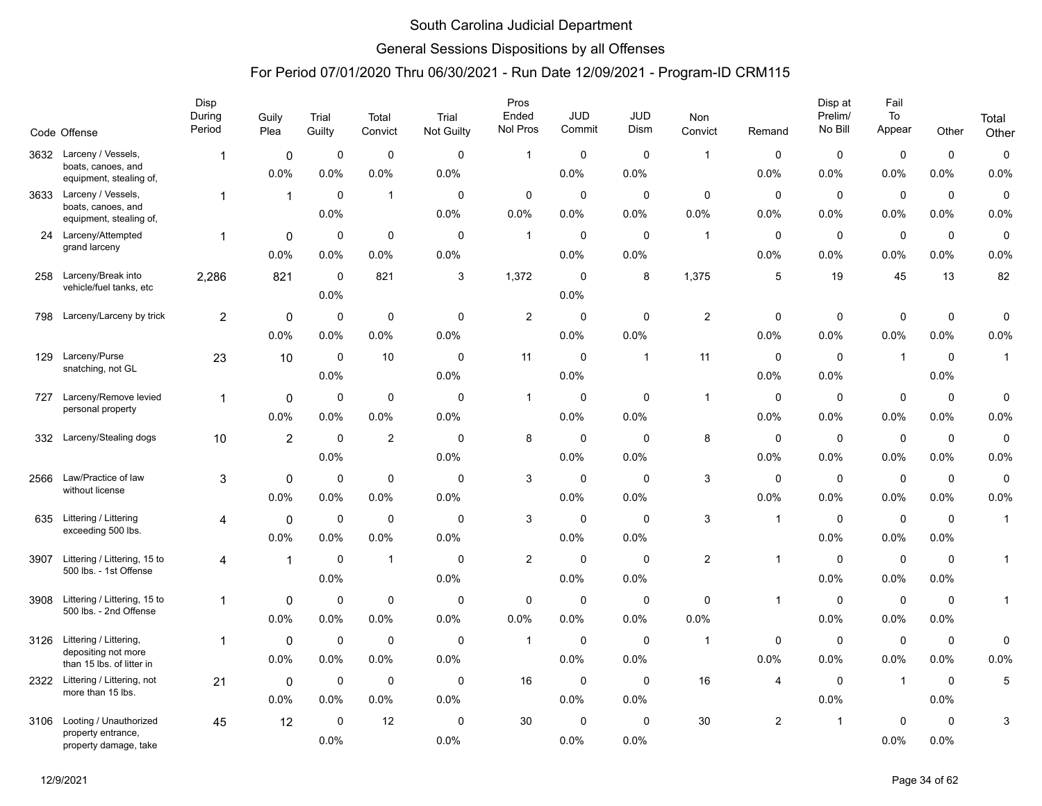### General Sessions Dispositions by all Offenses

|      | Code Offense                                     | Disp<br>During<br>Period | Guily<br>Plea  | Trial<br>Guilty     | Total<br>Convict | Trial<br>Not Guilty | Pros<br>Ended<br>Nol Pros | <b>JUD</b><br>Commit | <b>JUD</b><br>Dism | Non<br>Convict | Remand         | Disp at<br>Prelim/<br>No Bill | Fail<br>To<br>Appear | Other       | Total        |
|------|--------------------------------------------------|--------------------------|----------------|---------------------|------------------|---------------------|---------------------------|----------------------|--------------------|----------------|----------------|-------------------------------|----------------------|-------------|--------------|
|      |                                                  |                          |                |                     |                  |                     |                           |                      |                    |                |                |                               |                      |             | Other        |
| 3632 | Larceny / Vessels,<br>boats, canoes, and         | $\mathbf{1}$             | $\mathbf 0$    | 0                   | $\mathbf 0$      | $\mathbf 0$         | $\mathbf{1}$              | $\mathbf 0$          | $\mathbf 0$        | $\overline{1}$ | 0              | $\mathbf 0$                   | 0                    | $\mathbf 0$ | $\mathsf 0$  |
|      | equipment, stealing of,                          |                          | 0.0%           | 0.0%                | 0.0%             | 0.0%                |                           | 0.0%                 | 0.0%               |                | 0.0%           | 0.0%                          | 0.0%                 | 0.0%        | 0.0%         |
| 3633 | Larceny / Vessels,<br>boats, canoes, and         | $\mathbf{1}$             | $\mathbf{1}$   | $\mathbf 0$         | $\mathbf{1}$     | $\mathbf 0$         | $\mathbf 0$               | $\mathbf 0$          | $\mathbf 0$        | 0              | $\mathbf 0$    | $\mathbf 0$                   | $\mathbf 0$          | $\mathbf 0$ | $\pmb{0}$    |
|      | equipment, stealing of,                          |                          |                | 0.0%                |                  | 0.0%                | 0.0%                      | 0.0%                 | 0.0%               | 0.0%           | 0.0%           | 0.0%                          | 0.0%                 | 0.0%        | 0.0%         |
| 24   | Larceny/Attempted<br>grand larceny               | $\mathbf{1}$             | 0              | 0                   | 0                | $\mathbf 0$         | $\mathbf{1}$              | $\mathbf 0$          | $\mathbf 0$        | $\overline{1}$ | 0              | 0                             | 0                    | $\mathbf 0$ | 0            |
|      |                                                  |                          | 0.0%           | 0.0%                | 0.0%             | 0.0%                |                           | $0.0\%$              | 0.0%               |                | 0.0%           | $0.0\%$                       | 0.0%                 | 0.0%        | 0.0%         |
| 258  | Larceny/Break into<br>vehicle/fuel tanks, etc    | 2,286                    | 821            | $\mathbf 0$<br>0.0% | 821              | 3                   | 1,372                     | 0<br>0.0%            | 8                  | 1,375          | 5              | 19                            | 45                   | 13          | 82           |
| 798  | Larceny/Larceny by trick                         | $\overline{2}$           | 0              | $\mathbf 0$         | $\mathbf 0$      | $\mathbf 0$         | $\overline{2}$            | $\mathbf 0$          | $\mathbf 0$        | $\overline{c}$ | $\mathbf 0$    | $\mathbf 0$                   | $\mathbf 0$          | $\mathbf 0$ | 0            |
|      |                                                  |                          | 0.0%           | 0.0%                | 0.0%             | 0.0%                |                           | $0.0\%$              | 0.0%               |                | 0.0%           | 0.0%                          | 0.0%                 | 0.0%        | 0.0%         |
| 129  | Larceny/Purse                                    | 23                       | 10             | $\mathbf 0$         | 10               | 0                   | 11                        | $\mathbf 0$          | $\mathbf{1}$       | 11             | 0              | 0                             | $\overline{1}$       | $\mathbf 0$ | $\mathbf{1}$ |
|      | snatching, not GL                                |                          |                | 0.0%                |                  | 0.0%                |                           | 0.0%                 |                    |                | 0.0%           | 0.0%                          |                      | 0.0%        |              |
| 727  | Larceny/Remove levied                            | $\mathbf{1}$             | 0              | $\mathbf 0$         | $\mathbf 0$      | $\mathbf 0$         | $\mathbf{1}$              | 0                    | 0                  | $\overline{1}$ | 0              | 0                             | $\mathbf 0$          | $\mathbf 0$ | 0            |
|      | personal property                                |                          | 0.0%           | 0.0%                | 0.0%             | 0.0%                |                           | $0.0\%$              | 0.0%               |                | 0.0%           | 0.0%                          | $0.0\%$              | 0.0%        | 0.0%         |
| 332  | Larceny/Stealing dogs                            | 10                       | $\overline{2}$ | $\mathbf 0$         | $\overline{2}$   | $\mathbf 0$         | 8                         | $\mathbf 0$          | $\mathbf 0$        | 8              | 0              | 0                             | $\mathbf 0$          | $\mathbf 0$ | $\pmb{0}$    |
|      |                                                  |                          |                | 0.0%                |                  | 0.0%                |                           | 0.0%                 | 0.0%               |                | 0.0%           | 0.0%                          | 0.0%                 | 0.0%        | 0.0%         |
| 2566 | Law/Practice of law                              | 3                        | 0              | $\mathbf 0$         | $\mathbf 0$      | $\mathbf 0$         | 3                         | $\mathbf 0$          | $\mathbf 0$        | 3              | $\mathbf 0$    | $\mathbf 0$                   | $\mathbf 0$          | $\mathbf 0$ | $\pmb{0}$    |
|      | without license                                  |                          | 0.0%           | 0.0%                | 0.0%             | 0.0%                |                           | 0.0%                 | 0.0%               |                | 0.0%           | 0.0%                          | 0.0%                 | 0.0%        | 0.0%         |
| 635  | Littering / Littering                            | 4                        | 0              | $\mathbf 0$         | $\mathbf 0$      | $\mathbf 0$         | 3                         | $\mathbf 0$          | $\mathbf 0$        | 3              | 1              | 0                             | $\mathbf 0$          | $\mathbf 0$ | $\mathbf{1}$ |
|      | exceeding 500 lbs.                               |                          | 0.0%           | 0.0%                | 0.0%             | 0.0%                |                           | $0.0\%$              | 0.0%               |                |                | 0.0%                          | 0.0%                 | 0.0%        |              |
| 3907 | Littering / Littering, 15 to                     | 4                        | $\mathbf{1}$   | $\mathbf 0$         | $\mathbf{1}$     | $\mathbf 0$         | $\overline{2}$            | 0                    | $\mathbf 0$        | 2              | $\mathbf{1}$   | $\mathbf 0$                   | $\mathbf 0$          | $\mathbf 0$ | $\mathbf{1}$ |
|      | 500 lbs. - 1st Offense                           |                          |                | 0.0%                |                  | 0.0%                |                           | 0.0%                 | 0.0%               |                |                | 0.0%                          | 0.0%                 | 0.0%        |              |
| 3908 | Littering / Littering, 15 to                     | 1                        | 0              | $\mathbf 0$         | $\mathbf 0$      | $\mathbf 0$         | $\mathbf 0$               | $\mathbf 0$          | $\mathbf 0$        | $\mathbf 0$    | $\mathbf{1}$   | $\mathbf 0$                   | $\mathsf 0$          | $\mathbf 0$ | $\mathbf{1}$ |
|      | 500 lbs. - 2nd Offense                           |                          | 0.0%           | $0.0\%$             | 0.0%             | 0.0%                | 0.0%                      | $0.0\%$              | 0.0%               | 0.0%           |                | 0.0%                          | 0.0%                 | 0.0%        |              |
| 3126 | Littering / Littering,                           | 1                        | 0              | 0                   | $\mathbf 0$      | 0                   | $\mathbf{1}$              | $\mathbf 0$          | 0                  | -1             | 0              | 0                             | $\mathbf 0$          | $\mathbf 0$ | 0            |
|      | depositing not more<br>than 15 lbs. of litter in |                          | 0.0%           | 0.0%                | 0.0%             | 0.0%                |                           | 0.0%                 | 0.0%               |                | 0.0%           | $0.0\%$                       | 0.0%                 | 0.0%        | 0.0%         |
| 2322 | Littering / Littering, not                       | 21                       | 0              | 0                   | $\mathbf 0$      | 0                   | 16                        | 0                    | $\mathbf 0$        | 16             | 4              | $\mathbf 0$                   | $\overline{1}$       | 0           | 5            |
|      | more than 15 lbs.                                |                          | 0.0%           | $0.0\%$             | 0.0%             | 0.0%                |                           | 0.0%                 | 0.0%               |                |                | 0.0%                          |                      | 0.0%        |              |
| 3106 | Looting / Unauthorized                           | 45                       | 12             | $\mathbf 0$         | 12               | $\Omega$            | 30                        | $\mathbf 0$          | $\mathbf 0$        | 30             | $\overline{2}$ | $\overline{1}$                | $\mathbf 0$          | $\mathbf 0$ | 3            |
|      | property entrance,<br>property damage, take      |                          |                | 0.0%                |                  | 0.0%                |                           | 0.0%                 | 0.0%               |                |                |                               | 0.0%                 | 0.0%        |              |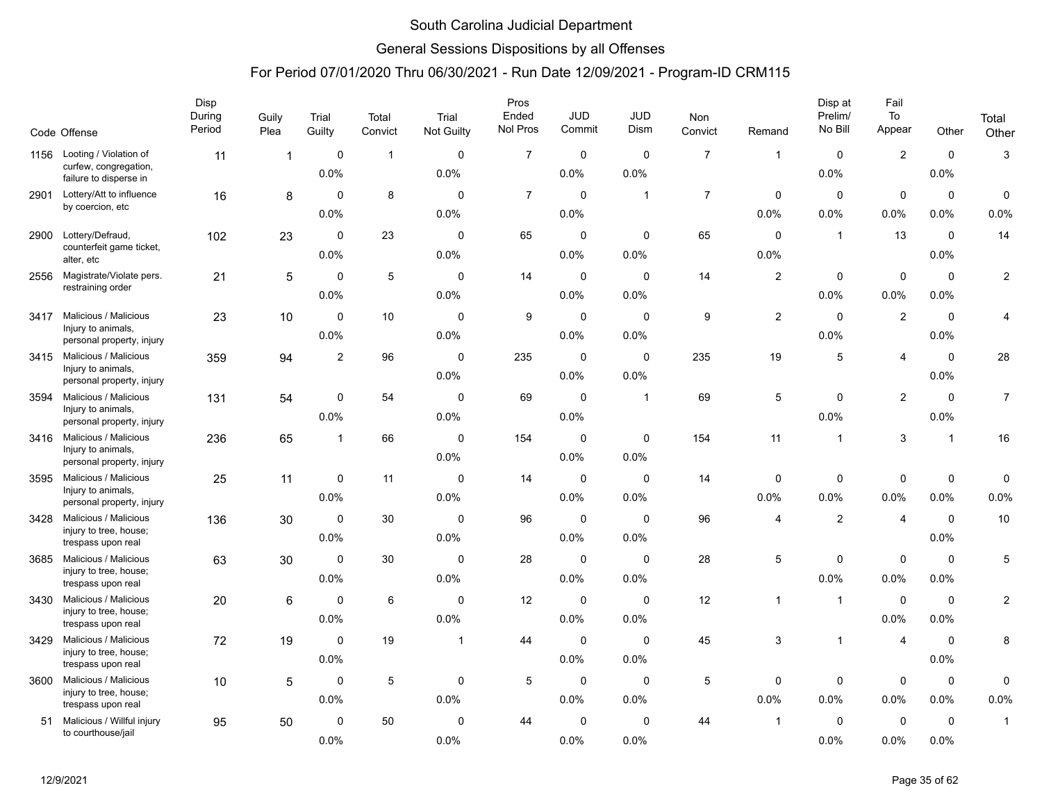### General Sessions Dispositions by all Offenses

|      | Code Offense                                                             | Disp<br>During<br>Period | Guily<br>Plea           | Trial<br>Guilty             | Total<br>Convict | Trial<br>Not Guilty         | Pros<br>Ended<br>Nol Pros | <b>JUD</b><br>Commit        | <b>JUD</b><br>Dism  | Non<br>Convict | Remand                      | Disp at<br>Prelim/<br>No Bill | Fail<br>To<br>Appear | Other               | Total<br>Other |
|------|--------------------------------------------------------------------------|--------------------------|-------------------------|-----------------------------|------------------|-----------------------------|---------------------------|-----------------------------|---------------------|----------------|-----------------------------|-------------------------------|----------------------|---------------------|----------------|
|      | 1156 Looting / Violation of<br>curfew, congregation,                     | 11                       | $\overline{\mathbf{1}}$ | $\mathbf 0$<br>0.0%         | $\overline{1}$   | $\mathbf 0$<br>0.0%         | $\overline{7}$            | $\mathbf 0$<br>0.0%         | $\mathbf 0$<br>0.0% | $\overline{7}$ | $\mathbf{1}$                | $\mathbf 0$<br>0.0%           | $\overline{2}$       | $\mathbf 0$<br>0.0% | 3              |
| 2901 | failure to disperse in<br>Lottery/Att to influence<br>by coercion, etc   | 16                       | 8                       | $\Omega$                    | 8                | $\mathbf{0}$                | $\overline{7}$            | $\mathbf 0$                 | $\mathbf{1}$        | $\overline{7}$ | $\mathbf 0$                 | 0<br>0.0%                     | $\mathbf 0$<br>0.0%  | $\mathbf 0$<br>0.0% | 0              |
| 2900 | Lottery/Defraud,<br>counterfeit game ticket,                             | 102                      | 23                      | 0.0%<br>$\mathbf 0$<br>0.0% | 23               | 0.0%<br>$\mathbf 0$<br>0.0% | 65                        | 0.0%<br>$\mathbf 0$<br>0.0% | $\mathbf 0$<br>0.0% | 65             | 0.0%<br>$\mathbf 0$<br>0.0% | $\mathbf{1}$                  | 13                   | $\Omega$<br>0.0%    | 0.0%<br>14     |
| 2556 | alter, etc<br>Magistrate/Violate pers.<br>restraining order              | 21                       | 5                       | $\mathbf 0$<br>0.0%         | 5                | $\mathbf 0$<br>0.0%         | 14                        | $\mathbf 0$<br>0.0%         | $\mathbf 0$<br>0.0% | 14             | 2                           | 0<br>0.0%                     | $\mathbf 0$<br>0.0%  | $\mathbf 0$<br>0.0% | $\overline{c}$ |
| 3417 | Malicious / Malicious<br>Injury to animals,<br>personal property, injury | 23                       | 10                      | $\Omega$<br>0.0%            | 10               | $\mathbf{0}$<br>0.0%        | 9                         | $\mathbf 0$<br>0.0%         | $\Omega$<br>0.0%    | 9              | $\overline{c}$              | $\Omega$<br>0.0%              | 2                    | $\mathbf 0$<br>0.0% | 4              |
| 3415 | Malicious / Malicious<br>Injury to animals,<br>personal property, injury | 359                      | 94                      | $\overline{2}$              | 96               | $\mathbf 0$<br>0.0%         | 235                       | $\mathbf 0$<br>0.0%         | $\mathbf 0$<br>0.0% | 235            | 19                          | 5                             | $\overline{4}$       | $\mathbf 0$<br>0.0% | 28             |
| 3594 | Malicious / Malicious<br>Injury to animals,<br>personal property, injury | 131                      | 54                      | $\mathbf 0$<br>0.0%         | 54               | $\mathbf 0$<br>0.0%         | 69                        | $\mathbf 0$<br>$0.0\%$      | $\mathbf{1}$        | 69             | 5                           | 0<br>$0.0\%$                  | $\overline{2}$       | $\mathbf 0$<br>0.0% | $\overline{7}$ |
| 3416 | Malicious / Malicious<br>Injury to animals,<br>personal property, injury | 236                      | 65                      | $\mathbf{1}$                | 66               | $\mathbf 0$<br>0.0%         | 154                       | $\mathbf 0$<br>0.0%         | $\mathbf 0$<br>0.0% | 154            | 11                          | $\overline{1}$                | 3                    | $\mathbf{1}$        | 16             |
| 3595 | Malicious / Malicious<br>Injury to animals,<br>personal property, injury | 25                       | 11                      | 0<br>0.0%                   | 11               | $\mathbf 0$<br>0.0%         | 14                        | $\mathbf 0$<br>0.0%         | $\mathbf 0$<br>0.0% | 14             | 0<br>0.0%                   | 0<br>0.0%                     | $\mathbf 0$<br>0.0%  | $\mathbf 0$<br>0.0% | 0<br>0.0%      |
| 3428 | Malicious / Malicious<br>injury to tree, house;<br>trespass upon real    | 136                      | 30                      | 0<br>0.0%                   | 30               | $\mathbf{0}$<br>0.0%        | 96                        | $\mathbf 0$<br>0.0%         | 0<br>0.0%           | 96             | $\overline{4}$              | $\overline{2}$                | $\overline{4}$       | $\Omega$<br>0.0%    | 10             |
| 3685 | Malicious / Malicious<br>injury to tree, house;<br>trespass upon real    | 63                       | 30                      | $\Omega$<br>0.0%            | 30               | $\mathbf 0$<br>0.0%         | 28                        | $\mathbf 0$<br>0.0%         | $\mathbf 0$<br>0.0% | 28             | 5                           | $\mathbf 0$<br>0.0%           | $\mathbf 0$<br>0.0%  | $\mathbf 0$<br>0.0% | 5              |
| 3430 | Malicious / Malicious<br>injury to tree, house;<br>trespass upon real    | 20                       | 6                       | $\mathbf 0$<br>0.0%         | 6                | $\mathbf 0$<br>0.0%         | 12                        | $\mathbf 0$<br>0.0%         | $\mathbf 0$<br>0.0% | 12             | $\mathbf{1}$                | $\mathbf{1}$                  | $\mathbf 0$<br>0.0%  | $\mathbf 0$<br>0.0% | 2              |
| 3429 | Malicious / Malicious<br>injury to tree, house;<br>trespass upon real    | 72                       | 19                      | $\mathbf 0$<br>0.0%         | 19               | $\mathbf{1}$                | 44                        | $\mathbf 0$<br>0.0%         | $\mathbf 0$<br>0.0% | 45             | 3                           | $\mathbf{1}$                  | $\overline{4}$       | $\mathbf 0$<br>0.0% | 8              |
| 3600 | Malicious / Malicious<br>injury to tree, house;<br>trespass upon real    | 10                       | 5                       | $\mathbf 0$<br>0.0%         | $\sqrt{5}$       | $\mathbf 0$<br>0.0%         | 5                         | $\mathbf 0$<br>0.0%         | $\mathbf 0$<br>0.0% | $\,$ 5 $\,$    | $\Omega$<br>0.0%            | 0<br>0.0%                     | $\mathsf 0$<br>0.0%  | $\pmb{0}$<br>0.0%   | 0<br>0.0%      |
| 51   | Malicious / Willful injury<br>to courthouse/jail                         | 95                       | 50                      | $\mathbf 0$<br>0.0%         | 50               | $\mathbf 0$<br>0.0%         | 44                        | $\mathbf 0$<br>0.0%         | $\mathbf 0$<br>0.0% | 44             | $\mathbf{1}$                | $\mathbf 0$<br>0.0%           | $\mathbf 0$<br>0.0%  | $\mathbf 0$<br>0.0% | $\mathbf{1}$   |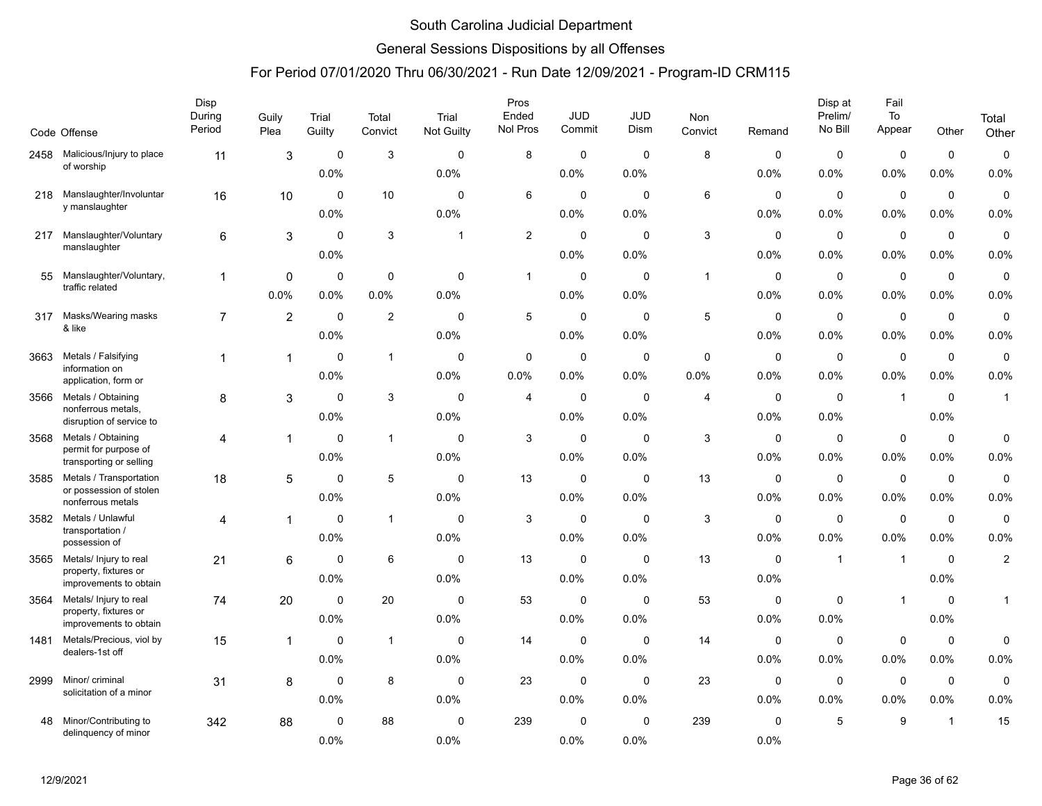### General Sessions Dispositions by all Offenses

|      | Code Offense                                       | Disp<br>During<br>Period | Guily<br>Plea  | Trial<br>Guilty | Total<br>Convict | Trial<br>Not Guilty | Pros<br>Ended<br>Nol Pros | <b>JUD</b><br>Commit | <b>JUD</b><br>Dism | Non<br>Convict | Remand      | Disp at<br>Prelim/<br>No Bill | Fail<br>To<br>Appear | Other        | Total<br>Other |
|------|----------------------------------------------------|--------------------------|----------------|-----------------|------------------|---------------------|---------------------------|----------------------|--------------------|----------------|-------------|-------------------------------|----------------------|--------------|----------------|
|      | 2458 Malicious/Injury to place                     | 11                       | 3              | $\mathbf 0$     | 3                | $\mathbf 0$         | 8                         | $\mathbf 0$          | $\mathbf 0$        | 8              | $\mathbf 0$ | $\mathbf 0$                   | $\mathbf 0$          | $\mathbf 0$  | $\pmb{0}$      |
|      | of worship                                         |                          |                | 0.0%            |                  | 0.0%                |                           | 0.0%                 | 0.0%               |                | 0.0%        | 0.0%                          | 0.0%                 | 0.0%         | 0.0%           |
| 218  | Manslaughter/Involuntar                            | 16                       | 10             | $\mathbf 0$     | 10               | $\mathbf 0$         | 6                         | $\mathbf 0$          | $\mathbf 0$        | $\,6\,$        | 0           | $\mathbf 0$                   | $\mathbf 0$          | $\mathbf 0$  | $\pmb{0}$      |
|      | y manslaughter                                     |                          |                | 0.0%            |                  | 0.0%                |                           | 0.0%                 | 0.0%               |                | 0.0%        | 0.0%                          | $0.0\%$              | 0.0%         | 0.0%           |
| 217  | Manslaughter/Voluntary                             | 6                        | 3              | $\Omega$        | 3                | $\mathbf{1}$        | 2                         | $\Omega$             | $\Omega$           | 3              | 0           | 0                             | $\mathbf 0$          | $\mathbf 0$  | $\mathbf 0$    |
|      | manslaughter                                       |                          |                | 0.0%            |                  |                     |                           | 0.0%                 | 0.0%               |                | 0.0%        | 0.0%                          | 0.0%                 | 0.0%         | 0.0%           |
| 55   | Manslaughter/Voluntary,                            | 1                        | 0              | $\mathbf 0$     | $\mathbf 0$      | $\mathbf 0$         | $\mathbf{1}$              | $\mathbf 0$          | $\mathbf 0$        | $\overline{1}$ | $\mathbf 0$ | $\mathbf 0$                   | $\mathbf 0$          | $\mathbf 0$  | $\pmb{0}$      |
|      | traffic related                                    |                          | 0.0%           | 0.0%            | 0.0%             | 0.0%                |                           | 0.0%                 | 0.0%               |                | 0.0%        | 0.0%                          | 0.0%                 | 0.0%         | 0.0%           |
| 317  | Masks/Wearing masks                                | $\overline{7}$           | $\overline{2}$ | $\mathbf 0$     | $\overline{c}$   | $\mathbf 0$         | 5                         | $\mathbf 0$          | $\mathbf 0$        | 5              | $\mathbf 0$ | $\mathbf 0$                   | $\mathsf 0$          | $\mathbf 0$  | 0              |
|      | & like                                             |                          |                | 0.0%            |                  | 0.0%                |                           | $0.0\%$              | 0.0%               |                | 0.0%        | $0.0\%$                       | $0.0\%$              | 0.0%         | 0.0%           |
| 3663 | Metals / Falsifying                                | 1                        | $\overline{1}$ | $\Omega$        | $\mathbf{1}$     | 0                   | 0                         | $\mathbf 0$          | 0                  | 0              | 0           | 0                             | $\mathbf 0$          | 0            | $\mathbf 0$    |
|      | information on<br>application, form or             |                          |                | 0.0%            |                  | 0.0%                | 0.0%                      | 0.0%                 | 0.0%               | 0.0%           | 0.0%        | 0.0%                          | 0.0%                 | 0.0%         | 0.0%           |
| 3566 | Metals / Obtaining                                 | 8                        | 3              | $\mathbf 0$     | 3                | $\mathbf{0}$        | 4                         | 0                    | $\mathbf 0$        | 4              | 0           | $\mathbf 0$                   | $\overline{1}$       | $\mathbf 0$  | $\mathbf{1}$   |
|      | nonferrous metals,<br>disruption of service to     |                          |                | 0.0%            |                  | 0.0%                |                           | 0.0%                 | 0.0%               |                | 0.0%        | 0.0%                          |                      | 0.0%         |                |
| 3568 | Metals / Obtaining<br>permit for purpose of        | 4                        | $\mathbf{1}$   | $\mathbf 0$     | $\mathbf{1}$     | $\mathbf 0$         | 3                         | $\mathbf 0$          | $\mathbf 0$        | 3              | $\mathbf 0$ | $\mathbf 0$                   | $\mathbf 0$          | $\mathbf 0$  | 0              |
|      | transporting or selling                            |                          |                | 0.0%            |                  | 0.0%                |                           | 0.0%                 | 0.0%               |                | 0.0%        | $0.0\%$                       | 0.0%                 | 0.0%         | 0.0%           |
| 3585 | Metals / Transportation<br>or possession of stolen | 18                       | 5              | $\Omega$        | 5                | $\mathbf 0$         | 13                        | $\mathbf 0$          | 0                  | 13             | 0           | $\mathbf 0$                   | $\mathbf 0$          | $\mathbf 0$  | $\mathbf 0$    |
|      | nonferrous metals                                  |                          |                | 0.0%            |                  | 0.0%                |                           | 0.0%                 | 0.0%               |                | 0.0%        | 0.0%                          | 0.0%                 | 0.0%         | 0.0%           |
| 3582 | Metals / Unlawful<br>transportation /              | 4                        | 1              | $\mathbf 0$     | $\mathbf{1}$     | $\mathbf 0$         | 3                         | 0                    | $\mathbf 0$        | 3              | 0           | $\mathbf 0$                   | 0                    | $\mathbf 0$  | $\pmb{0}$      |
|      | possession of                                      |                          |                | 0.0%            |                  | 0.0%                |                           | 0.0%                 | 0.0%               |                | 0.0%        | 0.0%                          | 0.0%                 | 0.0%         | 0.0%           |
| 3565 | Metals/ Injury to real<br>property, fixtures or    | 21                       | 6              | $\mathbf 0$     | 6                | $\mathbf 0$         | 13                        | $\mathbf 0$          | $\mathbf 0$        | 13             | $\mathbf 0$ | $\mathbf{1}$                  | $\overline{1}$       | $\mathbf 0$  | $\overline{c}$ |
|      | improvements to obtain                             |                          |                | 0.0%            |                  | 0.0%                |                           | 0.0%                 | 0.0%               |                | 0.0%        |                               |                      | 0.0%         |                |
| 3564 | Metals/ Injury to real<br>property, fixtures or    | 74                       | 20             | $\mathbf 0$     | 20               | $\mathbf 0$         | 53                        | $\mathbf 0$          | $\mathbf 0$        | 53             | 0           | 0                             | $\overline{1}$       | $\mathbf 0$  | $\mathbf{1}$   |
|      | improvements to obtain                             |                          |                | 0.0%            |                  | 0.0%                |                           | 0.0%                 | 0.0%               |                | 0.0%        | 0.0%                          |                      | 0.0%         |                |
| 1481 | Metals/Precious, viol by<br>dealers-1st off        | 15                       | 1              | $\mathbf 0$     | $\mathbf{1}$     | $\mathbf 0$         | 14                        | 0                    | $\mathbf 0$        | 14             | $\mathbf 0$ | $\mathbf 0$                   | $\mathbf 0$          | $\mathbf 0$  | 0              |
|      |                                                    |                          |                | 0.0%            |                  | 0.0%                |                           | 0.0%                 | 0.0%               |                | 0.0%        | 0.0%                          | 0.0%                 | 0.0%         | 0.0%           |
| 2999 | Minor/ criminal<br>solicitation of a minor         | 31                       | 8              | $\mathbf 0$     | 8                | $\mathbf 0$         | 23                        | $\mathbf 0$          | $\mathbf 0$        | 23             | $\mathbf 0$ | $\mathbf 0$                   | $\mathsf 0$          | $\mathbf 0$  | $\pmb{0}$      |
|      |                                                    |                          |                | 0.0%            |                  | 0.0%                |                           | 0.0%                 | 0.0%               |                | 0.0%        | 0.0%                          | 0.0%                 | 0.0%         | 0.0%           |
| 48   | Minor/Contributing to<br>delinquency of minor      | 342                      | 88             | $\mathbf 0$     | 88               | $\mathbf 0$         | 239                       | $\mathbf 0$          | $\mathbf 0$        | 239            | 0           | 5                             | 9                    | $\mathbf{1}$ | 15             |
|      |                                                    |                          |                | 0.0%            |                  | 0.0%                |                           | 0.0%                 | 0.0%               |                | 0.0%        |                               |                      |              |                |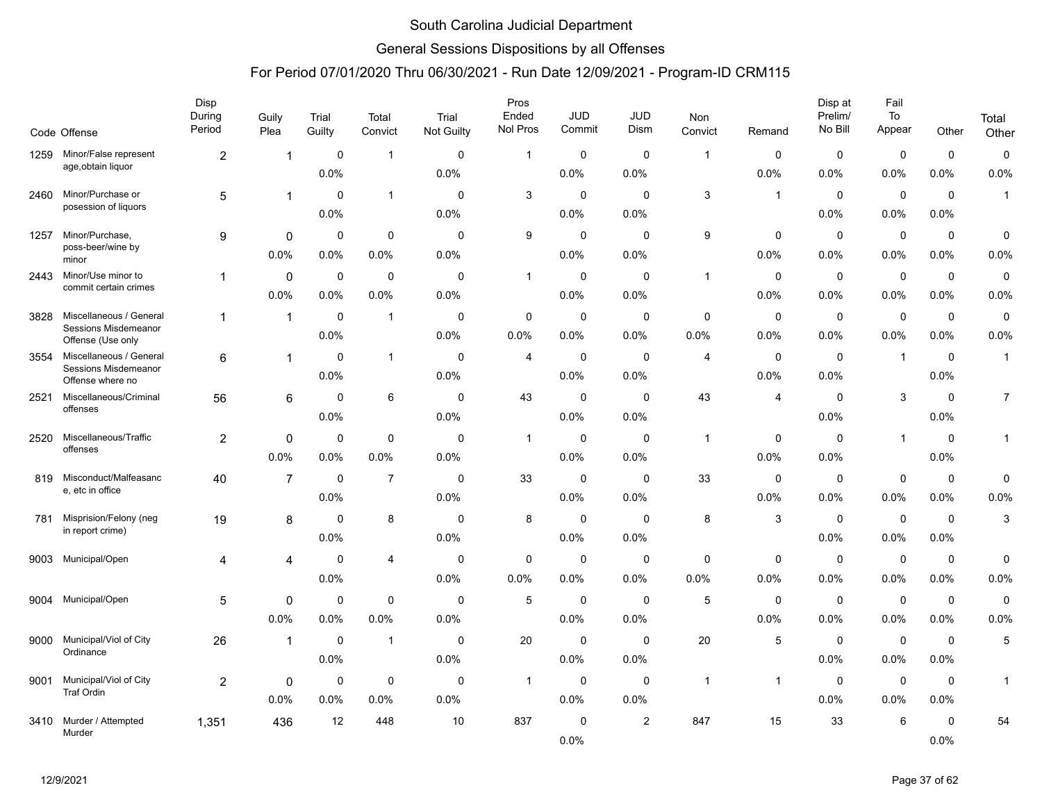### General Sessions Dispositions by all Offenses

|      | Code Offense                                | Disp<br>During<br>Period | Guily<br>Plea  | Trial<br>Guilty | Total<br>Convict | Trial<br>Not Guilty | Pros<br>Ended<br>Nol Pros | JUD<br>Commit | <b>JUD</b><br>Dism | Non<br>Convict | Remand       | Disp at<br>Prelim/<br>No Bill | Fail<br>To<br>Appear | Other       | Total<br>Other |
|------|---------------------------------------------|--------------------------|----------------|-----------------|------------------|---------------------|---------------------------|---------------|--------------------|----------------|--------------|-------------------------------|----------------------|-------------|----------------|
| 1259 | Minor/False represent                       | $\overline{c}$           | 1              | 0               | $\overline{1}$   | $\mathbf 0$         | $\mathbf{1}$              | 0             | $\mathbf 0$        | $\overline{1}$ | $\mathbf 0$  | $\mathbf 0$                   | $\mathbf 0$          | $\mathbf 0$ | $\pmb{0}$      |
|      | age, obtain liquor                          |                          |                | 0.0%            |                  | 0.0%                |                           | 0.0%          | 0.0%               |                | 0.0%         | 0.0%                          | 0.0%                 | 0.0%        | 0.0%           |
| 2460 | Minor/Purchase or                           | 5                        | 1              | $\Omega$        | $\overline{1}$   | 0                   | 3                         | $\mathbf 0$   | $\mathbf{0}$       | 3              | $\mathbf{1}$ | $\mathbf 0$                   | $\mathbf 0$          | $\mathbf 0$ | $\mathbf{1}$   |
|      | posession of liquors                        |                          |                | 0.0%            |                  | 0.0%                |                           | 0.0%          | 0.0%               |                |              | 0.0%                          | 0.0%                 | 0.0%        |                |
| 1257 | Minor/Purchase,                             | 9                        | 0              | $\mathbf 0$     | $\mathbf 0$      | 0                   | 9                         | $\mathbf 0$   | $\mathbf 0$        | 9              | 0            | 0                             | $\mathbf 0$          | $\mathbf 0$ | 0              |
|      | poss-beer/wine by<br>minor                  |                          | 0.0%           | 0.0%            | 0.0%             | 0.0%                |                           | 0.0%          | 0.0%               |                | 0.0%         | 0.0%                          | 0.0%                 | 0.0%        | 0.0%           |
| 2443 | Minor/Use minor to                          | 1                        | $\mathbf 0$    | 0               | $\mathbf 0$      | 0                   | 1                         | $\mathbf 0$   | $\mathbf 0$        | $\overline{1}$ | 0            | $\mathbf 0$                   | $\mathbf 0$          | $\mathbf 0$ | $\pmb{0}$      |
|      | commit certain crimes                       |                          | 0.0%           | 0.0%            | 0.0%             | 0.0%                |                           | 0.0%          | 0.0%               |                | 0.0%         | 0.0%                          | 0.0%                 | 0.0%        | 0.0%           |
| 3828 | Miscellaneous / General                     | $\mathbf 1$              | $\mathbf{1}$   | $\Omega$        | $\overline{1}$   | $\mathbf 0$         | $\mathbf 0$               | $\mathbf 0$   | $\mathbf 0$        | $\mathbf 0$    | $\mathbf 0$  | $\mathbf 0$                   | $\mathbf 0$          | $\mathbf 0$ | 0              |
|      | Sessions Misdemeanor<br>Offense (Use only   |                          |                | 0.0%            |                  | 0.0%                | 0.0%                      | $0.0\%$       | $0.0\%$            | 0.0%           | 0.0%         | 0.0%                          | 0.0%                 | 0.0%        | 0.0%           |
| 3554 | Miscellaneous / General                     | 6                        | 1              | $\mathbf 0$     | $\overline{1}$   | 0                   | 4                         | 0             | $\mathbf 0$        | 4              | $\mathbf 0$  | $\mathbf 0$                   | $\overline{1}$       | $\mathbf 0$ | $\mathbf{1}$   |
|      | Sessions Misdemeanor<br>Offense where no    |                          |                | 0.0%            |                  | 0.0%                |                           | 0.0%          | 0.0%               |                | 0.0%         | 0.0%                          |                      | 0.0%        |                |
| 2521 | Miscellaneous/Criminal                      | 56                       | 6              | $\mathbf 0$     | 6                | 0                   | 43                        | $\mathbf 0$   | $\mathbf 0$        | 43             | 4            | $\mathbf 0$                   | 3                    | $\mathbf 0$ | $\overline{7}$ |
|      | offenses                                    |                          |                | 0.0%            |                  | 0.0%                |                           | $0.0\%$       | 0.0%               |                |              | 0.0%                          |                      | 0.0%        |                |
| 2520 | Miscellaneous/Traffic                       | $\overline{c}$           | 0              | $\mathbf 0$     | $\mathbf 0$      | $\mathbf{0}$        | $\mathbf{1}$              | $\mathbf 0$   | $\mathbf 0$        | $\overline{1}$ | $\mathbf 0$  | $\mathbf 0$                   | $\overline{1}$       | $\mathbf 0$ | $\mathbf{1}$   |
|      | offenses                                    |                          | 0.0%           | 0.0%            | 0.0%             | 0.0%                |                           | 0.0%          | 0.0%               |                | 0.0%         | 0.0%                          |                      | 0.0%        |                |
| 819  | Misconduct/Malfeasanc                       | 40                       | $\overline{7}$ | $\mathbf 0$     | $\overline{7}$   | 0                   | 33                        | $\mathbf 0$   | $\mathbf 0$        | 33             | $\mathbf 0$  | 0                             | $\mathbf 0$          | $\mathbf 0$ | 0              |
|      | e, etc in office                            |                          |                | 0.0%            |                  | 0.0%                |                           | 0.0%          | $0.0\%$            |                | 0.0%         | 0.0%                          | 0.0%                 | 0.0%        | 0.0%           |
| 781  | Misprision/Felony (neg<br>in report crime)  | 19                       | 8              | $\Omega$        | 8                | $\Omega$            | 8                         | $\mathbf 0$   | $\mathbf{0}$       | 8              | 3            | $\mathbf 0$                   | $\mathbf 0$          | 0           | 3              |
|      |                                             |                          |                | 0.0%            |                  | 0.0%                |                           | 0.0%          | 0.0%               |                |              | 0.0%                          | $0.0\%$              | $0.0\%$     |                |
| 9003 | Municipal/Open                              | 4                        | 4              | $\mathbf 0$     | $\overline{4}$   | 0                   | $\mathbf 0$               | $\mathbf 0$   | $\mathbf 0$        | 0              | 0            | $\mathbf 0$                   | $\mathbf 0$          | $\mathbf 0$ | 0              |
|      |                                             |                          |                | 0.0%            |                  | 0.0%                | 0.0%                      | 0.0%          | 0.0%               | 0.0%           | 0.0%         | 0.0%                          | 0.0%                 | 0.0%        | 0.0%           |
| 9004 | Municipal/Open                              | 5                        | 0              | $\mathbf 0$     | $\mathbf 0$      | 0                   | $\,$ 5 $\,$               | 0             | $\mathbf 0$        | 5              | 0            | $\mathbf 0$                   | $\mathbf 0$          | $\mathbf 0$ | $\mathbf 0$    |
|      |                                             |                          | 0.0%           | 0.0%            | 0.0%             | 0.0%                |                           | $0.0\%$       | $0.0\%$            |                | 0.0%         | 0.0%                          | 0.0%                 | 0.0%        | 0.0%           |
| 9000 | Municipal/Viol of City<br>Ordinance         | 26                       | 1              | $\mathbf 0$     | $\overline{1}$   | 0                   | 20                        | $\mathbf 0$   | $\mathbf 0$        | 20             | 5            | $\mathbf 0$                   | $\mathbf 0$          | $\mathbf 0$ | 5              |
|      |                                             |                          |                | 0.0%            |                  | 0.0%                |                           | 0.0%          | 0.0%               |                |              | 0.0%                          | $0.0\%$              | 0.0%        |                |
| 9001 | Municipal/Viol of City<br><b>Traf Ordin</b> | $\overline{c}$           | 0              | $\mathbf 0$     | $\mathbf 0$      | 0                   | $\mathbf{1}$              | $\mathbf 0$   | $\mathbf 0$        | $\overline{1}$ | -1           | $\mathbf 0$                   | $\mathbf 0$          | $\mathbf 0$ | $\mathbf{1}$   |
|      |                                             |                          | 0.0%           | 0.0%            | 0.0%             | 0.0%                |                           | $0.0\%$       | 0.0%               |                |              | 0.0%                          | 0.0%                 | 0.0%        |                |
| 3410 | Murder / Attempted<br>Murder                | 1,351                    | 436            | 12              | 448              | 10                  | 837                       | 0             | $\overline{2}$     | 847            | 15           | 33                            | 6                    | $\mathbf 0$ | 54             |
|      |                                             |                          |                |                 |                  |                     |                           | 0.0%          |                    |                |              |                               |                      | 0.0%        |                |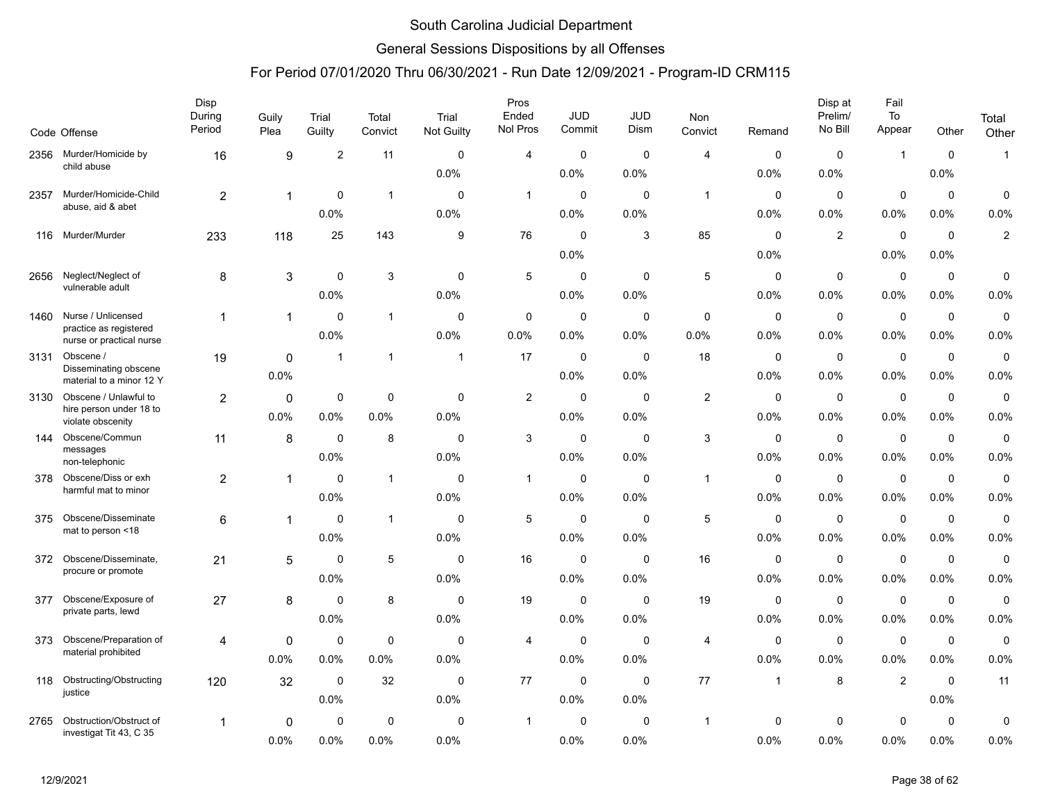### General Sessions Dispositions by all Offenses

|      | Code Offense                                       | Disp<br>During<br>Period | Guily<br>Plea | Trial<br>Guilty | Total<br>Convict | Trial<br><b>Not Guilty</b> | Pros<br>Ended<br>Nol Pros | JUD<br>Commit | JUD<br>Dism | Non<br>Convict | Remand       | Disp at<br>Prelim/<br>No Bill | Fail<br>To<br>Appear | Other       | Total          |
|------|----------------------------------------------------|--------------------------|---------------|-----------------|------------------|----------------------------|---------------------------|---------------|-------------|----------------|--------------|-------------------------------|----------------------|-------------|----------------|
|      |                                                    |                          |               |                 |                  |                            |                           |               |             |                |              |                               |                      |             | Other          |
| 2356 | Murder/Homicide by<br>child abuse                  | 16                       | 9             | $\overline{2}$  | 11               | $\mathbf 0$                | 4                         | $\Omega$      | $\mathbf 0$ | $\overline{4}$ | 0            | $\mathbf 0$                   | $\mathbf{1}$         | $\mathbf 0$ | $\mathbf{1}$   |
|      |                                                    |                          |               |                 |                  | 0.0%                       |                           | 0.0%          | 0.0%        |                | 0.0%         | 0.0%                          |                      | 0.0%        |                |
| 2357 | Murder/Homicide-Child<br>abuse, aid & abet         | 2                        | $\mathbf{1}$  | 0               | $\mathbf{1}$     | $\mathbf 0$                | $\mathbf{1}$              | $\mathbf 0$   | $\mathbf 0$ | $\overline{1}$ | $\mathbf 0$  | $\mathbf 0$                   | $\mathbf 0$          | $\mathbf 0$ | $\mathbf 0$    |
|      |                                                    |                          |               | 0.0%            |                  | 0.0%                       |                           | $0.0\%$       | 0.0%        |                | 0.0%         | 0.0%                          | 0.0%                 | $0.0\%$     | 0.0%           |
| 116  | Murder/Murder                                      | 233                      | 118           | 25              | 143              | 9                          | 76                        | $\mathbf 0$   | 3           | 85             | 0            | $\overline{2}$                | $\mathbf 0$          | $\mathbf 0$ | $\overline{2}$ |
|      |                                                    |                          |               |                 |                  |                            |                           | 0.0%          |             |                | 0.0%         |                               | 0.0%                 | 0.0%        |                |
| 2656 | Neglect/Neglect of                                 | 8                        | 3             | $\mathbf 0$     | 3                | $\mathbf 0$                | 5                         | $\mathbf 0$   | $\mathbf 0$ | 5              | 0            | $\mathbf 0$                   | $\mathbf 0$          | $\mathbf 0$ | $\mathbf 0$    |
|      | vulnerable adult                                   |                          |               | 0.0%            |                  | 0.0%                       |                           | 0.0%          | 0.0%        |                | 0.0%         | 0.0%                          | 0.0%                 | $0.0\%$     | 0.0%           |
| 1460 | Nurse / Unlicensed                                 | $\mathbf{1}$             | $\mathbf{1}$  | $\mathbf 0$     | $\mathbf{1}$     | $\mathbf 0$                | 0                         | $\mathbf 0$   | $\mathbf 0$ | $\mathbf 0$    | 0            | $\mathbf 0$                   | $\mathbf 0$          | $\mathbf 0$ | $\pmb{0}$      |
|      | practice as registered<br>nurse or practical nurse |                          |               | 0.0%            |                  | 0.0%                       | 0.0%                      | $0.0\%$       | 0.0%        | 0.0%           | 0.0%         | 0.0%                          | 0.0%                 | $0.0\%$     | 0.0%           |
| 3131 | Obscene /                                          | 19                       | $\Omega$      | -1              | $\mathbf{1}$     | $\mathbf{1}$               | 17                        | $\mathbf 0$   | $\mathbf 0$ | 18             | $\mathbf 0$  | $\mathbf 0$                   | $\mathbf 0$          | $\mathbf 0$ | $\mathbf 0$    |
|      | Disseminating obscene<br>material to a minor 12 Y  |                          | 0.0%          |                 |                  |                            |                           | 0.0%          | 0.0%        |                | 0.0%         | 0.0%                          | 0.0%                 | 0.0%        | 0.0%           |
| 3130 | Obscene / Unlawful to                              | $\overline{2}$           | $\mathbf 0$   | $\mathbf 0$     | $\mathbf 0$      | $\mathbf 0$                | $\overline{c}$            | $\mathbf 0$   | $\mathbf 0$ | 2              | $\mathbf 0$  | $\mathbf 0$                   | $\mathbf 0$          | $\mathbf 0$ | $\mathbf 0$    |
|      | hire person under 18 to<br>violate obscenity       |                          | 0.0%          | 0.0%            | 0.0%             | 0.0%                       |                           | $0.0\%$       | 0.0%        |                | 0.0%         | 0.0%                          | 0.0%                 | $0.0\%$     | 0.0%           |
| 144  | Obscene/Commun                                     | 11                       | 8             | $\mathbf 0$     | 8                | $\mathbf 0$                | 3                         | $\mathbf 0$   | $\mathbf 0$ | $\mathbf{3}$   | 0            | $\mathbf 0$                   | $\pmb{0}$            | $\mathbf 0$ | $\pmb{0}$      |
|      | messages<br>non-telephonic                         |                          |               | 0.0%            |                  | 0.0%                       |                           | $0.0\%$       | 0.0%        |                | 0.0%         | 0.0%                          | 0.0%                 | $0.0\%$     | 0.0%           |
| 378  | Obscene/Diss or exh                                | 2                        | 1             | $\mathbf 0$     | $\mathbf{1}$     | $\mathbf 0$                | $\mathbf{1}$              | $\mathbf 0$   | $\mathbf 0$ | $\overline{1}$ | $\mathbf 0$  | $\mathbf 0$                   | $\mathbf 0$          | $\mathbf 0$ | $\mathbf 0$    |
|      | harmful mat to minor                               |                          |               | 0.0%            |                  | 0.0%                       |                           | 0.0%          | 0.0%        |                | 0.0%         | 0.0%                          | 0.0%                 | 0.0%        | 0.0%           |
| 375  | Obscene/Disseminate                                | 6                        | $\mathbf{1}$  | $\mathbf 0$     | $\mathbf{1}$     | $\mathbf 0$                | 5                         | $\mathbf 0$   | $\mathbf 0$ | $\sqrt{5}$     | 0            | $\mathbf 0$                   | $\mathbf 0$          | $\mathbf 0$ | $\pmb{0}$      |
|      | mat to person <18                                  |                          |               | 0.0%            |                  | 0.0%                       |                           | 0.0%          | 0.0%        |                | 0.0%         | 0.0%                          | 0.0%                 | 0.0%        | 0.0%           |
| 372  | Obscene/Disseminate,                               | 21                       | 5             | $\mathbf 0$     | 5                | $\mathbf 0$                | 16                        | $\mathbf 0$   | $\mathbf 0$ | 16             | $\mathbf 0$  | $\mathbf 0$                   | $\mathbf 0$          | $\mathbf 0$ | $\mathbf 0$    |
|      | procure or promote                                 |                          |               | 0.0%            |                  | 0.0%                       |                           | $0.0\%$       | 0.0%        |                | 0.0%         | 0.0%                          | 0.0%                 | $0.0\%$     | 0.0%           |
| 377  | Obscene/Exposure of                                | 27                       | 8             | $\mathbf 0$     | 8                | $\mathbf 0$                | 19                        | $\mathbf 0$   | $\Omega$    | 19             | 0            | $\mathbf 0$                   | $\mathbf 0$          | $\mathbf 0$ | $\pmb{0}$      |
|      | private parts, lewd                                |                          |               | 0.0%            |                  | 0.0%                       |                           | 0.0%          | 0.0%        |                | 0.0%         | 0.0%                          | 0.0%                 | 0.0%        | 0.0%           |
| 373  | Obscene/Preparation of                             | 4                        | 0             | 0               | $\mathbf 0$      | $\mathbf 0$                | 4                         | 0             | 0           | 4              | $\mathbf 0$  | $\mathbf 0$                   | $\mathbf 0$          | $\mathbf 0$ | $\pmb{0}$      |
|      | material prohibited                                |                          | 0.0%          | 0.0%            | 0.0%             | 0.0%                       |                           | $0.0\%$       | 0.0%        |                | 0.0%         | 0.0%                          | 0.0%                 | $0.0\%$     | 0.0%           |
| 118  | Obstructing/Obstructing                            | 120                      | 32            | $\mathbf 0$     | 32               | $\mathbf 0$                | 77                        | $\mathbf 0$   | $\mathbf 0$ | 77             | $\mathbf{1}$ | 8                             | $\overline{2}$       | $\mathbf 0$ | 11             |
|      | justice                                            |                          |               | 0.0%            |                  | 0.0%                       |                           | $0.0\%$       | 0.0%        |                |              |                               |                      | $0.0\%$     |                |
| 2765 | Obstruction/Obstruct of                            | 1                        | 0             | 0               | $\mathbf 0$      | $\mathbf 0$                | $\mathbf{1}$              | $\mathbf 0$   | $\mathbf 0$ | $\mathbf 1$    | 0            | $\mathbf 0$                   | $\mathbf 0$          | $\mathbf 0$ | 0              |
|      | investigat Tit 43, C 35                            |                          | 0.0%          | 0.0%            | 0.0%             | 0.0%                       |                           | 0.0%          | 0.0%        |                | 0.0%         | 0.0%                          | 0.0%                 | 0.0%        | 0.0%           |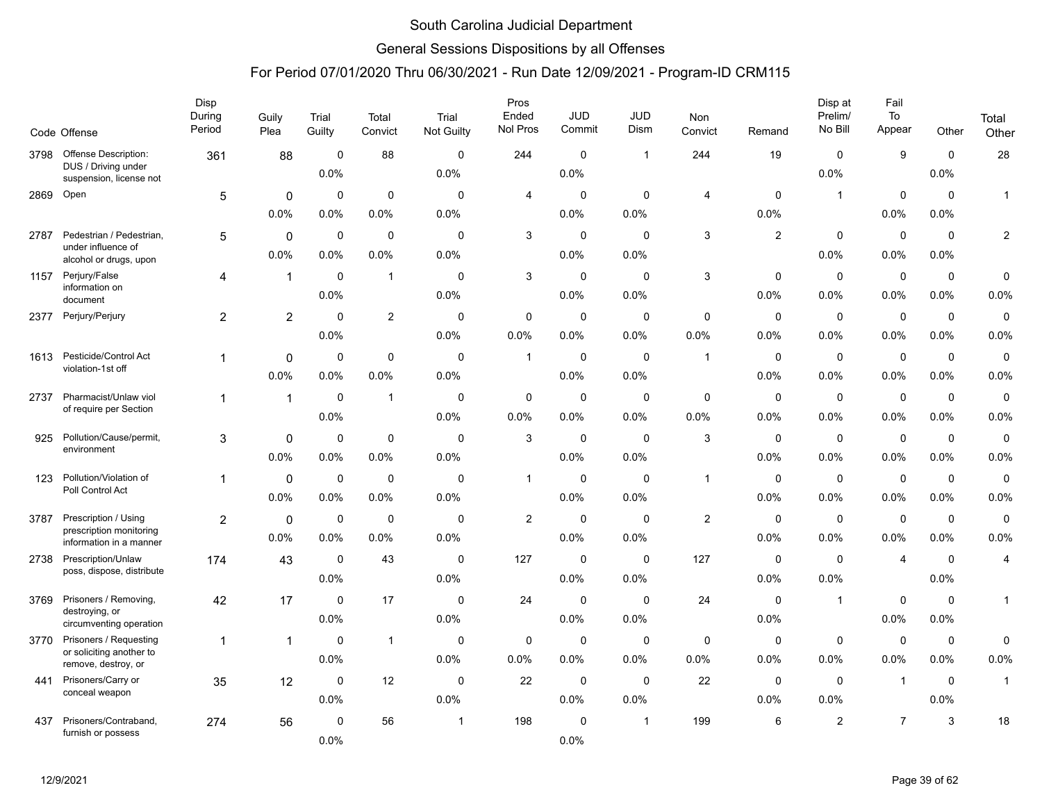### General Sessions Dispositions by all Offenses

|      | Code Offense                                                                  | Disp<br>During<br>Period | Guily<br>Plea       | Trial<br>Guilty     | Total<br>Convict    | Trial<br>Not Guilty | Pros<br>Ended<br>Nol Pros | <b>JUD</b><br>Commit | <b>JUD</b><br><b>Dism</b> | Non<br>Convict            | Remand              | Disp at<br>Prelim/<br>No Bill | Fail<br>To<br>Appear   | Other                  | Total<br>Other          |
|------|-------------------------------------------------------------------------------|--------------------------|---------------------|---------------------|---------------------|---------------------|---------------------------|----------------------|---------------------------|---------------------------|---------------------|-------------------------------|------------------------|------------------------|-------------------------|
| 3798 | <b>Offense Description:</b><br>DUS / Driving under<br>suspension, license not | 361                      | 88                  | $\mathbf 0$<br>0.0% | 88                  | 0<br>0.0%           | 244                       | $\mathbf 0$<br>0.0%  | $\overline{1}$            | 244                       | 19                  | 0<br>0.0%                     | 9                      | $\mathbf 0$<br>0.0%    | 28                      |
| 2869 | Open                                                                          | $\sqrt{5}$               | 0<br>0.0%           | $\mathbf 0$<br>0.0% | $\mathbf 0$<br>0.0% | 0<br>0.0%           | 4                         | $\mathbf 0$<br>0.0%  | 0<br>0.0%                 | 4                         | $\Omega$<br>0.0%    | $\mathbf{1}$                  | $\mathbf 0$<br>0.0%    | $\mathbf 0$<br>0.0%    | $\mathbf{1}$            |
| 2787 | Pedestrian / Pedestrian,<br>under influence of<br>alcohol or drugs, upon      | 5                        | $\Omega$<br>0.0%    | $\mathbf 0$<br>0.0% | $\mathbf 0$<br>0.0% | 0<br>0.0%           | 3                         | 0<br>0.0%            | 0<br>0.0%                 | $\mathsf 3$               | $\overline{2}$      | 0<br>0.0%                     | $\mathbf 0$<br>0.0%    | $\mathbf 0$<br>0.0%    | $\sqrt{2}$              |
| 1157 | Perjury/False<br>information on<br>document                                   | 4                        | $\mathbf{1}$        | $\mathbf 0$<br>0.0% | $\overline{1}$      | 0<br>0.0%           | $\sqrt{3}$                | $\mathbf 0$<br>0.0%  | $\mathbf 0$<br>0.0%       | $\ensuremath{\mathsf{3}}$ | $\mathbf 0$<br>0.0% | $\pmb{0}$<br>0.0%             | $\mathbf 0$<br>0.0%    | $\mathbf 0$<br>0.0%    | $\pmb{0}$<br>0.0%       |
| 2377 | Perjury/Perjury                                                               | $\overline{2}$           | $\overline{2}$      | $\Omega$<br>0.0%    | $\overline{c}$      | 0<br>0.0%           | $\mathbf 0$<br>0.0%       | $\mathbf 0$<br>0.0%  | $\mathbf 0$<br>0.0%       | $\mathbf 0$<br>0.0%       | $\mathbf 0$<br>0.0% | $\mathbf 0$<br>0.0%           | $\mathbf 0$<br>0.0%    | $\mathbf 0$<br>0.0%    | $\mathbf 0$<br>0.0%     |
| 1613 | Pesticide/Control Act<br>violation-1st off                                    | 1                        | $\mathbf 0$<br>0.0% | $\mathbf 0$<br>0.0% | $\mathbf 0$<br>0.0% | 0<br>0.0%           | $\mathbf{1}$              | 0<br>0.0%            | 0<br>0.0%                 | $\mathbf{1}$              | 0<br>0.0%           | $\mathbf 0$<br>0.0%           | $\mathbf 0$<br>0.0%    | $\mathbf 0$<br>0.0%    | $\pmb{0}$<br>0.0%       |
| 2737 | Pharmacist/Unlaw viol<br>of require per Section                               | $\mathbf{1}$             | $\mathbf{1}$        | $\mathbf 0$<br>0.0% | $\overline{1}$      | 0<br>$0.0\%$        | $\mathbf 0$<br>0.0%       | $\mathbf 0$<br>0.0%  | 0<br>0.0%                 | $\mathbf 0$<br>0.0%       | $\mathbf 0$<br>0.0% | $\mathbf 0$<br>0.0%           | $\mathbf 0$<br>$0.0\%$ | $\mathbf 0$<br>0.0%    | $\pmb{0}$<br>0.0%       |
| 925  | Pollution/Cause/permit,<br>environment                                        | 3                        | 0<br>0.0%           | $\mathbf 0$<br>0.0% | $\mathbf 0$<br>0.0% | $\Omega$<br>0.0%    | 3                         | $\mathbf 0$<br>0.0%  | $\Omega$<br>0.0%          | 3                         | $\Omega$<br>0.0%    | $\mathbf 0$<br>0.0%           | $\mathbf 0$<br>0.0%    | $\mathbf 0$<br>0.0%    | $\mathbf 0$<br>0.0%     |
| 123  | Pollution/Violation of<br>Poll Control Act                                    | $\mathbf{1}$             | $\mathbf 0$<br>0.0% | $\mathbf 0$<br>0.0% | $\mathbf 0$<br>0.0% | 0<br>0.0%           | $\mathbf{1}$              | $\mathbf 0$<br>0.0%  | 0<br>0.0%                 | $\mathbf{1}$              | 0<br>0.0%           | $\mathbf 0$<br>0.0%           | $\mathbf 0$<br>0.0%    | $\mathbf 0$<br>0.0%    | $\pmb{0}$<br>0.0%       |
| 3787 | Prescription / Using<br>prescription monitoring<br>information in a manner    | 2                        | $\mathbf 0$<br>0.0% | 0<br>0.0%           | $\mathbf 0$<br>0.0% | 0<br>0.0%           | $\overline{2}$            | $\mathbf 0$<br>0.0%  | $\Omega$<br>0.0%          | $\overline{2}$            | 0<br>0.0%           | $\mathbf 0$<br>0.0%           | $\pmb{0}$<br>0.0%      | $\mathbf 0$<br>0.0%    | $\mathbf 0$<br>0.0%     |
| 2738 | Prescription/Unlaw<br>poss, dispose, distribute                               | 174                      | 43                  | $\mathbf 0$<br>0.0% | 43                  | 0<br>0.0%           | 127                       | $\mathbf 0$<br>0.0%  | $\Omega$<br>0.0%          | 127                       | $\mathbf 0$<br>0.0% | $\mathbf 0$<br>0.0%           | $\overline{4}$         | $\mathbf 0$<br>0.0%    | $\overline{\mathbf{4}}$ |
| 3769 | Prisoners / Removing,<br>destroying, or<br>circumventing operation            | 42                       | 17                  | $\mathbf 0$<br>0.0% | 17                  | 0<br>0.0%           | 24                        | $\mathbf 0$<br>0.0%  | $\mathbf 0$<br>0.0%       | 24                        | $\mathbf 0$<br>0.0% | $\mathbf{1}$                  | $\mathbf 0$<br>0.0%    | $\mathbf 0$<br>$0.0\%$ | 1                       |
| 3770 | Prisoners / Requesting<br>or soliciting another to<br>remove, destroy, or     | $\mathbf{1}$             | $\mathbf{1}$        | $\mathbf 0$<br>0.0% | $\overline{1}$      | 0<br>0.0%           | $\mathbf 0$<br>0.0%       | $\mathbf 0$<br>0.0%  | $\mathbf 0$<br>0.0%       | $\mathbf 0$<br>0.0%       | $\mathbf 0$<br>0.0% | 0<br>0.0%                     | $\mathbf 0$<br>0.0%    | 0<br>0.0%              | 0<br>0.0%               |
| 441  | Prisoners/Carry or<br>conceal weapon                                          | 35                       | 12                  | $\mathbf 0$<br>0.0% | 12                  | 0<br>0.0%           | 22                        | $\mathbf 0$<br>0.0%  | $\mathbf 0$<br>0.0%       | 22                        | $\mathbf 0$<br>0.0% | $\mathbf 0$<br>0.0%           | $\mathbf{1}$           | $\mathbf 0$<br>0.0%    | $\mathbf{1}$            |
| 437  | Prisoners/Contraband,<br>furnish or possess                                   | 274                      | 56                  | $\mathbf 0$<br>0.0% | 56                  | $\overline{1}$      | 198                       | $\mathbf 0$<br>0.0%  | $\mathbf 1$               | 199                       | 6                   | $\overline{c}$                | $\overline{7}$         | 3                      | 18                      |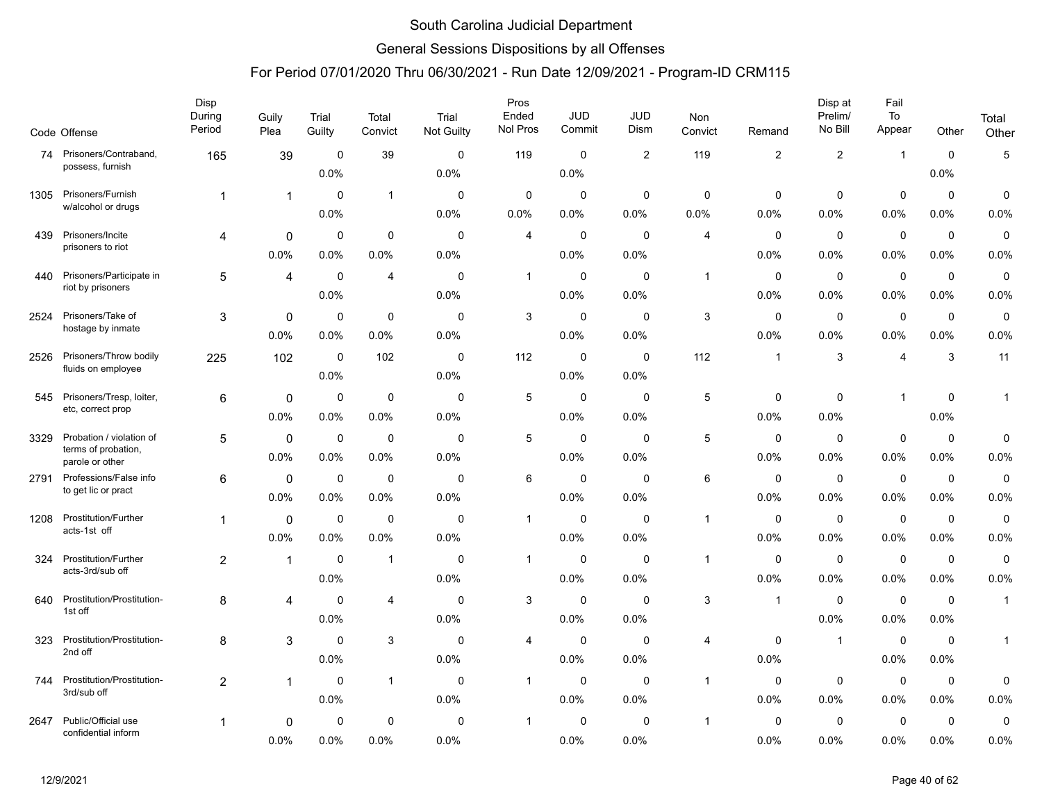### General Sessions Dispositions by all Offenses

|      | Code Offense                            | Disp<br>During<br>Period | Guily<br>Plea | Trial<br>Guilty | Total<br>Convict | Trial<br><b>Not Guilty</b> | Pros<br>Ended<br>Nol Pros | <b>JUD</b><br>Commit | <b>JUD</b><br>Dism | Non<br>Convict          | Remand         | Disp at<br>Prelim/<br>No Bill | Fail<br>To<br>Appear    | Other       | Total<br>Other |
|------|-----------------------------------------|--------------------------|---------------|-----------------|------------------|----------------------------|---------------------------|----------------------|--------------------|-------------------------|----------------|-------------------------------|-------------------------|-------------|----------------|
| 74   | Prisoners/Contraband,                   | 165                      | 39            | $\mathbf 0$     | 39               | 0                          | 119                       | $\mathbf 0$          | $\overline{2}$     | 119                     | $\overline{2}$ | $\overline{c}$                | $\overline{\mathbf{1}}$ | $\mathbf 0$ | 5              |
|      | possess, furnish                        |                          |               | 0.0%            |                  | 0.0%                       |                           | 0.0%                 |                    |                         |                |                               |                         | 0.0%        |                |
| 1305 | Prisoners/Furnish<br>w/alcohol or drugs | $\mathbf{1}$             | 1             | $\mathbf 0$     | $\mathbf{1}$     | $\mathbf 0$                | $\mathbf 0$               | $\mathbf 0$          | $\mathbf 0$        | $\mathbf 0$             | $\mathbf 0$    | $\mathbf 0$                   | $\mathbf 0$             | $\mathbf 0$ | 0              |
|      |                                         |                          |               | 0.0%            |                  | 0.0%                       | 0.0%                      | $0.0\%$              | 0.0%               | 0.0%                    | 0.0%           | 0.0%                          | 0.0%                    | 0.0%        | 0.0%           |
| 439  | Prisoners/Incite                        | 4                        | 0             | 0               | $\mathbf 0$      | 0                          | 4                         | 0                    | 0                  | 4                       | 0              | $\mathbf 0$                   | $\mathbf 0$             | $\mathbf 0$ | $\mathbf 0$    |
|      | prisoners to riot                       |                          | 0.0%          | 0.0%            | 0.0%             | 0.0%                       |                           | $0.0\%$              | 0.0%               |                         | $0.0\%$        | $0.0\%$                       | 0.0%                    | 0.0%        | 0.0%           |
| 440  | Prisoners/Participate in                | 5                        | 4             | 0               | $\overline{4}$   | $\Omega$                   | 1                         | 0                    | 0                  | $\overline{1}$          | 0              | 0                             | $\mathbf 0$             | $\mathbf 0$ | 0              |
|      | riot by prisoners                       |                          |               | 0.0%            |                  | 0.0%                       |                           | $0.0\%$              | 0.0%               |                         | $0.0\%$        | $0.0\%$                       | $0.0\%$                 | $0.0\%$     | 0.0%           |
| 2524 | Prisoners/Take of                       | 3                        | 0             | 0               | $\mathbf 0$      | $\Omega$                   | 3                         | 0                    | $\mathbf 0$        | 3                       | 0              | $\mathbf 0$                   | $\mathbf 0$             | $\mathbf 0$ | 0              |
|      | hostage by inmate                       |                          | 0.0%          | 0.0%            | 0.0%             | 0.0%                       |                           | 0.0%                 | 0.0%               |                         | 0.0%           | 0.0%                          | 0.0%                    | 0.0%        | 0.0%           |
| 2526 | Prisoners/Throw bodily                  | 225                      | 102           | $\mathbf 0$     | 102              | $\mathbf 0$                | 112                       | $\mathbf 0$          | $\mathbf 0$        | 112                     | $\mathbf 1$    | 3                             | 4                       | 3           | 11             |
|      | fluids on employee                      |                          |               | 0.0%            |                  | 0.0%                       |                           | 0.0%                 | 0.0%               |                         |                |                               |                         |             |                |
| 545  | Prisoners/Tresp, loiter,                | 6                        | 0             | $\mathbf 0$     | $\mathbf 0$      | 0                          | 5                         | 0                    | 0                  | 5                       | 0              | 0                             | $\overline{1}$          | $\mathbf 0$ | $\mathbf{1}$   |
|      | etc, correct prop                       |                          | 0.0%          | $0.0\%$         | 0.0%             | 0.0%                       |                           | $0.0\%$              | 0.0%               |                         | 0.0%           | 0.0%                          |                         | 0.0%        |                |
| 3329 | Probation / violation of                | 5                        | 0             | 0               | 0                | $\mathbf 0$                | 5                         | $\mathbf 0$          | $\mathbf 0$        | 5                       | $\mathbf 0$    | $\mathbf 0$                   | $\mathbf 0$             | $\mathbf 0$ | 0              |
|      | terms of probation,<br>parole or other  |                          | 0.0%          | 0.0%            | 0.0%             | 0.0%                       |                           | $0.0\%$              | 0.0%               |                         | 0.0%           | $0.0\%$                       | 0.0%                    | 0.0%        | 0.0%           |
| 2791 | Professions/False info                  | 6                        | 0             | $\mathbf 0$     | $\mathbf 0$      | $\mathbf 0$                | 6                         | $\mathbf 0$          | $\mathbf 0$        | 6                       | $\mathbf 0$    | $\mathbf 0$                   | $\mathbf 0$             | $\mathbf 0$ | 0              |
|      | to get lic or pract                     |                          | 0.0%          | 0.0%            | 0.0%             | 0.0%                       |                           | 0.0%                 | 0.0%               |                         | 0.0%           | 0.0%                          | 0.0%                    | 0.0%        | 0.0%           |
| 1208 | <b>Prostitution/Further</b>             | 1                        | $\mathbf 0$   | 0               | $\mathbf 0$      | 0                          | 1                         | 0                    | $\mathbf 0$        | -1                      | 0              | 0                             | 0                       | 0           | $\pmb{0}$      |
|      | acts-1st off                            |                          | 0.0%          | 0.0%            | 0.0%             | 0.0%                       |                           | $0.0\%$              | 0.0%               |                         | 0.0%           | 0.0%                          | 0.0%                    | 0.0%        | 0.0%           |
| 324  | Prostitution/Further                    | 2                        | $\mathbf{1}$  | $\mathbf 0$     | $\mathbf{1}$     | $\mathbf 0$                | $\mathbf{1}$              | $\mathbf 0$          | $\mathbf 0$        | $\overline{1}$          | $\mathbf 0$    | $\mathbf 0$                   | $\mathbf 0$             | $\mathbf 0$ | 0              |
|      | acts-3rd/sub off                        |                          |               | 0.0%            |                  | 0.0%                       |                           | $0.0\%$              | 0.0%               |                         | $0.0\%$        | 0.0%                          | 0.0%                    | 0.0%        | 0.0%           |
| 640  | Prostitution/Prostitution-              | 8                        | 4             | $\mathbf 0$     | $\overline{4}$   | $\mathbf 0$                | 3                         | 0                    | $\mathbf 0$        | 3                       | 1              | $\mathbf 0$                   | $\mathbf 0$             | 0           | $\mathbf{1}$   |
|      | 1st off                                 |                          |               | 0.0%            |                  | 0.0%                       |                           | 0.0%                 | 0.0%               |                         |                | 0.0%                          | 0.0%                    | 0.0%        |                |
| 323  | Prostitution/Prostitution-              | 8                        | 3             | $\mathbf 0$     | 3                | 0                          | 4                         | 0                    | 0                  | 4                       | 0              | $\overline{1}$                | $\mathbf 0$             | 0           | $\mathbf{1}$   |
|      | 2nd off                                 |                          |               | 0.0%            |                  | 0.0%                       |                           | $0.0\%$              | 0.0%               |                         | 0.0%           |                               | 0.0%                    | 0.0%        |                |
| 744  | Prostitution/Prostitution-              | 2                        | 1             | 0               | $\mathbf{1}$     | $\mathbf 0$                | $\mathbf{1}$              | $\mathbf 0$          | $\mathbf 0$        | $\overline{1}$          | 0              | $\mathbf 0$                   | $\mathbf 0$             | 0           | 0              |
|      | 3rd/sub off                             |                          |               | 0.0%            |                  | 0.0%                       |                           | 0.0%                 | 0.0%               |                         | 0.0%           | 0.0%                          | 0.0%                    | 0.0%        | 0.0%           |
| 2647 | Public/Official use                     | 1                        | 0             | 0               | $\mathbf 0$      | $\mathbf 0$                | 1                         | $\mathbf 0$          | $\mathbf 0$        | $\overline{\mathbf{1}}$ | 0              | $\mathbf 0$                   | $\mathbf 0$             | $\mathbf 0$ | 0              |
|      | confidential inform                     |                          | 0.0%          | 0.0%            | 0.0%             | 0.0%                       |                           | 0.0%                 | 0.0%               |                         | 0.0%           | 0.0%                          | 0.0%                    | 0.0%        | 0.0%           |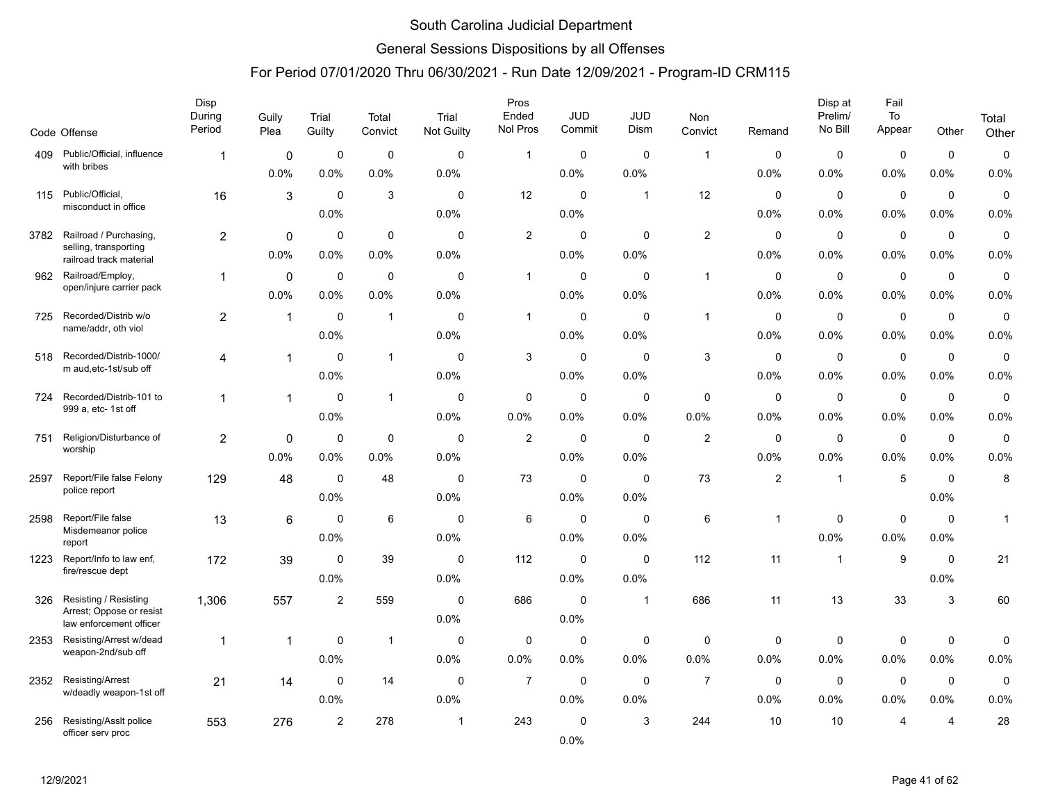### General Sessions Dispositions by all Offenses

|      |                                                    | <b>Disp</b><br>During<br>Period | Guily<br>Plea | Trial<br>Guilty | Total<br>Convict | Trial<br><b>Not Guilty</b> | Pros<br>Ended<br>Nol Pros | <b>JUD</b><br>Commit | <b>JUD</b><br>Dism | Non<br>Convict | Remand      | Disp at<br>Prelim/<br>No Bill | Fail<br>To<br>Appear | Other                 | Total        |
|------|----------------------------------------------------|---------------------------------|---------------|-----------------|------------------|----------------------------|---------------------------|----------------------|--------------------|----------------|-------------|-------------------------------|----------------------|-----------------------|--------------|
|      | Code Offense                                       |                                 |               |                 |                  |                            |                           |                      |                    |                |             |                               |                      |                       | Other        |
| 409  | Public/Official, influence<br>with bribes          | -1                              | 0             | $\mathbf 0$     | $\mathbf 0$      | $\mathbf 0$                | $\mathbf{1}$              | $\mathbf 0$          | $\mathbf 0$        | $\overline{1}$ | $\mathbf 0$ | $\mathbf 0$                   | $\mathbf 0$          | $\mathbf 0$           | $\pmb{0}$    |
|      |                                                    |                                 | 0.0%          | 0.0%            | 0.0%             | 0.0%                       |                           | 0.0%                 | 0.0%               |                | 0.0%        | 0.0%                          | 0.0%                 | 0.0%                  | 0.0%         |
| 115  | Public/Official,<br>misconduct in office           | 16                              | 3             | $\mathbf 0$     | 3                | $\mathbf 0$                | 12                        | $\mathbf 0$          | $\mathbf{1}$       | 12             | $\mathbf 0$ | 0                             | $\mathbf 0$          | $\mathbf 0$           | $\pmb{0}$    |
|      |                                                    |                                 |               | 0.0%            |                  | 0.0%                       |                           | 0.0%                 |                    |                | 0.0%        | $0.0\%$                       | $0.0\%$              | 0.0%                  | 0.0%         |
| 3782 | Railroad / Purchasing,                             | 2                               | $\mathbf 0$   | $\Omega$        | 0                | $\Omega$                   | 2                         | $\Omega$             | 0                  | $\overline{c}$ | 0           | $\mathbf 0$                   | 0                    | $\mathbf 0$           | $\mathbf 0$  |
|      | selling, transporting<br>railroad track material   |                                 | 0.0%          | 0.0%            | 0.0%             | 0.0%                       |                           | 0.0%                 | 0.0%               |                | 0.0%        | 0.0%                          | 0.0%                 | 0.0%                  | 0.0%         |
| 962  | Railroad/Employ,                                   | 1                               | 0             | $\mathbf 0$     | 0                | $\mathbf 0$                | $\mathbf{1}$              | $\mathbf 0$          | $\mathbf 0$        | $\overline{1}$ | $\mathbf 0$ | 0                             | $\mathbf 0$          | $\mathbf 0$           | 0            |
|      | open/injure carrier pack                           |                                 | 0.0%          | 0.0%            | 0.0%             | 0.0%                       |                           | 0.0%                 | 0.0%               |                | 0.0%        | 0.0%                          | 0.0%                 | 0.0%                  | 0.0%         |
| 725  | Recorded/Distrib w/o                               | $\overline{a}$                  | $\mathbf{1}$  | $\mathbf 0$     | $\mathbf{1}$     | $\mathbf 0$                | $\mathbf{1}$              | $\mathbf 0$          | $\mathbf 0$        | $\mathbf{1}$   | $\mathbf 0$ | $\mathbf 0$                   | $\mathbf 0$          | $\mathbf 0$           | 0            |
|      | name/addr, oth viol                                |                                 |               | 0.0%            |                  | 0.0%                       |                           | 0.0%                 | 0.0%               |                | 0.0%        | 0.0%                          | $0.0\%$              | 0.0%                  | 0.0%         |
| 518  | Recorded/Distrib-1000/                             | 4                               | 1             | $\Omega$        | $\mathbf{1}$     | 0                          | 3                         | 0                    | $\Omega$           | 3              | 0           | 0                             | $\mathbf 0$          | 0                     | $\mathbf 0$  |
|      | m aud, etc-1st/sub off                             |                                 |               | 0.0%            |                  | 0.0%                       |                           | 0.0%                 | 0.0%               |                | 0.0%        | 0.0%                          | 0.0%                 | 0.0%                  | 0.0%         |
| 724  | Recorded/Distrib-101 to                            | 1                               | $\mathbf 1$   | 0               | $\mathbf{1}$     | $\mathbf 0$                | 0                         | $\mathbf 0$          | $\mathbf 0$        | $\mathbf 0$    | $\mathbf 0$ | $\mathsf 0$                   | $\pmb{0}$            | $\mathbf 0$           | $\pmb{0}$    |
|      | 999 a, etc- 1st off                                |                                 |               | 0.0%            |                  | 0.0%                       | 0.0%                      | 0.0%                 | 0.0%               | 0.0%           | 0.0%        | 0.0%                          | 0.0%                 | 0.0%                  | 0.0%         |
| 751  | Religion/Disturbance of                            | $\overline{c}$                  | $\mathbf 0$   | $\mathbf 0$     | $\mathbf 0$      | $\mathbf 0$                | $\overline{c}$            | $\mathbf 0$          | $\mathbf 0$        | $\overline{2}$ | $\mathbf 0$ | $\mathbf 0$                   | $\mathbf 0$          | $\mathbf 0$           | 0            |
|      | worship                                            |                                 | 0.0%          | 0.0%            | 0.0%             | 0.0%                       |                           | 0.0%                 | 0.0%               |                | 0.0%        | 0.0%                          | 0.0%                 | 0.0%                  | 0.0%         |
| 2597 | Report/File false Felony                           | 129                             | 48            | $\mathbf 0$     | 48               | 0                          | 73                        | $\mathbf 0$          | $\mathbf 0$        | 73             | 2           | $\overline{1}$                | $\sqrt{5}$           | $\mathbf 0$           | 8            |
|      | police report                                      |                                 |               | 0.0%            |                  | 0.0%                       |                           | 0.0%                 | 0.0%               |                |             |                               |                      | 0.0%                  |              |
| 2598 | Report/File false                                  | 13                              | 6             | $\mathbf 0$     | 6                | $\mathbf 0$                | 6                         | $\mathbf 0$          | $\mathbf 0$        | 6              | 1           | $\mathbf 0$                   | $\pmb{0}$            | $\mathbf 0$           | $\mathbf{1}$ |
|      | Misdemeanor police                                 |                                 |               | 0.0%            |                  | 0.0%                       |                           | 0.0%                 | 0.0%               |                |             | 0.0%                          | 0.0%                 | 0.0%                  |              |
| 1223 | report<br>Report/Info to law enf,                  | 172                             | 39            | $\mathbf 0$     | 39               | $\mathbf 0$                | 112                       | $\mathbf 0$          | $\mathbf 0$        | 112            | 11          | $\mathbf{1}$                  | 9                    | $\mathbf 0$           | 21           |
|      | fire/rescue dept                                   |                                 |               | 0.0%            |                  | 0.0%                       |                           | 0.0%                 | 0.0%               |                |             |                               |                      | 0.0%                  |              |
| 326  | Resisting / Resisting                              | 1,306                           | 557           | $\overline{c}$  | 559              | $\mathbf 0$                | 686                       | $\mathbf 0$          | -1                 | 686            | 11          | 13                            | 33                   | 3                     | 60           |
|      | Arrest; Oppose or resist                           |                                 |               |                 |                  | 0.0%                       |                           | 0.0%                 |                    |                |             |                               |                      |                       |              |
| 2353 | law enforcement officer<br>Resisting/Arrest w/dead | 1                               | 1             | 0               | $\mathbf{1}$     | $\mathbf 0$                | 0                         | $\mathbf 0$          | 0                  | $\mathbf 0$    | $\mathbf 0$ | $\mathbf 0$                   | $\mathbf 0$          | 0                     | 0            |
|      | weapon-2nd/sub off                                 |                                 |               | 0.0%            |                  | 0.0%                       | 0.0%                      | 0.0%                 | 0.0%               | 0.0%           | 0.0%        | 0.0%                          | 0.0%                 | 0.0%                  | 0.0%         |
|      | Resisting/Arrest                                   |                                 |               | $\mathbf 0$     |                  | $\mathbf 0$                | $\overline{7}$            | $\mathbf 0$          | $\mathbf 0$        | $\overline{7}$ | $\mathbf 0$ | $\mathbf 0$                   |                      | $\mathbf 0$           |              |
| 2352 | w/deadly weapon-1st off                            | 21                              | 14            | 0.0%            | 14               | 0.0%                       |                           | 0.0%                 | 0.0%               |                | 0.0%        | 0.0%                          | $\mathbf 0$<br>0.0%  | 0.0%                  | 0<br>0.0%    |
|      |                                                    |                                 |               |                 |                  |                            |                           |                      |                    |                |             |                               |                      |                       |              |
| 256  | Resisting/AssIt police<br>officer serv proc        | 553                             | 276           | $\overline{2}$  | 278              | $\mathbf{1}$               | 243                       | 0<br>0.0%            | 3                  | 244            | 10          | 10                            | 4                    | $\boldsymbol{\Delta}$ | 28           |
|      |                                                    |                                 |               |                 |                  |                            |                           |                      |                    |                |             |                               |                      |                       |              |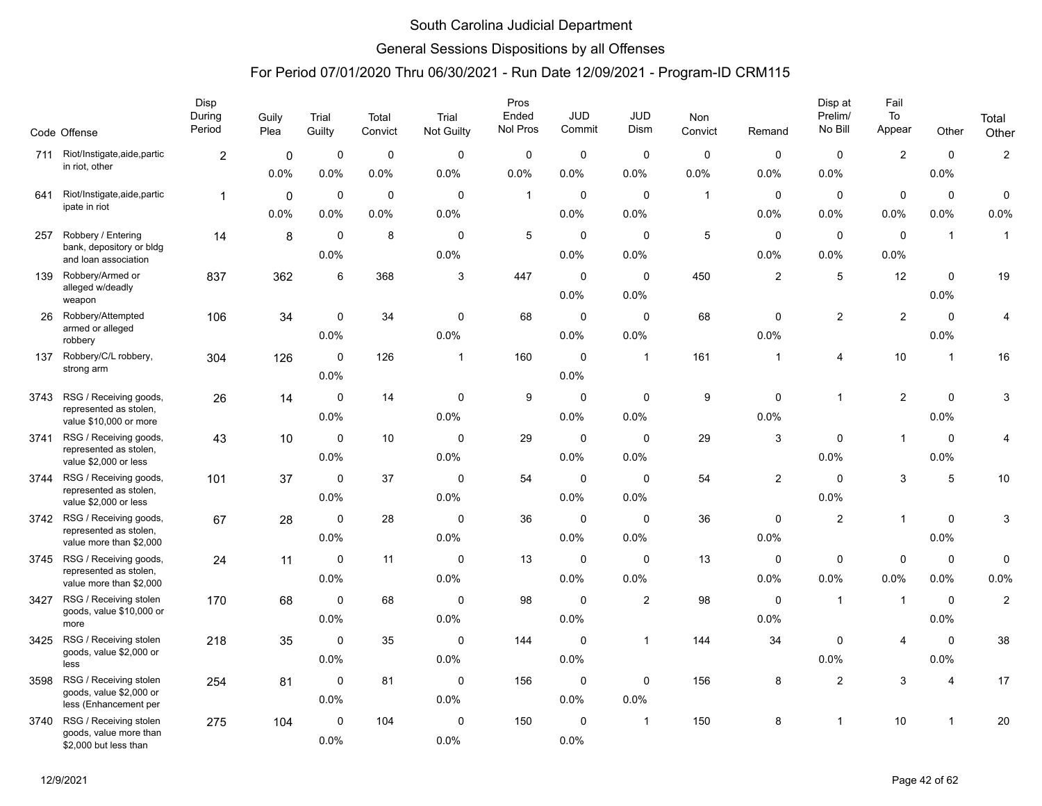### General Sessions Dispositions by all Offenses

|      | Code Offense                                       | Disp<br>During<br>Period | Guily<br>Plea | Trial<br>Guilty | Total<br>Convict | Trial<br>Not Guilty | Pros<br>Ended<br>Nol Pros | <b>JUD</b><br>Commit | <b>JUD</b><br>Dism      | Non<br>Convict | Remand         | Disp at<br>Prelim/<br>No Bill | Fail<br>To<br>Appear      | Other          | Total<br>Other |
|------|----------------------------------------------------|--------------------------|---------------|-----------------|------------------|---------------------|---------------------------|----------------------|-------------------------|----------------|----------------|-------------------------------|---------------------------|----------------|----------------|
| 711  | Riot/Instigate,aide,partic                         | $\overline{2}$           | 0             | $\mathbf 0$     | $\pmb{0}$        | $\mathbf 0$         | $\mathbf 0$               | 0                    | $\mathbf 0$             | $\mathbf 0$    | $\mathbf 0$    | $\mathbf 0$                   | $\mathbf{2}$              | $\mathbf 0$    | $\overline{c}$ |
|      | in riot, other                                     |                          | 0.0%          | 0.0%            | 0.0%             | 0.0%                | 0.0%                      | $0.0\%$              | 0.0%                    | 0.0%           | 0.0%           | 0.0%                          |                           | 0.0%           |                |
| 641  | Riot/Instigate,aide,partic                         | $\mathbf{1}$             | $\mathbf 0$   | $\mathbf 0$     | 0                | $\mathbf 0$         | $\mathbf{1}$              | 0                    | $\mathbf 0$             | $\mathbf{1}$   | $\mathbf 0$    | $\mathbf 0$                   | $\pmb{0}$                 | $\mathbf 0$    | $\mathbf 0$    |
|      | ipate in riot                                      |                          | 0.0%          | 0.0%            | 0.0%             | 0.0%                |                           | 0.0%                 | 0.0%                    |                | 0.0%           | 0.0%                          | 0.0%                      | 0.0%           | 0.0%           |
| 257  | Robbery / Entering                                 | 14                       | 8             | $\mathbf 0$     | 8                | $\mathbf 0$         | $\,$ 5 $\,$               | $\mathbf 0$          | $\mathbf 0$             | 5              | $\mathbf 0$    | $\mathbf 0$                   | $\mathbf 0$               | $\mathbf{1}$   | $\overline{1}$ |
|      | bank, depository or bldg<br>and loan association   |                          |               | 0.0%            |                  | 0.0%                |                           | 0.0%                 | 0.0%                    |                | 0.0%           | 0.0%                          | 0.0%                      |                |                |
| 139  | Robbery/Armed or                                   | 837                      | 362           | 6               | 368              | 3                   | 447                       | 0                    | $\mathbf 0$             | 450            | $\overline{2}$ | $\sqrt{5}$                    | 12                        | $\mathbf 0$    | 19             |
|      | alleged w/deadly<br>weapon                         |                          |               |                 |                  |                     |                           | 0.0%                 | 0.0%                    |                |                |                               |                           | 0.0%           |                |
| 26   | Robbery/Attempted<br>armed or alleged              | 106                      | 34            | $\mathbf 0$     | 34               | 0                   | 68                        | 0                    | $\mathbf 0$             | 68             | 0              | $\sqrt{2}$                    | $\overline{2}$            | $\mathbf 0$    | 4              |
|      | robbery                                            |                          |               | 0.0%            |                  | 0.0%                |                           | 0.0%                 | 0.0%                    |                | 0.0%           |                               |                           | 0.0%           |                |
| 137  | Robbery/C/L robbery,                               | 304                      | 126           | $\mathbf 0$     | 126              | $\overline{1}$      | 160                       | $\mathbf 0$          | $\mathbf{1}$            | 161            | $\overline{1}$ | 4                             | 10                        | $\overline{1}$ | 16             |
|      | strong arm                                         |                          |               | 0.0%            |                  |                     |                           | 0.0%                 |                         |                |                |                               |                           |                |                |
| 3743 | RSG / Receiving goods,<br>represented as stolen,   | 26                       | 14            | $\mathbf 0$     | 14               | $\mathbf 0$         | 9                         | 0                    | $\mathbf 0$             | 9              | $\mathbf 0$    | $\mathbf{1}$                  | $\overline{2}$            | $\mathbf 0$    | 3              |
|      | value \$10,000 or more                             |                          |               | 0.0%            |                  | 0.0%                |                           | 0.0%                 | 0.0%                    |                | 0.0%           |                               |                           | 0.0%           |                |
| 3741 | RSG / Receiving goods,<br>represented as stolen,   | 43                       | 10            | $\mathbf 0$     | 10               | $\mathbf 0$         | 29                        | $\mathbf 0$          | $\mathbf 0$             | 29             | 3              | $\mathbf 0$                   | $\mathbf{1}$              | $\mathbf 0$    | 4              |
|      | value \$2,000 or less                              |                          |               | 0.0%            |                  | 0.0%                |                           | 0.0%                 | 0.0%                    |                |                | 0.0%                          |                           | 0.0%           |                |
| 3744 | RSG / Receiving goods,<br>represented as stolen,   | 101                      | 37            | $\mathbf 0$     | 37               | $\mathbf 0$         | 54                        | $\mathbf 0$          | $\mathbf 0$             | 54             | $\overline{c}$ | $\mathbf 0$                   | $\ensuremath{\mathsf{3}}$ | $\sqrt{5}$     | 10             |
|      | value \$2,000 or less                              |                          |               | 0.0%            |                  | 0.0%                |                           | 0.0%                 | 0.0%                    |                |                | 0.0%                          |                           |                |                |
| 3742 | RSG / Receiving goods,<br>represented as stolen,   | 67                       | 28            | $\mathbf 0$     | 28               | 0                   | 36                        | 0                    | $\mathbf 0$             | 36             | $\mathbf 0$    | $\overline{2}$                | $\mathbf{1}$              | $\mathbf 0$    | 3              |
|      | value more than \$2,000                            |                          |               | 0.0%            |                  | 0.0%                |                           | 0.0%                 | 0.0%                    |                | 0.0%           |                               |                           | 0.0%           |                |
| 3745 | RSG / Receiving goods,<br>represented as stolen,   | 24                       | 11            | 0               | 11               | $\mathbf 0$         | 13                        | 0                    | $\mathbf 0$             | 13             | 0              | $\mathbf 0$                   | $\pmb{0}$                 | $\mathbf 0$    | 0              |
|      | value more than \$2,000                            |                          |               | 0.0%            |                  | 0.0%                |                           | 0.0%                 | 0.0%                    |                | 0.0%           | 0.0%                          | 0.0%                      | 0.0%           | 0.0%           |
| 3427 | RSG / Receiving stolen<br>goods, value \$10,000 or | 170                      | 68            | 0               | 68               | $\mathbf 0$         | 98                        | $\mathbf 0$          | $\overline{\mathbf{c}}$ | 98             | $\mathbf 0$    | $\mathbf{1}$                  | $\mathbf{1}$              | $\mathbf 0$    | $\overline{c}$ |
|      | more                                               |                          |               | 0.0%            |                  | 0.0%                |                           | 0.0%                 |                         |                | 0.0%           |                               |                           | 0.0%           |                |
| 3425 | RSG / Receiving stolen<br>goods, value \$2,000 or  | 218                      | 35            | $\mathbf 0$     | 35               | $\mathbf 0$         | 144                       | 0                    | $\mathbf{1}$            | 144            | 34             | $\mathbf 0$                   | $\overline{4}$            | $\mathbf 0$    | 38             |
|      | less                                               |                          |               | 0.0%            |                  | 0.0%                |                           | 0.0%                 |                         |                |                | 0.0%                          |                           | 0.0%           |                |
| 3598 | RSG / Receiving stolen<br>goods, value \$2,000 or  | 254                      | 81            | $\mathbf 0$     | 81               | $\mathbf 0$         | 156                       | 0                    | $\mathbf 0$             | 156            | 8              | $\overline{2}$                | 3                         | $\overline{4}$ | 17             |
|      | less (Enhancement per                              |                          |               | 0.0%            |                  | 0.0%                |                           | 0.0%                 | 0.0%                    |                |                |                               |                           |                |                |
| 3740 | RSG / Receiving stolen<br>goods, value more than   | 275                      | 104           | $\mathbf 0$     | 104              | 0                   | 150                       | 0                    | $\overline{1}$          | 150            | 8              | $\overline{\mathbf{1}}$       | 10                        | $\mathbf{1}$   | 20             |
|      | \$2,000 but less than                              |                          |               | 0.0%            |                  | 0.0%                |                           | 0.0%                 |                         |                |                |                               |                           |                |                |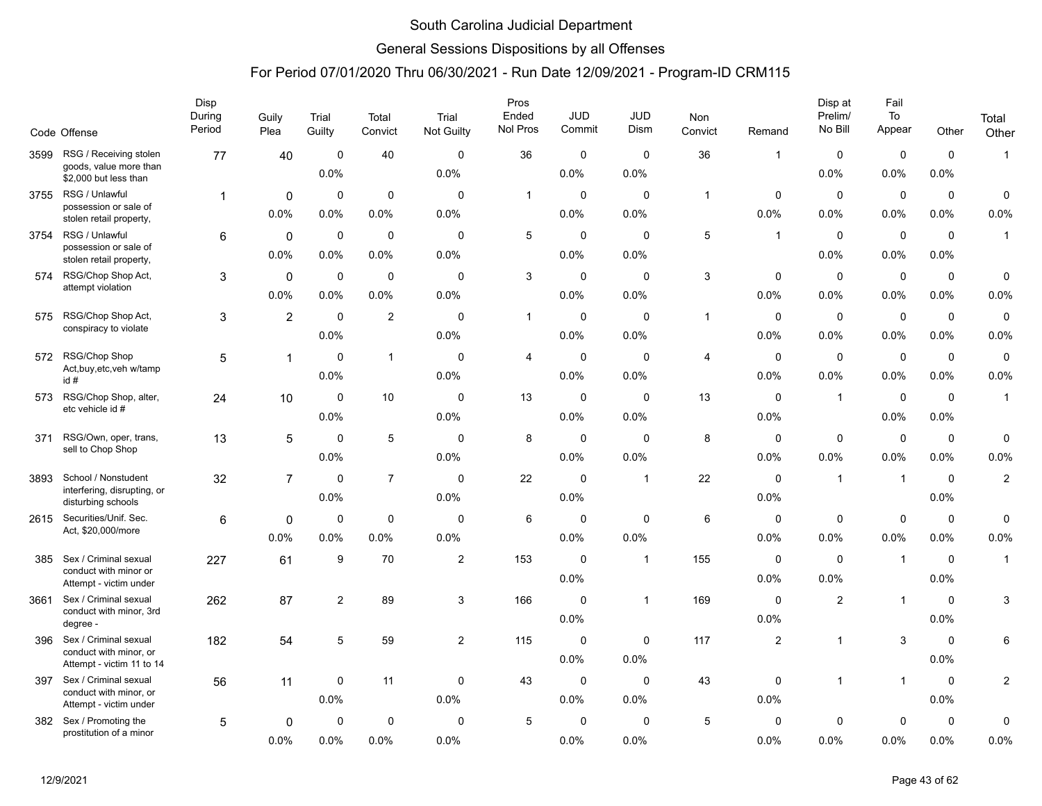### General Sessions Dispositions by all Offenses

|      |                                                                              | Disp<br>During | Guily                  | Trial               | Total               | Trial               | Pros<br>Ended | <b>JUD</b><br>Commit | JUD<br><b>Dism</b>  | Non          |                         | Disp at<br>Prelim/<br>No Bill | Fail<br>To          |                        | Total               |
|------|------------------------------------------------------------------------------|----------------|------------------------|---------------------|---------------------|---------------------|---------------|----------------------|---------------------|--------------|-------------------------|-------------------------------|---------------------|------------------------|---------------------|
|      | Code Offense                                                                 | Period         | Plea                   | Guilty              | Convict             | Not Guilty          | Nol Pros      |                      |                     | Convict      | Remand                  |                               | Appear              | Other                  | Other               |
| 3599 | RSG / Receiving stolen<br>goods, value more than<br>\$2,000 but less than    | 77             | 40                     | $\mathbf 0$<br>0.0% | 40                  | $\mathbf 0$<br>0.0% | 36            | 0<br>0.0%            | $\mathbf 0$<br>0.0% | 36           | $\overline{\mathbf{1}}$ | $\mathbf 0$<br>0.0%           | $\mathbf 0$<br>0.0% | $\mathbf 0$<br>0.0%    | $\mathbf{1}$        |
| 3755 | RSG / Unlawful<br>possession or sale of<br>stolen retail property,           | 1              | $\mathbf 0$<br>$0.0\%$ | $\mathbf 0$<br>0.0% | $\mathbf 0$<br>0.0% | $\mathbf 0$<br>0.0% | $\mathbf{1}$  | 0<br>0.0%            | $\mathbf 0$<br>0.0% | $\mathbf{1}$ | $\mathbf 0$<br>0.0%     | $\mathbf 0$<br>0.0%           | $\pmb{0}$<br>0.0%   | $\mathbf 0$<br>$0.0\%$ | $\mathbf 0$<br>0.0% |
| 3754 | RSG / Unlawful<br>possession or sale of<br>stolen retail property,           | 6              | $\mathbf 0$<br>0.0%    | $\mathbf 0$<br>0.0% | $\mathbf 0$<br>0.0% | $\Omega$<br>0.0%    | 5             | $\mathbf 0$<br>0.0%  | $\mathbf 0$<br>0.0% | $\,$ 5 $\,$  | $\overline{1}$          | $\mathbf 0$<br>0.0%           | $\mathbf 0$<br>0.0% | $\mathbf 0$<br>0.0%    | $\mathbf{1}$        |
| 574  | RSG/Chop Shop Act,<br>attempt violation                                      | 3              | $\mathbf 0$<br>0.0%    | $\mathbf 0$<br>0.0% | $\pmb{0}$<br>0.0%   | $\mathbf 0$<br>0.0% | $\mathbf{3}$  | $\pmb{0}$<br>0.0%    | $\mathbf 0$<br>0.0% | $\sqrt{3}$   | $\mathbf 0$<br>0.0%     | $\mathbf 0$<br>0.0%           | $\pmb{0}$<br>0.0%   | $\mathbf 0$<br>0.0%    | $\pmb{0}$<br>0.0%   |
| 575  | RSG/Chop Shop Act,<br>conspiracy to violate                                  | 3              | $\overline{2}$         | $\mathbf 0$<br>0.0% | $\overline{2}$      | $\mathbf 0$<br>0.0% | $\mathbf{1}$  | 0<br>0.0%            | $\mathbf 0$<br>0.0% | $\mathbf{1}$ | $\mathbf 0$<br>0.0%     | $\mathbf 0$<br>0.0%           | $\mathbf 0$<br>0.0% | $\mathbf 0$<br>0.0%    | $\mathbf 0$<br>0.0% |
| 572  | RSG/Chop Shop<br>Act, buy, etc, veh w/tamp<br>id#                            | 5              | 1                      | $\mathbf 0$<br>0.0% | $\mathbf{1}$        | $\Omega$<br>0.0%    | 4             | $\mathbf 0$<br>0.0%  | $\mathbf 0$<br>0.0% | 4            | $\mathbf 0$<br>0.0%     | $\mathbf 0$<br>0.0%           | $\mathbf 0$<br>0.0% | $\mathbf 0$<br>0.0%    | $\pmb{0}$<br>0.0%   |
| 573  | RSG/Chop Shop, alter,<br>etc vehicle id #                                    | 24             | 10                     | $\mathbf 0$<br>0.0% | 10                  | $\mathbf 0$<br>0.0% | 13            | 0<br>0.0%            | $\mathbf 0$<br>0.0% | 13           | $\mathbf 0$<br>0.0%     | $\mathbf 1$                   | $\mathbf 0$<br>0.0% | $\mathbf 0$<br>0.0%    | $\mathbf{1}$        |
| 371  | RSG/Own, oper, trans,<br>sell to Chop Shop                                   | 13             | $\sqrt{5}$             | $\mathbf 0$<br>0.0% | 5                   | $\mathbf 0$<br>0.0% | 8             | 0<br>0.0%            | $\mathbf 0$<br>0.0% | 8            | $\mathbf 0$<br>0.0%     | $\mathbf 0$<br>0.0%           | $\pmb{0}$<br>0.0%   | $\mathbf 0$<br>0.0%    | $\mathbf 0$<br>0.0% |
| 3893 | School / Nonstudent<br>interfering, disrupting, or<br>disturbing schools     | 32             | $\overline{7}$         | $\mathbf 0$<br>0.0% | $\overline{7}$      | $\Omega$<br>0.0%    | 22            | $\mathbf 0$<br>0.0%  | $\mathbf{1}$        | 22           | $\mathbf 0$<br>0.0%     | $\mathbf 1$                   | $\mathbf 1$         | $\mathbf 0$<br>0.0%    | $\overline{2}$      |
| 2615 | Securities/Unif. Sec.<br>Act, \$20,000/more                                  | 6              | 0<br>0.0%              | $\mathbf 0$<br>0.0% | $\mathbf 0$<br>0.0% | $\mathbf 0$<br>0.0% | 6             | $\mathbf 0$<br>0.0%  | $\mathbf 0$<br>0.0% | $\,6\,$      | 0<br>0.0%               | $\mathbf 0$<br>0.0%           | $\mathbf 0$<br>0.0% | $\mathbf 0$<br>0.0%    | $\pmb{0}$<br>0.0%   |
| 385  | Sex / Criminal sexual<br>conduct with minor or<br>Attempt - victim under     | 227            | 61                     | 9                   | 70                  | $\mathbf 2$         | 153           | $\mathbf 0$<br>0.0%  | $\mathbf{1}$        | 155          | $\mathbf 0$<br>0.0%     | $\mathbf 0$<br>0.0%           | $\mathbf{1}$        | $\mathbf 0$<br>0.0%    | $\mathbf{1}$        |
| 3661 | Sex / Criminal sexual<br>conduct with minor, 3rd<br>degree -                 | 262            | 87                     | 2                   | 89                  | 3                   | 166           | $\pmb{0}$<br>0.0%    | $\mathbf{1}$        | 169          | 0<br>0.0%               | $\overline{2}$                | $\mathbf{1}$        | 0<br>0.0%              | 3                   |
| 396  | Sex / Criminal sexual<br>conduct with minor, or<br>Attempt - victim 11 to 14 | 182            | 54                     | 5                   | 59                  | $\overline{2}$      | 115           | $\mathbf 0$<br>0.0%  | $\mathbf 0$<br>0.0% | 117          | 2                       | $\mathbf 1$                   | 3                   | $\mathbf 0$<br>0.0%    | 6                   |
| 397  | Sex / Criminal sexual<br>conduct with minor, or<br>Attempt - victim under    | 56             | 11                     | $\mathbf 0$<br>0.0% | 11                  | $\mathbf 0$<br>0.0% | 43            | $\mathbf 0$<br>0.0%  | $\mathbf 0$<br>0.0% | 43           | $\mathbf 0$<br>0.0%     | $\overline{1}$                | $\mathbf{1}$        | $\mathbf 0$<br>$0.0\%$ | $\overline{c}$      |
| 382  | Sex / Promoting the<br>prostitution of a minor                               | 5              | $\mathbf 0$<br>0.0%    | 0<br>0.0%           | $\mathbf 0$<br>0.0% | $\mathbf 0$<br>0.0% | 5             | 0<br>0.0%            | 0<br>0.0%           | $\sqrt{5}$   | 0<br>0.0%               | 0<br>0.0%                     | $\Omega$<br>0.0%    | 0<br>0.0%              | 0<br>0.0%           |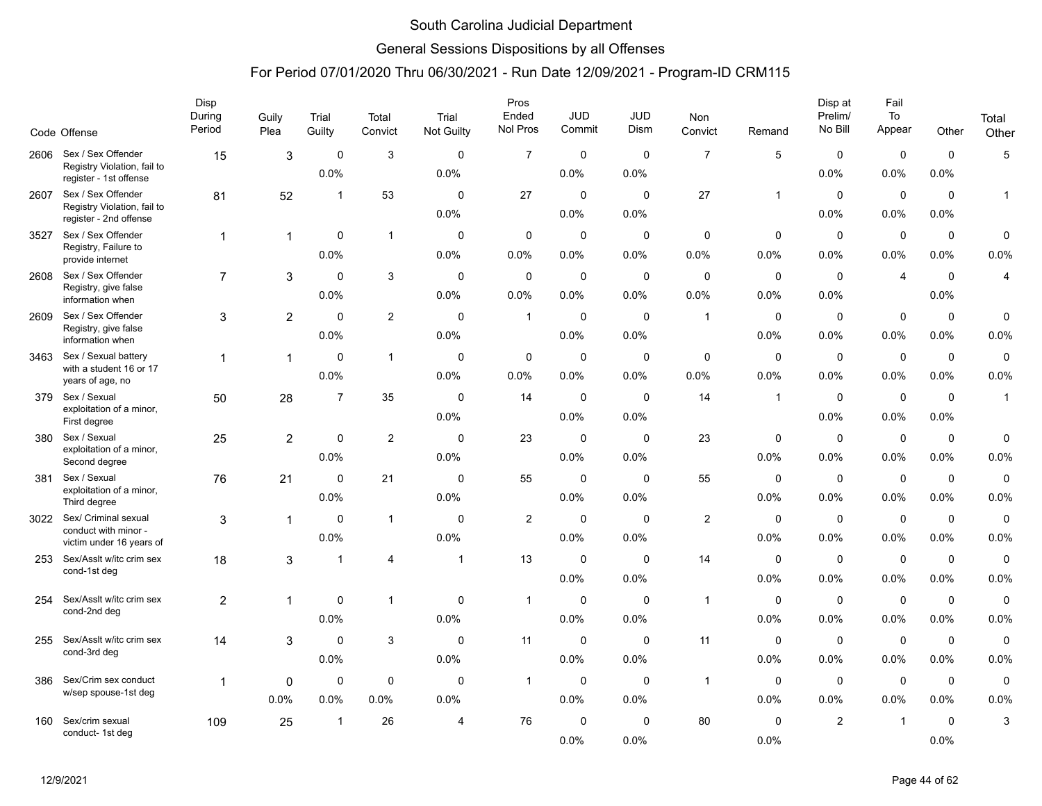### General Sessions Dispositions by all Offenses

|      |                                                                             | Disp<br>During | Guily            | Trial               | Total               | Trial               | Pros<br>Ended       | <b>JUD</b>          | <b>JUD</b>           | <b>Non</b>          |                        | Disp at<br>Prelim/  | Fail<br>To          |                        | Total               |
|------|-----------------------------------------------------------------------------|----------------|------------------|---------------------|---------------------|---------------------|---------------------|---------------------|----------------------|---------------------|------------------------|---------------------|---------------------|------------------------|---------------------|
|      | Code Offense                                                                | Period         | Plea             | Guilty              | Convict             | Not Guilty          | Nol Pros            | Commit              | Dism                 | Convict             | Remand                 | No Bill             | Appear              | Other                  | Other               |
| 2606 | Sex / Sex Offender<br>Registry Violation, fail to<br>register - 1st offense | 15             | 3                | $\mathbf 0$<br>0.0% | $\mathsf 3$         | $\mathbf 0$<br>0.0% | $\overline{7}$      | $\pmb{0}$<br>0.0%   | $\mathbf 0$<br>0.0%  | $\overline{7}$      | 5                      | $\mathbf 0$<br>0.0% | $\mathbf 0$<br>0.0% | $\mathbf 0$<br>0.0%    | $\sqrt{5}$          |
| 2607 | Sex / Sex Offender<br>Registry Violation, fail to<br>register - 2nd offense | 81             | 52               | $\overline{1}$      | 53                  | $\Omega$<br>0.0%    | 27                  | 0<br>0.0%           | $\mathbf{0}$<br>0.0% | 27                  | $\overline{1}$         | $\Omega$<br>0.0%    | $\mathbf 0$<br>0.0% | $\mathbf 0$<br>0.0%    | $\mathbf{1}$        |
| 3527 | Sex / Sex Offender<br>Registry, Failure to<br>provide internet              | $\mathbf{1}$   | 1                | $\mathbf 0$<br>0.0% | $\mathbf{1}$        | $\mathbf 0$<br>0.0% | 0<br>0.0%           | $\mathbf 0$<br>0.0% | $\mathbf 0$<br>0.0%  | $\mathbf 0$<br>0.0% | $\mathbf 0$<br>0.0%    | $\mathbf 0$<br>0.0% | $\mathbf 0$<br>0.0% | $\mathbf 0$<br>0.0%    | $\mathbf 0$<br>0.0% |
| 2608 | Sex / Sex Offender<br>Registry, give false<br>information when              | $\overline{7}$ | 3                | $\Omega$<br>0.0%    | 3                   | $\Omega$<br>0.0%    | $\mathbf 0$<br>0.0% | $\mathbf 0$<br>0.0% | $\mathbf 0$<br>0.0%  | $\Omega$<br>0.0%    | $\Omega$<br>0.0%       | $\Omega$<br>0.0%    | $\overline{4}$      | $\mathbf 0$<br>0.0%    | $\overline{4}$      |
| 2609 | Sex / Sex Offender<br>Registry, give false<br>information when              | 3              | $\overline{2}$   | $\mathbf 0$<br>0.0% | $\overline{c}$      | $\mathbf 0$<br>0.0% | $\mathbf{1}$        | $\mathbf 0$<br>0.0% | $\mathbf 0$<br>0.0%  | $\mathbf{1}$        | $\mathbf 0$<br>0.0%    | $\mathbf 0$<br>0.0% | $\mathbf 0$<br>0.0% | $\mathbf 0$<br>0.0%    | $\mathbf 0$<br>0.0% |
| 3463 | Sex / Sexual battery<br>with a student 16 or 17<br>years of age, no         | 1              | $\overline{1}$   | $\mathbf 0$<br>0.0% | $\mathbf{1}$        | $\mathbf 0$<br>0.0% | 0<br>0.0%           | $\pmb{0}$<br>0.0%   | $\mathbf 0$<br>0.0%  | 0<br>0.0%           | $\mathbf 0$<br>0.0%    | $\mathbf 0$<br>0.0% | $\mathbf 0$<br>0.0% | $\mathbf 0$<br>0.0%    | $\mathbf 0$<br>0.0% |
| 379  | Sex / Sexual<br>exploitation of a minor,<br>First degree                    | 50             | 28               | $\overline{7}$      | 35                  | $\mathbf 0$<br>0.0% | 14                  | $\mathbf 0$<br>0.0% | $\mathbf 0$<br>0.0%  | 14                  | $\overline{1}$         | $\mathbf 0$<br>0.0% | $\mathbf 0$<br>0.0% | $\mathbf 0$<br>0.0%    | $\mathbf{1}$        |
| 380  | Sex / Sexual<br>exploitation of a minor,<br>Second degree                   | 25             | $\overline{2}$   | $\mathbf 0$<br>0.0% | $\overline{c}$      | $\mathbf 0$<br>0.0% | 23                  | $\mathbf 0$<br>0.0% | $\mathbf 0$<br>0.0%  | 23                  | $\mathbf 0$<br>0.0%    | $\mathbf 0$<br>0.0% | $\mathbf 0$<br>0.0% | $\mathbf 0$<br>0.0%    | $\mathbf 0$<br>0.0% |
| 381  | Sex / Sexual<br>exploitation of a minor,<br>Third degree                    | 76             | 21               | $\mathbf 0$<br>0.0% | 21                  | $\mathbf 0$<br>0.0% | 55                  | $\mathbf 0$<br>0.0% | $\mathbf 0$<br>0.0%  | 55                  | $\mathbf 0$<br>0.0%    | $\mathbf 0$<br>0.0% | $\mathbf 0$<br>0.0% | $\mathbf 0$<br>0.0%    | $\mathbf 0$<br>0.0% |
| 3022 | Sex/ Criminal sexual<br>conduct with minor -<br>victim under 16 years of    | 3              | 1                | $\mathbf 0$<br>0.0% | $\mathbf{1}$        | $\mathbf 0$<br>0.0% | $\overline{2}$      | $\mathbf 0$<br>0.0% | $\mathbf 0$<br>0.0%  | 2                   | $\mathbf 0$<br>$0.0\%$ | $\mathbf 0$<br>0.0% | $\mathbf 0$<br>0.0% | $\mathbf 0$<br>$0.0\%$ | $\mathbf 0$<br>0.0% |
| 253  | Sex/Asslt w/itc crim sex<br>cond-1st deg                                    | 18             | 3                | -1                  | $\overline{4}$      | $\mathbf{1}$        | 13                  | $\mathbf 0$<br>0.0% | $\mathbf{0}$<br>0.0% | 14                  | $\mathbf 0$<br>0.0%    | $\Omega$<br>0.0%    | $\mathbf 0$<br>0.0% | $\mathbf 0$<br>0.0%    | $\mathbf 0$<br>0.0% |
| 254  | Sex/Asslt w/itc crim sex<br>cond-2nd deg                                    | $\overline{2}$ | 1                | $\mathbf 0$<br>0.0% | $\mathbf{1}$        | $\mathbf 0$<br>0.0% | $\overline{1}$      | 0<br>0.0%           | $\mathbf 0$<br>0.0%  | $\mathbf{1}$        | $\mathbf 0$<br>0.0%    | $\mathbf 0$<br>0.0% | $\pmb{0}$<br>0.0%   | $\mathbf 0$<br>$0.0\%$ | $\mathsf 0$<br>0.0% |
| 255  | Sex/Asslt w/itc crim sex<br>cond-3rd deg                                    | 14             | 3                | $\Omega$<br>0.0%    | 3                   | $\Omega$<br>0.0%    | 11                  | 0<br>0.0%           | $\mathbf 0$<br>0.0%  | 11                  | $\mathbf 0$<br>0.0%    | $\Omega$<br>0.0%    | $\mathbf 0$<br>0.0% | $\mathbf 0$<br>0.0%    | $\mathbf 0$<br>0.0% |
| 386  | Sex/Crim sex conduct<br>w/sep spouse-1st deg                                | 1              | $\Omega$<br>0.0% | $\mathbf 0$<br>0.0% | $\mathbf 0$<br>0.0% | $\Omega$<br>0.0%    | $\mathbf{1}$        | $\mathbf 0$<br>0.0% | $\mathbf 0$<br>0.0%  | $\mathbf{1}$        | $\mathbf 0$<br>0.0%    | $\mathbf 0$<br>0.0% | $\mathbf 0$<br>0.0% | $\mathbf 0$<br>0.0%    | $\mathbf 0$<br>0.0% |
| 160  | Sex/crim sexual<br>conduct- 1st deg                                         | 109            | 25               | $\overline{1}$      | 26                  | 4                   | 76                  | $\mathbf 0$<br>0.0% | $\mathbf 0$<br>0.0%  | 80                  | $\mathbf 0$<br>0.0%    | $\overline{2}$      | $\overline{1}$      | $\mathbf 0$<br>0.0%    | 3                   |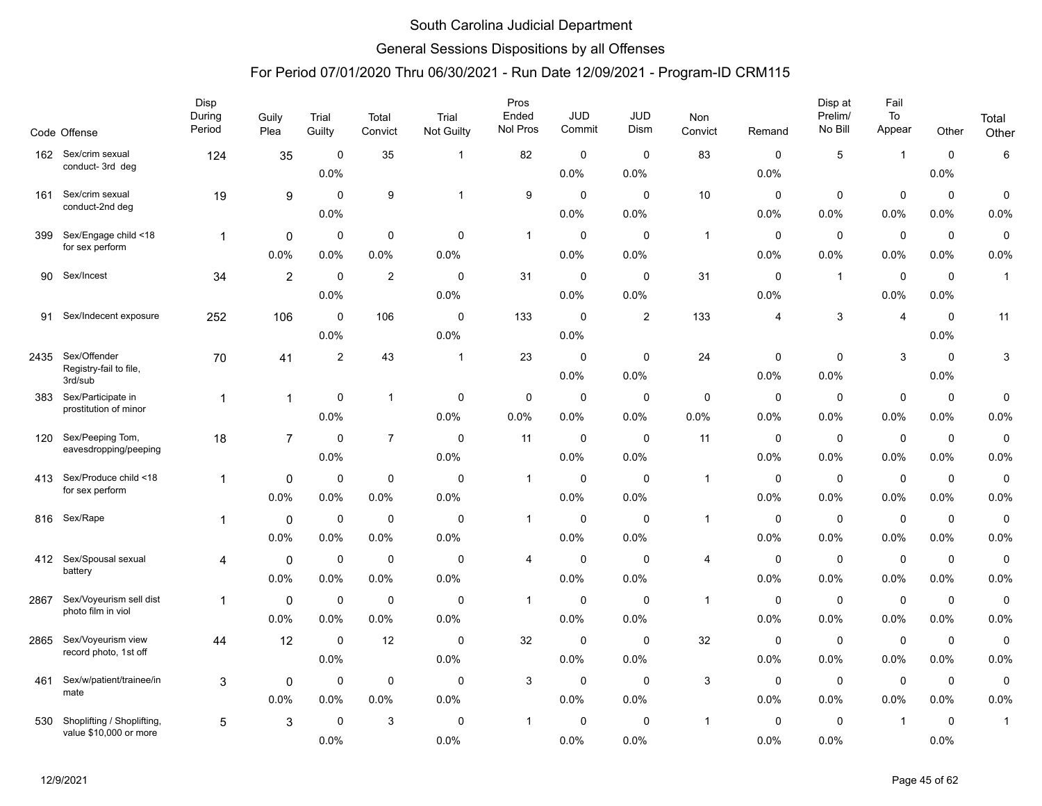### General Sessions Dispositions by all Offenses

|      | Code Offense                                         | Disp<br>During<br>Period | Guily<br>Plea  | Trial<br>Guilty | Total<br>Convict | Trial<br>Not Guilty | Pros<br>Ended<br>Nol Pros | <b>JUD</b><br>Commit | JUD<br>Dism | Non<br>Convict | Remand      | Disp at<br>Prelim/<br>No Bill | Fail<br>To<br>Appear | Other       | Total<br>Other |
|------|------------------------------------------------------|--------------------------|----------------|-----------------|------------------|---------------------|---------------------------|----------------------|-------------|----------------|-------------|-------------------------------|----------------------|-------------|----------------|
| 162  | Sex/crim sexual                                      | 124                      | 35             | $\mathbf 0$     | 35               | -1                  | 82                        | $\mathbf 0$          | $\mathbf 0$ | 83             | 0           | 5                             | $\overline{1}$       | $\mathbf 0$ | 6              |
|      | conduct-3rd deg                                      |                          |                | 0.0%            |                  |                     |                           | 0.0%                 | 0.0%        |                | 0.0%        |                               |                      | 0.0%        |                |
| 161  | Sex/crim sexual                                      | 19                       | 9              | $\mathbf 0$     | 9                | $\mathbf{1}$        | 9                         | 0                    | $\mathbf 0$ | 10             | $\mathbf 0$ | 0                             | $\mathbf 0$          | $\mathbf 0$ | 0              |
|      | conduct-2nd deg                                      |                          |                | 0.0%            |                  |                     |                           | 0.0%                 | 0.0%        |                | 0.0%        | 0.0%                          | 0.0%                 | 0.0%        | 0.0%           |
| 399  | Sex/Engage child <18                                 | $\mathbf 1$              | 0              | 0               | $\mathbf 0$      | 0                   | 1                         | 0                    | 0           | $\overline{1}$ | 0           | $\mathbf 0$                   | $\mathbf 0$          | $\mathbf 0$ | 0              |
|      | for sex perform                                      |                          | 0.0%           | 0.0%            | 0.0%             | 0.0%                |                           | $0.0\%$              | 0.0%        |                | 0.0%        | 0.0%                          | 0.0%                 | 0.0%        | 0.0%           |
| 90   | Sex/Incest                                           | 34                       | $\overline{c}$ | 0               | $\overline{2}$   | $\Omega$            | 31                        | $\mathbf 0$          | 0           | 31             | 0           | $\mathbf{1}$                  | $\mathbf 0$          | 0           | $\mathbf{1}$   |
|      |                                                      |                          |                | 0.0%            |                  | 0.0%                |                           | $0.0\%$              | 0.0%        |                | 0.0%        |                               | 0.0%                 | 0.0%        |                |
| 91   | Sex/Indecent exposure                                | 252                      | 106            | $\mathbf 0$     | 106              | $\mathbf 0$         | 133                       | 0                    | 2           | 133            | 4           | 3                             | $\overline{4}$       | $\mathbf 0$ | 11             |
|      |                                                      |                          |                | 0.0%            |                  | 0.0%                |                           | 0.0%                 |             |                |             |                               |                      | 0.0%        |                |
| 2435 | Sex/Offender                                         | 70                       | 41             | $\overline{2}$  | 43               | $\mathbf{1}$        | 23                        | $\mathbf 0$          | $\mathbf 0$ | 24             | $\mathbf 0$ | $\mathbf 0$                   | 3                    | $\mathbf 0$ | 3              |
|      | Registry-fail to file,<br>3rd/sub                    |                          |                |                 |                  |                     |                           | 0.0%                 | 0.0%        |                | 0.0%        | 0.0%                          |                      | 0.0%        |                |
| 383  | Sex/Participate in<br>prostitution of minor          | $\mathbf 1$              | 1              | $\mathbf 0$     | $\mathbf{1}$     | 0                   | 0                         | 0                    | 0           | $\mathbf 0$    | 0           | 0                             | $\mathbf 0$          | 0           | 0              |
|      |                                                      |                          |                | 0.0%            |                  | 0.0%                | 0.0%                      | 0.0%                 | 0.0%        | 0.0%           | 0.0%        | 0.0%                          | 0.0%                 | 0.0%        | 0.0%           |
| 120  | Sex/Peeping Tom,<br>eavesdropping/peeping            | 18                       | $\overline{7}$ | $\mathbf 0$     | $\overline{7}$   | $\mathbf 0$         | 11                        | $\mathbf 0$          | $\mathbf 0$ | 11             | $\mathbf 0$ | $\mathbf 0$                   | $\mathbf 0$          | $\mathbf 0$ | 0              |
|      |                                                      |                          |                | 0.0%            |                  | 0.0%                |                           | 0.0%                 | 0.0%        |                | 0.0%        | 0.0%                          | $0.0\%$              | 0.0%        | 0.0%           |
| 413  | Sex/Produce child <18<br>for sex perform             | $\overline{1}$           | 0              | $\mathbf 0$     | $\mathbf 0$      | $\mathbf 0$         | $\mathbf{1}$              | $\mathbf 0$          | $\mathbf 0$ | $\overline{1}$ | $\mathbf 0$ | $\mathbf 0$                   | $\mathbf 0$          | $\mathbf 0$ | $\mathbf 0$    |
|      |                                                      |                          | 0.0%           | 0.0%            | 0.0%             | 0.0%                |                           | 0.0%                 | 0.0%        |                | 0.0%        | 0.0%                          | 0.0%                 | 0.0%        | 0.0%           |
| 816  | Sex/Rape                                             | 1                        | $\mathbf 0$    | $\mathbf 0$     | $\mathbf 0$      | $\mathbf 0$         | $\mathbf{1}$              | 0                    | $\mathbf 0$ | $\overline{1}$ | 0           | $\mathbf 0$                   | $\mathbf 0$          | $\mathbf 0$ | $\pmb{0}$      |
|      |                                                      |                          | 0.0%           | 0.0%            | 0.0%             | 0.0%                |                           | 0.0%                 | 0.0%        |                | 0.0%        | 0.0%                          | 0.0%                 | 0.0%        | 0.0%           |
| 412  | Sex/Spousal sexual<br>battery                        | 4                        | $\mathbf 0$    | $\mathbf 0$     | $\mathbf 0$      | $\mathbf 0$         | $\overline{4}$            | $\mathbf 0$          | $\mathbf 0$ | 4              | $\mathbf 0$ | $\mathbf 0$                   | $\mathbf 0$          | $\mathbf 0$ | 0              |
|      |                                                      |                          | 0.0%           | 0.0%            | 0.0%             | 0.0%                |                           | $0.0\%$              | 0.0%        |                | 0.0%        | 0.0%                          | 0.0%                 | 0.0%        | 0.0%           |
| 2867 | Sex/Voyeurism sell dist<br>photo film in viol        | $\mathbf 1$              | $\mathbf 0$    | 0               | $\mathbf 0$      | $\mathbf 0$         | 1                         | $\mathbf 0$          | $\mathbf 0$ | $\overline{1}$ | 0           | 0                             | $\mathbf 0$          | 0           | $\pmb{0}$      |
|      |                                                      |                          | 0.0%           | 0.0%            | 0.0%             | 0.0%                |                           | 0.0%                 | 0.0%        |                | 0.0%        | 0.0%                          | 0.0%                 | 0.0%        | 0.0%           |
| 2865 | Sex/Voyeurism view<br>record photo, 1st off          | 44                       | 12             | $\mathbf 0$     | 12               | $\mathbf 0$         | 32                        | $\mathbf 0$          | 0           | 32             | 0           | 0                             | 0                    | 0           | 0              |
|      |                                                      |                          |                | 0.0%            |                  | 0.0%                |                           | $0.0\%$              | 0.0%        |                | 0.0%        | 0.0%                          | $0.0\%$              | 0.0%        | 0.0%           |
| 461  | Sex/w/patient/trainee/in<br>mate                     | 3                        | 0              | 0               | $\mathbf 0$      | $\mathbf 0$         | 3                         | $\mathbf 0$          | $\mathbf 0$ | 3              | 0           | 0                             | $\mathbf 0$          | $\mathbf 0$ | 0              |
|      |                                                      |                          | 0.0%           | 0.0%            | 0.0%             | 0.0%                |                           | 0.0%                 | 0.0%        |                | 0.0%        | 0.0%                          | 0.0%                 | 0.0%        | 0.0%           |
| 530  | Shoplifting / Shoplifting,<br>value \$10,000 or more | 5                        | 3              | $\mathbf 0$     | 3                | $\mathbf 0$         | $\mathbf{1}$              | 0                    | $\mathbf 0$ | $\mathbf 1$    | $\mathbf 0$ | 0                             | $\overline{1}$       | $\mathbf 0$ | $\mathbf{1}$   |
|      |                                                      |                          |                | 0.0%            |                  | 0.0%                |                           | 0.0%                 | 0.0%        |                | 0.0%        | 0.0%                          |                      | 0.0%        |                |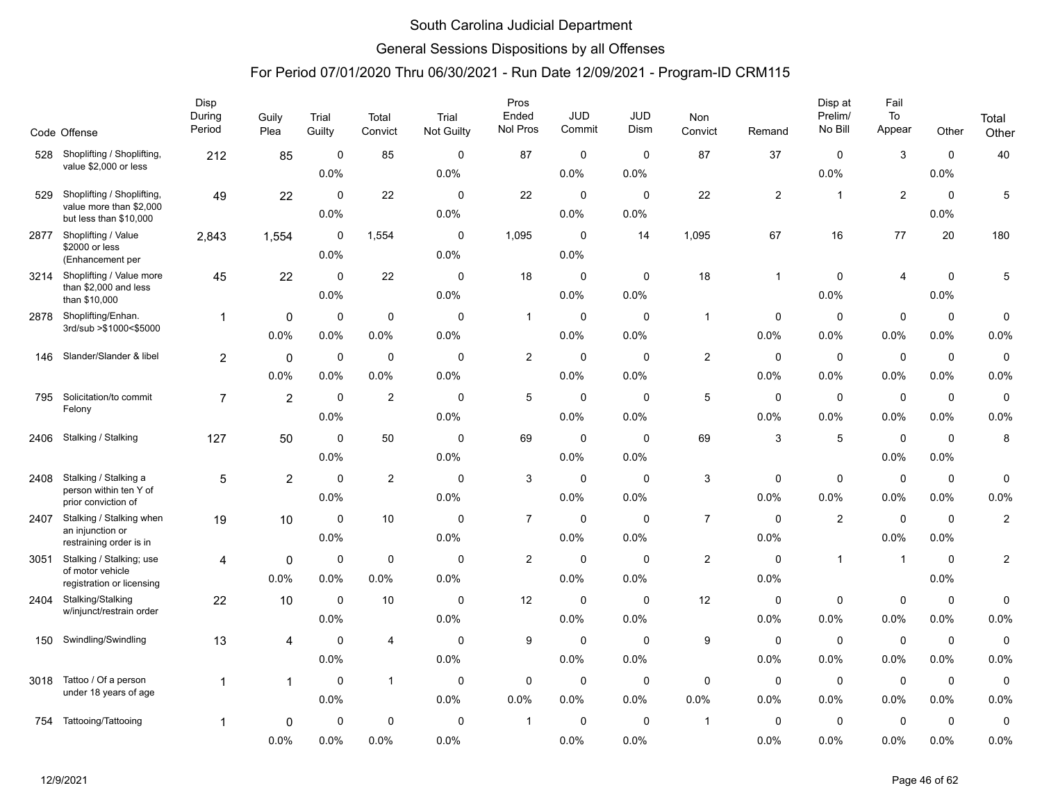### General Sessions Dispositions by all Offenses

|      | Code Offense                                      | Disp<br>During<br>Period | Guily<br>Plea  | Trial<br>Guilty     | Total<br>Convict | Trial<br><b>Not Guilty</b> | Pros<br>Ended<br>Nol Pros | JUD<br>Commit          | JUD<br>Dism         | Non<br>Convict          | Remand         | Disp at<br>Prelim/<br>No Bill | Fail<br>To<br>Appear   | Other                  | Total<br>Other          |
|------|---------------------------------------------------|--------------------------|----------------|---------------------|------------------|----------------------------|---------------------------|------------------------|---------------------|-------------------------|----------------|-------------------------------|------------------------|------------------------|-------------------------|
| 528  | Shoplifting / Shoplifting,                        | 212                      | 85             | 0                   | 85               | $\mathbf 0$                | 87                        | $\mathbf 0$            | $\mathbf 0$         | 87                      | 37             | $\mathbf 0$                   | 3                      | $\mathbf 0$            | 40                      |
|      | value \$2,000 or less                             |                          |                | 0.0%                |                  | 0.0%                       |                           | $0.0\%$                | 0.0%                |                         |                | 0.0%                          |                        | 0.0%                   |                         |
| 529  | Shoplifting / Shoplifting,                        | 49                       | 22             | $\mathbf 0$         | 22               | $\mathbf 0$                | 22                        | $\mathbf 0$            | $\mathbf 0$         | 22                      | $\overline{c}$ | $\overline{1}$                | $\overline{2}$         | $\mathbf 0$            | $\,$ 5 $\,$             |
|      | value more than \$2,000<br>but less than \$10,000 |                          |                | 0.0%                |                  | 0.0%                       |                           | $0.0\%$                | 0.0%                |                         |                |                               |                        | 0.0%                   |                         |
| 2877 | Shoplifting / Value<br>\$2000 or less             | 2,843                    | 1,554          | 0                   | 1,554            | $\mathbf 0$                | 1,095                     | $\mathbf 0$            | 14                  | 1,095                   | 67             | 16                            | 77                     | 20                     | 180                     |
|      | (Enhancement per                                  |                          |                | 0.0%                |                  | 0.0%                       |                           | 0.0%                   |                     |                         |                |                               |                        |                        |                         |
| 3214 | Shoplifting / Value more<br>than \$2,000 and less | 45                       | 22             | 0                   | 22               | $\mathbf 0$                | 18                        | $\mathbf 0$            | $\mathbf 0$         | 18                      | $\mathbf 1$    | $\mathbf 0$                   | 4                      | $\mathbf 0$            | 5                       |
|      | than \$10,000                                     |                          |                | 0.0%                |                  | 0.0%                       |                           | $0.0\%$                | 0.0%                |                         |                | 0.0%                          |                        | 0.0%                   |                         |
| 2878 | Shoplifting/Enhan.<br>3rd/sub > \$1000<\$5000     | 1                        | 0              | 0                   | $\mathbf 0$      | $\mathbf 0$                | $\mathbf{1}$              | $\mathbf 0$            | $\Omega$            | $\overline{1}$          | $\mathbf 0$    | 0                             | $\mathbf 0$            | $\mathbf 0$            | 0                       |
|      |                                                   |                          | 0.0%           | 0.0%                | 0.0%             | 0.0%                       |                           | 0.0%                   | 0.0%                |                         | 0.0%           | 0.0%                          | 0.0%                   | 0.0%                   | 0.0%                    |
| 146  | Slander/Slander & libel                           | $\overline{2}$           | $\mathbf 0$    | $\mathbf 0$         | $\mathbf 0$      | $\mathbf 0$                | $\overline{c}$            | $\mathbf 0$            | $\mathbf 0$         | $\overline{c}$          | $\mathbf 0$    | 0                             | $\mathbf 0$            | $\mathbf 0$            | $\pmb{0}$               |
|      |                                                   |                          | 0.0%           | 0.0%                | 0.0%             | 0.0%                       |                           | 0.0%                   | 0.0%                |                         | 0.0%           | $0.0\%$                       | 0.0%                   | 0.0%                   | 0.0%                    |
| 795  | Solicitation/to commit<br>Felony                  | $\overline{7}$           | $\overline{2}$ | $\mathbf 0$         | $\overline{2}$   | $\mathbf 0$                | 5                         | 0                      | 0                   | 5                       | 0              | $\mathbf 0$                   | $\mathbf 0$            | 0                      | $\mathbf 0$             |
|      |                                                   |                          |                | 0.0%                |                  | 0.0%                       |                           | $0.0\%$                | 0.0%                |                         | 0.0%           | 0.0%                          | 0.0%                   | 0.0%                   | 0.0%                    |
| 2406 | Stalking / Stalking                               | 127                      | 50             | 0<br>0.0%           | 50               | $\mathbf 0$<br>0.0%        | 69                        | 0<br>0.0%              | $\mathbf 0$<br>0.0% | 69                      | 3              | 5                             | $\mathbf 0$<br>0.0%    | $\mathbf 0$<br>0.0%    | 8                       |
|      | Stalking / Stalking a                             |                          |                |                     |                  |                            |                           |                        |                     |                         |                |                               |                        |                        |                         |
| 2408 | person within ten Y of<br>prior conviction of     | 5                        | $\overline{2}$ | $\mathbf 0$<br>0.0% | $\overline{c}$   | $\mathbf 0$<br>0.0%        | 3                         | $\mathbf 0$<br>$0.0\%$ | $\mathbf 0$<br>0.0% | 3                       | 0<br>$0.0\%$   | 0<br>$0.0\%$                  | $\mathbf 0$<br>$0.0\%$ | $\mathbf 0$<br>$0.0\%$ | $\mathbf 0$<br>0.0%     |
| 2407 | Stalking / Stalking when                          | 19                       | 10             | 0                   | 10               | $\mathbf 0$                | $\overline{7}$            | $\mathbf 0$            | $\mathbf 0$         | $\overline{7}$          | $\Omega$       | 2                             | $\mathbf 0$            | $\mathbf 0$            | $\overline{\mathbf{c}}$ |
|      | an injunction or<br>restraining order is in       |                          |                | 0.0%                |                  | 0.0%                       |                           | 0.0%                   | 0.0%                |                         | 0.0%           |                               | 0.0%                   | 0.0%                   |                         |
| 3051 | Stalking / Stalking; use<br>of motor vehicle      | 4                        | 0              | $\mathbf 0$         | $\mathbf 0$      | $\mathbf 0$                | $\overline{c}$            | $\mathbf 0$            | $\Omega$            | $\overline{c}$          | $\Omega$       | $\mathbf{1}$                  | $\overline{1}$         | $\mathbf 0$            | $\overline{2}$          |
|      | registration or licensing                         |                          | 0.0%           | 0.0%                | 0.0%             | 0.0%                       |                           | $0.0\%$                | 0.0%                |                         | 0.0%           |                               |                        | 0.0%                   |                         |
| 2404 | Stalking/Stalking<br>w/injunct/restrain order     | 22                       | 10             | $\mathbf 0$         | 10               | $\mathbf 0$                | 12                        | 0                      | $\mathbf 0$         | 12                      | 0              | 0                             | $\mathbf 0$            | $\mathbf 0$            | 0                       |
|      |                                                   |                          |                | 0.0%                |                  | 0.0%                       |                           | $0.0\%$                | 0.0%                |                         | $0.0\%$        | $0.0\%$                       | 0.0%                   | $0.0\%$                | 0.0%                    |
| 150  | Swindling/Swindling                               | 13                       | 4              | 0                   | 4                | $\mathbf 0$                | 9                         | 0                      | $\mathbf 0$         | 9                       | 0              | $\mathbf 0$                   | $\mathbf 0$            | 0                      | $\mathbf 0$             |
|      |                                                   |                          |                | 0.0%                |                  | 0.0%                       |                           | 0.0%                   | 0.0%                |                         | 0.0%           | 0.0%                          | 0.0%                   | 0.0%                   | 0.0%                    |
| 3018 | Tattoo / Of a person<br>under 18 years of age     | 1                        | $\mathbf{1}$   | $\mathbf 0$         | $\mathbf{1}$     | $\mathbf 0$                | $\mathbf 0$               | $\mathbf 0$            | $\mathbf 0$         | $\mathbf 0$             | $\mathbf 0$    | $\mathbf 0$                   | $\mathbf 0$            | $\mathbf 0$            | $\pmb{0}$               |
|      |                                                   |                          |                | 0.0%                |                  | 0.0%                       | 0.0%                      | $0.0\%$                | $0.0\%$             | 0.0%                    | $0.0\%$        | 0.0%                          | 0.0%                   | 0.0%                   | 0.0%                    |
| 754  | Tattooing/Tattooing                               | 1                        | 0              | 0                   | $\mathbf 0$      | 0                          | $\mathbf{1}$              | 0                      | 0                   | $\overline{\mathbf{1}}$ | 0              | 0                             | 0                      | 0                      | $\mathbf 0$             |
|      |                                                   |                          | 0.0%           | 0.0%                | 0.0%             | 0.0%                       |                           | 0.0%                   | 0.0%                |                         | 0.0%           | 0.0%                          | 0.0%                   | 0.0%                   | 0.0%                    |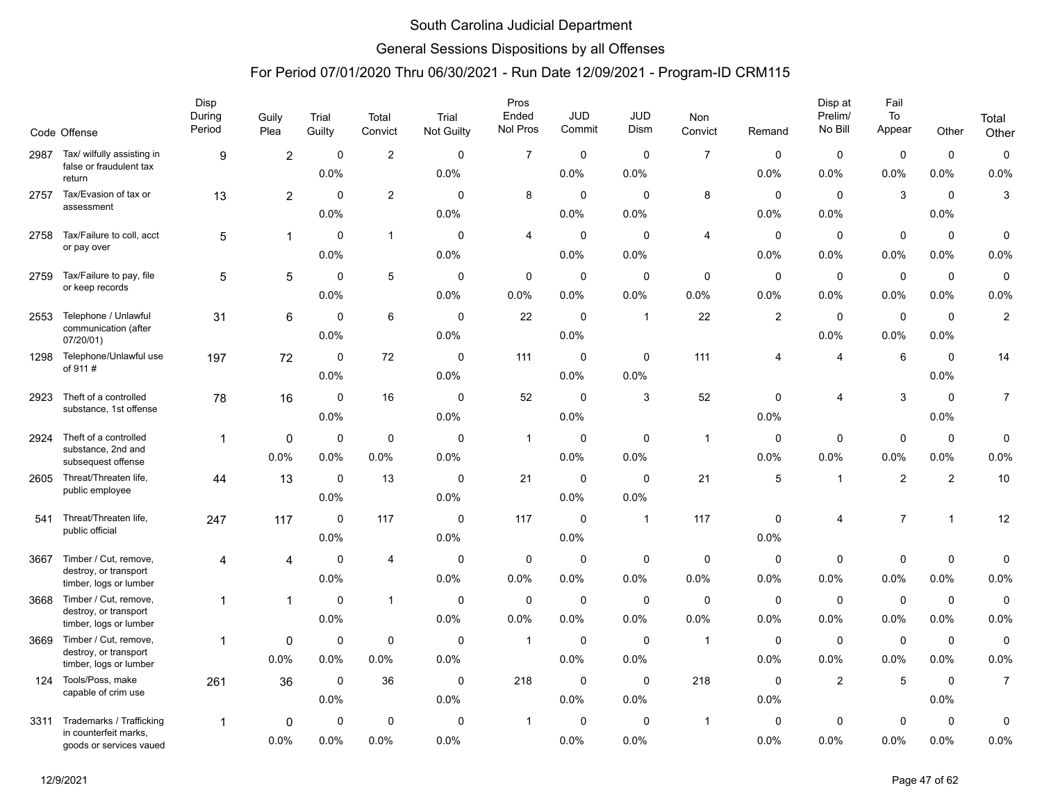### General Sessions Dispositions by all Offenses

|      | Code Offense                                     | Disp<br>During<br>Period | Guily<br>Plea  | Trial<br>Guilty | Total<br>Convict | Trial<br>Not Guilty | Pros<br>Ended<br>Nol Pros | <b>JUD</b><br>Commit | <b>JUD</b><br>Dism | Non<br>Convict | Remand         | Disp at<br>Prelim/<br>No Bill | Fail<br>To<br>Appear | Other          | Total<br>Other   |
|------|--------------------------------------------------|--------------------------|----------------|-----------------|------------------|---------------------|---------------------------|----------------------|--------------------|----------------|----------------|-------------------------------|----------------------|----------------|------------------|
| 2987 | Tax/ wilfully assisting in                       | 9                        | $\overline{c}$ | 0               | $\overline{2}$   | $\mathbf 0$         | $\overline{7}$            | $\mathbf 0$          | $\mathbf 0$        | $\overline{7}$ | $\mathbf 0$    | 0                             | $\mathbf 0$          | $\mathbf 0$    | $\pmb{0}$        |
|      | false or fraudulent tax<br>return                |                          |                | 0.0%            |                  | 0.0%                |                           | 0.0%                 | 0.0%               |                | 0.0%           | 0.0%                          | 0.0%                 | 0.0%           | 0.0%             |
| 2757 | Tax/Evasion of tax or<br>assessment              | 13                       | $\overline{2}$ | $\mathbf 0$     | $\overline{2}$   | $\mathbf 0$         | 8                         | $\mathbf 0$          | $\mathbf 0$        | 8              | $\mathbf 0$    | $\mathbf 0$                   | 3                    | $\mathbf 0$    | 3                |
|      |                                                  |                          |                | 0.0%            |                  | 0.0%                |                           | $0.0\%$              | 0.0%               |                | 0.0%           | 0.0%                          |                      | 0.0%           |                  |
| 2758 | Tax/Failure to coll, acct                        | 5                        | $\mathbf{1}$   | $\mathbf 0$     | $\overline{1}$   | 0                   | 4                         | $\mathbf 0$          | $\mathbf 0$        | 4              | $\mathbf 0$    | $\mathbf 0$                   | $\mathbf 0$          | $\mathbf 0$    | 0                |
|      | or pay over                                      |                          |                | 0.0%            |                  | 0.0%                |                           | 0.0%                 | 0.0%               |                | 0.0%           | 0.0%                          | 0.0%                 | 0.0%           | 0.0%             |
| 2759 | Tax/Failure to pay, file                         | 5                        | 5              | $\mathbf 0$     | 5                | 0                   | $\mathbf 0$               | $\mathbf 0$          | $\mathbf 0$        | $\mathbf 0$    | $\mathbf 0$    | $\mathbf 0$                   | $\mathbf 0$          | $\mathbf 0$    | $\pmb{0}$        |
|      | or keep records                                  |                          |                | 0.0%            |                  | 0.0%                | 0.0%                      | 0.0%                 | 0.0%               | 0.0%           | 0.0%           | 0.0%                          | 0.0%                 | 0.0%           | 0.0%             |
| 2553 | Telephone / Unlawful                             | 31                       | 6              | $\Omega$        | 6                | $\mathbf{0}$        | 22                        | $\mathbf 0$          | $\overline{1}$     | 22             | $\overline{2}$ | $\mathbf 0$                   | $\mathbf 0$          | $\mathbf 0$    | $\overline{c}$   |
|      | communication (after<br>07/20/01)                |                          |                | 0.0%            |                  | 0.0%                |                           | 0.0%                 |                    |                |                | 0.0%                          | 0.0%                 | 0.0%           |                  |
| 1298 | Telephone/Unlawful use                           | 197                      | 72             | 0               | 72               | 0                   | 111                       | $\mathbf 0$          | 0                  | 111            | 4              | 4                             | 6                    | 0              | 14               |
|      | of 911#                                          |                          |                | 0.0%            |                  | 0.0%                |                           | 0.0%                 | 0.0%               |                |                |                               |                      | 0.0%           |                  |
| 2923 | Theft of a controlled                            | 78                       | 16             | 0               | 16               | 0                   | 52                        | $\mathbf 0$          | 3                  | 52             | $\mathbf 0$    | 4                             | $\mathbf{3}$         | $\mathbf 0$    | $\boldsymbol{7}$ |
|      | substance, 1st offense                           |                          |                | 0.0%            |                  | 0.0%                |                           | $0.0\%$              |                    |                | 0.0%           |                               |                      | 0.0%           |                  |
| 2924 | Theft of a controlled                            | 1                        | 0              | $\mathbf 0$     | $\mathbf 0$      | $\mathbf 0$         | $\mathbf{1}$              | $\mathbf 0$          | $\mathbf 0$        | $\overline{1}$ | $\mathbf 0$    | 0                             | $\mathbf 0$          | $\mathbf 0$    | 0                |
|      | substance, 2nd and<br>subsequest offense         |                          | 0.0%           | 0.0%            | 0.0%             | 0.0%                |                           | $0.0\%$              | 0.0%               |                | 0.0%           | 0.0%                          | 0.0%                 | 0.0%           | 0.0%             |
| 2605 | Threat/Threaten life,                            | 44                       | 13             | $\mathbf 0$     | 13               | $\mathbf 0$         | 21                        | $\mathbf 0$          | $\mathbf 0$        | 21             | 5              | $\overline{1}$                | $\overline{c}$       | $\overline{2}$ | 10               |
|      | public employee                                  |                          |                | 0.0%            |                  | 0.0%                |                           | 0.0%                 | 0.0%               |                |                |                               |                      |                |                  |
| 541  | Threat/Threaten life,                            | 247                      | 117            | $\mathbf 0$     | 117              | 0                   | 117                       | $\mathbf 0$          | $\mathbf{1}$       | 117            | $\mathbf 0$    | 4                             | $\overline{7}$       | $\mathbf{1}$   | 12               |
|      | public official                                  |                          |                | 0.0%            |                  | 0.0%                |                           | 0.0%                 |                    |                | 0.0%           |                               |                      |                |                  |
| 3667 | Timber / Cut, remove,                            | 4                        | 4              | $\mathbf 0$     | $\overline{4}$   | 0                   | $\mathbf 0$               | $\mathbf 0$          | $\mathbf 0$        | 0              | $\mathbf 0$    | $\mathbf 0$                   | $\mathbf 0$          | $\mathbf 0$    | 0                |
|      | destroy, or transport<br>timber, logs or lumber  |                          |                | 0.0%            |                  | 0.0%                | 0.0%                      | 0.0%                 | 0.0%               | 0.0%           | 0.0%           | 0.0%                          | 0.0%                 | 0.0%           | 0.0%             |
| 3668 | Timber / Cut, remove,                            | 1                        | $\mathbf 1$    | $\mathbf 0$     | $\overline{1}$   | $\mathbf 0$         | $\mathbf 0$               | $\mathbf 0$          | $\mathbf 0$        | $\mathbf 0$    | 0              | $\mathbf 0$                   | $\mathbf 0$          | $\mathbf 0$    | $\mathbf 0$      |
|      | destroy, or transport<br>timber, logs or lumber  |                          |                | 0.0%            |                  | 0.0%                | 0.0%                      | 0.0%                 | 0.0%               | 0.0%           | 0.0%           | 0.0%                          | 0.0%                 | 0.0%           | 0.0%             |
| 3669 | Timber / Cut, remove,                            | 1                        | $\Omega$       | $\Omega$        | $\mathbf 0$      | $\Omega$            | $\mathbf{1}$              | $\mathbf 0$          | $\mathbf 0$        | $\overline{1}$ | $\mathbf 0$    | $\mathbf 0$                   | $\mathbf 0$          | $\mathbf 0$    | 0                |
|      | destroy, or transport<br>timber, logs or lumber  |                          | 0.0%           | 0.0%            | 0.0%             | 0.0%                |                           | 0.0%                 | 0.0%               |                | 0.0%           | 0.0%                          | 0.0%                 | 0.0%           | 0.0%             |
| 124  | Tools/Poss, make                                 | 261                      | 36             | 0               | 36               | 0                   | 218                       | 0                    | $\mathbf{0}$       | 218            | 0              | $\overline{2}$                | 5                    | $\mathbf 0$    | $\overline{7}$   |
|      | capable of crim use                              |                          |                | 0.0%            |                  | 0.0%                |                           | 0.0%                 | 0.0%               |                | 0.0%           |                               |                      | 0.0%           |                  |
| 3311 | Trademarks / Trafficking                         | 1                        | 0              | 0               | $\mathbf 0$      | 0                   | $\mathbf{1}$              | $\mathbf 0$          | $\mathbf 0$        | $\overline{1}$ | $\mathbf 0$    | $\pmb{0}$                     | $\mathbf 0$          | $\mathbf 0$    | 0                |
|      | in counterfeit marks,<br>goods or services vaued |                          | 0.0%           | 0.0%            | 0.0%             | 0.0%                |                           | $0.0\%$              | $0.0\%$            |                | 0.0%           | 0.0%                          | 0.0%                 | 0.0%           | 0.0%             |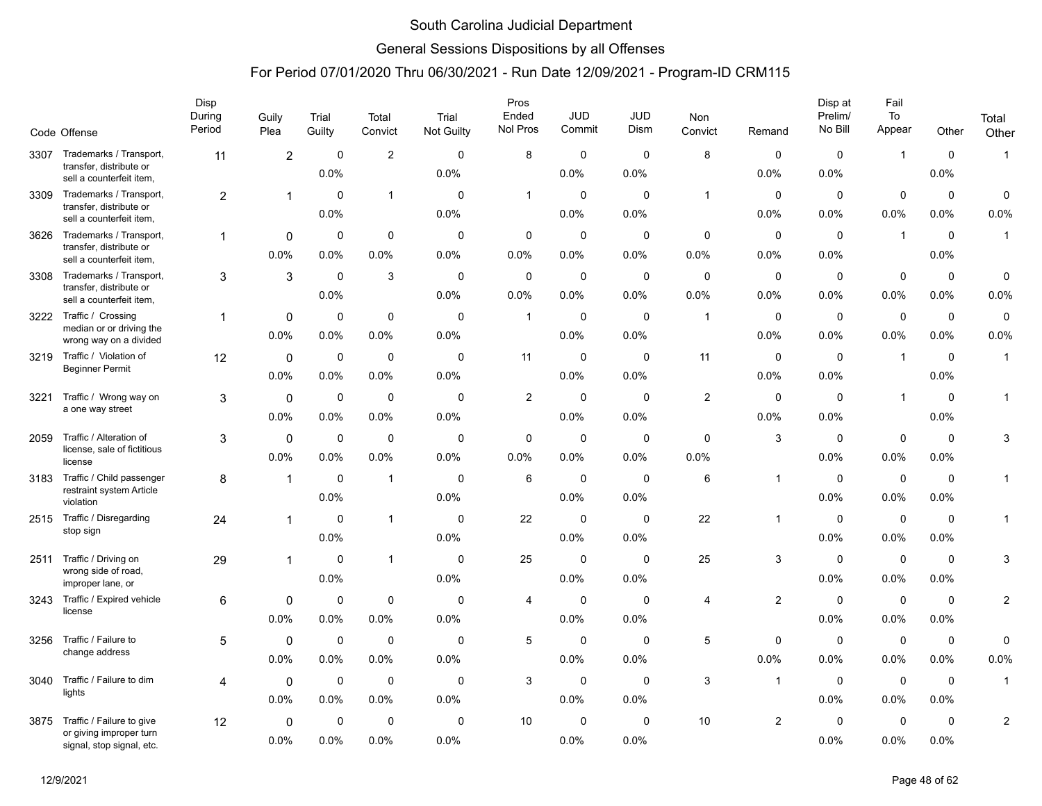### General Sessions Dispositions by all Offenses

|      |                                                        | Disp<br>During | Guily          | Trial               | Total          | Trial               | Pros<br>Ended  | <b>JUD</b>          | JUD                 | <b>Non</b>     |                | Disp at<br>Prelim/ | Fail<br>To          |                        | Total          |
|------|--------------------------------------------------------|----------------|----------------|---------------------|----------------|---------------------|----------------|---------------------|---------------------|----------------|----------------|--------------------|---------------------|------------------------|----------------|
|      | Code Offense                                           | Period         | Plea           | Guilty              | Convict        | Not Guilty          | Nol Pros       | Commit              | Dism                | Convict        | Remand         | No Bill            | Appear              | Other                  | Other          |
| 3307 | Trademarks / Transport,<br>transfer, distribute or     | 11             | $\overline{2}$ | $\mathbf 0$         | $\overline{2}$ | $\mathbf 0$         | 8              | $\mathbf 0$         | $\mathbf 0$         | 8              | $\mathbf 0$    | $\mathbf 0$        | $\mathbf{1}$        | $\mathbf 0$            | $\mathbf{1}$   |
|      | sell a counterfeit item,                               |                |                | 0.0%                |                | 0.0%                |                | 0.0%                | 0.0%                |                | 0.0%           | 0.0%               |                     | $0.0\%$                |                |
| 3309 | Trademarks / Transport,<br>transfer, distribute or     | $\overline{2}$ | 1              | $\mathbf 0$         | $\mathbf{1}$   | $\Omega$            | $\mathbf{1}$   | $\mathbf 0$         | $\mathbf 0$         | $\mathbf{1}$   | $\mathbf 0$    | $\mathbf 0$        | $\mathbf 0$         | $\mathbf 0$            | $\mathbf 0$    |
|      | sell a counterfeit item,                               |                |                | 0.0%                |                | 0.0%                |                | 0.0%                | 0.0%                |                | 0.0%           | 0.0%               | 0.0%                | 0.0%                   | 0.0%           |
| 3626 | Trademarks / Transport,<br>transfer, distribute or     | -1             | 0              | $\mathbf 0$         | 0              | $\mathbf 0$         | 0              | $\mathbf 0$         | $\mathbf 0$         | $\mathbf 0$    | $\mathbf 0$    | $\mathbf 0$        | $\mathbf{1}$        | $\mathbf 0$            | $\mathbf{1}$   |
|      | sell a counterfeit item,                               |                | 0.0%           | 0.0%                | 0.0%           | 0.0%                | 0.0%           | 0.0%                | 0.0%                | 0.0%           | 0.0%           | 0.0%               |                     | 0.0%                   |                |
| 3308 | Trademarks / Transport,<br>transfer, distribute or     | 3              | 3              | 0                   | 3              | 0                   | 0              | 0                   | $\mathbf 0$         | 0              | 0              | 0                  | 0                   | 0                      | 0              |
|      | sell a counterfeit item,                               |                |                | 0.0%                |                | 0.0%                | $0.0\%$        | 0.0%                | 0.0%                | 0.0%           | 0.0%           | 0.0%               | $0.0\%$             | $0.0\%$                | 0.0%           |
|      | 3222 Traffic / Crossing<br>median or or driving the    |                | $\mathbf 0$    | $\mathbf 0$         | $\mathbf 0$    | $\mathbf 0$         | $\mathbf{1}$   | $\mathbf 0$         | $\mathbf 0$         | $\overline{1}$ | $\mathbf 0$    | $\mathbf 0$        | $\mathbf 0$         | $\mathbf 0$            | $\mathbf 0$    |
|      | wrong way on a divided                                 |                | 0.0%           | 0.0%                | $0.0\%$        | 0.0%                |                | 0.0%                | 0.0%                |                | 0.0%           | 0.0%               | 0.0%                | 0.0%                   | 0.0%           |
| 3219 | Traffic / Violation of<br><b>Beginner Permit</b>       | 12             | $\mathbf 0$    | $\mathbf 0$         | $\pmb{0}$      | $\mathbf 0$         | 11             | $\mathbf 0$         | $\mathbf 0$         | 11             | $\mathbf 0$    | $\mathbf 0$        | $\mathbf{1}$        | $\mathbf 0$            | $\overline{1}$ |
|      |                                                        |                | 0.0%           | 0.0%                | 0.0%           | 0.0%                |                | 0.0%                | 0.0%                |                | 0.0%           | 0.0%               |                     | 0.0%                   |                |
| 3221 | Traffic / Wrong way on<br>a one way street             | 3              | $\mathbf 0$    | $\mathbf 0$         | $\mathbf 0$    | 0                   | $\overline{2}$ | $\mathbf 0$         | $\mathbf 0$         | $\overline{2}$ | $\mathbf 0$    | $\mathbf 0$        | $\mathbf{1}$        | $\mathbf 0$            | -1             |
|      |                                                        |                | 0.0%           | 0.0%                | 0.0%           | 0.0%                |                | 0.0%                | 0.0%                |                | 0.0%           | 0.0%               |                     | 0.0%                   |                |
| 2059 | Traffic / Alteration of<br>license, sale of fictitious | 3              | 0<br>0.0%      | 0<br>0.0%           | 0<br>$0.0\%$   | 0<br>0.0%           | 0<br>$0.0\%$   | $\mathbf 0$<br>0.0% | 0<br>0.0%           | 0<br>0.0%      | 3              | 0<br>0.0%          | 0<br>0.0%           | $\mathbf 0$<br>$0.0\%$ | 3              |
|      | license                                                |                |                |                     |                |                     |                |                     |                     |                |                |                    |                     |                        |                |
| 3183 | Traffic / Child passenger<br>restraint system Article  | 8              | 1              | $\mathbf 0$<br>0.0% | $\mathbf{1}$   | $\mathbf 0$<br>0.0% | 6              | $\mathbf 0$<br>0.0% | $\mathbf 0$<br>0.0% | 6              | $\overline{1}$ | 0<br>0.0%          | $\mathbf 0$<br>0.0% | $\mathbf 0$<br>$0.0\%$ | $\mathbf{1}$   |
| 2515 | violation<br>Traffic / Disregarding                    |                |                | $\mathbf 0$         | $\mathbf{1}$   | $\mathbf 0$         | 22             | $\mathbf 0$         | $\mathbf 0$         | 22             | $\mathbf 1$    | $\mathbf 0$        | $\mathbf 0$         | $\mathbf 0$            | $\mathbf{1}$   |
|      | stop sign                                              | 24             |                | 0.0%                |                | 0.0%                |                | 0.0%                | 0.0%                |                |                | 0.0%               | 0.0%                | 0.0%                   |                |
| 2511 | Traffic / Driving on                                   | 29             | 1              | 0                   | $\mathbf{1}$   | 0                   | 25             | $\mathbf 0$         | $\mathbf 0$         | 25             | 3              | 0                  | $\mathbf 0$         | $\mathbf 0$            | 3              |
|      | wrong side of road,                                    |                |                | 0.0%                |                | 0.0%                |                | 0.0%                | 0.0%                |                |                | 0.0%               | 0.0%                | 0.0%                   |                |
| 3243 | improper lane, or<br>Traffic / Expired vehicle         | 6              | 0              | $\mathbf 0$         | $\mathbf 0$    | $\Omega$            | 4              | $\mathbf 0$         | $\Omega$            | $\overline{4}$ | $\overline{2}$ | $\mathbf 0$        | $\mathbf 0$         | $\mathbf 0$            | $\overline{2}$ |
|      | license                                                |                | 0.0%           | 0.0%                | 0.0%           | 0.0%                |                | 0.0%                | 0.0%                |                |                | 0.0%               | 0.0%                | $0.0\%$                |                |
| 3256 | Traffic / Failure to                                   | 5              | $\mathbf 0$    | 0                   | 0              | 0                   | 5              | 0                   | $\mathbf 0$         | 5              | 0              | 0                  | $\mathbf 0$         | $\mathbf 0$            | $\mathbf 0$    |
|      | change address                                         |                | 0.0%           | 0.0%                | $0.0\%$        | 0.0%                |                | 0.0%                | 0.0%                |                | 0.0%           | 0.0%               | 0.0%                | $0.0\%$                | 0.0%           |
| 3040 | Traffic / Failure to dim                               | 4              | $\mathbf 0$    | 0                   | $\mathbf 0$    | $\mathbf 0$         | 3              | $\mathbf 0$         | $\mathbf 0$         | 3              | $\overline{1}$ | $\mathbf 0$        | $\mathbf 0$         | $\mathbf 0$            | $\overline{1}$ |
|      | lights                                                 |                | 0.0%           | 0.0%                | 0.0%           | 0.0%                |                | 0.0%                | 0.0%                |                |                | 0.0%               | 0.0%                | 0.0%                   |                |
| 3875 | Traffic / Failure to give                              | 12             | $\mathbf 0$    | $\mathbf 0$         | $\mathbf 0$    | $\Omega$            | 10             | $\mathbf 0$         | $\mathbf 0$         | 10             | $\overline{2}$ | $\mathbf 0$        | $\mathbf 0$         | $\mathbf 0$            | $\mathbf{2}$   |
|      | or giving improper turn<br>signal, stop signal, etc.   |                | 0.0%           | 0.0%                | 0.0%           | 0.0%                |                | 0.0%                | 0.0%                |                |                | 0.0%               | 0.0%                | 0.0%                   |                |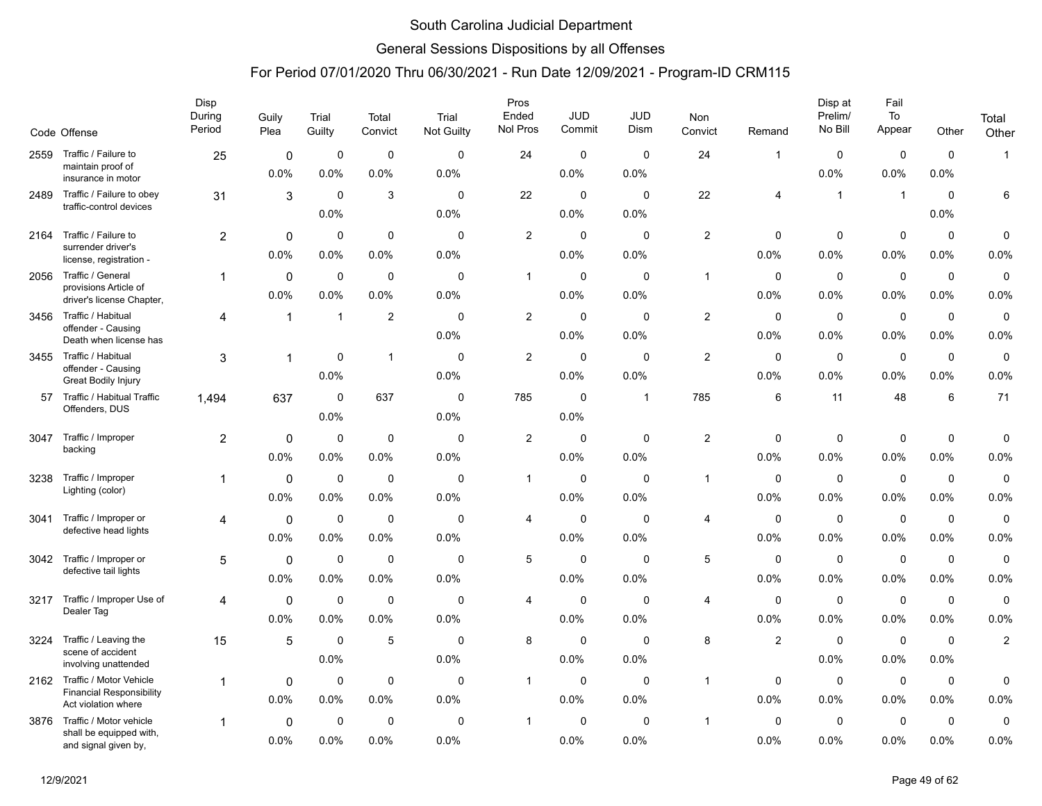### General Sessions Dispositions by all Offenses

|      | Code Offense                                                                      | Disp<br>During<br>Period | Guily<br>Plea       | Trial<br>Guilty     | Total<br>Convict    | Trial<br><b>Not Guilty</b> | Pros<br>Ended<br>Nol Pros | <b>JUD</b><br>Commit | JUD<br>Dism         | Non<br>Convict | Remand              | Disp at<br>Prelim/<br>No Bill | Fail<br>To<br>Appear | Other               | Total<br>Other      |
|------|-----------------------------------------------------------------------------------|--------------------------|---------------------|---------------------|---------------------|----------------------------|---------------------------|----------------------|---------------------|----------------|---------------------|-------------------------------|----------------------|---------------------|---------------------|
| 2559 | Traffic / Failure to                                                              | 25                       | 0                   | 0                   | $\mathbf 0$         | $\Omega$                   | 24                        | 0                    | $\Omega$            | 24             | 1                   | $\mathbf 0$                   | $\pmb{0}$            | $\mathbf 0$         | $\mathbf{1}$        |
|      | maintain proof of<br>insurance in motor                                           |                          | 0.0%                | 0.0%                | 0.0%                | 0.0%                       |                           | 0.0%                 | 0.0%                |                |                     | 0.0%                          | 0.0%                 | 0.0%                |                     |
| 2489 | Traffic / Failure to obey<br>traffic-control devices                              | 31                       | 3                   | $\Omega$<br>0.0%    | 3                   | $\mathbf{0}$<br>0.0%       | 22                        | 0<br>0.0%            | $\Omega$<br>0.0%    | 22             | 4                   | $\overline{1}$                | $\overline{1}$       | $\Omega$<br>0.0%    | 6                   |
| 2164 | Traffic / Failure to<br>surrender driver's<br>license, registration -             | 2                        | 0<br>0.0%           | 0<br>0.0%           | $\mathbf 0$<br>0.0% | $\mathbf 0$<br>0.0%        | 2                         | 0<br>0.0%            | $\Omega$<br>0.0%    | $\overline{c}$ | 0<br>0.0%           | 0<br>0.0%                     | $\mathbf 0$<br>0.0%  | $\mathbf 0$<br>0.0% | 0<br>0.0%           |
| 2056 | Traffic / General<br>provisions Article of<br>driver's license Chapter,           | 1                        | 0<br>0.0%           | 0<br>$0.0\%$        | 0<br>0.0%           | 0<br>0.0%                  | $\mathbf{1}$              | 0<br>$0.0\%$         | 0<br>0.0%           | $\mathbf{1}$   | 0<br>0.0%           | 0<br>0.0%                     | $\mathbf 0$<br>0.0%  | $\mathbf 0$<br>0.0% | $\mathbf 0$<br>0.0% |
| 3456 | Traffic / Habitual<br>offender - Causing<br>Death when license has                | 4                        | $\mathbf{1}$        | $\mathbf 1$         | $\overline{2}$      | $\mathbf 0$<br>0.0%        | $\overline{c}$            | $\Omega$<br>0.0%     | $\Omega$<br>0.0%    | $\overline{c}$ | $\Omega$<br>0.0%    | $\mathbf{0}$<br>0.0%          | $\mathbf 0$<br>0.0%  | $\mathbf 0$<br>0.0% | $\mathbf 0$<br>0.0% |
| 3455 | Traffic / Habitual<br>offender - Causing<br><b>Great Bodily Injury</b>            | 3                        | 1                   | $\Omega$<br>0.0%    | $\mathbf{1}$        | 0<br>0.0%                  | 2                         | 0<br>0.0%            | $\Omega$<br>0.0%    | $\overline{c}$ | 0<br>0.0%           | 0<br>0.0%                     | $\pmb{0}$<br>0.0%    | $\mathbf 0$<br>0.0% | $\mathbf 0$<br>0.0% |
| 57   | Traffic / Habitual Traffic<br>Offenders, DUS                                      | 1,494                    | 637                 | $\mathbf 0$<br>0.0% | 637                 | 0<br>0.0%                  | 785                       | $\mathbf 0$<br>0.0%  | -1                  | 785            | 6                   | 11                            | 48                   | 6                   | 71                  |
| 3047 | Traffic / Improper<br>backing                                                     | 2                        | 0<br>0.0%           | $\mathbf 0$<br>0.0% | $\mathbf 0$<br>0.0% | 0<br>0.0%                  | $\overline{c}$            | $\mathbf 0$<br>0.0%  | 0<br>0.0%           | $\overline{2}$ | 0<br>0.0%           | 0<br>0.0%                     | $\mathbf 0$<br>0.0%  | 0<br>0.0%           | 0<br>0.0%           |
| 3238 | Traffic / Improper<br>Lighting (color)                                            | 1                        | 0<br>0.0%           | $\mathbf 0$<br>0.0% | $\mathbf 0$<br>0.0% | $\mathbf 0$<br>0.0%        | $\mathbf{1}$              | $\mathbf 0$<br>0.0%  | $\mathbf 0$<br>0.0% | $\overline{1}$ | 0<br>0.0%           | $\mathbf 0$<br>0.0%           | $\mathbf 0$<br>0.0%  | $\mathbf 0$<br>0.0% | $\mathbf 0$<br>0.0% |
| 3041 | Traffic / Improper or<br>defective head lights                                    | 4                        | 0<br>0.0%           | 0<br>0.0%           | 0<br>0.0%           | $\mathbf 0$<br>0.0%        | $\overline{4}$            | 0<br>0.0%            | $\mathbf 0$<br>0.0% | $\overline{4}$ | 0<br>0.0%           | 0<br>0.0%                     | $\mathbf 0$<br>0.0%  | $\mathbf 0$<br>0.0% | $\mathbf 0$<br>0.0% |
| 3042 | Traffic / Improper or<br>defective tail lights                                    | 5                        | $\mathbf 0$<br>0.0% | 0<br>0.0%           | $\mathbf 0$<br>0.0% | $\mathbf 0$<br>0.0%        | 5                         | $\mathbf 0$<br>0.0%  | $\mathbf 0$<br>0.0% | $\overline{5}$ | $\mathbf 0$<br>0.0% | $\mathbf 0$<br>0.0%           | $\mathbf 0$<br>0.0%  | $\mathbf 0$<br>0.0% | $\mathbf 0$<br>0.0% |
| 3217 | Traffic / Improper Use of<br>Dealer Tag                                           | 4                        | 0<br>0.0%           | 0<br>0.0%           | 0<br>0.0%           | 0<br>0.0%                  | $\overline{4}$            | 0<br>0.0%            | $\mathbf 0$<br>0.0% | 4              | 0<br>0.0%           | 0<br>0.0%                     | $\mathbf 0$<br>0.0%  | $\mathbf 0$<br>0.0% | $\mathbf 0$<br>0.0% |
| 3224 | Traffic / Leaving the<br>scene of accident<br>involving unattended                | 15                       | 5                   | $\mathbf 0$<br>0.0% | 5                   | $\mathbf 0$<br>0.0%        | 8                         | $\mathbf 0$<br>0.0%  | $\mathbf 0$<br>0.0% | 8              | $\overline{2}$      | $\mathbf 0$<br>0.0%           | $\mathbf 0$<br>0.0%  | $\mathbf 0$<br>0.0% | $\overline{c}$      |
| 2162 | Traffic / Motor Vehicle<br><b>Financial Responsibility</b><br>Act violation where | 1                        | 0<br>0.0%           | 0<br>0.0%           | $\mathbf 0$<br>0.0% | 0<br>0.0%                  | $\mathbf{1}$              | 0<br>0.0%            | $\mathbf 0$<br>0.0% | $\overline{1}$ | 0<br>0.0%           | 0<br>0.0%                     | $\mathbf 0$<br>0.0%  | $\mathbf 0$<br>0.0% | 0<br>0.0%           |
| 3876 | Traffic / Motor vehicle<br>shall be equipped with,<br>and signal given by,        | 1                        | 0<br>0.0%           | $\mathbf 0$<br>0.0% | $\mathbf 0$<br>0.0% | 0<br>0.0%                  | 1                         | 0<br>0.0%            | $\mathbf 0$<br>0.0% | $\mathbf{1}$   | $\mathbf 0$<br>0.0% | $\mathbf 0$<br>0.0%           | $\mathbf 0$<br>0.0%  | $\mathbf 0$<br>0.0% | 0<br>0.0%           |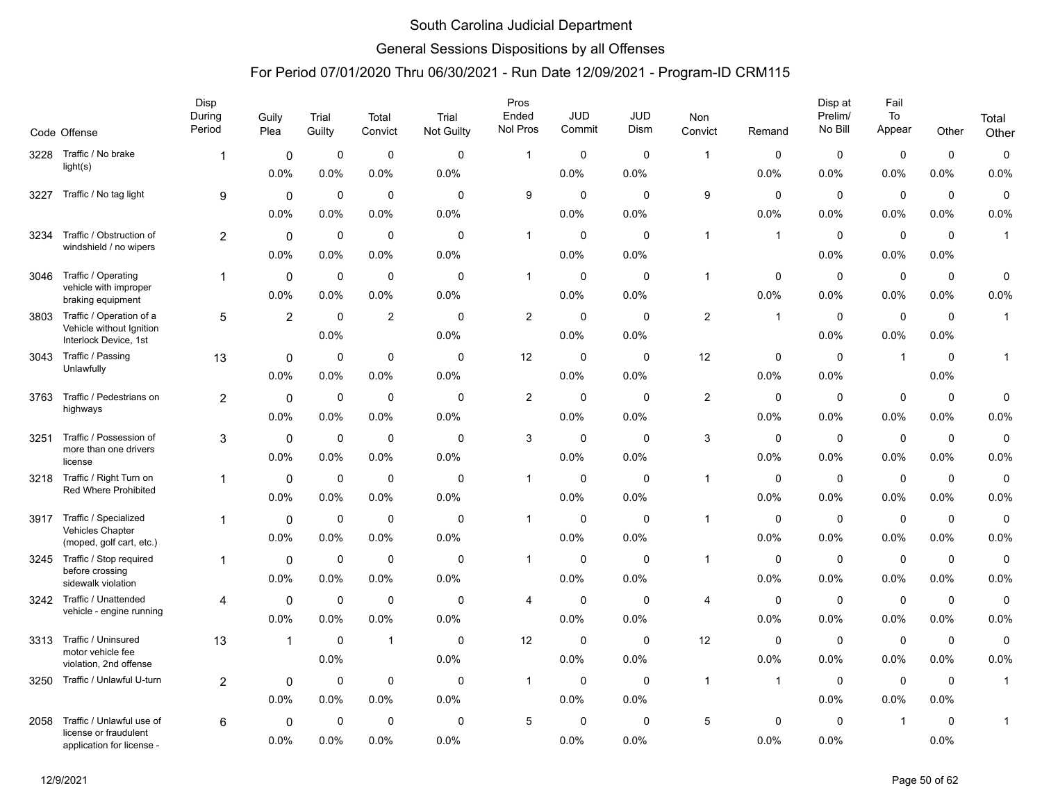### General Sessions Dispositions by all Offenses

|      |                                                        | Disp<br>During   | Guily          | Trial       | Total          | Trial       | Pros<br>Ended           | JUD         | <b>JUD</b>   | Non            |              | Disp at<br>Prelim/ | Fail<br>To     |             | Total        |
|------|--------------------------------------------------------|------------------|----------------|-------------|----------------|-------------|-------------------------|-------------|--------------|----------------|--------------|--------------------|----------------|-------------|--------------|
|      | Code Offense                                           | Period           | Plea           | Guilty      | Convict        | Not Guilty  | Nol Pros                | Commit      | Dism         | Convict        | Remand       | No Bill            | Appear         | Other       | Other        |
| 3228 | Traffic / No brake                                     | 1                | 0              | $\mathbf 0$ | $\mathbf 0$    | $\mathbf 0$ | $\mathbf{1}$            | $\mathbf 0$ | $\mathbf 0$  | $\overline{1}$ | $\mathbf 0$  | $\mathbf 0$        | $\mathbf 0$    | $\mathbf 0$ | $\pmb{0}$    |
|      | light(s)                                               |                  | 0.0%           | 0.0%        | 0.0%           | 0.0%        |                         | 0.0%        | 0.0%         |                | 0.0%         | 0.0%               | 0.0%           | 0.0%        | 0.0%         |
| 3227 | Traffic / No tag light                                 | 9                | 0              | $\mathbf 0$ | $\mathbf 0$    | $\Omega$    | 9                       | $\mathbf 0$ | $\mathbf{0}$ | 9              | $\Omega$     | $\mathbf 0$        | $\mathbf 0$    | $\mathbf 0$ | $\mathbf 0$  |
|      |                                                        |                  | 0.0%           | 0.0%        | 0.0%           | 0.0%        |                         | 0.0%        | 0.0%         |                | 0.0%         | 0.0%               | 0.0%           | 0.0%        | 0.0%         |
| 3234 | Traffic / Obstruction of                               | $\boldsymbol{2}$ | $\mathbf 0$    | 0           | $\pmb{0}$      | 0           | $\mathbf 1$             | $\mathbf 0$ | $\mathbf 0$  | $\overline{1}$ | $\mathbf 1$  | $\mathbf 0$        | $\mathbf 0$    | $\mathbf 0$ | $\mathbf{1}$ |
|      | windshield / no wipers                                 |                  | 0.0%           | 0.0%        | 0.0%           | 0.0%        |                         | $0.0\%$     | 0.0%         |                |              | 0.0%               | 0.0%           | 0.0%        |              |
| 3046 | Traffic / Operating<br>vehicle with improper           | 1                | $\mathbf 0$    | 0           | 0              | 0           | $\mathbf 1$             | $\mathbf 0$ | 0            | $\mathbf{1}$   | $\mathbf 0$  | $\mathbf 0$        | $\mathbf 0$    | 0           | 0            |
|      | braking equipment                                      |                  | 0.0%           | 0.0%        | 0.0%           | 0.0%        |                         | 0.0%        | 0.0%         |                | 0.0%         | 0.0%               | 0.0%           | 0.0%        | 0.0%         |
| 3803 | Traffic / Operation of a                               | 5                | $\overline{2}$ | $\mathbf 0$ | $\overline{2}$ | $\Omega$    | $\overline{2}$          | $\mathbf 0$ | $\mathbf{0}$ | $\overline{2}$ | $\mathbf{1}$ | $\mathbf 0$        | $\mathbf 0$    | $\mathbf 0$ | $\mathbf{1}$ |
|      | Vehicle without Ignition<br>Interlock Device, 1st      |                  |                | 0.0%        |                | 0.0%        |                         | $0.0\%$     | 0.0%         |                |              | 0.0%               | 0.0%           | 0.0%        |              |
| 3043 | Traffic / Passing                                      | 13               | 0              | 0           | $\mathbf 0$    | 0           | 12                      | $\mathbf 0$ | 0            | 12             | 0            | $\mathbf 0$        | $\overline{1}$ | 0           | $\mathbf{1}$ |
|      | Unlawfully                                             |                  | 0.0%           | 0.0%        | 0.0%           | 0.0%        |                         | 0.0%        | 0.0%         |                | 0.0%         | 0.0%               |                | 0.0%        |              |
| 3763 | Traffic / Pedestrians on                               | $\overline{c}$   | 0              | 0           | $\mathbf 0$    | 0           | $\overline{\mathbf{c}}$ | $\mathbf 0$ | $\mathbf 0$  | $\overline{2}$ | $\mathbf 0$  | $\mathbf 0$        | $\mathbf 0$    | 0           | 0            |
|      | highways                                               |                  | 0.0%           | 0.0%        | 0.0%           | 0.0%        |                         | $0.0\%$     | $0.0\%$      |                | 0.0%         | 0.0%               | $0.0\%$        | 0.0%        | 0.0%         |
| 3251 | Traffic / Possession of<br>more than one drivers       | 3                | $\mathbf 0$    | $\mathbf 0$ | $\mathbf 0$    | 0           | 3                       | $\mathbf 0$ | $\mathbf 0$  | 3              | $\mathbf 0$  | $\mathbf 0$        | $\mathbf 0$    | $\mathbf 0$ | $\pmb{0}$    |
|      | license                                                |                  | 0.0%           | 0.0%        | 0.0%           | 0.0%        |                         | 0.0%        | 0.0%         |                | 0.0%         | 0.0%               | 0.0%           | 0.0%        | 0.0%         |
| 3218 | Traffic / Right Turn on<br><b>Red Where Prohibited</b> | 1                | 0              | $\mathbf 0$ | $\mathbf 0$    | 0           | $\mathbf{1}$            | $\mathbf 0$ | $\mathbf 0$  | $\overline{1}$ | $\mathbf 0$  | $\mathbf 0$        | $\mathbf 0$    | $\mathbf 0$ | $\mathbf 0$  |
|      |                                                        |                  | 0.0%           | 0.0%        | 0.0%           | 0.0%        |                         | 0.0%        | 0.0%         |                | 0.0%         | 0.0%               | 0.0%           | 0.0%        | 0.0%         |
| 3917 | Traffic / Specialized<br>Vehicles Chapter              | 1                | 0              | $\mathbf 0$ | $\mathbf 0$    | 0           | $\mathbf 1$             | $\mathbf 0$ | $\mathbf 0$  | $\overline{1}$ | 0            | $\mathbf 0$        | $\mathbf 0$    | $\mathbf 0$ | 0            |
|      | (moped, golf cart, etc.)                               |                  | 0.0%           | 0.0%        | 0.0%           | 0.0%        |                         | $0.0\%$     | 0.0%         |                | $0.0\%$      | 0.0%               | 0.0%           | 0.0%        | 0.0%         |
| 3245 | Traffic / Stop required                                | 1                | $\mathbf 0$    | 0           | $\mathbf 0$    | 0           | $\mathbf{1}$            | 0           | $\mathbf 0$  | $\overline{1}$ | 0            | $\mathbf 0$        | $\mathbf 0$    | $\mathbf 0$ | 0            |
|      | before crossing<br>sidewalk violation                  |                  | 0.0%           | 0.0%        | 0.0%           | 0.0%        |                         | 0.0%        | 0.0%         |                | 0.0%         | 0.0%               | 0.0%           | 0.0%        | 0.0%         |
| 3242 | Traffic / Unattended                                   | 4                | $\mathbf 0$    | $\mathbf 0$ | $\mathbf 0$    | $\mathbf 0$ | 4                       | $\mathbf 0$ | $\mathbf 0$  | 4              | $\mathbf 0$  | $\mathbf 0$        | $\mathbf 0$    | $\mathbf 0$ | 0            |
|      | vehicle - engine running                               |                  | 0.0%           | 0.0%        | 0.0%           | 0.0%        |                         | 0.0%        | 0.0%         |                | 0.0%         | 0.0%               | 0.0%           | 0.0%        | 0.0%         |
| 3313 | Traffic / Uninsured<br>motor vehicle fee               | 13               | 1              | 0           | $\overline{1}$ | 0           | 12                      | 0           | 0            | 12             | 0            | 0                  | $\mathbf 0$    | 0           | $\mathbf 0$  |
|      | violation, 2nd offense                                 |                  |                | 0.0%        |                | 0.0%        |                         | $0.0\%$     | 0.0%         |                | 0.0%         | 0.0%               | 0.0%           | 0.0%        | 0.0%         |
| 3250 | Traffic / Unlawful U-turn                              | $\overline{2}$   | 0              | 0           | $\mathbf 0$    | $\mathbf 0$ | $\mathbf{1}$            | 0           | $\mathbf 0$  | $\mathbf{1}$   | $\mathbf 1$  | $\mathbf 0$        | $\mathbf 0$    | $\mathbf 0$ | $\mathbf{1}$ |
|      |                                                        |                  | 0.0%           | 0.0%        | 0.0%           | 0.0%        |                         | $0.0\%$     | 0.0%         |                |              | 0.0%               | 0.0%           | 0.0%        |              |
| 2058 | Traffic / Unlawful use of                              | 6                | 0              | $\mathbf 0$ | $\mathbf 0$    | 0           | 5                       | $\mathbf 0$ | $\Omega$     | 5              | $\Omega$     | $\mathbf 0$        | $\overline{1}$ | $\mathbf 0$ | $\mathbf{1}$ |
|      | license or fraudulent<br>application for license -     |                  | 0.0%           | 0.0%        | 0.0%           | 0.0%        |                         | 0.0%        | 0.0%         |                | 0.0%         | 0.0%               |                | 0.0%        |              |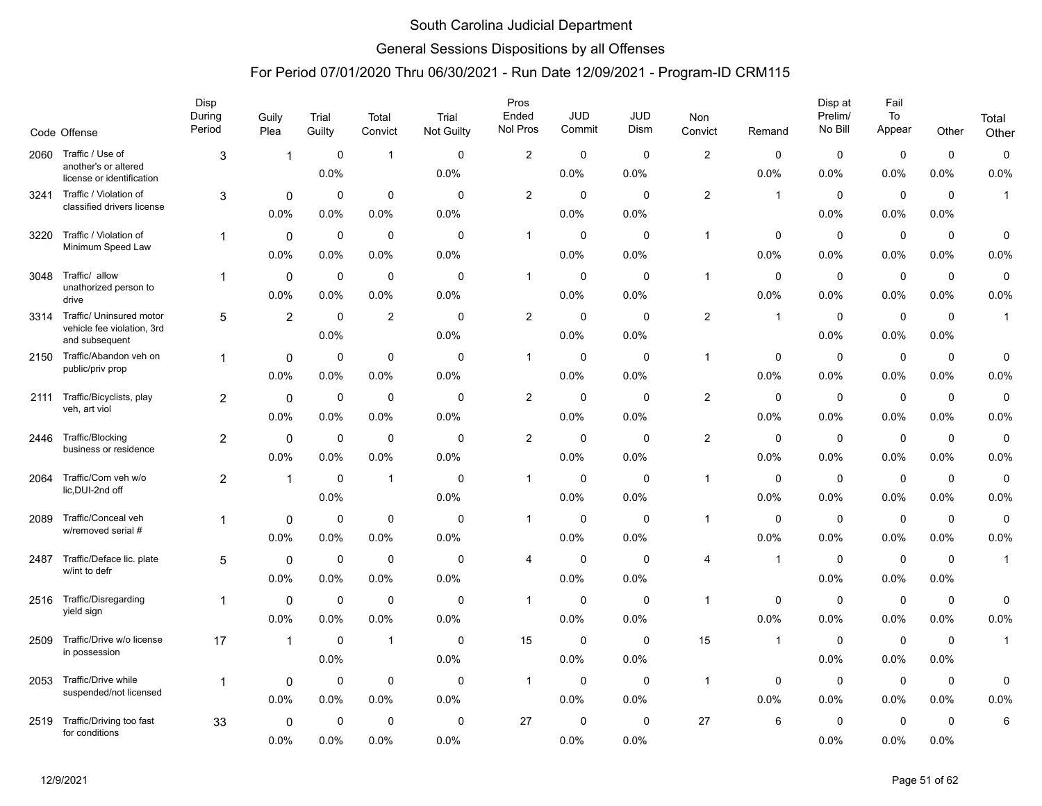### General Sessions Dispositions by all Offenses

|      |                                                                          | Disp<br>During | Guily               | Trial                  | Total                  | Trial               | Pros<br>Ended           | <b>JUD</b>             | <b>JUD</b>          | Non                     |                     | Disp at<br>Prelim/  | Fail<br>To             |                     | Total               |
|------|--------------------------------------------------------------------------|----------------|---------------------|------------------------|------------------------|---------------------|-------------------------|------------------------|---------------------|-------------------------|---------------------|---------------------|------------------------|---------------------|---------------------|
|      | Code Offense                                                             | Period         | Plea                | Guilty                 | Convict                | Not Guilty          | Nol Pros                | Commit                 | Dism                | Convict                 | Remand              | No Bill             | Appear                 | Other               | Other               |
| 2060 | Traffic / Use of<br>another's or altered<br>license or identification    | 3              | 1                   | 0<br>0.0%              | $\mathbf{1}$           | $\Omega$<br>0.0%    | $\overline{\mathbf{c}}$ | 0<br>0.0%              | $\Omega$<br>0.0%    | 2                       | $\Omega$<br>0.0%    | $\mathbf 0$<br>0.0% | $\mathbf 0$<br>0.0%    | $\mathbf 0$<br>0.0% | $\mathbf 0$<br>0.0% |
| 3241 | Traffic / Violation of<br>classified drivers license                     | 3              | 0<br>0.0%           | $\mathbf 0$<br>0.0%    | $\mathbf 0$<br>0.0%    | $\mathbf 0$<br>0.0% | $\overline{2}$          | $\mathbf 0$<br>$0.0\%$ | $\mathbf 0$<br>0.0% | $\overline{c}$          | $\mathbf{1}$        | $\mathbf 0$<br>0.0% | $\mathbf 0$<br>0.0%    | $\mathbf 0$<br>0.0% | $\mathbf{1}$        |
| 3220 | Traffic / Violation of<br>Minimum Speed Law                              | $\mathbf{1}$   | 0<br>0.0%           | 0<br>0.0%              | $\mathbf 0$<br>0.0%    | 0<br>0.0%           | $\mathbf{1}$            | 0<br>0.0%              | 0<br>0.0%           | $\overline{1}$          | 0<br>0.0%           | $\mathbf 0$<br>0.0% | $\mathbf 0$<br>0.0%    | 0<br>0.0%           | 0<br>0.0%           |
| 3048 | Traffic/ allow<br>unathorized person to<br>drive                         | 1              | 0<br>0.0%           | $\mathbf 0$<br>0.0%    | $\mathbf 0$<br>0.0%    | $\mathbf 0$<br>0.0% | 1                       | $\mathbf 0$<br>$0.0\%$ | $\mathbf 0$<br>0.0% | $\overline{\mathbf{1}}$ | $\mathbf 0$<br>0.0% | $\mathbf 0$<br>0.0% | $\mathbf 0$<br>0.0%    | $\mathbf 0$<br>0.0% | $\pmb{0}$<br>0.0%   |
| 3314 | Traffic/ Uninsured motor<br>vehicle fee violation, 3rd<br>and subsequent | 5              | $\overline{2}$      | $\mathbf 0$<br>0.0%    | 2                      | $\mathbf 0$<br>0.0% | $\overline{2}$          | 0<br>0.0%              | $\mathbf 0$<br>0.0% | 2                       | $\mathbf{1}$        | $\mathbf 0$<br>0.0% | 0<br>0.0%              | $\mathbf 0$<br>0.0% | $\mathbf{1}$        |
| 2150 | Traffic/Abandon veh on<br>public/priv prop                               | 1              | 0<br>0.0%           | $\mathbf 0$<br>$0.0\%$ | $\mathbf 0$<br>0.0%    | $\mathbf 0$<br>0.0% | 1                       | $\mathbf 0$<br>0.0%    | $\mathbf 0$<br>0.0% | -1                      | 0<br>0.0%           | $\mathbf 0$<br>0.0% | $\mathbf 0$<br>0.0%    | $\mathbf 0$<br>0.0% | 0<br>0.0%           |
| 2111 | Traffic/Bicyclists, play<br>veh, art viol                                | 2              | 0<br>0.0%           | 0<br>$0.0\%$           | $\mathbf 0$<br>$0.0\%$ | $\mathbf 0$<br>0.0% | $\overline{2}$          | 0<br>0.0%              | $\mathbf 0$<br>0.0% | $\overline{2}$          | 0<br>0.0%           | 0<br>$0.0\%$        | $\mathbf 0$<br>$0.0\%$ | 0<br>0.0%           | $\mathbf 0$<br>0.0% |
| 2446 | Traffic/Blocking<br>business or residence                                | $\overline{2}$ | $\Omega$<br>0.0%    | $\mathbf 0$<br>0.0%    | $\mathbf 0$<br>0.0%    | $\Omega$<br>0.0%    | $\overline{c}$          | $\mathbf 0$<br>0.0%    | $\mathbf 0$<br>0.0% | $\overline{c}$          | 0<br>0.0%           | $\mathbf 0$<br>0.0% | $\mathbf 0$<br>0.0%    | $\mathbf 0$<br>0.0% | 0<br>0.0%           |
| 2064 | Traffic/Com veh w/o<br>lic, DUI-2nd off                                  | $\overline{c}$ | $\mathbf{1}$        | 0<br>0.0%              | $\overline{1}$         | $\mathbf 0$<br>0.0% | $\mathbf{1}$            | 0<br>$0.0\%$           | $\mathbf 0$<br>0.0% | $\overline{1}$          | 0<br>0.0%           | 0<br>$0.0\%$        | $\mathbf 0$<br>0.0%    | $\mathbf 0$<br>0.0% | $\mathbf 0$<br>0.0% |
| 2089 | Traffic/Conceal veh<br>w/removed serial #                                | 1              | 0<br>0.0%           | 0<br>$0.0\%$           | $\mathbf 0$<br>0.0%    | 0<br>0.0%           | 1                       | $\mathbf 0$<br>$0.0\%$ | 0<br>0.0%           | $\overline{\mathbf{1}}$ | 0<br>0.0%           | $\mathbf 0$<br>0.0% | $\mathbf 0$<br>0.0%    | $\mathbf 0$<br>0.0% | 0<br>0.0%           |
| 2487 | Traffic/Deface lic. plate<br>w/int to defr                               | 5              | 0<br>0.0%           | $\mathbf 0$<br>0.0%    | 0<br>0.0%              | $\mathbf 0$<br>0.0% | 4                       | 0<br>$0.0\%$           | $\mathbf 0$<br>0.0% | 4                       | $\mathbf{1}$        | $\mathbf 0$<br>0.0% | $\mathbf 0$<br>0.0%    | $\mathbf 0$<br>0.0% | $\mathbf{1}$        |
| 2516 | Traffic/Disregarding<br>yield sign                                       | 1              | 0<br>0.0%           | $\mathbf 0$<br>0.0%    | $\mathbf 0$<br>0.0%    | $\mathbf 0$<br>0.0% | -1                      | 0<br>0.0%              | $\mathbf 0$<br>0.0% | -1                      | 0<br>0.0%           | $\mathbf 0$<br>0.0% | $\mathbf 0$<br>0.0%    | 0<br>0.0%           | 0<br>0.0%           |
| 2509 | Traffic/Drive w/o license<br>in possession                               | 17             | $\mathbf{1}$        | 0<br>0.0%              | $\mathbf 1$            | 0<br>0.0%           | 15                      | 0<br>$0.0\%$           | 0<br>0.0%           | 15                      | 1                   | 0<br>$0.0\%$        | 0<br>0.0%              | 0<br>0.0%           | $\mathbf{1}$        |
| 2053 | Traffic/Drive while<br>suspended/not licensed                            | 1              | 0<br>0.0%           | $\mathbf 0$<br>0.0%    | $\mathbf 0$<br>0.0%    | $\Omega$<br>0.0%    | 1                       | $\mathbf 0$<br>$0.0\%$ | $\mathbf 0$<br>0.0% | -1                      | 0<br>0.0%           | $\mathbf 0$<br>0.0% | $\mathbf 0$<br>0.0%    | $\mathbf 0$<br>0.0% | 0<br>0.0%           |
| 2519 | Traffic/Driving too fast<br>for conditions                               | 33             | $\mathbf 0$<br>0.0% | $\mathbf 0$<br>0.0%    | $\mathbf 0$<br>0.0%    | 0<br>0.0%           | 27                      | 0<br>0.0%              | $\mathbf 0$<br>0.0% | 27                      | 6                   | $\mathbf 0$<br>0.0% | $\mathbf 0$<br>0.0%    | $\mathbf 0$<br>0.0% | 6                   |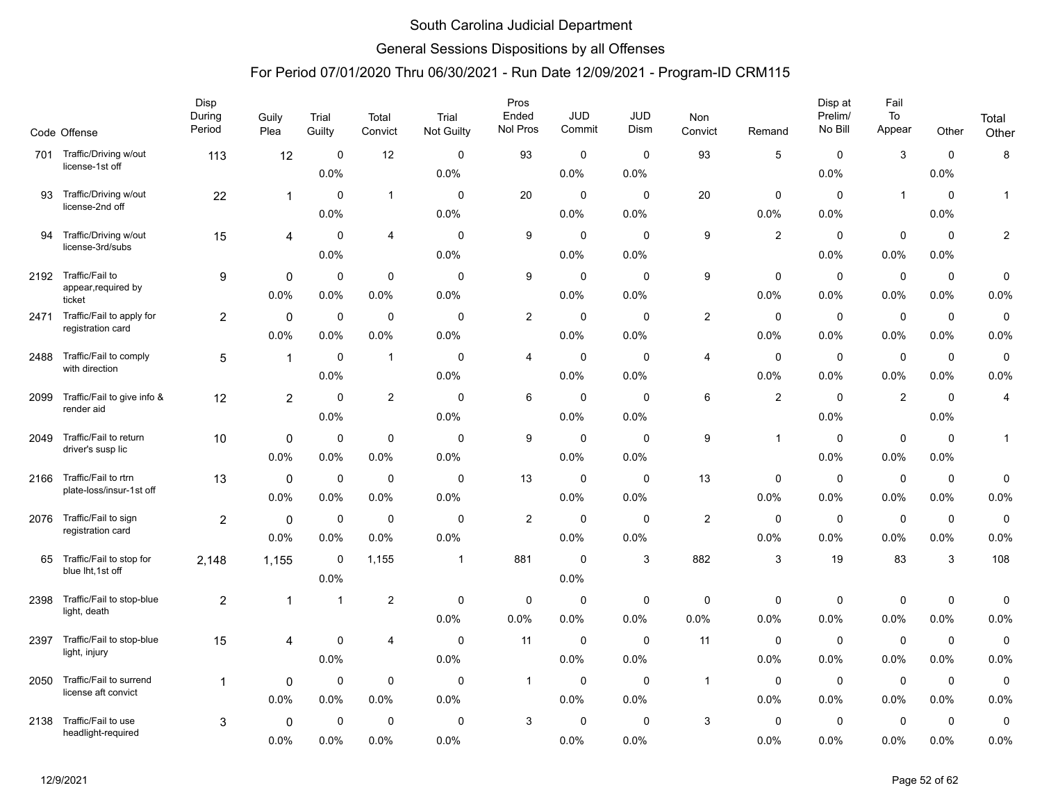### General Sessions Dispositions by all Offenses

|      | Code Offense                             | Disp<br>During<br>Period | Guily<br>Plea | Trial<br>Guilty | Total<br>Convict | Trial<br><b>Not Guilty</b> | Pros<br>Ended<br>Nol Pros | <b>JUD</b><br>Commit | <b>JUD</b><br><b>Dism</b> | Non<br>Convict | Remand         | Disp at<br>Prelim/<br>No Bill | Fail<br>To<br>Appear | Other       | Total<br>Other          |
|------|------------------------------------------|--------------------------|---------------|-----------------|------------------|----------------------------|---------------------------|----------------------|---------------------------|----------------|----------------|-------------------------------|----------------------|-------------|-------------------------|
| 701  | Traffic/Driving w/out<br>license-1st off | 113                      | 12            | 0               | 12               | 0                          | 93                        | $\mathbf 0$          | $\mathbf 0$               | 93             | 5              | $\mathbf 0$                   | 3                    | $\mathbf 0$ | 8                       |
|      |                                          |                          |               | 0.0%            |                  | 0.0%                       |                           | 0.0%                 | 0.0%                      |                |                | 0.0%                          |                      | 0.0%        |                         |
| 93   | Traffic/Driving w/out                    | 22                       | 1             | $\mathbf 0$     | $\mathbf{1}$     | $\mathbf 0$                | 20                        | $\mathbf 0$          | $\mathbf 0$               | 20             | $\mathbf 0$    | $\mathbf 0$                   | $\overline{1}$       | $\mathbf 0$ | $\mathbf{1}$            |
|      | license-2nd off                          |                          |               | 0.0%            |                  | 0.0%                       |                           | $0.0\%$              | 0.0%                      |                | $0.0\%$        | $0.0\%$                       |                      | 0.0%        |                         |
| 94   | Traffic/Driving w/out                    | 15                       | 4             | $\mathbf 0$     | $\overline{4}$   | $\mathbf 0$                | 9                         | 0                    | 0                         | 9              | $\overline{2}$ | 0                             | 0                    | $\mathbf 0$ | $\overline{\mathbf{c}}$ |
|      | license-3rd/subs                         |                          |               | 0.0%            |                  | 0.0%                       |                           | $0.0\%$              | 0.0%                      |                |                | 0.0%                          | 0.0%                 | 0.0%        |                         |
| 2192 | Traffic/Fail to                          | 9                        | 0             | $\mathbf 0$     | $\mathbf 0$      | $\Omega$                   | 9                         | $\mathbf 0$          | $\mathbf 0$               | 9              | $\mathbf 0$    | $\mathbf 0$                   | $\mathbf 0$          | $\mathbf 0$ | 0                       |
|      | appear, required by<br>ticket            |                          | 0.0%          | 0.0%            | 0.0%             | 0.0%                       |                           | 0.0%                 | 0.0%                      |                | 0.0%           | 0.0%                          | 0.0%                 | 0.0%        | 0.0%                    |
| 2471 | Traffic/Fail to apply for                | $\overline{c}$           | 0             | $\mathbf 0$     | $\mathbf 0$      | $\mathbf 0$                | $\overline{2}$            | $\mathbf 0$          | $\mathbf 0$               | $\overline{2}$ | $\mathbf 0$    | $\mathbf 0$                   | $\mathbf 0$          | $\mathbf 0$ | 0                       |
|      | registration card                        |                          | 0.0%          | 0.0%            | 0.0%             | 0.0%                       |                           | $0.0\%$              | 0.0%                      |                | 0.0%           | 0.0%                          | 0.0%                 | 0.0%        | 0.0%                    |
| 2488 | Traffic/Fail to comply                   | 5                        | $\mathbf{1}$  | 0               | $\mathbf{1}$     | $\mathbf 0$                | 4                         | $\mathbf 0$          | $\mathbf 0$               | 4              | 0              | $\mathbf 0$                   | $\mathbf 0$          | $\mathbf 0$ | $\mathbf 0$             |
|      | with direction                           |                          |               | 0.0%            |                  | 0.0%                       |                           | 0.0%                 | 0.0%                      |                | 0.0%           | $0.0\%$                       | 0.0%                 | 0.0%        | 0.0%                    |
| 2099 | Traffic/Fail to give info &              | 12                       | 2             | $\Omega$        | 2                | $\Omega$                   | 6                         | 0                    | $\Omega$                  | 6              | $\overline{c}$ | 0                             | 2                    | $\mathbf 0$ | 4                       |
|      | render aid                               |                          |               | 0.0%            |                  | 0.0%                       |                           | 0.0%                 | 0.0%                      |                |                | 0.0%                          |                      | 0.0%        |                         |
| 2049 | Traffic/Fail to return                   | 10                       | $\Omega$      | $\mathbf 0$     | $\mathbf 0$      | $\Omega$                   | 9                         | $\mathbf 0$          | $\mathbf 0$               | 9              | $\mathbf{1}$   | $\mathbf 0$                   | $\mathbf 0$          | $\mathbf 0$ | $\mathbf{1}$            |
|      | driver's susp lic                        |                          | 0.0%          | 0.0%            | 0.0%             | 0.0%                       |                           | 0.0%                 | 0.0%                      |                |                | 0.0%                          | 0.0%                 | 0.0%        |                         |
| 2166 | Traffic/Fail to rtrn                     | 13                       | 0             | $\mathbf 0$     | $\mathbf 0$      | $\mathbf 0$                | 13                        | $\mathbf 0$          | $\mathbf 0$               | 13             | $\mathbf 0$    | $\mathbf 0$                   | $\mathbf 0$          | $\mathbf 0$ | 0                       |
|      | plate-loss/insur-1st off                 |                          | 0.0%          | 0.0%            | 0.0%             | 0.0%                       |                           | 0.0%                 | 0.0%                      |                | 0.0%           | 0.0%                          | 0.0%                 | 0.0%        | 0.0%                    |
| 2076 | Traffic/Fail to sign                     | 2                        | $\mathbf 0$   | 0               | $\mathbf 0$      | 0                          | $\overline{2}$            | 0                    | 0                         | $\overline{c}$ | 0              | 0                             | 0                    | $\mathbf 0$ | $\mathbf 0$             |
|      | registration card                        |                          | 0.0%          | 0.0%            | 0.0%             | 0.0%                       |                           | 0.0%                 | 0.0%                      |                | 0.0%           | $0.0\%$                       | 0.0%                 | 0.0%        | 0.0%                    |
| 65   | Traffic/Fail to stop for                 | 2,148                    | 1,155         | $\Omega$        | 1,155            | $\mathbf{1}$               | 881                       | $\mathbf 0$          | 3                         | 882            | 3              | 19                            | 83                   | 3           | 108                     |
|      | blue lht, 1st off                        |                          |               | 0.0%            |                  |                            |                           | 0.0%                 |                           |                |                |                               |                      |             |                         |
| 2398 | Traffic/Fail to stop-blue                | 2                        | 1             | $\overline{1}$  | $\overline{2}$   | 0                          | 0                         | 0                    | 0                         | 0              | 0              | $\mathbf 0$                   | $\mathbf 0$          | 0           | 0                       |
|      | light, death                             |                          |               |                 |                  | 0.0%                       | 0.0%                      | 0.0%                 | 0.0%                      | 0.0%           | 0.0%           | 0.0%                          | 0.0%                 | 0.0%        | 0.0%                    |
| 2397 | Traffic/Fail to stop-blue                | 15                       | 4             | 0               | $\overline{4}$   | $\mathbf 0$                | 11                        | 0                    | 0                         | 11             | 0              | 0                             | $\mathbf 0$          | $\mathbf 0$ | $\mathbf 0$             |
|      | light, injury                            |                          |               | 0.0%            |                  | 0.0%                       |                           | $0.0\%$              | 0.0%                      |                | 0.0%           | 0.0%                          | 0.0%                 | 0.0%        | 0.0%                    |
| 2050 | Traffic/Fail to surrend                  | $\mathbf{1}$             | 0             | $\mathbf 0$     | $\mathbf 0$      | $\mathbf 0$                | $\mathbf{1}$              | $\mathbf 0$          | $\mathbf 0$               | $\overline{1}$ | $\mathbf 0$    | $\mathbf 0$                   | $\mathbf 0$          | $\mathbf 0$ | 0                       |
|      | license aft convict                      |                          | 0.0%          | 0.0%            | 0.0%             | 0.0%                       |                           | $0.0\%$              | 0.0%                      |                | 0.0%           | $0.0\%$                       | 0.0%                 | 0.0%        | 0.0%                    |
| 2138 | Traffic/Fail to use                      | 3                        | 0             | $\mathbf 0$     | $\mathbf 0$      | $\mathbf 0$                | 3                         | $\mathbf 0$          | $\mathbf 0$               | 3              | 0              | $\mathbf 0$                   | $\mathbf 0$          | $\mathbf 0$ | 0                       |
|      | headlight-required                       |                          | 0.0%          | 0.0%            | 0.0%             | 0.0%                       |                           | 0.0%                 | 0.0%                      |                | 0.0%           | 0.0%                          | 0.0%                 | 0.0%        | 0.0%                    |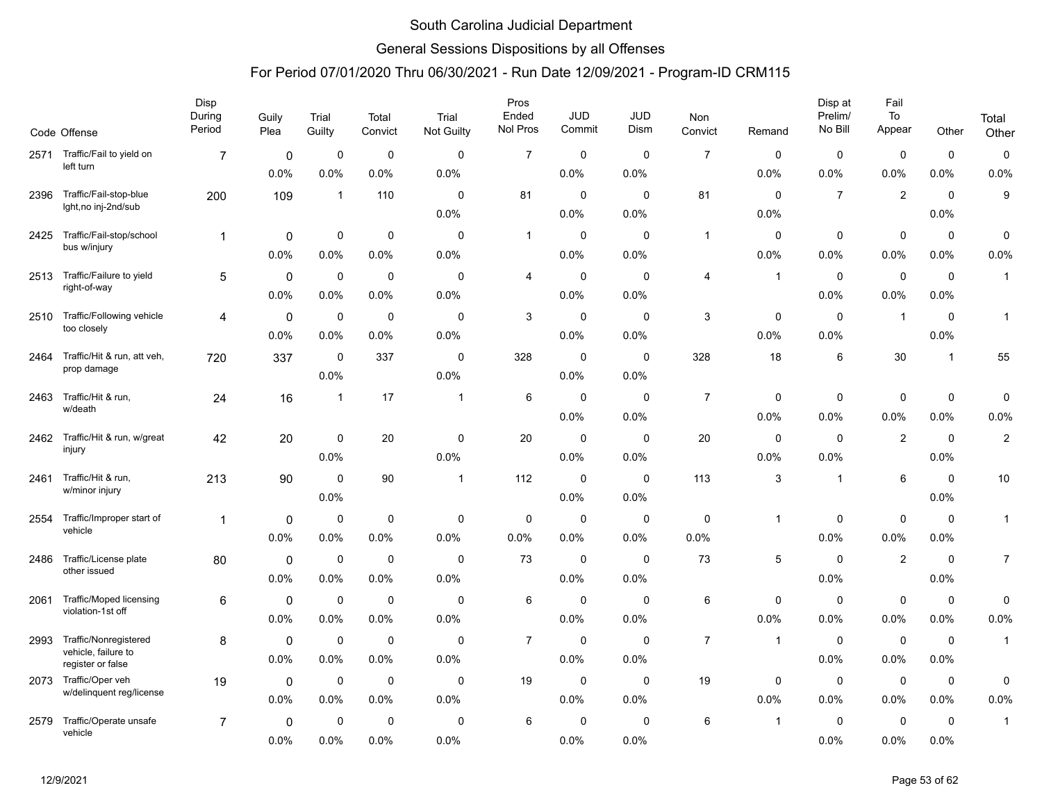### General Sessions Dispositions by all Offenses

|      | Code Offense                                        | Disp<br>During<br>Period | Guily<br>Plea | Trial<br>Guilty | Total<br>Convict | Trial<br>Not Guilty | Pros<br>Ended<br>Nol Pros | <b>JUD</b><br>Commit | <b>JUD</b><br>Dism | Non<br>Convict | Remand       | Disp at<br>Prelim/<br>No Bill | Fail<br>To<br>Appear | Other        | Total<br>Other |
|------|-----------------------------------------------------|--------------------------|---------------|-----------------|------------------|---------------------|---------------------------|----------------------|--------------------|----------------|--------------|-------------------------------|----------------------|--------------|----------------|
| 2571 | Traffic/Fail to yield on                            | 7                        | 0             | 0               | $\mathbf 0$      | 0                   | $\overline{7}$            | $\mathbf 0$          | $\mathbf 0$        | $\overline{7}$ | $\mathbf 0$  | 0                             | 0                    | 0            | $\mathbf 0$    |
|      | left turn                                           |                          | 0.0%          | 0.0%            | 0.0%             | 0.0%                |                           | 0.0%                 | 0.0%               |                | 0.0%         | 0.0%                          | 0.0%                 | 0.0%         | 0.0%           |
| 2396 | Traffic/Fail-stop-blue                              | 200                      | 109           | $\mathbf{1}$    | 110              | 0                   | 81                        | $\mathbf 0$          | 0                  | 81             | $\mathbf 0$  | $\overline{7}$                | $\overline{2}$       | $\mathbf 0$  | 9              |
|      | lght, no inj-2nd/sub                                |                          |               |                 |                  | 0.0%                |                           | 0.0%                 | 0.0%               |                | 0.0%         |                               |                      | 0.0%         |                |
| 2425 | Traffic/Fail-stop/school                            | $\mathbf{1}$             | $\mathbf 0$   | 0               | $\mathbf 0$      | 0                   | $\mathbf{1}$              | 0                    | $\mathbf 0$        | $\mathbf{1}$   | $\mathbf 0$  | $\mathbf 0$                   | $\mathbf 0$          | $\mathbf 0$  | $\mathbf 0$    |
|      | bus w/injury                                        |                          | 0.0%          | 0.0%            | 0.0%             | 0.0%                |                           | 0.0%                 | 0.0%               |                | 0.0%         | 0.0%                          | 0.0%                 | 0.0%         | 0.0%           |
| 2513 | Traffic/Failure to yield                            | 5                        | $\mathbf 0$   | $\mathbf 0$     | $\mathbf 0$      | 0                   | 4                         | 0                    | 0                  | 4              | $\mathbf{1}$ | $\mathbf 0$                   | $\mathbf 0$          | $\mathbf 0$  | $\mathbf{1}$   |
|      | right-of-way                                        |                          | 0.0%          | 0.0%            | 0.0%             | 0.0%                |                           | 0.0%                 | 0.0%               |                |              | 0.0%                          | 0.0%                 | 0.0%         |                |
| 2510 | Traffic/Following vehicle                           | 4                        | 0             | $\mathbf 0$     | $\mathbf 0$      | 0                   | 3                         | $\mathbf 0$          | $\mathbf 0$        | 3              | $\mathbf 0$  | $\mathbf 0$                   | $\overline{1}$       | $\mathbf 0$  | $\mathbf{1}$   |
|      | too closely                                         |                          | 0.0%          | 0.0%            | 0.0%             | 0.0%                |                           | 0.0%                 | 0.0%               |                | 0.0%         | 0.0%                          |                      | 0.0%         |                |
| 2464 | Traffic/Hit & run, att veh,                         | 720                      | 337           | 0               | 337              | 0                   | 328                       | 0                    | 0                  | 328            | 18           | 6                             | 30                   | $\mathbf{1}$ | 55             |
|      | prop damage                                         |                          |               | 0.0%            |                  | 0.0%                |                           | 0.0%                 | 0.0%               |                |              |                               |                      |              |                |
| 2463 | Traffic/Hit & run,<br>w/death                       | 24                       | 16            | $\mathbf{1}$    | 17               | $\overline{1}$      | 6                         | $\mathbf 0$          | $\mathbf 0$        | $\overline{7}$ | $\mathbf 0$  | 0                             | $\mathbf 0$          | $\mathbf 0$  | $\pmb{0}$      |
|      |                                                     |                          |               |                 |                  |                     |                           | 0.0%                 | 0.0%               |                | 0.0%         | 0.0%                          | 0.0%                 | 0.0%         | 0.0%           |
| 2462 | Traffic/Hit & run, w/great<br>injury                | 42                       | 20            | 0               | 20               | 0                   | 20                        | 0                    | $\mathbf 0$        | 20             | $\mathbf 0$  | $\mathbf 0$                   | $\overline{2}$       | $\mathbf 0$  | $\sqrt{2}$     |
|      |                                                     |                          |               | 0.0%            |                  | 0.0%                |                           | 0.0%                 | 0.0%               |                | 0.0%         | 0.0%                          |                      | 0.0%         |                |
| 2461 | Traffic/Hit & run,<br>w/minor injury                | 213                      | 90            | $\mathbf 0$     | 90               | $\mathbf 1$         | 112                       | $\pmb{0}$            | $\mathbf 0$        | 113            | 3            | $\mathbf{1}$                  | 6                    | $\mathbf 0$  | 10             |
|      |                                                     |                          |               | 0.0%            |                  |                     |                           | 0.0%                 | 0.0%               |                |              |                               |                      | 0.0%         |                |
| 2554 | Traffic/Improper start of<br>vehicle                | 1                        | 0             | 0               | $\mathbf 0$      | 0                   | $\mathbf 0$               | $\mathbf 0$          | $\mathbf 0$        | $\mathbf 0$    | $\mathbf{1}$ | 0                             | $\mathbf 0$          | $\mathbf 0$  | $\mathbf{1}$   |
|      |                                                     |                          | 0.0%          | 0.0%            | 0.0%             | 0.0%                | 0.0%                      | 0.0%                 | 0.0%               | 0.0%           |              | 0.0%                          | 0.0%                 | 0.0%         |                |
| 2486 | Traffic/License plate<br>other issued               | 80                       | $\mathbf 0$   | $\mathbf 0$     | $\mathbf 0$      | 0                   | 73                        | $\mathbf 0$          | $\Omega$           | 73             | 5            | $\mathbf 0$                   | $\mathbf{2}$         | $\mathbf 0$  | $\overline{7}$ |
|      |                                                     |                          | 0.0%          | 0.0%            | 0.0%             | 0.0%                |                           | 0.0%                 | 0.0%               |                |              | 0.0%                          |                      | 0.0%         |                |
| 2061 | <b>Traffic/Moped licensing</b><br>violation-1st off | 6                        | $\mathbf 0$   | $\mathbf 0$     | $\mathbf 0$      | 0                   | 6                         | 0                    | $\mathbf 0$        | 6              | $\mathbf 0$  | 0                             | $\mathbf 0$          | $\mathbf 0$  | $\mathbf 0$    |
|      |                                                     |                          | 0.0%          | 0.0%            | 0.0%             | 0.0%                |                           | 0.0%                 | 0.0%               |                | 0.0%         | 0.0%                          | 0.0%                 | 0.0%         | 0.0%           |
| 2993 | Traffic/Nonregistered<br>vehicle, failure to        | 8                        | $\mathbf 0$   | 0               | $\mathbf 0$      | 0                   | $\overline{7}$            | 0                    | 0                  | $\overline{7}$ | $\mathbf{1}$ | $\mathbf 0$                   | $\mathbf 0$          | $\mathbf 0$  | $\mathbf{1}$   |
|      | register or false                                   |                          | 0.0%          | 0.0%            | 0.0%             | $0.0\%$             |                           | 0.0%                 | 0.0%               |                |              | 0.0%                          | $0.0\%$              | 0.0%         |                |
|      | 2073 Traffic/Oper veh<br>w/delinquent reg/license   | 19                       | $\mathbf 0$   | 0               | $\mathbf 0$      | 0                   | 19                        | 0                    | $\mathbf 0$        | 19             | 0            | $\mathbf 0$                   | $\mathbf 0$          | 0            | $\mathbf 0$    |
|      |                                                     |                          | 0.0%          | 0.0%            | 0.0%             | $0.0\%$             |                           | 0.0%                 | 0.0%               |                | 0.0%         | $0.0\%$                       | 0.0%                 | 0.0%         | 0.0%           |
| 2579 | Traffic/Operate unsafe<br>vehicle                   | $\overline{7}$           | 0             | 0               | $\mathbf 0$      | 0                   | 6                         | $\Omega$             | 0                  | 6              | $\mathbf 1$  | 0                             | 0                    | $\mathbf 0$  | $\mathbf{1}$   |
|      |                                                     |                          | 0.0%          | 0.0%            | 0.0%             | 0.0%                |                           | 0.0%                 | 0.0%               |                |              | 0.0%                          | 0.0%                 | 0.0%         |                |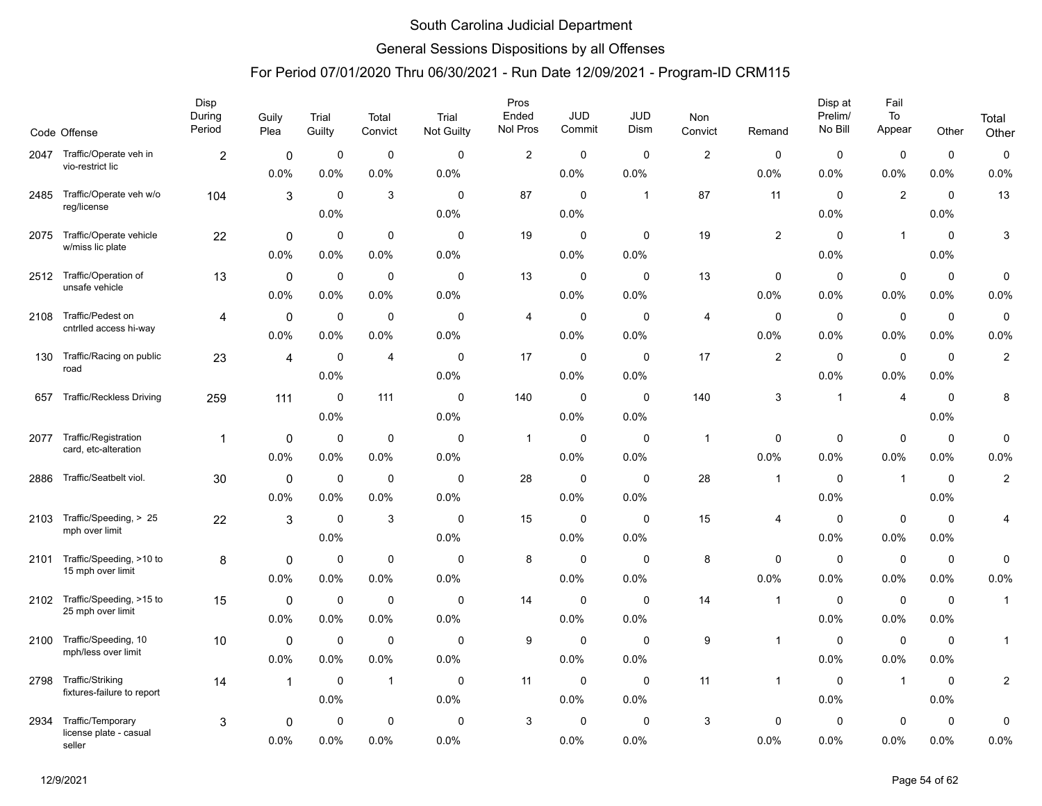### General Sessions Dispositions by all Offenses

|      | Code Offense                                   | Disp<br>During<br>Period | Guily<br>Plea | Trial<br>Guilty | Total<br>Convict | Trial<br><b>Not Guilty</b> | Pros<br>Ended<br>Nol Pros | <b>JUD</b><br>Commit | <b>JUD</b><br>Dism | Non<br>Convict | Remand         | Disp at<br>Prelim/<br>No Bill | Fail<br>To<br>Appear | Other       | Total<br>Other          |
|------|------------------------------------------------|--------------------------|---------------|-----------------|------------------|----------------------------|---------------------------|----------------------|--------------------|----------------|----------------|-------------------------------|----------------------|-------------|-------------------------|
| 2047 | Traffic/Operate veh in                         | $\overline{2}$           | 0             | 0               | $\mathbf 0$      | 0                          | $\boldsymbol{2}$          | 0                    | 0                  | 2              | $\mathbf 0$    | 0                             | 0                    | 0           | 0                       |
|      | vio-restrict lic                               |                          | 0.0%          | 0.0%            | 0.0%             | 0.0%                       |                           | 0.0%                 | 0.0%               |                | 0.0%           | 0.0%                          | 0.0%                 | 0.0%        | 0.0%                    |
| 2485 | Traffic/Operate veh w/o                        | 104                      | 3             | $\mathbf 0$     | 3                | 0                          | 87                        | $\mathbf 0$          | $\mathbf{1}$       | 87             | 11             | $\mathbf 0$                   | $\overline{2}$       | $\mathbf 0$ | 13                      |
|      | reg/license                                    |                          |               | 0.0%            |                  | $0.0\%$                    |                           | 0.0%                 |                    |                |                | 0.0%                          |                      | 0.0%        |                         |
| 2075 | Traffic/Operate vehicle                        | 22                       | $\mathbf 0$   | 0               | $\mathbf 0$      | 0                          | 19                        | 0                    | 0                  | 19             | $\overline{2}$ | $\mathbf 0$                   | $\overline{1}$       | $\mathbf 0$ | 3                       |
|      | w/miss lic plate                               |                          | 0.0%          | 0.0%            | 0.0%             | 0.0%                       |                           | 0.0%                 | 0.0%               |                |                | 0.0%                          |                      | 0.0%        |                         |
| 2512 | Traffic/Operation of                           | 13                       | $\mathbf 0$   | $\mathbf 0$     | $\overline{0}$   | 0                          | 13                        | $\mathbf 0$          | $\mathbf 0$        | 13             | $\mathbf 0$    | $\mathbf 0$                   | $\mathbf 0$          | $\mathbf 0$ | 0                       |
|      | unsafe vehicle                                 |                          | 0.0%          | 0.0%            | 0.0%             | $0.0\%$                    |                           | 0.0%                 | 0.0%               |                | 0.0%           | 0.0%                          | 0.0%                 | 0.0%        | 0.0%                    |
| 2108 | Traffic/Pedest on                              | 4                        | 0             | $\mathbf 0$     | 0                | 0                          | 4                         | 0                    | $\Omega$           | 4              | $\mathbf 0$    | $\mathbf 0$                   | $\mathbf 0$          | $\mathbf 0$ | 0                       |
|      | cntrlled access hi-way                         |                          | 0.0%          | 0.0%            | 0.0%             | 0.0%                       |                           | 0.0%                 | 0.0%               |                | 0.0%           | 0.0%                          | 0.0%                 | 0.0%        | 0.0%                    |
| 130  | Traffic/Racing on public                       | 23                       | 4             | 0               | 4                | 0                          | 17                        | 0                    | 0                  | 17             | $\overline{2}$ | 0                             | $\mathbf 0$          | 0           | $\boldsymbol{2}$        |
|      | road                                           |                          |               | 0.0%            |                  | 0.0%                       |                           | 0.0%                 | 0.0%               |                |                | 0.0%                          | 0.0%                 | 0.0%        |                         |
| 657  | <b>Traffic/Reckless Driving</b>                | 259                      | 111           | 0               | 111              | 0                          | 140                       | $\mathbf 0$          | 0                  | 140            | 3              | -1                            | 4                    | 0           | 8                       |
|      |                                                |                          |               | 0.0%            |                  | $0.0\%$                    |                           | 0.0%                 | 0.0%               |                |                |                               |                      | 0.0%        |                         |
| 2077 | Traffic/Registration                           | $\mathbf{1}$             | $\pmb{0}$     | 0               | $\mathbf 0$      | 0                          | $\mathbf{1}$              | $\mathbf 0$          | $\mathbf 0$        | $\mathbf{1}$   | $\mathbf 0$    | 0                             | 0                    | 0           | 0                       |
|      | card, etc-alteration                           |                          | 0.0%          | 0.0%            | 0.0%             | $0.0\%$                    |                           | 0.0%                 | 0.0%               |                | 0.0%           | 0.0%                          | 0.0%                 | 0.0%        | 0.0%                    |
| 2886 | Traffic/Seatbelt viol.                         | 30                       | $\pmb{0}$     | 0               | $\mathbf 0$      | 0                          | 28                        | $\mathbf 0$          | $\mathbf 0$        | 28             | -1             | $\mathbf 0$                   | $\overline{1}$       | 0           | $\boldsymbol{2}$        |
|      |                                                |                          | 0.0%          | 0.0%            | 0.0%             | 0.0%                       |                           | 0.0%                 | 0.0%               |                |                | 0.0%                          |                      | 0.0%        |                         |
| 2103 | Traffic/Speeding, > 25<br>mph over limit       | 22                       | 3             | $\mathbf 0$     | 3                | 0                          | 15                        | 0                    | $\mathbf 0$        | 15             | 4              | $\mathbf 0$                   | $\mathbf 0$          | 0           | 4                       |
|      |                                                |                          |               | 0.0%            |                  | 0.0%                       |                           | 0.0%                 | 0.0%               |                |                | $0.0\%$                       | $0.0\%$              | 0.0%        |                         |
| 2101 | Traffic/Speeding, >10 to<br>15 mph over limit  | 8                        | $\mathbf 0$   | $\mathbf 0$     | $\mathbf 0$      | 0                          | 8                         | $\mathbf 0$          | $\mathbf 0$        | 8              | $\mathbf 0$    | 0                             | $\mathbf 0$          | $\mathbf 0$ | 0                       |
|      |                                                |                          | 0.0%          | 0.0%            | 0.0%             | 0.0%                       |                           | 0.0%                 | 0.0%               |                | 0.0%           | 0.0%                          | 0.0%                 | 0.0%        | 0.0%                    |
| 2102 | Traffic/Speeding, >15 to<br>25 mph over limit  | 15                       | 0             | 0               | 0                | 0                          | 14                        | 0                    | 0                  | 14             | -1             | $\mathbf 0$                   | $\mathbf 0$          | $\mathbf 0$ | $\mathbf{1}$            |
|      |                                                |                          | 0.0%          | 0.0%            | 0.0%             | 0.0%                       |                           | 0.0%                 | 0.0%               |                |                | 0.0%                          | 0.0%                 | 0.0%        |                         |
| 2100 | Traffic/Speeding, 10<br>mph/less over limit    | 10                       | 0             | $\mathbf 0$     | 0                | 0                          | 9                         | $\mathbf 0$          | $\Omega$           | 9              | -1             | $\mathbf 0$                   | 0                    | $\mathbf 0$ | $\mathbf{1}$            |
|      |                                                |                          | 0.0%          | 0.0%            | 0.0%             | 0.0%                       |                           | 0.0%                 | 0.0%               |                |                | 0.0%                          | 0.0%                 | 0.0%        |                         |
| 2798 | Traffic/Striking<br>fixtures-failure to report | 14                       | $\mathbf{1}$  | 0               | $\overline{1}$   | 0                          | 11                        | $\mathbf 0$          | 0                  | 11             | -1             | 0                             | $\overline{1}$       | 0           | $\overline{\mathbf{c}}$ |
|      |                                                |                          |               | 0.0%            |                  | 0.0%                       |                           | 0.0%                 | 0.0%               |                |                | 0.0%                          |                      | 0.0%        |                         |
| 2934 | Traffic/Temporary                              | 3                        | 0             | 0               | $\mathbf 0$      | 0                          | 3                         | 0                    | 0                  | 3              | $\mathbf 0$    | 0                             | 0                    | 0           | 0                       |
|      | license plate - casual<br>seller               |                          | 0.0%          | 0.0%            | 0.0%             | $0.0\%$                    |                           | 0.0%                 | 0.0%               |                | 0.0%           | 0.0%                          | 0.0%                 | 0.0%        | 0.0%                    |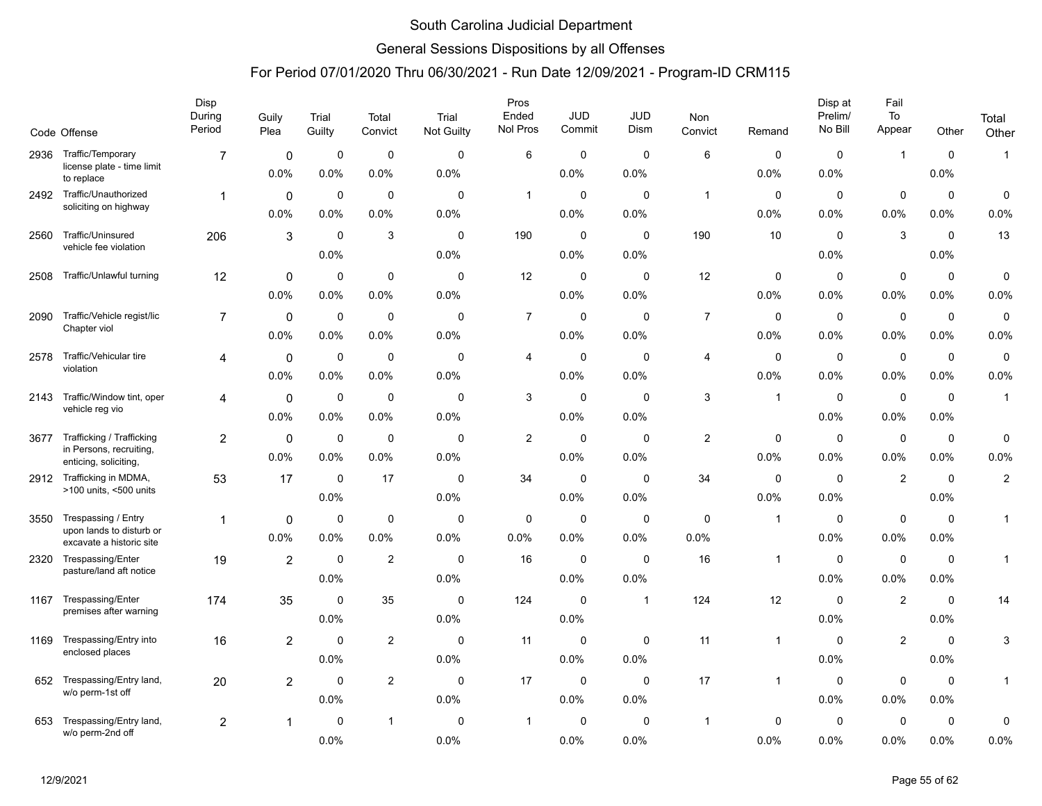### General Sessions Dispositions by all Offenses

|      |                                                                               | Disp<br>During<br>Period | Guily<br>Plea          | Trial<br>Guilty     | Total<br>Convict    | Trial<br><b>Not Guilty</b> | Pros<br>Ended<br>Nol Pros | <b>JUD</b><br>Commit | <b>JUD</b><br>Dism  | <b>Non</b><br>Convict | Remand              | Disp at<br>Prelim/<br>No Bill | Fail<br>To<br>Appear | Other                  | Total               |
|------|-------------------------------------------------------------------------------|--------------------------|------------------------|---------------------|---------------------|----------------------------|---------------------------|----------------------|---------------------|-----------------------|---------------------|-------------------------------|----------------------|------------------------|---------------------|
|      | Code Offense                                                                  |                          |                        |                     |                     |                            |                           |                      |                     |                       |                     |                               |                      |                        | Other               |
| 2936 | Traffic/Temporary<br>license plate - time limit<br>to replace                 | $\overline{7}$           | 0<br>0.0%              | $\mathbf 0$<br>0.0% | $\mathbf 0$<br>0.0% | $\mathbf 0$<br>0.0%        | 6                         | 0<br>0.0%            | $\mathbf 0$<br>0.0% | $\,6\,$               | 0<br>0.0%           | $\mathbf 0$<br>0.0%           | $\mathbf{1}$         | $\mathbf 0$<br>0.0%    | $\mathbf{1}$        |
| 2492 | Traffic/Unauthorized<br>soliciting on highway                                 | $\mathbf{1}$             | $\mathbf 0$<br>0.0%    | $\mathbf 0$<br>0.0% | $\mathbf 0$<br>0.0% | $\mathbf 0$<br>0.0%        | $\overline{1}$            | $\mathbf 0$<br>0.0%  | $\mathbf 0$<br>0.0% | $\mathbf{1}$          | $\mathbf 0$<br>0.0% | $\mathbf 0$<br>0.0%           | $\mathbf 0$<br>0.0%  | $\mathbf 0$<br>$0.0\%$ | $\mathbf 0$<br>0.0% |
| 2560 | Traffic/Uninsured<br>vehicle fee violation                                    | 206                      | 3                      | $\mathbf 0$<br>0.0% | 3                   | 0<br>0.0%                  | 190                       | 0<br>0.0%            | $\mathbf 0$<br>0.0% | 190                   | 10                  | $\mathbf 0$<br>0.0%           | 3                    | $\mathbf 0$<br>$0.0\%$ | 13                  |
| 2508 | Traffic/Unlawful turning                                                      | 12                       | 0<br>0.0%              | 0<br>0.0%           | $\Omega$<br>0.0%    | $\Omega$<br>0.0%           | 12                        | 0<br>0.0%            | 0<br>0.0%           | 12                    | 0<br>0.0%           | 0<br>0.0%                     | $\mathbf 0$<br>0.0%  | 0<br>0.0%              | $\mathbf 0$<br>0.0% |
| 2090 | Traffic/Vehicle regist/lic<br>Chapter viol                                    | $\overline{7}$           | $\mathbf{0}$<br>0.0%   | $\mathbf 0$<br>0.0% | $\mathbf 0$<br>0.0% | $\Omega$<br>0.0%           | $\overline{7}$            | $\mathbf 0$<br>0.0%  | $\Omega$<br>0.0%    | $\overline{7}$        | 0<br>0.0%           | $\mathbf 0$<br>0.0%           | $\mathbf 0$<br>0.0%  | $\mathbf 0$<br>0.0%    | $\mathbf 0$<br>0.0% |
| 2578 | Traffic/Vehicular tire<br>violation                                           | 4                        | $\mathbf 0$<br>0.0%    | 0<br>0.0%           | $\mathbf 0$<br>0.0% | $\mathbf 0$<br>0.0%        | 4                         | $\mathbf 0$<br>0.0%  | $\mathbf 0$<br>0.0% | $\overline{4}$        | $\mathbf 0$<br>0.0% | $\mathbf 0$<br>0.0%           | $\mathbf 0$<br>0.0%  | $\mathbf 0$<br>$0.0\%$ | $\mathsf 0$<br>0.0% |
| 2143 | Traffic/Window tint, oper<br>vehicle reg vio                                  | 4                        | $\mathbf 0$<br>0.0%    | 0<br>0.0%           | $\mathbf 0$<br>0.0% | 0<br>0.0%                  | 3                         | 0<br>0.0%            | $\mathbf 0$<br>0.0% | 3                     | $\overline{1}$      | $\mathbf 0$<br>0.0%           | $\mathbf 0$<br>0.0%  | $\mathbf 0$<br>0.0%    | $\mathbf{1}$        |
| 3677 | Trafficking / Trafficking<br>in Persons, recruiting,<br>enticing, soliciting, | $\overline{2}$           | $\mathbf 0$<br>$0.0\%$ | $\mathbf 0$<br>0.0% | $\mathbf 0$<br>0.0% | $\mathbf 0$<br>0.0%        | $\overline{2}$            | $\mathbf 0$<br>0.0%  | $\mathbf 0$<br>0.0% | $\overline{2}$        | $\mathbf 0$<br>0.0% | $\mathbf 0$<br>0.0%           | $\mathbf 0$<br>0.0%  | $\mathbf 0$<br>$0.0\%$ | $\mathbf 0$<br>0.0% |
| 2912 | Trafficking in MDMA,<br>>100 units, <500 units                                | 53                       | 17                     | $\mathbf 0$<br>0.0% | 17                  | $\mathbf 0$<br>0.0%        | 34                        | $\mathbf 0$<br>0.0%  | $\Omega$<br>0.0%    | 34                    | $\mathbf 0$<br>0.0% | $\mathbf 0$<br>0.0%           | $\boldsymbol{2}$     | $\mathbf 0$<br>0.0%    | $\overline{c}$      |
| 3550 | Trespassing / Entry<br>upon lands to disturb or<br>excavate a historic site   | 1                        | 0<br>0.0%              | $\mathbf 0$<br>0.0% | $\mathbf 0$<br>0.0% | $\mathbf 0$<br>0.0%        | 0<br>0.0%                 | 0<br>0.0%            | 0<br>0.0%           | $\mathbf 0$<br>0.0%   | $\overline{1}$      | $\mathbf 0$<br>0.0%           | $\pmb{0}$<br>0.0%    | $\mathbf 0$<br>0.0%    | 1                   |
| 2320 | Trespassing/Enter<br>pasture/land aft notice                                  | 19                       | $\overline{2}$         | $\mathbf 0$<br>0.0% | $\overline{2}$      | $\mathbf 0$<br>0.0%        | 16                        | $\mathbf 0$<br>0.0%  | $\mathbf 0$<br>0.0% | 16                    | $\overline{1}$      | $\mathbf 0$<br>0.0%           | $\mathbf 0$<br>0.0%  | $\mathbf 0$<br>$0.0\%$ | $\mathbf{1}$        |
| 1167 | Trespassing/Enter<br>premises after warning                                   | 174                      | 35                     | $\mathbf 0$<br>0.0% | 35                  | $\mathbf 0$<br>0.0%        | 124                       | 0<br>0.0%            | $\mathbf{1}$        | 124                   | 12                  | $\mathbf 0$<br>0.0%           | $\overline{2}$       | $\mathbf 0$<br>$0.0\%$ | 14                  |
| 1169 | Trespassing/Entry into<br>enclosed places                                     | 16                       | $\overline{2}$         | $\mathbf 0$<br>0.0% | $\overline{2}$      | $\mathbf 0$<br>0.0%        | 11                        | 0<br>$0.0\%$         | 0<br>0.0%           | 11                    | $\overline{1}$      | 0<br>0.0%                     | $\overline{2}$       | $\mathbf 0$<br>$0.0\%$ | 3                   |
| 652  | Trespassing/Entry land,<br>w/o perm-1st off                                   | 20                       | $\overline{2}$         | $\mathbf 0$<br>0.0% | 2                   | $\mathbf 0$<br>0.0%        | 17                        | 0<br>0.0%            | 0<br>0.0%           | 17                    | $\overline{1}$      | $\mathbf 0$<br>0.0%           | $\mathbf 0$<br>0.0%  | $\mathbf 0$<br>0.0%    | $\mathbf{1}$        |
| 653  | Trespassing/Entry land,<br>w/o perm-2nd off                                   | $\overline{2}$           | 1                      | $\mathbf 0$<br>0.0% | $\mathbf 1$         | $\mathbf 0$<br>0.0%        | 1                         | $\mathbf 0$<br>0.0%  | $\mathbf 0$<br>0.0% | $\mathbf{1}$          | 0<br>0.0%           | $\mathbf 0$<br>0.0%           | $\mathbf 0$<br>0.0%  | 0<br>0.0%              | 0<br>0.0%           |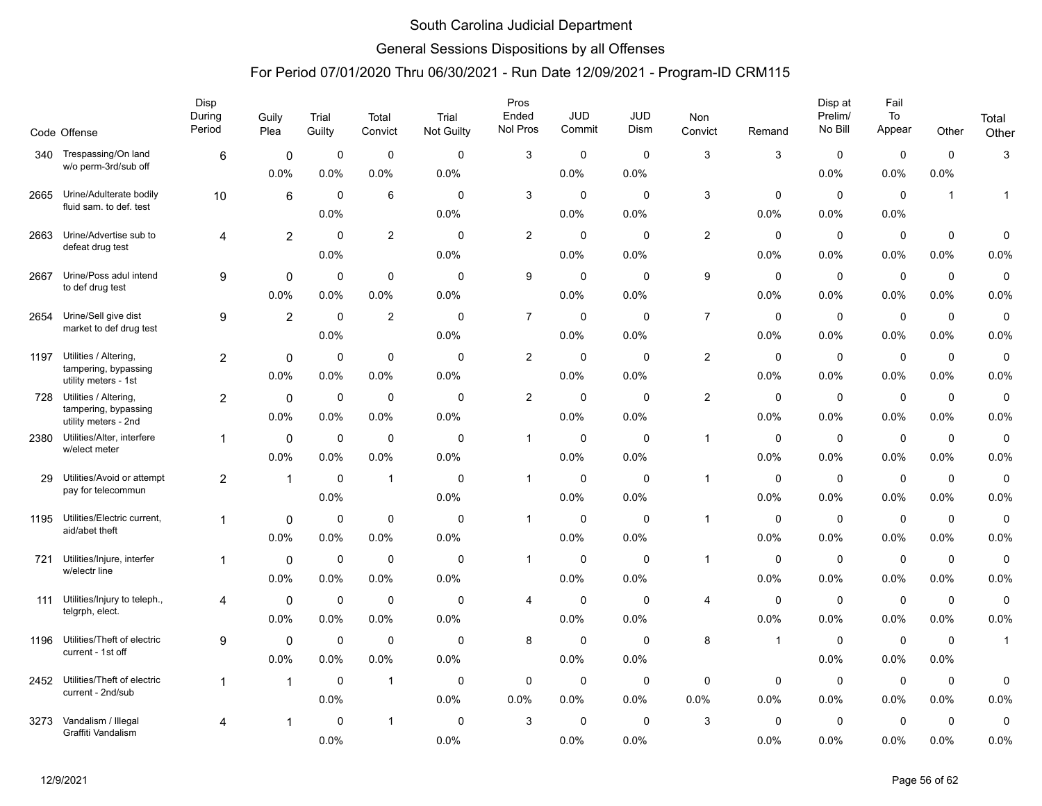### General Sessions Dispositions by all Offenses

|      |                                                    | Disp<br>During | Guily          | Trial       | Total          | Trial               | Pros<br>Ended  | <b>JUD</b>          | JUD                 | Non                     |              | Disp at<br>Prelim/     | Fail<br>To          |                     | Total               |
|------|----------------------------------------------------|----------------|----------------|-------------|----------------|---------------------|----------------|---------------------|---------------------|-------------------------|--------------|------------------------|---------------------|---------------------|---------------------|
|      | Code Offense                                       | Period         | Plea           | Guilty      | Convict        | Not Guilty          | Nol Pros       | Commit              | Dism                | Convict                 | Remand       | No Bill                | Appear              | Other               | Other               |
| 340  | Trespassing/On land                                | 6              | $\mathbf 0$    | $\mathbf 0$ | $\mathbf 0$    | $\mathbf 0$         | 3              | $\mathbf 0$         | $\mathbf 0$         | 3                       | 3            | $\mathbf 0$            | $\mathbf 0$         | $\mathbf 0$         | 3                   |
|      | w/o perm-3rd/sub off                               |                | $0.0\%$        | 0.0%        | 0.0%           | 0.0%                |                | 0.0%                | 0.0%                |                         |              | $0.0\%$                | $0.0\%$             | 0.0%                |                     |
| 2665 | Urine/Adulterate bodily<br>fluid sam. to def. test | 10             | 6              | $\Omega$    | 6              | $\Omega$            | 3              | $\mathbf 0$         | $\Omega$            | 3                       | $\mathbf 0$  | $\Omega$               | $\mathbf 0$         | $\mathbf{1}$        | $\mathbf{1}$        |
|      |                                                    |                |                | 0.0%        |                | 0.0%                |                | 0.0%                | 0.0%                |                         | 0.0%         | 0.0%                   | 0.0%                |                     |                     |
| 2663 | Urine/Advertise sub to<br>defeat drug test         | 4              | $\overline{2}$ | $\mathbf 0$ | $\overline{2}$ | $\mathbf 0$         | $\overline{c}$ | $\mathbf 0$         | $\mathbf 0$         | $\sqrt{2}$              | $\mathbf 0$  | 0                      | $\mathbf 0$         | $\mathbf 0$         | 0                   |
|      |                                                    |                |                | 0.0%        |                | 0.0%                |                | 0.0%                | 0.0%                |                         | 0.0%         | 0.0%                   | 0.0%                | 0.0%                | 0.0%                |
| 2667 | Urine/Poss adul intend<br>to def drug test         | 9              | $\mathbf 0$    | $\mathbf 0$ | $\mathbf 0$    | $\mathbf 0$         | 9              | $\mathbf 0$         | $\mathbf 0$         | 9                       | 0            | $\mathbf 0$            | $\mathbf 0$         | $\mathbf 0$         | $\mathbf 0$         |
|      |                                                    |                | 0.0%           | 0.0%        | 0.0%           | 0.0%                |                | $0.0\%$             | 0.0%                |                         | 0.0%         | 0.0%                   | 0.0%                | 0.0%                | 0.0%                |
| 2654 | Urine/Sell give dist<br>market to def drug test    | 9              | $\overline{2}$ | $\mathbf 0$ | 2              | $\mathbf{0}$        | $\overline{7}$ | $\mathbf 0$         | $\Omega$            | $\overline{7}$          | $\mathbf 0$  | $\mathbf 0$            | $\mathbf 0$         | $\mathbf 0$         | 0                   |
|      |                                                    |                |                | 0.0%        |                | 0.0%                |                | 0.0%                | 0.0%                |                         | 0.0%         | 0.0%                   | 0.0%                | 0.0%                | 0.0%                |
| 1197 | Utilities / Altering,<br>tampering, bypassing      | $\overline{2}$ | $\mathbf 0$    | $\mathbf 0$ | $\mathbf 0$    | $\mathbf 0$         | 2              | $\mathbf 0$         | $\mathbf 0$         | $\overline{\mathbf{c}}$ | $\mathbf 0$  | $\mathbf 0$            | $\mathbf 0$         | $\mathbf 0$         | $\pmb{0}$           |
|      | utility meters - 1st                               |                | 0.0%           | 0.0%        | 0.0%           | 0.0%                |                | $0.0\%$             | 0.0%                |                         | 0.0%         | $0.0\%$                | $0.0\%$             | 0.0%                | 0.0%                |
| 728  | Utilities / Altering,<br>tampering, bypassing      | 2              | $\mathbf 0$    | 0           | $\mathbf 0$    | 0                   | $\overline{c}$ | 0                   | 0                   | $\overline{2}$          | 0            | 0                      | 0                   | $\mathbf 0$         | $\mathbf 0$         |
|      | utility meters - 2nd                               |                | 0.0%           | 0.0%        | 0.0%           | 0.0%                |                | 0.0%                | 0.0%                |                         | 0.0%         | 0.0%                   | 0.0%                | 0.0%                | 0.0%                |
| 2380 | Utilities/Alter, interfere<br>w/elect meter        | $\mathbf 1$    | $\Omega$       | $\mathbf 0$ | $\mathbf 0$    | $\mathbf{0}$        | $\mathbf{1}$   | $\mathbf 0$         | $\Omega$            | $\overline{1}$          | $\mathbf 0$  | $\mathbf 0$            | $\pmb{0}$           | $\mathbf 0$         | 0                   |
|      |                                                    |                | 0.0%           | 0.0%        | 0.0%           | 0.0%                |                | $0.0\%$             | 0.0%                |                         | 0.0%         | 0.0%                   | 0.0%                | 0.0%                | 0.0%                |
| 29   | Utilities/Avoid or attempt<br>pay for telecommun   | $\overline{2}$ | $\overline{1}$ | 0<br>0.0%   | $\overline{1}$ | $\mathbf 0$<br>0.0% | $\mathbf{1}$   | 0<br>$0.0\%$        | $\mathbf 0$<br>0.0% | $\overline{1}$          | 0<br>0.0%    | $\mathbf 0$<br>$0.0\%$ | $\mathbf 0$<br>0.0% | $\mathbf 0$<br>0.0% | 0<br>0.0%           |
|      | Utilities/Electric current,                        |                |                |             | $\mathbf 0$    |                     |                |                     |                     | $\overline{1}$          |              |                        |                     |                     |                     |
| 1195 | aid/abet theft                                     | 1              | 0<br>0.0%      | 0<br>0.0%   | 0.0%           | $\mathbf 0$<br>0.0% | $\mathbf{1}$   | $\mathbf 0$<br>0.0% | $\mathbf 0$<br>0.0% |                         | 0<br>0.0%    | $\mathbf 0$<br>0.0%    | $\mathbf 0$<br>0.0% | $\mathbf 0$<br>0.0% | $\mathbf 0$<br>0.0% |
| 721  | Utilities/Injure, interfer                         | 1              | $\mathbf 0$    | $\mathbf 0$ | $\mathbf 0$    | $\mathbf 0$         | $\mathbf{1}$   | $\mathbf 0$         | $\Omega$            | $\overline{1}$          | $\mathbf 0$  | $\mathbf 0$            | $\mathbf 0$         | $\mathbf 0$         | 0                   |
|      | w/electr line                                      |                | 0.0%           | 0.0%        | 0.0%           | 0.0%                |                | $0.0\%$             | 0.0%                |                         | 0.0%         | 0.0%                   | 0.0%                | 0.0%                | 0.0%                |
| 111  | Utilities/Injury to teleph.,                       | 4              | $\mathbf 0$    | 0           | $\mathbf 0$    | 0                   | 4              | 0                   | $\mathbf 0$         | 4                       | 0            | 0                      | 0                   | $\mathbf 0$         | 0                   |
|      | telgrph, elect.                                    |                | 0.0%           | 0.0%        | 0.0%           | 0.0%                |                | 0.0%                | 0.0%                |                         | 0.0%         | 0.0%                   | 0.0%                | 0.0%                | 0.0%                |
| 1196 | Utilities/Theft of electric                        | 9              | $\mathbf 0$    | $\mathbf 0$ | $\mathbf 0$    | $\mathbf 0$         | 8              | 0                   | $\mathbf 0$         | 8                       | $\mathbf{1}$ | 0                      | $\mathsf 0$         | $\mathbf 0$         | $\mathbf{1}$        |
|      | current - 1st off                                  |                | 0.0%           | 0.0%        | 0.0%           | 0.0%                |                | 0.0%                | 0.0%                |                         |              | 0.0%                   | 0.0%                | 0.0%                |                     |
| 2452 | Utilities/Theft of electric                        | 1              | $\mathbf{1}$   | $\mathbf 0$ | $\mathbf{1}$   | $\mathbf 0$         | $\mathbf 0$    | $\mathbf 0$         | $\mathbf 0$         | $\mathbf 0$             | $\mathbf 0$  | $\mathbf 0$            | $\mathbf 0$         | $\mathbf 0$         | 0                   |
|      | current - 2nd/sub                                  |                |                | 0.0%        |                | 0.0%                | 0.0%           | $0.0\%$             | 0.0%                | 0.0%                    | 0.0%         | $0.0\%$                | 0.0%                | 0.0%                | 0.0%                |
| 3273 | Vandalism / Illegal                                | 4              | 1              | $\Omega$    | $\mathbf{1}$   | $\mathbf 0$         | 3              | 0                   | 0                   | 3                       | 0            | 0                      | $\mathbf 0$         | 0                   | 0                   |
|      | Graffiti Vandalism                                 |                |                | 0.0%        |                | 0.0%                |                | 0.0%                | 0.0%                |                         | 0.0%         | 0.0%                   | 0.0%                | 0.0%                | 0.0%                |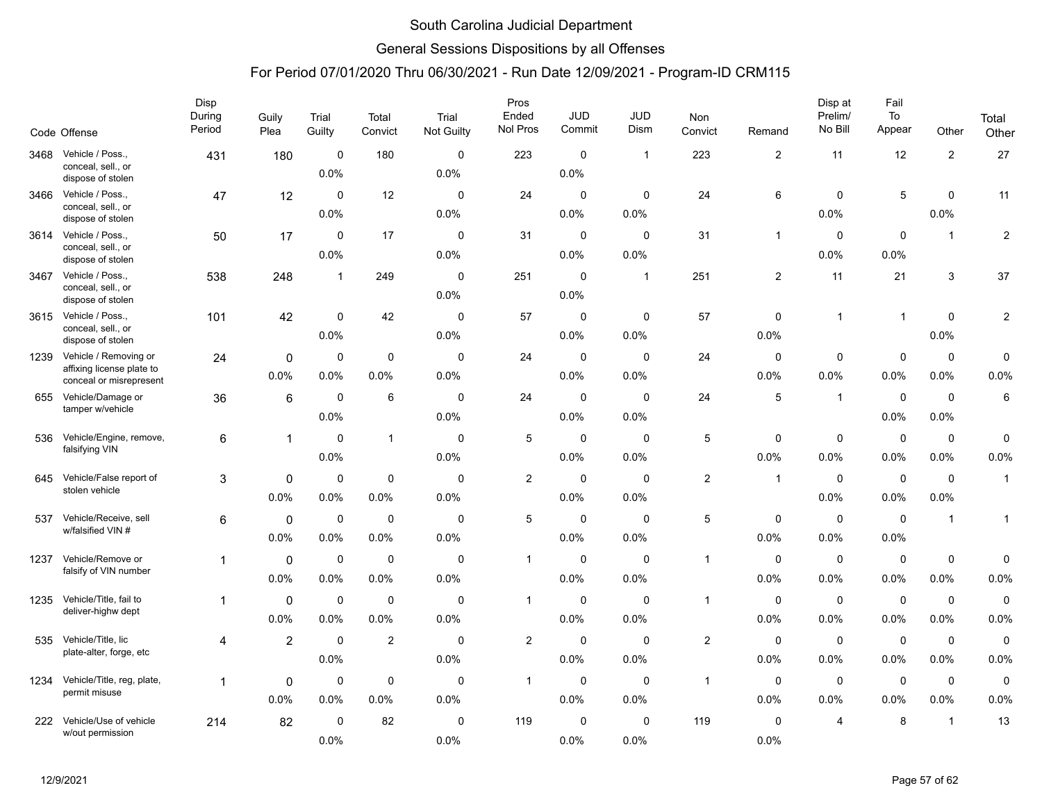### General Sessions Dispositions by all Offenses

|      | Code Offense                                                                  | Disp<br>During<br>Period | Guily<br>Plea       | Trial<br>Guilty     | Total<br>Convict    | Trial<br><b>Not Guilty</b> | Pros<br>Ended<br>Nol Pros | <b>JUD</b><br>Commit   | JUD<br>Dism         | Non<br>Convict | Remand                 | Disp at<br>Prelim/<br>No Bill | Fail<br>To<br>Appear | Other               | Total<br>Other      |
|------|-------------------------------------------------------------------------------|--------------------------|---------------------|---------------------|---------------------|----------------------------|---------------------------|------------------------|---------------------|----------------|------------------------|-------------------------------|----------------------|---------------------|---------------------|
| 3468 | Vehicle / Poss.,<br>conceal, sell., or<br>dispose of stolen                   | 431                      | 180                 | $\mathbf 0$<br>0.0% | 180                 | 0<br>0.0%                  | 223                       | $\mathbf 0$<br>0.0%    | $\mathbf{1}$        | 223            | $\overline{2}$         | 11                            | 12                   | $\sqrt{2}$          | $27\,$              |
| 3466 | Vehicle / Poss.,<br>conceal, sell., or<br>dispose of stolen                   | 47                       | 12                  | $\mathbf 0$<br>0.0% | 12                  | $\mathbf 0$<br>0.0%        | 24                        | $\mathbf 0$<br>$0.0\%$ | $\mathbf 0$<br>0.0% | 24             | 6                      | $\mathbf 0$<br>0.0%           | 5                    | $\mathbf 0$<br>0.0% | 11                  |
| 3614 | Vehicle / Poss.,<br>conceal, sell., or<br>dispose of stolen                   | 50                       | 17                  | $\mathbf 0$<br>0.0% | 17                  | $\mathbf 0$<br>0.0%        | 31                        | $\mathbf 0$<br>0.0%    | $\mathbf 0$<br>0.0% | 31             | $\mathbf{1}$           | $\mathbf 0$<br>0.0%           | $\mathbf 0$<br>0.0%  | $\mathbf{1}$        | $\overline{c}$      |
| 3467 | Vehicle / Poss.,<br>conceal, sell., or<br>dispose of stolen                   | 538                      | 248                 | $\mathbf 1$         | 249                 | $\Omega$<br>0.0%           | 251                       | $\mathbf 0$<br>0.0%    | $\mathbf{1}$        | 251            | 2                      | 11                            | 21                   | 3                   | 37                  |
| 3615 | Vehicle / Poss.,<br>conceal, sell., or<br>dispose of stolen                   | 101                      | 42                  | $\mathbf 0$<br>0.0% | 42                  | $\mathbf 0$<br>0.0%        | 57                        | $\mathbf 0$<br>$0.0\%$ | $\mathbf 0$<br>0.0% | 57             | $\Omega$<br>0.0%       | $\overline{1}$                | $\overline{1}$       | $\mathbf 0$<br>0.0% | $\overline{c}$      |
| 1239 | Vehicle / Removing or<br>affixing license plate to<br>conceal or misrepresent | 24                       | 0<br>0.0%           | $\mathbf 0$<br>0.0% | $\mathbf 0$<br>0.0% | $\mathbf 0$<br>0.0%        | 24                        | $\mathbf 0$<br>0.0%    | 0<br>0.0%           | 24             | 0<br>0.0%              | 0<br>0.0%                     | $\mathbf 0$<br>0.0%  | $\mathbf 0$<br>0.0% | 0<br>0.0%           |
| 655  | Vehicle/Damage or<br>tamper w/vehicle                                         | 36                       | 6                   | $\mathbf 0$<br>0.0% | 6                   | $\mathbf 0$<br>0.0%        | 24                        | $\mathbf 0$<br>$0.0\%$ | $\mathbf 0$<br>0.0% | 24             | 5                      | $\overline{1}$                | $\mathbf 0$<br>0.0%  | $\mathbf 0$<br>0.0% | 6                   |
| 536  | Vehicle/Engine, remove,<br>falsifying VIN                                     | 6                        | $\mathbf{1}$        | $\mathbf 0$<br>0.0% | $\mathbf{1}$        | $\mathbf 0$<br>0.0%        | $\sqrt{5}$                | $\mathbf 0$<br>0.0%    | $\mathbf 0$<br>0.0% | 5              | $\mathbf 0$<br>0.0%    | $\mathbf 0$<br>0.0%           | $\mathbf 0$<br>0.0%  | $\mathbf 0$<br>0.0% | 0<br>0.0%           |
| 645  | Vehicle/False report of<br>stolen vehicle                                     | 3                        | $\Omega$<br>0.0%    | $\mathbf 0$<br>0.0% | $\mathbf 0$<br>0.0% | $\mathbf 0$<br>0.0%        | $\overline{\mathbf{c}}$   | $\mathbf 0$<br>0.0%    | $\mathbf 0$<br>0.0% | $\overline{2}$ | $\mathbf{1}$           | $\mathbf 0$<br>0.0%           | $\mathbf 0$<br>0.0%  | $\mathbf 0$<br>0.0% | $\mathbf{1}$        |
| 537  | Vehicle/Receive, sell<br>w/falsified VIN #                                    | 6                        | $\mathbf 0$<br>0.0% | 0<br>0.0%           | $\mathbf 0$<br>0.0% | $\mathbf 0$<br>0.0%        | 5                         | $\mathbf 0$<br>$0.0\%$ | $\mathbf 0$<br>0.0% | 5              | $\mathbf 0$<br>0.0%    | $\mathbf 0$<br>$0.0\%$        | $\mathbf 0$<br>0.0%  | $\mathbf{1}$        | $\mathbf{1}$        |
| 1237 | Vehicle/Remove or<br>falsify of VIN number                                    | $\mathbf{1}$             | 0<br>0.0%           | $\mathbf 0$<br>0.0% | $\mathbf 0$<br>0.0% | $\Omega$<br>0.0%           | $\mathbf{1}$              | $\mathbf 0$<br>0.0%    | $\Omega$<br>0.0%    | $\overline{1}$ | $\Omega$<br>0.0%       | $\mathbf 0$<br>0.0%           | $\mathbf 0$<br>0.0%  | $\mathbf 0$<br>0.0% | $\mathbf 0$<br>0.0% |
| 1235 | Vehicle/Title, fail to<br>deliver-highw dept                                  | 1                        | 0<br>0.0%           | $\mathbf 0$<br>0.0% | $\mathbf 0$<br>0.0% | $\mathbf 0$<br>0.0%        | 1                         | $\mathbf 0$<br>0.0%    | $\mathbf 0$<br>0.0% | $\overline{1}$ | $\mathbf 0$<br>$0.0\%$ | $\mathbf 0$<br>0.0%           | $\mathbf 0$<br>0.0%  | $\mathbf 0$<br>0.0% | $\pmb{0}$<br>0.0%   |
| 535  | Vehicle/Title, lic<br>plate-alter, forge, etc                                 | 4                        | $\overline{2}$      | 0<br>0.0%           | 2                   | 0<br>0.0%                  | $\overline{2}$            | 0<br>0.0%              | 0<br>0.0%           | $\overline{c}$ | 0<br>0.0%              | 0<br>0.0%                     | 0<br>0.0%            | $\mathbf 0$<br>0.0% | 0<br>0.0%           |
| 1234 | Vehicle/Title, reg, plate,<br>permit misuse                                   | 1                        | 0<br>0.0%           | $\mathbf 0$<br>0.0% | $\mathbf 0$<br>0.0% | $\mathbf 0$<br>0.0%        | $\mathbf{1}$              | $\mathbf 0$<br>0.0%    | $\mathbf 0$<br>0.0% | $\overline{1}$ | $\mathbf 0$<br>0.0%    | $\mathbf 0$<br>0.0%           | $\mathsf 0$<br>0.0%  | $\mathbf 0$<br>0.0% | 0<br>0.0%           |
| 222  | Vehicle/Use of vehicle<br>w/out permission                                    | 214                      | 82                  | $\mathbf 0$<br>0.0% | 82                  | $\mathbf 0$<br>0.0%        | 119                       | $\mathbf 0$<br>0.0%    | $\mathbf 0$<br>0.0% | 119            | $\mathbf 0$<br>0.0%    | 4                             | 8                    | $\mathbf{1}$        | 13                  |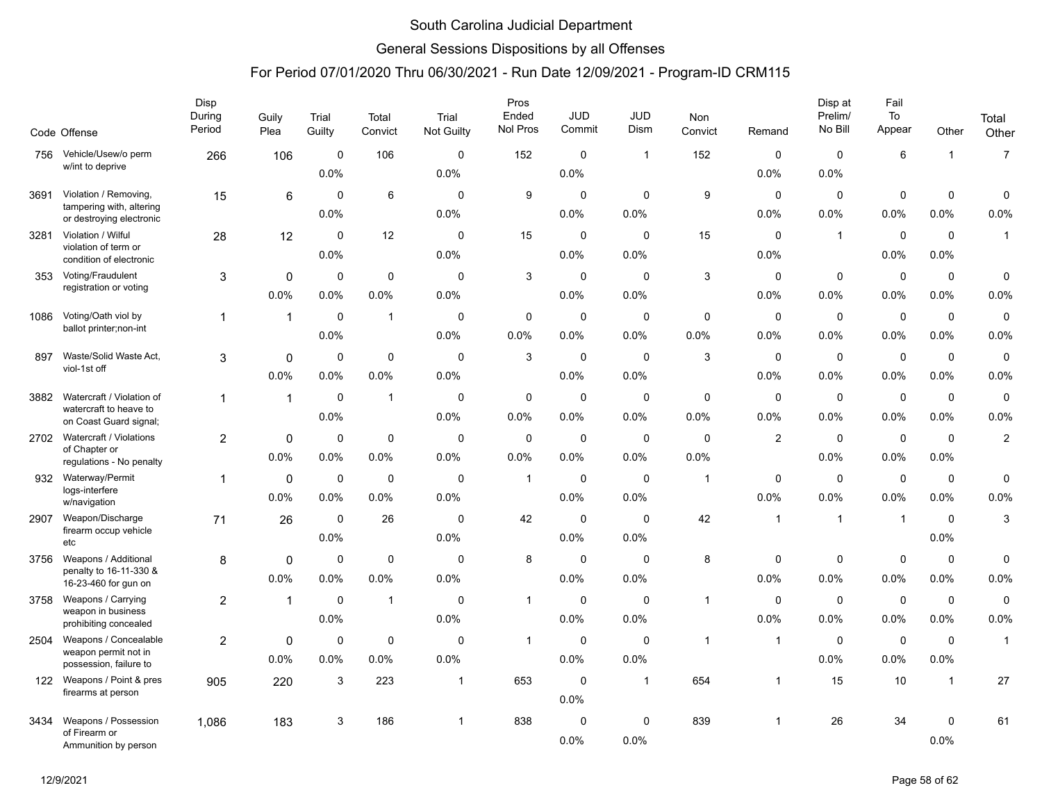### General Sessions Dispositions by all Offenses

|      | Code Offense                                                  | <b>Disp</b><br>During<br>Period | Guily<br>Plea | Trial<br>Guilty | Total<br>Convict | Trial<br>Not Guilty | Pros<br>Ended<br>Nol Pros | <b>JUD</b><br>Commit | JUD<br>Dism         | Non<br>Convict | Remand         | Disp at<br>Prelim/<br>No Bill | Fail<br>To<br>Appear | Other               | Total<br>Other |
|------|---------------------------------------------------------------|---------------------------------|---------------|-----------------|------------------|---------------------|---------------------------|----------------------|---------------------|----------------|----------------|-------------------------------|----------------------|---------------------|----------------|
| 756  | Vehicle/Usew/o perm                                           | 266                             | 106           | $\mathbf 0$     | 106              | $\mathbf 0$         | 152                       | $\mathbf 0$          | $\mathbf{1}$        | 152            | $\mathbf 0$    | $\mathbf 0$                   | $\,6\,$              | $\mathbf{1}$        | $\overline{7}$ |
|      | w/int to deprive                                              |                                 |               | 0.0%            |                  | 0.0%                |                           | 0.0%                 |                     |                | 0.0%           | 0.0%                          |                      |                     |                |
| 3691 | Violation / Removing,                                         | 15                              | 6             | $\Omega$        | 6                | $\Omega$            | 9                         | $\mathbf 0$          | $\mathbf 0$         | 9              | $\mathbf 0$    | $\mathbf 0$                   | $\mathbf 0$          | $\mathbf 0$         | 0              |
|      | tampering with, altering<br>or destroying electronic          |                                 |               | 0.0%            |                  | 0.0%                |                           | 0.0%                 | 0.0%                |                | 0.0%           | 0.0%                          | 0.0%                 | 0.0%                | 0.0%           |
| 3281 | Violation / Wilful                                            | 28                              | 12            | $\mathbf 0$     | 12               | $\mathbf 0$         | 15                        | $\mathbf 0$          | $\mathbf 0$         | 15             | 0              | $\mathbf{1}$                  | $\pmb{0}$            | $\mathbf 0$         | $\mathbf{1}$   |
|      | violation of term or<br>condition of electronic               |                                 |               | 0.0%            |                  | 0.0%                |                           | 0.0%                 | 0.0%                |                | 0.0%           |                               | 0.0%                 | 0.0%                |                |
| 353  | Voting/Fraudulent                                             | 3                               | $\mathbf 0$   | 0               | $\mathbf 0$      | 0                   | 3                         | 0                    | $\mathbf 0$         | $\mathbf{3}$   | 0              | 0                             | $\mathbf 0$          | 0                   | 0              |
|      | registration or voting                                        |                                 | 0.0%          | 0.0%            | 0.0%             | 0.0%                |                           | 0.0%                 | 0.0%                |                | 0.0%           | 0.0%                          | 0.0%                 | 0.0%                | 0.0%           |
| 1086 | Voting/Oath viol by<br>ballot printer;non-int                 | 1                               | $\mathbf{1}$  | $\mathbf 0$     | $\mathbf 1$      | $\mathbf 0$         | 0                         | $\mathbf 0$          | $\mathbf 0$         | $\mathbf 0$    | $\mathbf 0$    | $\mathbf 0$                   | $\mathbf 0$          | $\mathbf 0$         | 0              |
|      |                                                               |                                 |               | 0.0%            |                  | 0.0%                | 0.0%                      | 0.0%                 | 0.0%                | 0.0%           | 0.0%           | 0.0%                          | 0.0%                 | 0.0%                | 0.0%           |
| 897  | Waste/Solid Waste Act,<br>viol-1st off                        | 3                               | 0             | 0               | 0                | $\mathbf 0$         | 3                         | $\mathbf 0$          | $\Omega$            | 3              | 0              | 0                             | $\mathbf 0$          | $\mathbf 0$         | $\mathbf 0$    |
|      |                                                               |                                 | 0.0%          | 0.0%            | 0.0%             | 0.0%                |                           | 0.0%                 | 0.0%                |                | 0.0%           | 0.0%                          | 0.0%                 | 0.0%                | 0.0%           |
| 3882 | Watercraft / Violation of<br>watercraft to heave to           | $\mathbf{1}$                    | $\mathbf{1}$  | $\mathbf 0$     | $\mathbf{1}$     | $\mathbf 0$         | 0                         | $\mathbf 0$          | $\mathbf 0$         | $\mathbf 0$    | 0              | $\mathbf 0$                   | $\mathbf 0$          | $\mathbf 0$         | 0              |
|      | on Coast Guard signal;                                        |                                 |               | 0.0%            |                  | 0.0%                | 0.0%                      | $0.0\%$              | 0.0%                | 0.0%           | 0.0%           | 0.0%                          | 0.0%                 | 0.0%                | 0.0%           |
|      | 2702 Watercraft / Violations<br>of Chapter or                 | $\overline{2}$                  | $\mathbf 0$   | $\mathbf 0$     | $\mathbf 0$      | $\mathbf 0$         | $\mathbf 0$               | $\mathbf 0$          | $\mathbf 0$         | $\mathbf 0$    | $\overline{2}$ | 0                             | $\mathbf 0$          | $\mathbf 0$         | $\overline{c}$ |
|      | regulations - No penalty                                      |                                 | 0.0%          | 0.0%            | 0.0%             | 0.0%                | 0.0%                      | 0.0%                 | 0.0%                | 0.0%           |                | 0.0%                          | 0.0%                 | 0.0%                |                |
| 932  | Waterway/Permit<br>logs-interfere                             | 1                               | 0             | $\mathbf 0$     | $\mathbf 0$      | $\mathbf 0$         | $\mathbf{1}$              | $\mathbf 0$          | $\mathbf 0$         | $\overline{1}$ | $\mathbf 0$    | $\mathbf 0$                   | $\mathbf 0$          | $\mathbf 0$         | 0              |
|      | w/navigation                                                  |                                 | 0.0%          | 0.0%            | 0.0%             | 0.0%                |                           | 0.0%                 | 0.0%                |                | 0.0%           | 0.0%                          | 0.0%                 | 0.0%                | 0.0%           |
| 2907 | Weapon/Discharge<br>firearm occup vehicle                     | 71                              | 26            | $\mathbf 0$     | 26               | $\mathbf 0$         | 42                        | $\mathbf 0$          | $\mathbf 0$         | 42             | 1              | $\mathbf{1}$                  | $\overline{1}$       | $\mathbf 0$         | 3              |
|      | etc                                                           |                                 |               | 0.0%            |                  | 0.0%                |                           | 0.0%                 | 0.0%                |                |                |                               |                      | 0.0%                |                |
| 3756 | Weapons / Additional<br>penalty to 16-11-330 &                | 8                               | $\mathbf 0$   | $\mathbf 0$     | $\mathbf 0$      | $\mathbf 0$         | 8                         | $\mathbf 0$          | $\mathbf 0$         | 8              | $\mathbf 0$    | $\mathbf 0$                   | $\mathbf 0$          | $\mathbf 0$         | 0              |
|      | 16-23-460 for gun on                                          |                                 | 0.0%          | 0.0%            | 0.0%             | 0.0%                |                           | 0.0%                 | 0.0%                |                | 0.0%           | 0.0%                          | 0.0%                 | 0.0%                | 0.0%           |
| 3758 | Weapons / Carrying<br>weapon in business                      | $\overline{a}$                  | $\mathbf{1}$  | $\mathbf 0$     | $\mathbf{1}$     | $\mathbf 0$         | $\mathbf{1}$              | $\mathbf 0$          | $\mathbf 0$         | $\mathbf{1}$   | $\mathbf 0$    | $\mathbf 0$                   | $\mathsf 0$          | $\mathbf 0$         | $\pmb{0}$      |
|      | prohibiting concealed                                         |                                 |               | 0.0%            |                  | 0.0%                |                           | 0.0%                 | 0.0%                |                | 0.0%           | 0.0%                          | 0.0%                 | 0.0%                | 0.0%           |
| 2504 | Weapons / Concealable<br>weapon permit not in                 | 2                               | 0             | 0               | 0                | 0                   | $\mathbf{1}$              | 0                    | 0                   | $\overline{1}$ | $\mathbf{1}$   | 0                             | $\mathbf 0$          | 0                   | $\mathbf{1}$   |
|      | possession, failure to                                        |                                 | 0.0%          | 0.0%            | 0.0%             | 0.0%                |                           | $0.0\%$              | 0.0%                |                |                | $0.0\%$                       | 0.0%                 | 0.0%                |                |
|      | 122 Weapons / Point & pres<br>firearms at person              | 905                             | 220           | 3               | 223              | $\mathbf{1}$        | 653                       | $\mathbf 0$<br>0.0%  | $\mathbf{1}$        | 654            | $\mathbf 1$    | 15                            | 10                   | $\mathbf{1}$        | 27             |
| 3434 | Weapons / Possession<br>of Firearm or<br>Ammunition by person | 1.086                           | 183           | 3               | 186              | $\mathbf{1}$        | 838                       | $\mathbf 0$<br>0.0%  | $\mathbf 0$<br>0.0% | 839            |                | 26                            | 34                   | $\mathbf 0$<br>0.0% | 61             |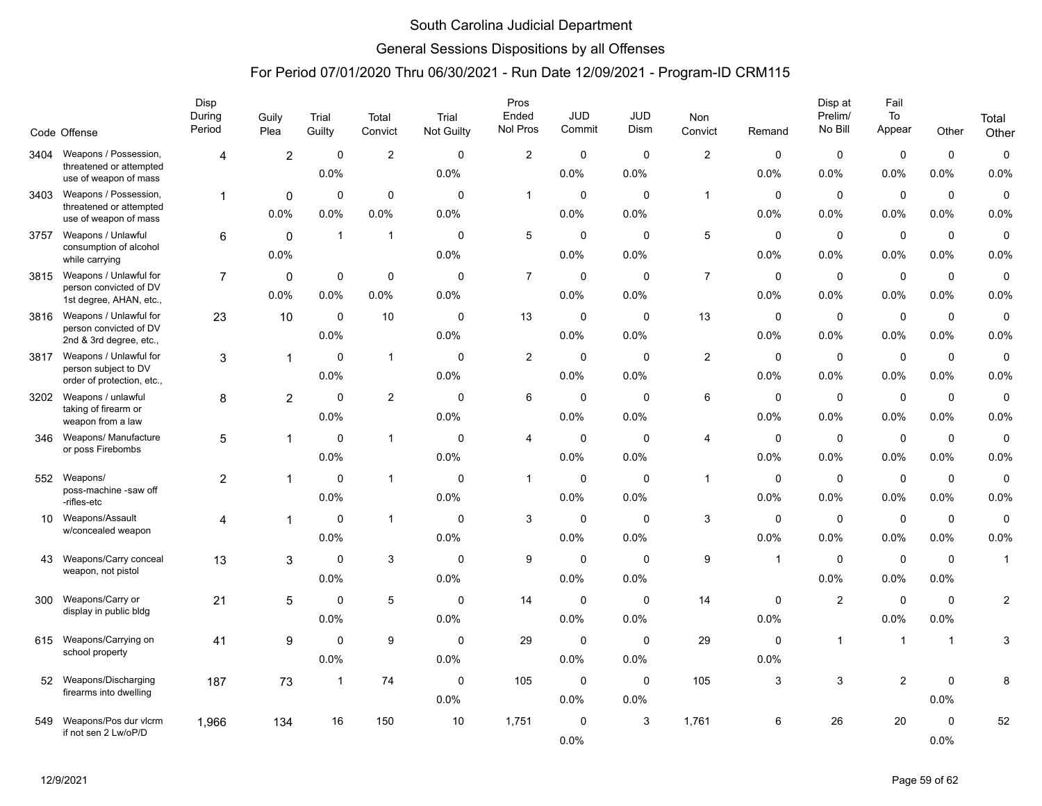### General Sessions Dispositions by all Offenses

|      | Code Offense                                      | Disp<br>During<br>Period | Guily<br>Plea  | Trial<br>Guilty | Total<br>Convict | Trial<br>Not Guilty | Pros<br>Ended<br>Nol Pros | <b>JUD</b><br>Commit | JUD<br>Dism | Non<br>Convict | Remand      | Disp at<br>Prelim/<br>No Bill | Fail<br>To<br>Appear | Other          | Total<br>Other          |
|------|---------------------------------------------------|--------------------------|----------------|-----------------|------------------|---------------------|---------------------------|----------------------|-------------|----------------|-------------|-------------------------------|----------------------|----------------|-------------------------|
| 3404 | Weapons / Possession,                             | $\overline{4}$           | $\overline{2}$ | $\mathbf 0$     | $\overline{2}$   | $\mathbf 0$         | $\overline{c}$            | $\mathbf 0$          | $\mathbf 0$ | $\mathbf{2}$   | $\mathbf 0$ | $\mathbf 0$                   | $\mathbf 0$          | $\mathbf 0$    | $\pmb{0}$               |
|      | threatened or attempted<br>use of weapon of mass  |                          |                | 0.0%            |                  | 0.0%                |                           | 0.0%                 | 0.0%        |                | 0.0%        | 0.0%                          | 0.0%                 | 0.0%           | 0.0%                    |
| 3403 | Weapons / Possession,                             | 1                        | 0              | $\mathbf 0$     | $\mathbf 0$      | $\Omega$            | $\mathbf{1}$              | $\mathbf 0$          | $\mathbf 0$ | $\mathbf{1}$   | 0           | $\mathbf 0$                   | $\mathbf 0$          | $\mathbf 0$    | $\mathbf 0$             |
|      | threatened or attempted<br>use of weapon of mass  |                          | 0.0%           | 0.0%            | 0.0%             | 0.0%                |                           | 0.0%                 | 0.0%        |                | 0.0%        | 0.0%                          | 0.0%                 | 0.0%           | 0.0%                    |
| 3757 | Weapons / Unlawful                                | 6                        | $\mathbf{0}$   | $\mathbf{1}$    | $\mathbf{1}$     | $\mathbf 0$         | 5                         | $\mathbf 0$          | $\mathbf 0$ | $\,$ 5 $\,$    | 0           | 0                             | $\mathbf 0$          | $\mathbf 0$    | $\mathbf 0$             |
|      | consumption of alcohol<br>while carrying          |                          | 0.0%           |                 |                  | 0.0%                |                           | 0.0%                 | 0.0%        |                | 0.0%        | 0.0%                          | 0.0%                 | 0.0%           | 0.0%                    |
| 3815 | Weapons / Unlawful for                            | $\overline{7}$           | 0              | 0               | $\mathbf 0$      | $\Omega$            | $\overline{7}$            | $\mathbf 0$          | $\Omega$    | $\overline{7}$ | $\mathbf 0$ | $\mathsf 0$                   | $\pmb{0}$            | $\pmb{0}$      | $\mathbf 0$             |
|      | person convicted of DV<br>1st degree, AHAN, etc., |                          | 0.0%           | 0.0%            | 0.0%             | 0.0%                |                           | 0.0%                 | 0.0%        |                | 0.0%        | 0.0%                          | 0.0%                 | 0.0%           | 0.0%                    |
| 3816 | Weapons / Unlawful for<br>person convicted of DV  | 23                       | 10             | $\mathbf 0$     | 10               | $\mathbf 0$         | 13                        | $\mathbf 0$          | $\mathbf 0$ | 13             | $\mathbf 0$ | $\mathbf 0$                   | $\mathsf 0$          | $\mathbf 0$    | $\pmb{0}$               |
|      | 2nd & 3rd degree, etc.,                           |                          |                | 0.0%            |                  | 0.0%                |                           | 0.0%                 | 0.0%        |                | 0.0%        | 0.0%                          | 0.0%                 | 0.0%           | 0.0%                    |
| 3817 | Weapons / Unlawful for<br>person subject to DV    | 3                        | 1              | $\mathbf 0$     | $\mathbf{1}$     | $\mathbf 0$         | 2                         | $\mathbf 0$          | $\mathbf 0$ | $\sqrt{2}$     | 0           | $\mathbf 0$                   | $\mathbf 0$          | $\mathbf 0$    | $\mathbf 0$             |
|      | order of protection, etc.,                        |                          |                | 0.0%            |                  | 0.0%                |                           | 0.0%                 | 0.0%        |                | 0.0%        | 0.0%                          | 0.0%                 | 0.0%           | 0.0%                    |
| 3202 | Weapons / unlawful<br>taking of firearm or        | 8                        | $\overline{2}$ | $\mathbf 0$     | $\overline{2}$   | $\mathbf 0$         | 6                         | $\mathbf 0$          | $\mathbf 0$ | 6              | 0           | 0                             | $\pmb{0}$            | $\mathbf 0$    | $\pmb{0}$               |
|      | weapon from a law                                 |                          |                | 0.0%            |                  | 0.0%                |                           | $0.0\%$              | 0.0%        |                | 0.0%        | 0.0%                          | 0.0%                 | 0.0%           | 0.0%                    |
| 346  | Weapons/ Manufacture<br>or poss Firebombs         | 5                        | $\mathbf{1}$   | $\mathbf 0$     | $\mathbf{1}$     | $\mathbf 0$         | $\overline{4}$            | $\mathbf 0$          | $\mathbf 0$ | $\overline{4}$ | $\mathbf 0$ | $\mathbf 0$                   | $\mathbf 0$          | $\mathbf 0$    | 0                       |
|      |                                                   |                          |                | 0.0%            |                  | 0.0%                |                           | 0.0%                 | 0.0%        |                | 0.0%        | 0.0%                          | 0.0%                 | 0.0%           | 0.0%                    |
| 552  | Weapons/<br>poss-machine -saw off                 | $\overline{c}$           |                | $\mathbf 0$     | $\mathbf{1}$     | $\mathbf 0$         | $\overline{1}$            | $\mathbf 0$          | $\mathbf 0$ | $\overline{1}$ | 0           | $\mathbf 0$                   | $\mathbf 0$          | $\mathbf 0$    | $\mathbf 0$             |
|      | -rifles-etc                                       |                          |                | 0.0%            |                  | 0.0%                |                           | 0.0%                 | 0.0%        |                | 0.0%        | 0.0%                          | 0.0%                 | 0.0%           | 0.0%                    |
| 10   | Weapons/Assault<br>w/concealed weapon             | $\overline{4}$           |                | $\mathbf 0$     | $\mathbf{1}$     | $\mathbf 0$         | 3                         | $\mathbf 0$          | $\mathbf 0$ | 3              | 0           | $\mathbf 0$                   | $\mathbf 0$          | $\mathbf 0$    | $\mathbf 0$             |
|      |                                                   |                          |                | 0.0%            |                  | 0.0%                |                           | $0.0\%$              | 0.0%        |                | 0.0%        | 0.0%                          | 0.0%                 | 0.0%           | 0.0%                    |
| 43   | Weapons/Carry conceal<br>weapon, not pistol       | 13                       | 3              | $\mathbf 0$     | 3                | $\Omega$            | 9                         | $\mathbf 0$          | $\Omega$    | 9              | $\mathbf 1$ | $\Omega$                      | $\mathbf 0$          | $\Omega$       | $\mathbf{1}$            |
|      |                                                   |                          |                | 0.0%            |                  | 0.0%                |                           | 0.0%                 | 0.0%        |                |             | 0.0%                          | 0.0%                 | 0.0%           |                         |
| 300  | Weapons/Carry or<br>display in public bldg        | 21                       | 5              | $\mathbf 0$     | 5                | $\mathbf 0$         | 14                        | $\mathbf 0$          | $\mathbf 0$ | 14             | $\mathbf 0$ | $\sqrt{2}$                    | $\pmb{0}$            | $\mathbf 0$    | $\overline{\mathbf{c}}$ |
|      |                                                   |                          |                | 0.0%            |                  | 0.0%                |                           | 0.0%                 | 0.0%        |                | 0.0%        |                               | 0.0%                 | 0.0%           |                         |
| 615  | Weapons/Carrying on<br>school property            | 41                       | 9              | $\Omega$        | 9                | 0                   | 29                        | $\mathbf 0$          | $\mathbf 0$ | 29             | 0           | $\mathbf{1}$                  | $\overline{1}$       | $\overline{1}$ | 3                       |
|      |                                                   |                          |                | 0.0%            |                  | 0.0%                |                           | 0.0%                 | 0.0%        |                | 0.0%        |                               |                      |                |                         |
| 52   | Weapons/Discharging<br>firearms into dwelling     | 187                      | 73             | $\mathbf{1}$    | 74               | $\mathbf 0$         | 105                       | $\mathbf 0$          | $\mathbf 0$ | 105            | 3           | $\mathbf{3}$                  | $\overline{2}$       | $\mathbf 0$    | 8                       |
|      |                                                   |                          |                |                 |                  | 0.0%                |                           | 0.0%                 | 0.0%        |                |             |                               |                      | 0.0%           |                         |
| 549  | Weapons/Pos dur vlcrm<br>if not sen 2 Lw/oP/D     | 1.966                    | 134            | 16              | 150              | 10                  | 1,751                     | $\mathbf 0$          | 3           | 1,761          | 6           | 26                            | 20                   | $\mathbf 0$    | 52                      |
|      |                                                   |                          |                |                 |                  |                     |                           | 0.0%                 |             |                |             |                               |                      | 0.0%           |                         |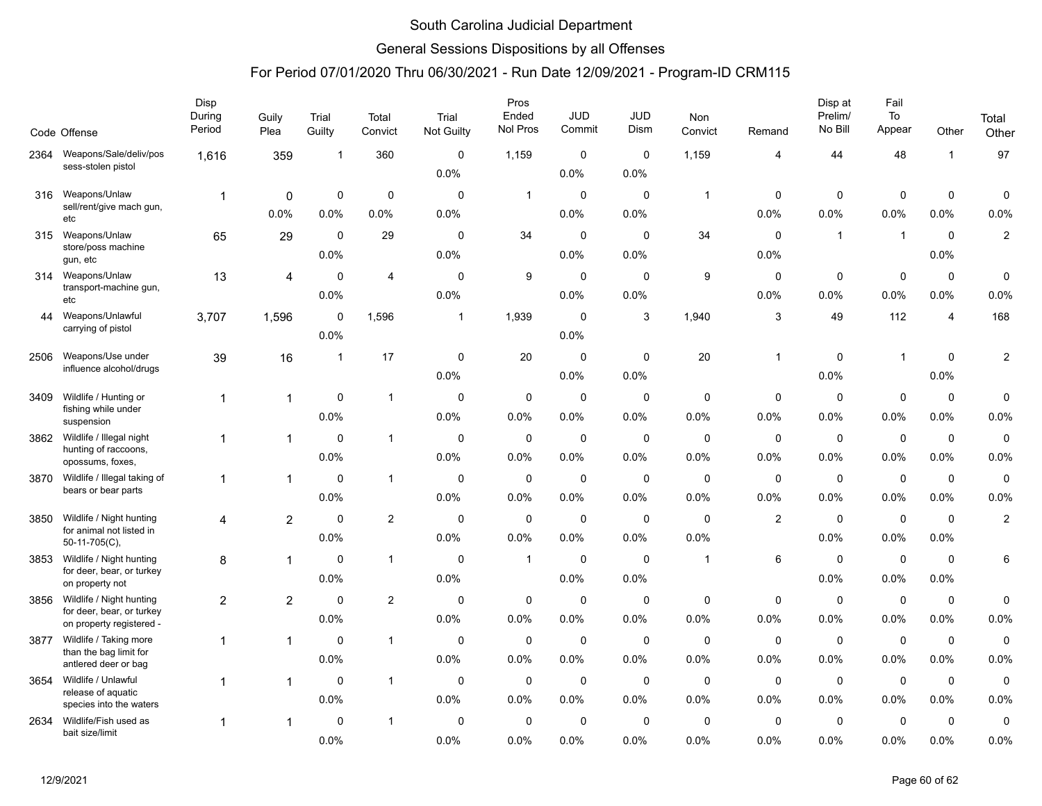### General Sessions Dispositions by all Offenses

|      | Code Offense                                          | Disp<br>During<br>Period | Guily<br>Plea  | Trial<br>Guilty | Total<br>Convict | Trial<br>Not Guilty | Pros<br>Ended<br>Nol Pros | JUD<br>Commit | JUD<br>Dism | Non<br>Convict | Remand       | Disp at<br>Prelim/<br>No Bill | Fail<br>To<br>Appear | Other          | Total<br>Other |
|------|-------------------------------------------------------|--------------------------|----------------|-----------------|------------------|---------------------|---------------------------|---------------|-------------|----------------|--------------|-------------------------------|----------------------|----------------|----------------|
| 2364 | Weapons/Sale/deliv/pos<br>sess-stolen pistol          | 1,616                    | 359            | $\mathbf 1$     | 360              | $\mathbf 0$         | 1,159                     | $\mathbf 0$   | $\mathbf 0$ | 1,159          | 4            | 44                            | 48                   | $\mathbf{1}$   | 97             |
|      |                                                       |                          |                |                 |                  | 0.0%                |                           | 0.0%          | 0.0%        |                |              |                               |                      |                |                |
| 316  | Weapons/Unlaw<br>sell/rent/give mach gun,             | $\mathbf{1}$             | 0              | 0               | $\mathbf 0$      | $\mathbf 0$         | $\overline{1}$            | $\mathbf 0$   | $\mathbf 0$ | $\mathbf{1}$   | $\mathbf 0$  | 0                             | $\mathbf 0$          | $\mathbf 0$    | 0              |
|      | etc                                                   |                          | $0.0\%$        | 0.0%            | 0.0%             | 0.0%                |                           | $0.0\%$       | 0.0%        |                | 0.0%         | 0.0%                          | 0.0%                 | 0.0%           | 0.0%           |
| 315  | Weapons/Unlaw                                         | 65                       | 29             | $\mathbf 0$     | 29               | 0                   | 34                        | $\mathbf 0$   | 0           | 34             | 0            | $\mathbf{1}$                  | $\overline{1}$       | $\mathbf 0$    | $\overline{c}$ |
|      | store/poss machine<br>gun, etc                        |                          |                | 0.0%            |                  | 0.0%                |                           | 0.0%          | 0.0%        |                | 0.0%         |                               |                      | 0.0%           |                |
| 314  | Weapons/Unlaw                                         | 13                       | 4              | 0               | $\overline{4}$   | $\mathbf 0$         | 9                         | $\mathbf 0$   | $\mathbf 0$ | 9              | $\mathbf 0$  | $\mathbf 0$                   | $\mathbf 0$          | $\mathbf 0$    | 0              |
|      | transport-machine gun,<br>etc                         |                          |                | 0.0%            |                  | 0.0%                |                           | $0.0\%$       | 0.0%        |                | 0.0%         | $0.0\%$                       | 0.0%                 | 0.0%           | 0.0%           |
| 44   | Weapons/Unlawful                                      | 3,707                    | 1,596          | $\mathbf 0$     | 1,596            | $\mathbf{1}$        | 1,939                     | $\mathbf 0$   | 3           | 1,940          | 3            | 49                            | 112                  | $\overline{4}$ | 168            |
|      | carrying of pistol                                    |                          |                | 0.0%            |                  |                     |                           | 0.0%          |             |                |              |                               |                      |                |                |
| 2506 | Weapons/Use under                                     | 39                       | 16             | $\mathbf{1}$    | 17               | $\mathbf 0$         | 20                        | $\mathbf 0$   | $\mathbf 0$ | 20             | $\mathbf{1}$ | $\mathbf 0$                   | $\mathbf 1$          | $\Omega$       | $\overline{c}$ |
|      | influence alcohol/drugs                               |                          |                |                 |                  | 0.0%                |                           | 0.0%          | 0.0%        |                |              | 0.0%                          |                      | 0.0%           |                |
| 3409 | Wildlife / Hunting or                                 | 1                        |                | 0               | $\mathbf{1}$     | $\mathbf 0$         | $\mathbf 0$               | $\mathbf 0$   | $\mathbf 0$ | $\mathbf 0$    | $\mathbf 0$  | $\mathbf 0$                   | $\mathbf 0$          | $\mathbf 0$    | 0              |
|      | fishing while under<br>suspension                     |                          |                | 0.0%            |                  | 0.0%                | 0.0%                      | $0.0\%$       | $0.0\%$     | 0.0%           | 0.0%         | $0.0\%$                       | 0.0%                 | 0.0%           | 0.0%           |
| 3862 | Wildlife / Illegal night                              | 1                        | $\mathbf{1}$   | $\mathbf 0$     | $\mathbf{1}$     | $\mathbf 0$         | $\mathbf 0$               | $\mathbf 0$   | $\mathbf 0$ | $\mathbf 0$    | $\mathbf 0$  | $\mathbf 0$                   | $\mathbf 0$          | $\mathbf 0$    | 0              |
|      | hunting of raccoons,<br>opossums, foxes,              |                          |                | 0.0%            |                  | 0.0%                | 0.0%                      | $0.0\%$       | 0.0%        | 0.0%           | 0.0%         | 0.0%                          | 0.0%                 | 0.0%           | 0.0%           |
| 3870 | Wildlife / Illegal taking of                          | $\mathbf 1$              |                | $\Omega$        | $\mathbf{1}$     | $\Omega$            | $\mathbf 0$               | $\mathbf 0$   | $\mathbf 0$ | $\mathbf 0$    | 0            | $\mathbf 0$                   | $\mathbf 0$          | $\mathbf 0$    | $\mathbf 0$    |
|      | bears or bear parts                                   |                          |                | 0.0%            |                  | 0.0%                | 0.0%                      | 0.0%          | 0.0%        | 0.0%           | 0.0%         | 0.0%                          | 0.0%                 | 0.0%           | 0.0%           |
| 3850 | Wildlife / Night hunting                              | 4                        | $\overline{2}$ | $\mathbf 0$     | 2                | $\mathbf 0$         | $\mathbf 0$               | $\mathbf 0$   | $\mathbf 0$ | $\mathbf 0$    | 2            | $\mathbf 0$                   | $\mathbf 0$          | $\mathbf 0$    | $\overline{c}$ |
|      | for animal not listed in<br>50-11-705(C),             |                          |                | 0.0%            |                  | 0.0%                | 0.0%                      | 0.0%          | 0.0%        | 0.0%           |              | 0.0%                          | 0.0%                 | 0.0%           |                |
| 3853 | Wildlife / Night hunting                              | 8                        | $\mathbf{1}$   | $\mathbf 0$     | $\mathbf{1}$     | $\mathbf 0$         | $\mathbf{1}$              | $\mathbf 0$   | $\mathbf 0$ | $\overline{1}$ | 6            | $\mathbf 0$                   | $\mathbf 0$          | $\mathbf 0$    | 6              |
|      | for deer, bear, or turkey<br>on property not          |                          |                | 0.0%            |                  | 0.0%                |                           | 0.0%          | 0.0%        |                |              | 0.0%                          | 0.0%                 | 0.0%           |                |
| 3856 | Wildlife / Night hunting                              | $\overline{c}$           | $\overline{c}$ | $\mathbf 0$     | 2                | $\mathbf 0$         | 0                         | $\mathbf 0$   | $\mathbf 0$ | 0              | 0            | $\mathbf 0$                   | $\mathbf 0$          | $\mathbf 0$    | 0              |
|      | for deer, bear, or turkey<br>on property registered - |                          |                | 0.0%            |                  | 0.0%                | 0.0%                      | 0.0%          | 0.0%        | 0.0%           | 0.0%         | 0.0%                          | 0.0%                 | 0.0%           | 0.0%           |
| 3877 | Wildlife / Taking more                                | 1                        |                | $\Omega$        | $\mathbf{1}$     | 0                   | $\mathbf 0$               | $\mathbf 0$   | 0           | $\mathbf 0$    | $\mathbf 0$  | $\mathbf 0$                   | $\pmb{0}$            | $\mathbf 0$    | $\pmb{0}$      |
|      | than the bag limit for<br>antlered deer or bag        |                          |                | 0.0%            |                  | 0.0%                | 0.0%                      | 0.0%          | 0.0%        | 0.0%           | 0.0%         | 0.0%                          | 0.0%                 | 0.0%           | 0.0%           |
| 3654 | Wildlife / Unlawful                                   |                          |                | $\mathbf 0$     | $\mathbf{1}$     | $\mathbf 0$         | $\mathbf 0$               | $\mathbf 0$   | $\mathbf 0$ | $\mathbf 0$    | $\mathbf 0$  | $\mathbf 0$                   | $\mathbf 0$          | $\mathbf 0$    | $\mathbf 0$    |
|      | release of aquatic<br>species into the waters         |                          |                | 0.0%            |                  | 0.0%                | 0.0%                      | $0.0\%$       | 0.0%        | 0.0%           | 0.0%         | $0.0\%$                       | 0.0%                 | 0.0%           | 0.0%           |
| 2634 | Wildlife/Fish used as                                 |                          |                | $\Omega$        | $\overline{1}$   | $\Omega$            | 0                         | $\mathbf 0$   | $\mathbf 0$ | 0              | 0            | $\mathbf 0$                   | $\mathbf 0$          | $\mathbf 0$    | $\mathbf 0$    |
|      | bait size/limit                                       |                          |                | 0.0%            |                  | 0.0%                | 0.0%                      | 0.0%          | 0.0%        | 0.0%           | 0.0%         | 0.0%                          | 0.0%                 | 0.0%           | 0.0%           |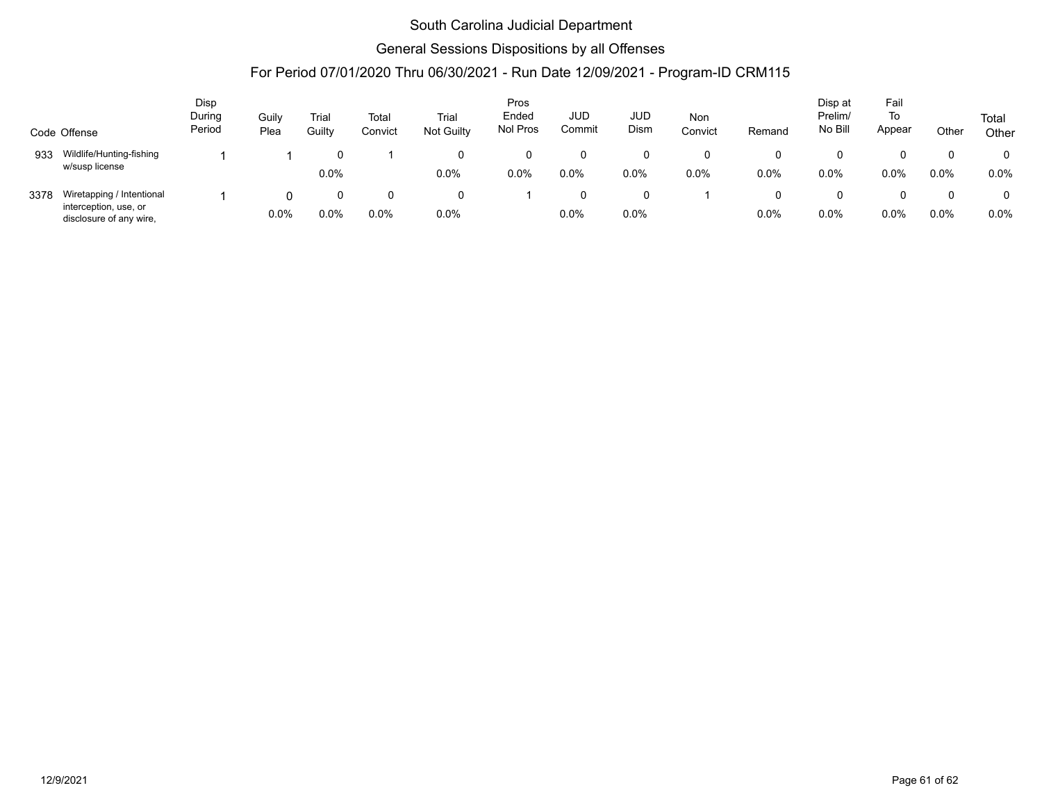### General Sessions Dispositions by all Offenses

| Disp         |                                                                               |                  |               |                 |                  |                     |                   | Disp at              | Fail               |                |        |                    |              |       |                |
|--------------|-------------------------------------------------------------------------------|------------------|---------------|-----------------|------------------|---------------------|-------------------|----------------------|--------------------|----------------|--------|--------------------|--------------|-------|----------------|
| Code Offense |                                                                               | During<br>Period | Guily<br>Plea | Trial<br>Guilty | Total<br>Convict | Trial<br>Not Guilty | Ended<br>Nol Pros | <b>JUD</b><br>Commit | <b>JUD</b><br>Dism | Non<br>Convict | Remand | Prelim/<br>No Bill | To<br>Appear | Other | Total<br>Other |
| 933          | Wildlife/Hunting-fishing<br>w/susp license                                    |                  |               | 0.0%            |                  | $\Omega$<br>0.0%    | 0.0%              | $0.0\%$              | 0.0%               | $0.0\%$        | 0.0%   | 0.0%               | 0.0%         | 0.0%  | $0.0\%$        |
| 3378         | Wiretapping / Intentional<br>interception, use, or<br>disclosure of any wire, |                  | $0.0\%$       | 0.0%            | 0.0%             | 0<br>0.0%           |                   | 0.0%                 | 0.0%               |                | 0.0%   | $0.0\%$            | $0.0\%$      | 0.0%  | 0.0%           |